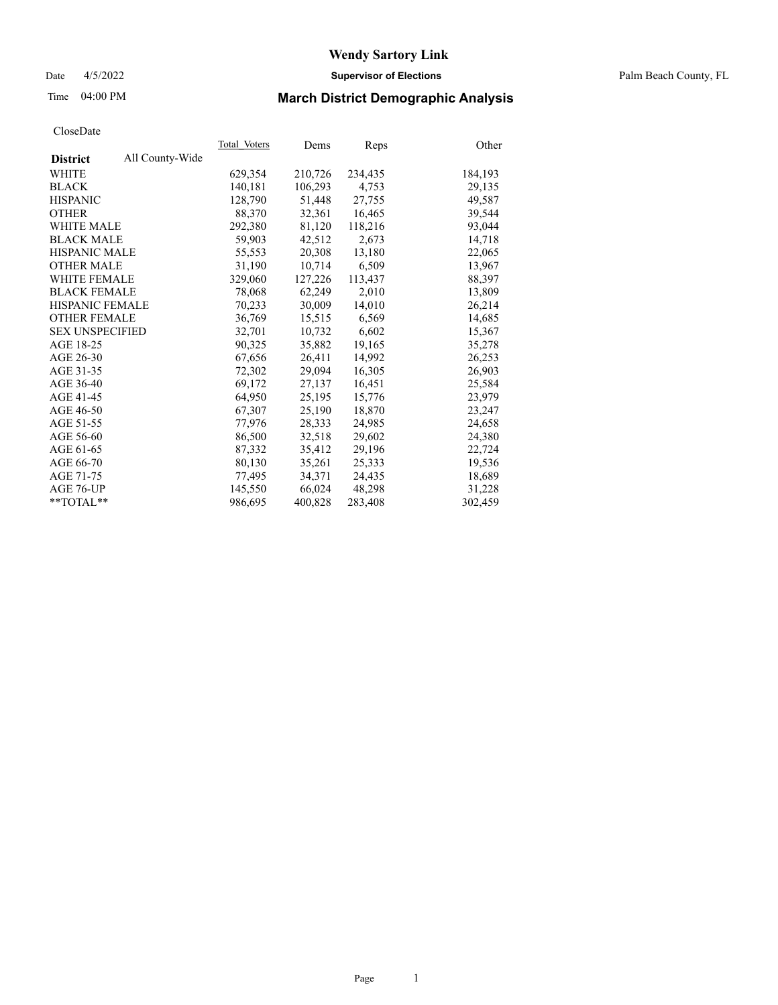## Date 4/5/2022 **Supervisor of Elections** Palm Beach County, FL

# Time 04:00 PM **March District Demographic Analysis**

|                        |                 | Total Voters | Dems    | <b>Reps</b> | Other   |
|------------------------|-----------------|--------------|---------|-------------|---------|
| <b>District</b>        | All County-Wide |              |         |             |         |
| WHITE                  |                 | 629,354      | 210,726 | 234,435     | 184,193 |
| <b>BLACK</b>           |                 | 140,181      | 106,293 | 4,753       | 29,135  |
| <b>HISPANIC</b>        |                 | 128,790      | 51,448  | 27,755      | 49,587  |
| <b>OTHER</b>           |                 | 88,370       | 32,361  | 16,465      | 39,544  |
| <b>WHITE MALE</b>      |                 | 292,380      | 81,120  | 118,216     | 93,044  |
| <b>BLACK MALE</b>      |                 | 59,903       | 42,512  | 2,673       | 14,718  |
| <b>HISPANIC MALE</b>   |                 | 55,553       | 20,308  | 13,180      | 22,065  |
| <b>OTHER MALE</b>      |                 | 31.190       | 10,714  | 6,509       | 13,967  |
| <b>WHITE FEMALE</b>    |                 | 329,060      | 127,226 | 113,437     | 88,397  |
| <b>BLACK FEMALE</b>    |                 | 78,068       | 62,249  | 2,010       | 13,809  |
| <b>HISPANIC FEMALE</b> |                 | 70,233       | 30,009  | 14,010      | 26,214  |
| <b>OTHER FEMALE</b>    |                 | 36,769       | 15,515  | 6,569       | 14,685  |
| <b>SEX UNSPECIFIED</b> |                 | 32,701       | 10,732  | 6,602       | 15,367  |
| AGE 18-25              |                 | 90,325       | 35,882  | 19,165      | 35,278  |
| AGE 26-30              |                 | 67,656       | 26,411  | 14,992      | 26,253  |
| AGE 31-35              |                 | 72,302       | 29,094  | 16,305      | 26,903  |
| AGE 36-40              |                 | 69,172       | 27,137  | 16,451      | 25,584  |
| AGE 41-45              |                 | 64,950       | 25,195  | 15,776      | 23,979  |
| AGE 46-50              |                 | 67,307       | 25,190  | 18,870      | 23,247  |
| AGE 51-55              |                 | 77,976       | 28,333  | 24,985      | 24,658  |
| AGE 56-60              |                 | 86,500       | 32,518  | 29,602      | 24,380  |
| AGE 61-65              |                 | 87,332       | 35,412  | 29,196      | 22,724  |
| AGE 66-70              |                 | 80,130       | 35,261  | 25,333      | 19,536  |
| AGE 71-75              |                 | 77,495       | 34,371  | 24,435      | 18,689  |
| AGE 76-UP              |                 | 145,550      | 66,024  | 48,298      | 31,228  |
| **TOTAL**              |                 | 986,695      | 400,828 | 283,408     | 302,459 |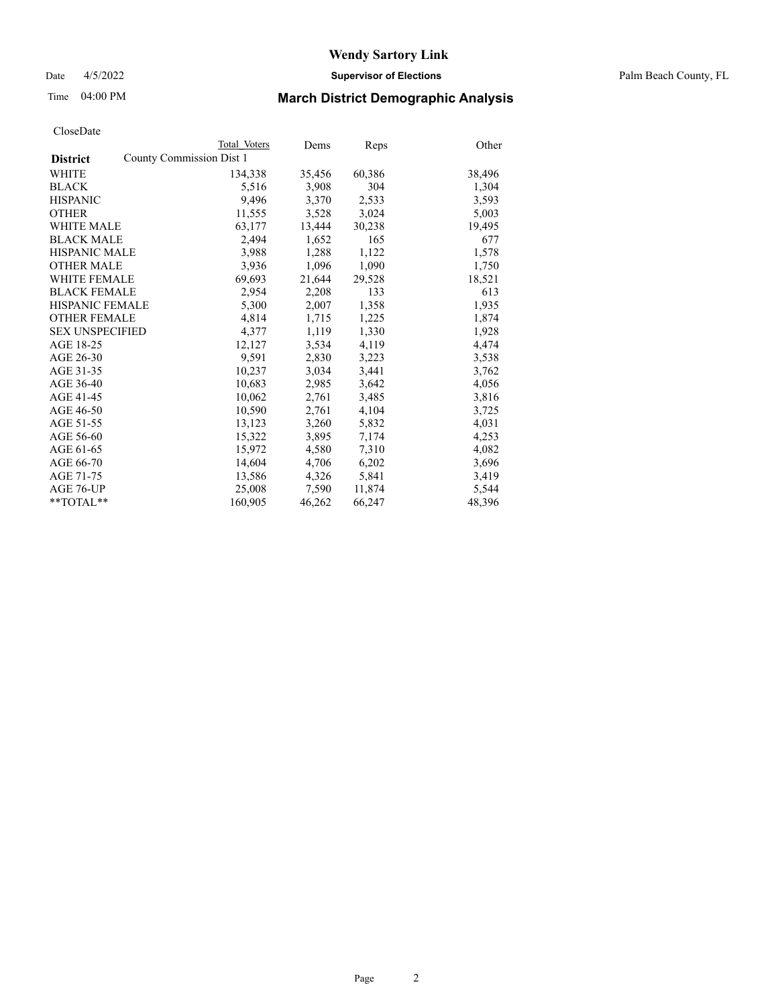Date 4/5/2022 **Supervisor of Elections** Palm Beach County, FL

# Time 04:00 PM **March District Demographic Analysis**

|                                             | Total Voters | Dems   | <b>Reps</b> | Other  |
|---------------------------------------------|--------------|--------|-------------|--------|
| County Commission Dist 1<br><b>District</b> |              |        |             |        |
| <b>WHITE</b>                                | 134,338      | 35,456 | 60,386      | 38,496 |
| <b>BLACK</b>                                | 5,516        | 3,908  | 304         | 1,304  |
| <b>HISPANIC</b>                             | 9,496        | 3,370  | 2,533       | 3,593  |
| <b>OTHER</b>                                | 11,555       | 3,528  | 3,024       | 5,003  |
| <b>WHITE MALE</b>                           | 63,177       | 13,444 | 30,238      | 19,495 |
| <b>BLACK MALE</b>                           | 2,494        | 1,652  | 165         | 677    |
| <b>HISPANIC MALE</b>                        | 3,988        | 1,288  | 1,122       | 1,578  |
| <b>OTHER MALE</b>                           | 3,936        | 1,096  | 1,090       | 1,750  |
| <b>WHITE FEMALE</b>                         | 69,693       | 21,644 | 29,528      | 18,521 |
| <b>BLACK FEMALE</b>                         | 2,954        | 2,208  | 133         | 613    |
| <b>HISPANIC FEMALE</b>                      | 5,300        | 2,007  | 1,358       | 1,935  |
| <b>OTHER FEMALE</b>                         | 4,814        | 1,715  | 1,225       | 1,874  |
| <b>SEX UNSPECIFIED</b>                      | 4,377        | 1,119  | 1,330       | 1,928  |
| AGE 18-25                                   | 12,127       | 3,534  | 4,119       | 4,474  |
| AGE 26-30                                   | 9,591        | 2,830  | 3,223       | 3,538  |
| AGE 31-35                                   | 10,237       | 3,034  | 3,441       | 3,762  |
| AGE 36-40                                   | 10,683       | 2,985  | 3,642       | 4,056  |
| AGE 41-45                                   | 10,062       | 2,761  | 3,485       | 3,816  |
| AGE 46-50                                   | 10,590       | 2,761  | 4,104       | 3,725  |
| AGE 51-55                                   | 13,123       | 3,260  | 5,832       | 4,031  |
| AGE 56-60                                   | 15,322       | 3,895  | 7,174       | 4,253  |
| AGE 61-65                                   | 15,972       | 4,580  | 7,310       | 4,082  |
| AGE 66-70                                   | 14,604       | 4,706  | 6,202       | 3,696  |
| AGE 71-75                                   | 13,586       | 4,326  | 5,841       | 3,419  |
| AGE 76-UP                                   | 25,008       | 7,590  | 11,874      | 5,544  |
| $*$ $TOTAL**$                               | 160,905      | 46,262 | 66,247      | 48,396 |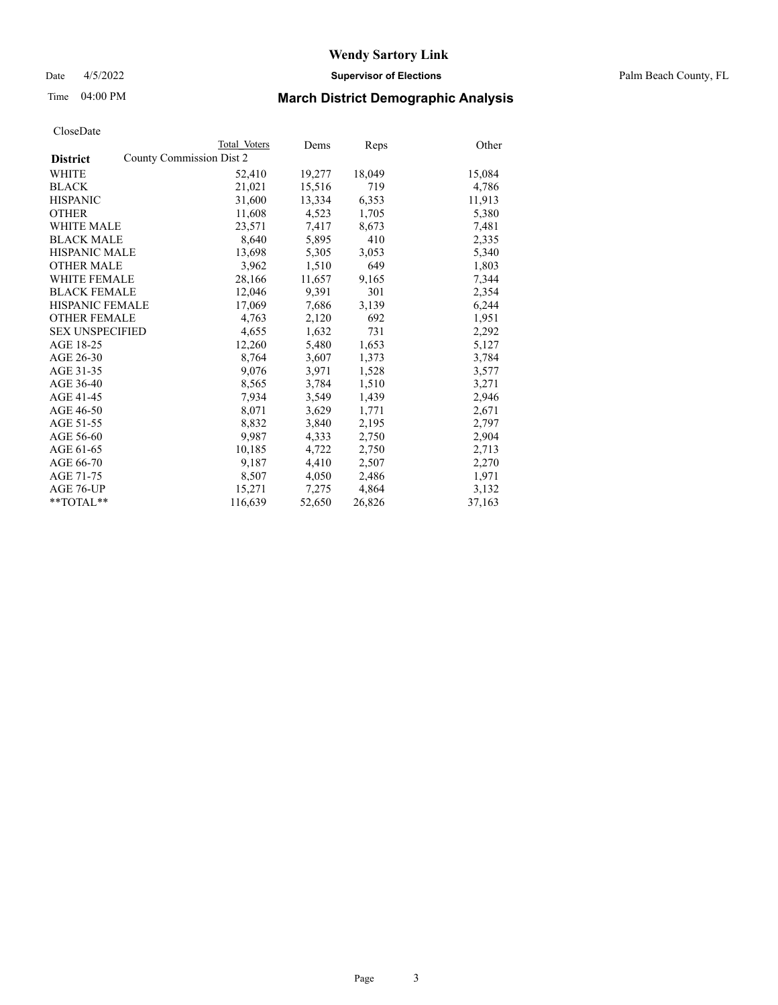Date 4/5/2022 **Supervisor of Elections** Palm Beach County, FL

# Time 04:00 PM **March District Demographic Analysis**

|                        | Total Voters             | Dems   | <b>Reps</b> | Other  |
|------------------------|--------------------------|--------|-------------|--------|
| <b>District</b>        | County Commission Dist 2 |        |             |        |
| WHITE                  | 52,410                   | 19,277 | 18,049      | 15,084 |
| <b>BLACK</b>           | 21,021                   | 15,516 | 719         | 4,786  |
| <b>HISPANIC</b>        | 31,600                   | 13,334 | 6,353       | 11,913 |
| <b>OTHER</b>           | 11,608                   | 4,523  | 1,705       | 5,380  |
| <b>WHITE MALE</b>      | 23,571                   | 7,417  | 8,673       | 7,481  |
| <b>BLACK MALE</b>      | 8,640                    | 5,895  | 410         | 2,335  |
| <b>HISPANIC MALE</b>   | 13,698                   | 5,305  | 3,053       | 5,340  |
| <b>OTHER MALE</b>      | 3,962                    | 1,510  | 649         | 1,803  |
| <b>WHITE FEMALE</b>    | 28,166                   | 11,657 | 9,165       | 7,344  |
| <b>BLACK FEMALE</b>    | 12,046                   | 9,391  | 301         | 2,354  |
| <b>HISPANIC FEMALE</b> | 17,069                   | 7,686  | 3,139       | 6,244  |
| <b>OTHER FEMALE</b>    | 4,763                    | 2,120  | 692         | 1,951  |
| <b>SEX UNSPECIFIED</b> | 4,655                    | 1,632  | 731         | 2,292  |
| AGE 18-25              | 12,260                   | 5,480  | 1,653       | 5,127  |
| AGE 26-30              | 8,764                    | 3,607  | 1,373       | 3,784  |
| AGE 31-35              | 9,076                    | 3,971  | 1,528       | 3,577  |
| AGE 36-40              | 8,565                    | 3,784  | 1,510       | 3,271  |
| AGE 41-45              | 7,934                    | 3,549  | 1,439       | 2,946  |
| AGE 46-50              | 8,071                    | 3,629  | 1,771       | 2,671  |
| AGE 51-55              | 8,832                    | 3,840  | 2,195       | 2,797  |
| AGE 56-60              | 9,987                    | 4,333  | 2,750       | 2,904  |
| AGE 61-65              | 10,185                   | 4,722  | 2,750       | 2,713  |
| AGE 66-70              | 9,187                    | 4,410  | 2,507       | 2,270  |
| AGE 71-75              | 8,507                    | 4,050  | 2,486       | 1,971  |
| AGE 76-UP              | 15,271                   | 7,275  | 4,864       | 3,132  |
| $*$ $TOTAL**$          | 116,639                  | 52,650 | 26,826      | 37,163 |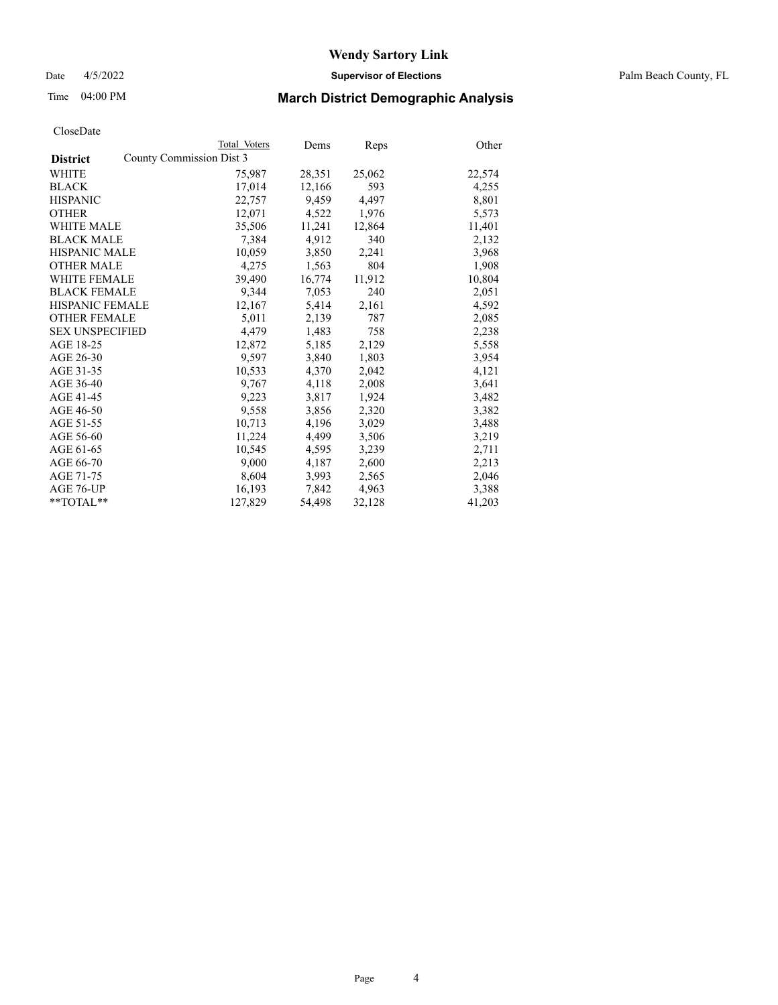Date 4/5/2022 **Supervisor of Elections** Palm Beach County, FL

# Time 04:00 PM **March District Demographic Analysis**

|                        | Total Voters             | Dems   | Reps   | Other  |
|------------------------|--------------------------|--------|--------|--------|
| <b>District</b>        | County Commission Dist 3 |        |        |        |
| WHITE                  | 75,987                   | 28,351 | 25,062 | 22,574 |
| <b>BLACK</b>           | 17,014                   | 12,166 | 593    | 4,255  |
| <b>HISPANIC</b>        | 22,757                   | 9,459  | 4,497  | 8,801  |
| <b>OTHER</b>           | 12,071                   | 4,522  | 1,976  | 5,573  |
| <b>WHITE MALE</b>      | 35,506                   | 11,241 | 12,864 | 11,401 |
| <b>BLACK MALE</b>      | 7,384                    | 4,912  | 340    | 2,132  |
| <b>HISPANIC MALE</b>   | 10,059                   | 3,850  | 2,241  | 3,968  |
| <b>OTHER MALE</b>      | 4,275                    | 1,563  | 804    | 1,908  |
| <b>WHITE FEMALE</b>    | 39,490                   | 16,774 | 11,912 | 10,804 |
| <b>BLACK FEMALE</b>    | 9,344                    | 7,053  | 240    | 2,051  |
| <b>HISPANIC FEMALE</b> | 12,167                   | 5,414  | 2,161  | 4,592  |
| <b>OTHER FEMALE</b>    | 5,011                    | 2,139  | 787    | 2,085  |
| <b>SEX UNSPECIFIED</b> | 4,479                    | 1,483  | 758    | 2,238  |
| AGE 18-25              | 12,872                   | 5,185  | 2,129  | 5,558  |
| AGE 26-30              | 9,597                    | 3.840  | 1,803  | 3,954  |
| AGE 31-35              | 10,533                   | 4,370  | 2,042  | 4,121  |
| AGE 36-40              | 9,767                    | 4,118  | 2,008  | 3,641  |
| AGE 41-45              | 9,223                    | 3,817  | 1,924  | 3,482  |
| AGE 46-50              | 9,558                    | 3,856  | 2,320  | 3,382  |
| AGE 51-55              | 10,713                   | 4,196  | 3,029  | 3,488  |
| AGE 56-60              | 11,224                   | 4,499  | 3,506  | 3,219  |
| AGE 61-65              | 10,545                   | 4,595  | 3,239  | 2,711  |
| AGE 66-70              | 9,000                    | 4,187  | 2,600  | 2,213  |
| AGE 71-75              | 8,604                    | 3,993  | 2,565  | 2,046  |
| AGE 76-UP              | 16,193                   | 7,842  | 4,963  | 3,388  |
| **TOTAL**              | 127,829                  | 54,498 | 32,128 | 41,203 |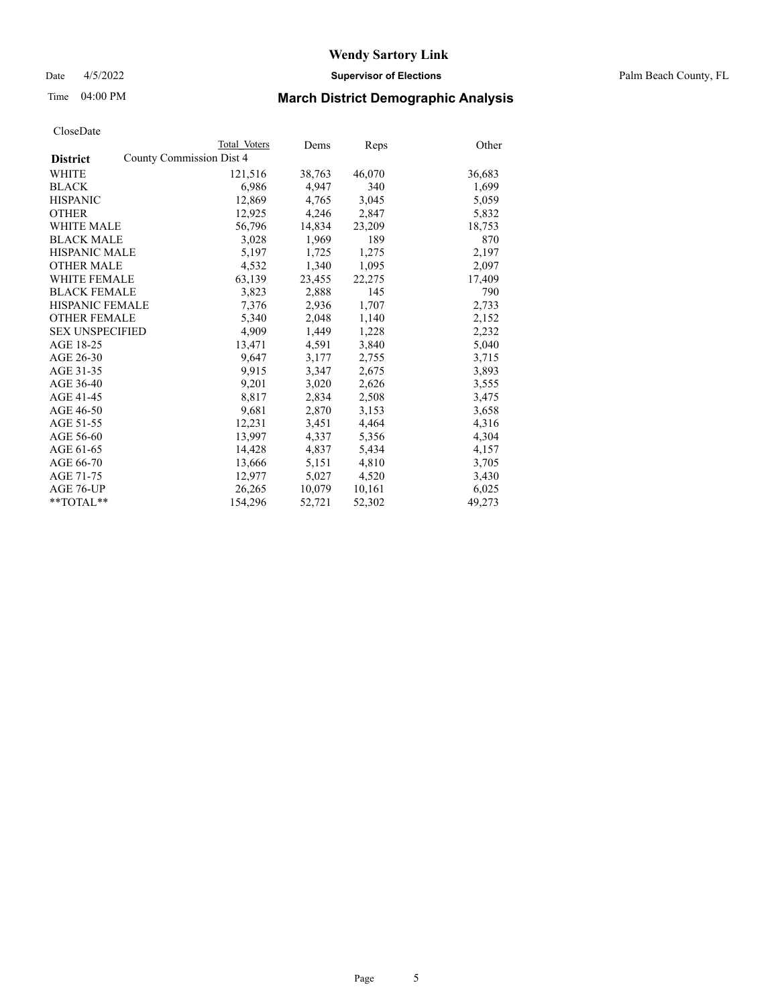Date 4/5/2022 **Supervisor of Elections** Palm Beach County, FL

# Time 04:00 PM **March District Demographic Analysis**

|                                             | Total Voters | Dems   | Reps   | Other  |
|---------------------------------------------|--------------|--------|--------|--------|
| County Commission Dist 4<br><b>District</b> |              |        |        |        |
| WHITE                                       | 121,516      | 38,763 | 46,070 | 36,683 |
| <b>BLACK</b>                                | 6,986        | 4,947  | 340    | 1,699  |
| <b>HISPANIC</b>                             | 12,869       | 4,765  | 3,045  | 5,059  |
| <b>OTHER</b>                                | 12,925       | 4,246  | 2,847  | 5,832  |
| <b>WHITE MALE</b>                           | 56,796       | 14,834 | 23,209 | 18,753 |
| <b>BLACK MALE</b>                           | 3,028        | 1,969  | 189    | 870    |
| <b>HISPANIC MALE</b>                        | 5,197        | 1,725  | 1,275  | 2,197  |
| <b>OTHER MALE</b>                           | 4,532        | 1,340  | 1,095  | 2,097  |
| <b>WHITE FEMALE</b>                         | 63,139       | 23,455 | 22,275 | 17,409 |
| <b>BLACK FEMALE</b>                         | 3,823        | 2,888  | 145    | 790    |
| HISPANIC FEMALE                             | 7,376        | 2,936  | 1,707  | 2,733  |
| <b>OTHER FEMALE</b>                         | 5,340        | 2,048  | 1,140  | 2,152  |
| <b>SEX UNSPECIFIED</b>                      | 4.909        | 1.449  | 1,228  | 2,232  |
| AGE 18-25                                   | 13,471       | 4,591  | 3,840  | 5,040  |
| AGE 26-30                                   | 9,647        | 3,177  | 2,755  | 3,715  |
| AGE 31-35                                   | 9,915        | 3,347  | 2,675  | 3,893  |
| AGE 36-40                                   | 9,201        | 3,020  | 2,626  | 3,555  |
| AGE 41-45                                   | 8,817        | 2,834  | 2,508  | 3,475  |
| AGE 46-50                                   | 9,681        | 2,870  | 3,153  | 3,658  |
| AGE 51-55                                   | 12,231       | 3,451  | 4,464  | 4,316  |
| AGE 56-60                                   | 13,997       | 4,337  | 5,356  | 4,304  |
| AGE 61-65                                   | 14,428       | 4,837  | 5,434  | 4,157  |
| AGE 66-70                                   | 13,666       | 5,151  | 4,810  | 3,705  |
| AGE 71-75                                   | 12,977       | 5,027  | 4,520  | 3,430  |
| AGE 76-UP                                   | 26,265       | 10,079 | 10,161 | 6,025  |
| $*$ $TOTAL**$                               | 154,296      | 52,721 | 52,302 | 49,273 |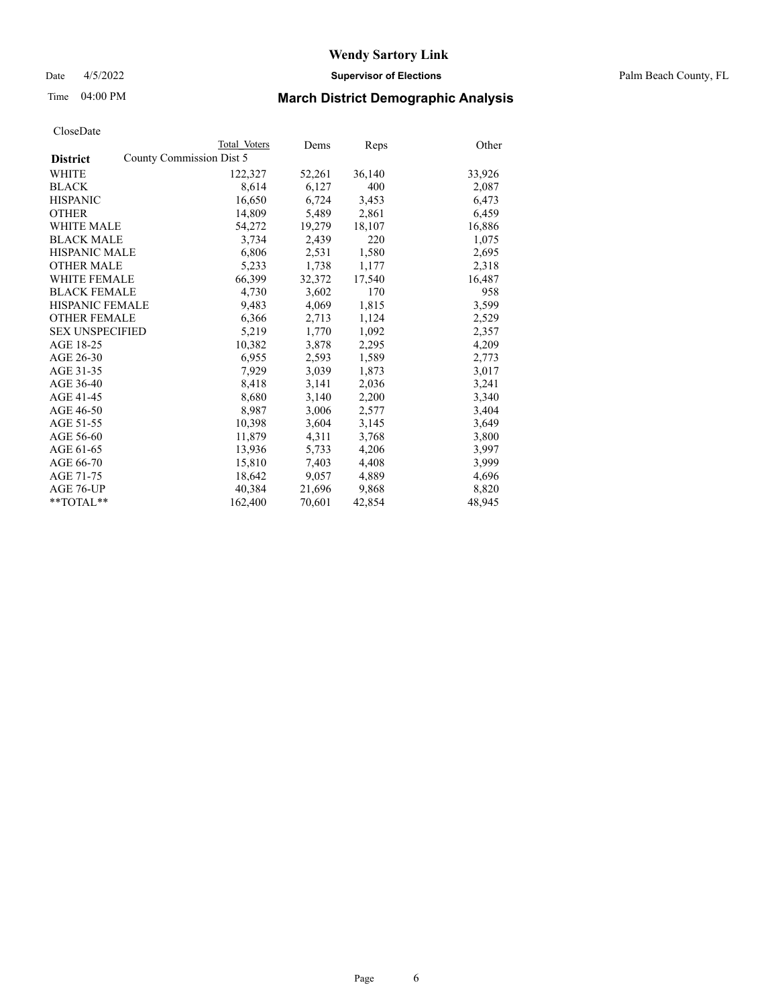Date 4/5/2022 **Supervisor of Elections** Palm Beach County, FL

# Time 04:00 PM **March District Demographic Analysis**

|                        | Total Voters             | Dems   | <b>Reps</b> | Other  |
|------------------------|--------------------------|--------|-------------|--------|
| <b>District</b>        | County Commission Dist 5 |        |             |        |
| WHITE                  | 122,327                  | 52,261 | 36,140      | 33,926 |
| <b>BLACK</b>           | 8,614                    | 6,127  | 400         | 2,087  |
| <b>HISPANIC</b>        | 16,650                   | 6,724  | 3,453       | 6,473  |
| <b>OTHER</b>           | 14,809                   | 5,489  | 2,861       | 6,459  |
| <b>WHITE MALE</b>      | 54,272                   | 19,279 | 18,107      | 16,886 |
| <b>BLACK MALE</b>      | 3,734                    | 2,439  | 220         | 1,075  |
| <b>HISPANIC MALE</b>   | 6,806                    | 2,531  | 1,580       | 2,695  |
| <b>OTHER MALE</b>      | 5,233                    | 1,738  | 1,177       | 2,318  |
| <b>WHITE FEMALE</b>    | 66,399                   | 32,372 | 17,540      | 16,487 |
| <b>BLACK FEMALE</b>    | 4,730                    | 3,602  | 170         | 958    |
| <b>HISPANIC FEMALE</b> | 9,483                    | 4,069  | 1,815       | 3,599  |
| <b>OTHER FEMALE</b>    | 6,366                    | 2,713  | 1,124       | 2,529  |
| <b>SEX UNSPECIFIED</b> | 5,219                    | 1,770  | 1,092       | 2,357  |
| AGE 18-25              | 10,382                   | 3,878  | 2,295       | 4,209  |
| AGE 26-30              | 6,955                    | 2,593  | 1,589       | 2,773  |
| AGE 31-35              | 7,929                    | 3,039  | 1,873       | 3,017  |
| AGE 36-40              | 8,418                    | 3,141  | 2,036       | 3,241  |
| AGE 41-45              | 8,680                    | 3,140  | 2,200       | 3,340  |
| AGE 46-50              | 8,987                    | 3,006  | 2,577       | 3,404  |
| AGE 51-55              | 10,398                   | 3,604  | 3,145       | 3,649  |
| AGE 56-60              | 11,879                   | 4,311  | 3,768       | 3,800  |
| AGE 61-65              | 13,936                   | 5,733  | 4,206       | 3,997  |
| AGE 66-70              | 15,810                   | 7,403  | 4,408       | 3,999  |
| AGE 71-75              | 18,642                   | 9,057  | 4,889       | 4,696  |
| AGE 76-UP              | 40,384                   | 21,696 | 9,868       | 8,820  |
| **TOTAL**              | 162,400                  | 70,601 | 42,854      | 48,945 |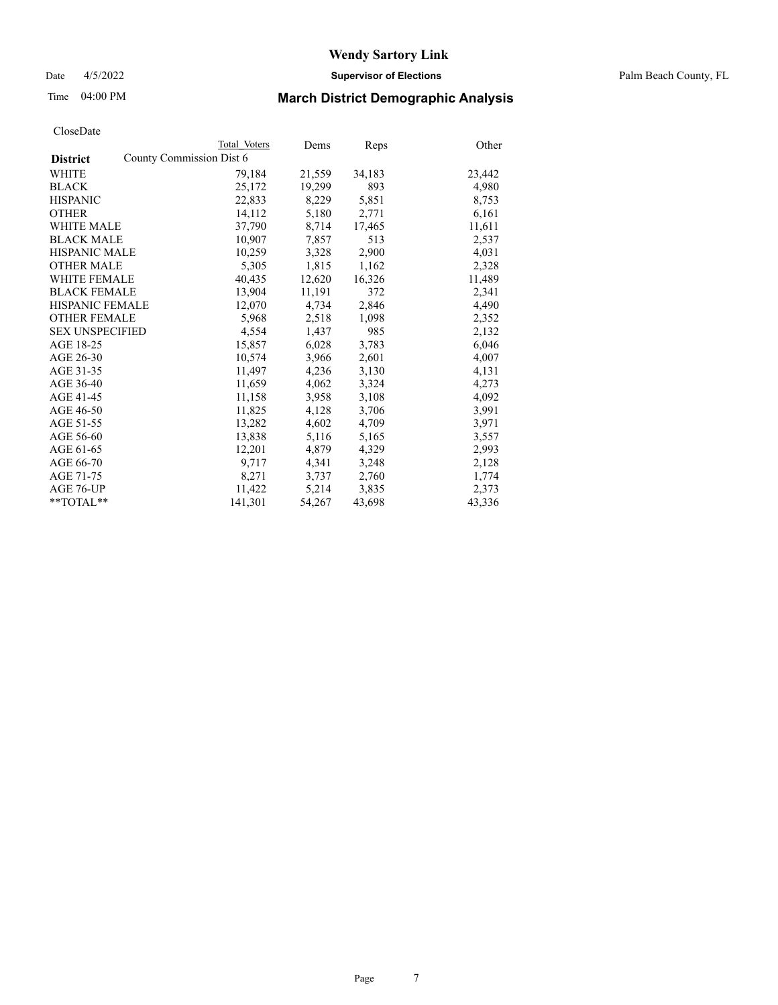Date 4/5/2022 **Supervisor of Elections** Palm Beach County, FL

# Time 04:00 PM **March District Demographic Analysis**

|                                             | Total Voters | Dems   | <b>Reps</b> | Other  |
|---------------------------------------------|--------------|--------|-------------|--------|
| County Commission Dist 6<br><b>District</b> |              |        |             |        |
| WHITE                                       | 79,184       | 21,559 | 34,183      | 23,442 |
| <b>BLACK</b>                                | 25,172       | 19,299 | 893         | 4,980  |
| <b>HISPANIC</b>                             | 22,833       | 8,229  | 5,851       | 8,753  |
| <b>OTHER</b>                                | 14,112       | 5,180  | 2,771       | 6,161  |
| <b>WHITE MALE</b>                           | 37,790       | 8,714  | 17,465      | 11,611 |
| <b>BLACK MALE</b>                           | 10,907       | 7,857  | 513         | 2,537  |
| <b>HISPANIC MALE</b>                        | 10,259       | 3,328  | 2,900       | 4,031  |
| <b>OTHER MALE</b>                           | 5,305        | 1,815  | 1,162       | 2,328  |
| <b>WHITE FEMALE</b>                         | 40,435       | 12,620 | 16,326      | 11,489 |
| <b>BLACK FEMALE</b>                         | 13,904       | 11,191 | 372         | 2,341  |
| <b>HISPANIC FEMALE</b>                      | 12,070       | 4,734  | 2,846       | 4,490  |
| <b>OTHER FEMALE</b>                         | 5,968        | 2,518  | 1,098       | 2,352  |
| <b>SEX UNSPECIFIED</b>                      | 4,554        | 1,437  | 985         | 2,132  |
| AGE 18-25                                   | 15,857       | 6,028  | 3,783       | 6,046  |
| AGE 26-30                                   | 10,574       | 3,966  | 2,601       | 4,007  |
| AGE 31-35                                   | 11,497       | 4,236  | 3,130       | 4,131  |
| AGE 36-40                                   | 11,659       | 4,062  | 3,324       | 4,273  |
| AGE 41-45                                   | 11,158       | 3,958  | 3,108       | 4,092  |
| AGE 46-50                                   | 11,825       | 4,128  | 3,706       | 3,991  |
| AGE 51-55                                   | 13,282       | 4,602  | 4,709       | 3,971  |
| AGE 56-60                                   | 13,838       | 5,116  | 5,165       | 3,557  |
| AGE 61-65                                   | 12,201       | 4,879  | 4,329       | 2,993  |
| AGE 66-70                                   | 9,717        | 4,341  | 3,248       | 2,128  |
| AGE 71-75                                   | 8,271        | 3,737  | 2,760       | 1,774  |
| AGE 76-UP                                   | 11,422       | 5,214  | 3,835       | 2,373  |
| $*$ TOTAL $*$                               | 141,301      | 54,267 | 43,698      | 43,336 |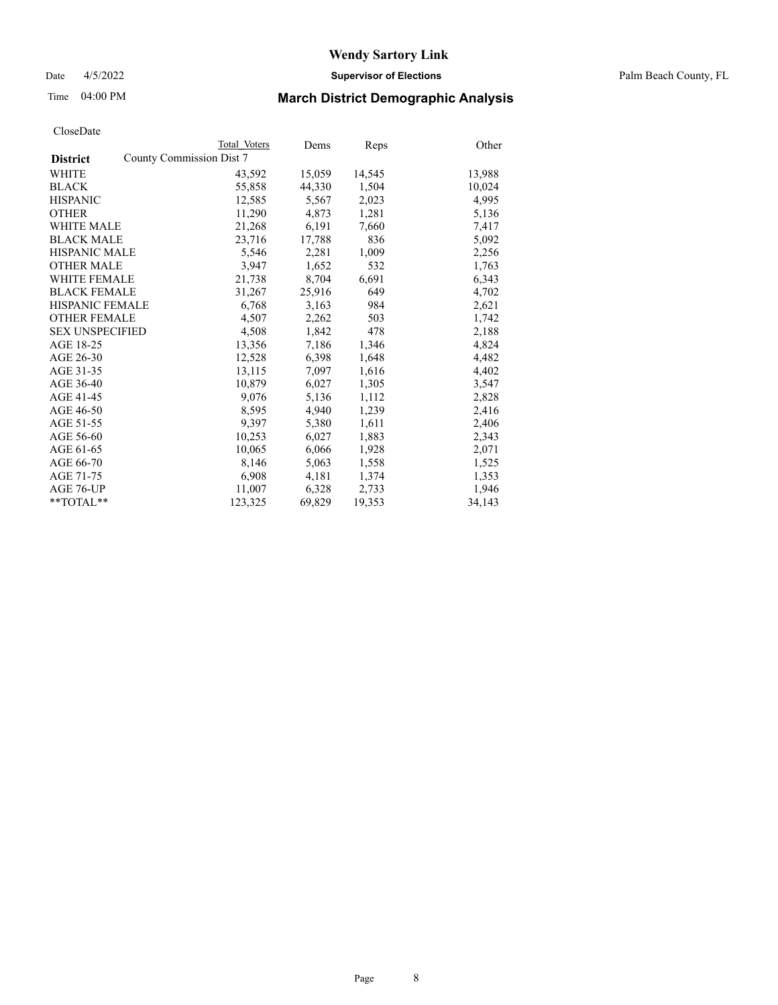Date 4/5/2022 **Supervisor of Elections** Palm Beach County, FL

# Time 04:00 PM **March District Demographic Analysis**

|                                             | Total Voters | Dems   | <b>Reps</b> | Other  |
|---------------------------------------------|--------------|--------|-------------|--------|
| County Commission Dist 7<br><b>District</b> |              |        |             |        |
| WHITE                                       | 43,592       | 15,059 | 14,545      | 13,988 |
| <b>BLACK</b>                                | 55,858       | 44,330 | 1,504       | 10,024 |
| <b>HISPANIC</b>                             | 12,585       | 5,567  | 2,023       | 4,995  |
| <b>OTHER</b>                                | 11,290       | 4,873  | 1,281       | 5,136  |
| <b>WHITE MALE</b>                           | 21,268       | 6,191  | 7,660       | 7,417  |
| <b>BLACK MALE</b>                           | 23,716       | 17,788 | 836         | 5,092  |
| <b>HISPANIC MALE</b>                        | 5,546        | 2,281  | 1,009       | 2,256  |
| <b>OTHER MALE</b>                           | 3.947        | 1,652  | 532         | 1,763  |
| <b>WHITE FEMALE</b>                         | 21,738       | 8,704  | 6,691       | 6,343  |
| <b>BLACK FEMALE</b>                         | 31,267       | 25,916 | 649         | 4,702  |
| <b>HISPANIC FEMALE</b>                      | 6,768        | 3,163  | 984         | 2,621  |
| <b>OTHER FEMALE</b>                         | 4,507        | 2,262  | 503         | 1,742  |
| <b>SEX UNSPECIFIED</b>                      | 4,508        | 1,842  | 478         | 2,188  |
| AGE 18-25                                   | 13,356       | 7,186  | 1,346       | 4,824  |
| AGE 26-30                                   | 12,528       | 6,398  | 1,648       | 4,482  |
| AGE 31-35                                   | 13,115       | 7,097  | 1,616       | 4,402  |
| AGE 36-40                                   | 10,879       | 6,027  | 1,305       | 3,547  |
| AGE 41-45                                   | 9,076        | 5,136  | 1,112       | 2,828  |
| AGE 46-50                                   | 8,595        | 4,940  | 1,239       | 2,416  |
| AGE 51-55                                   | 9,397        | 5,380  | 1,611       | 2,406  |
| AGE 56-60                                   | 10,253       | 6,027  | 1,883       | 2,343  |
| AGE 61-65                                   | 10,065       | 6,066  | 1,928       | 2,071  |
| AGE 66-70                                   | 8,146        | 5,063  | 1,558       | 1,525  |
| AGE 71-75                                   | 6,908        | 4,181  | 1,374       | 1,353  |
| AGE 76-UP                                   | 11,007       | 6,328  | 2,733       | 1,946  |
| **TOTAL**                                   | 123,325      | 69,829 | 19,353      | 34,143 |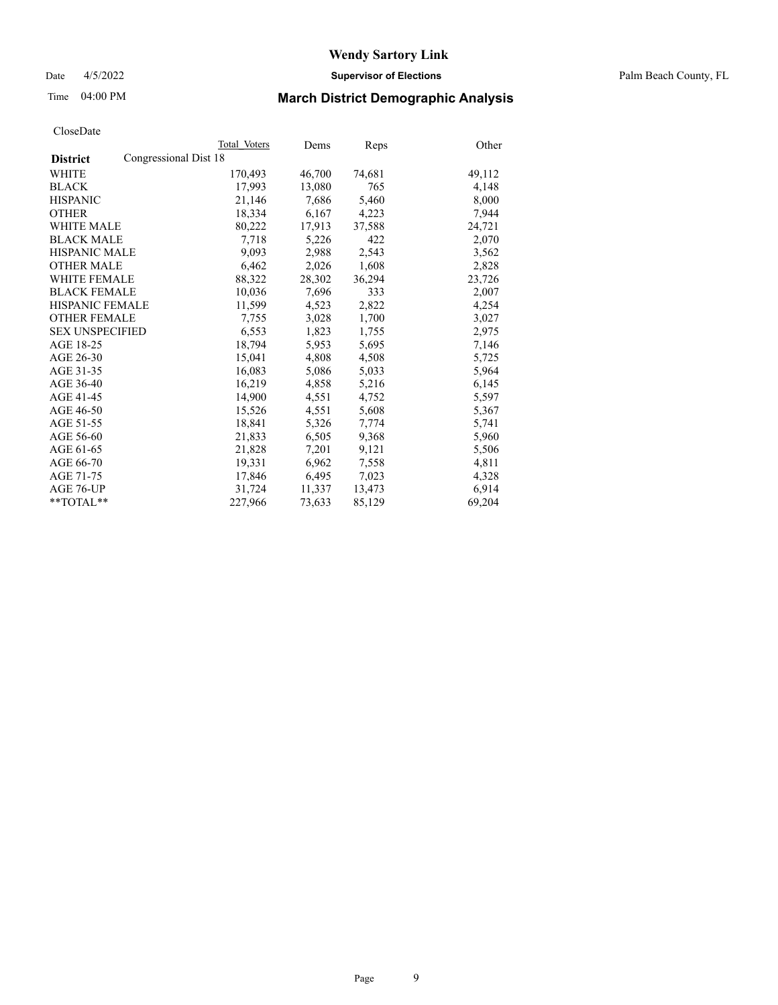Date 4/5/2022 **Supervisor of Elections** Palm Beach County, FL

# Time 04:00 PM **March District Demographic Analysis**

|                                          | Total Voters | Dems   | Reps   | Other  |
|------------------------------------------|--------------|--------|--------|--------|
| Congressional Dist 18<br><b>District</b> |              |        |        |        |
| WHITE                                    | 170,493      | 46,700 | 74,681 | 49,112 |
| <b>BLACK</b>                             | 17,993       | 13,080 | 765    | 4,148  |
| <b>HISPANIC</b>                          | 21,146       | 7,686  | 5,460  | 8,000  |
| <b>OTHER</b>                             | 18,334       | 6,167  | 4,223  | 7,944  |
| <b>WHITE MALE</b>                        | 80,222       | 17,913 | 37,588 | 24,721 |
| <b>BLACK MALE</b>                        | 7,718        | 5,226  | 422    | 2,070  |
| <b>HISPANIC MALE</b>                     | 9,093        | 2,988  | 2,543  | 3,562  |
| <b>OTHER MALE</b>                        | 6,462        | 2,026  | 1,608  | 2,828  |
| <b>WHITE FEMALE</b>                      | 88,322       | 28,302 | 36,294 | 23,726 |
| <b>BLACK FEMALE</b>                      | 10.036       | 7.696  | 333    | 2,007  |
| <b>HISPANIC FEMALE</b>                   | 11,599       | 4,523  | 2,822  | 4,254  |
| <b>OTHER FEMALE</b>                      | 7,755        | 3,028  | 1,700  | 3,027  |
| <b>SEX UNSPECIFIED</b>                   | 6,553        | 1,823  | 1,755  | 2,975  |
| AGE 18-25                                | 18,794       | 5,953  | 5,695  | 7,146  |
| AGE 26-30                                | 15,041       | 4,808  | 4,508  | 5,725  |
| AGE 31-35                                | 16,083       | 5,086  | 5,033  | 5,964  |
| AGE 36-40                                | 16,219       | 4,858  | 5,216  | 6,145  |
| AGE 41-45                                | 14,900       | 4,551  | 4,752  | 5,597  |
| AGE 46-50                                | 15,526       | 4,551  | 5,608  | 5,367  |
| AGE 51-55                                | 18,841       | 5,326  | 7,774  | 5,741  |
| AGE 56-60                                | 21,833       | 6,505  | 9,368  | 5,960  |
| AGE 61-65                                | 21,828       | 7,201  | 9,121  | 5,506  |
| AGE 66-70                                | 19,331       | 6,962  | 7,558  | 4,811  |
| AGE 71-75                                | 17,846       | 6,495  | 7,023  | 4,328  |
| AGE 76-UP                                | 31,724       | 11,337 | 13,473 | 6,914  |
| $*$ TOTAL $*$                            | 227,966      | 73,633 | 85,129 | 69,204 |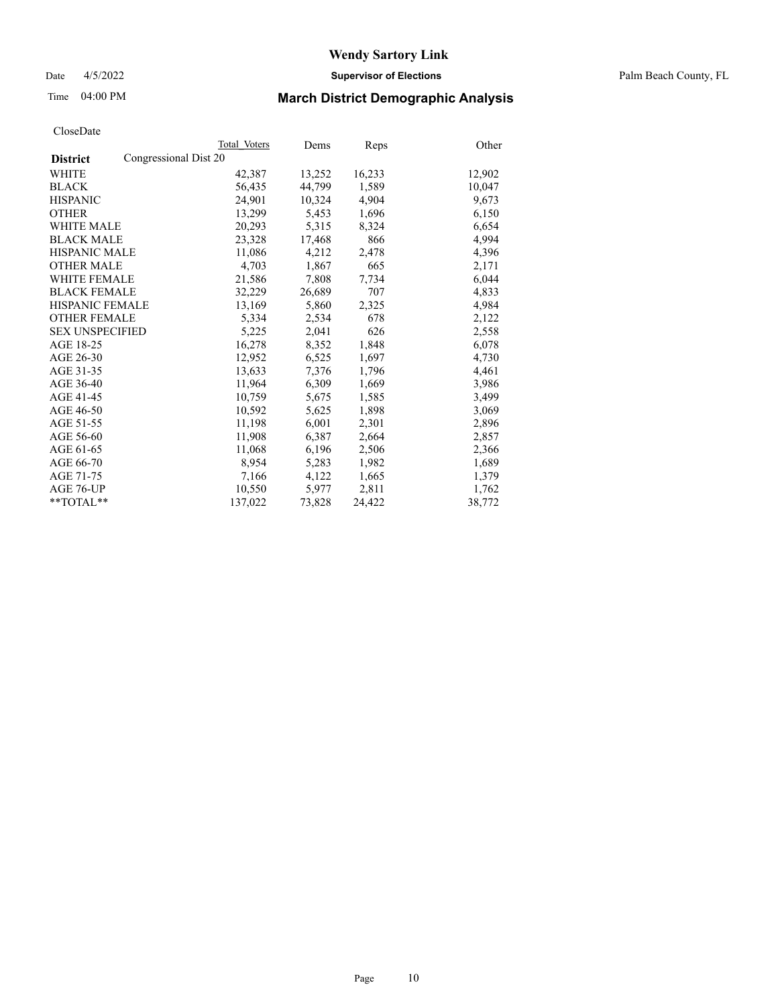Date 4/5/2022 **Supervisor of Elections** Palm Beach County, FL

# Time 04:00 PM **March District Demographic Analysis**

|                                          | Total Voters | Dems   | Reps   | Other  |
|------------------------------------------|--------------|--------|--------|--------|
| Congressional Dist 20<br><b>District</b> |              |        |        |        |
| WHITE                                    | 42,387       | 13,252 | 16,233 | 12,902 |
| <b>BLACK</b>                             | 56,435       | 44,799 | 1,589  | 10,047 |
| <b>HISPANIC</b>                          | 24,901       | 10,324 | 4,904  | 9,673  |
| <b>OTHER</b>                             | 13,299       | 5,453  | 1,696  | 6,150  |
| <b>WHITE MALE</b>                        | 20,293       | 5,315  | 8,324  | 6,654  |
| <b>BLACK MALE</b>                        | 23,328       | 17,468 | 866    | 4,994  |
| <b>HISPANIC MALE</b>                     | 11,086       | 4,212  | 2,478  | 4,396  |
| <b>OTHER MALE</b>                        | 4,703        | 1,867  | 665    | 2,171  |
| <b>WHITE FEMALE</b>                      | 21,586       | 7,808  | 7,734  | 6,044  |
| <b>BLACK FEMALE</b>                      | 32,229       | 26,689 | 707    | 4,833  |
| HISPANIC FEMALE                          | 13,169       | 5,860  | 2,325  | 4,984  |
| <b>OTHER FEMALE</b>                      | 5,334        | 2,534  | 678    | 2,122  |
| <b>SEX UNSPECIFIED</b>                   | 5,225        | 2,041  | 626    | 2,558  |
| AGE 18-25                                | 16,278       | 8,352  | 1,848  | 6,078  |
| AGE 26-30                                | 12,952       | 6,525  | 1,697  | 4,730  |
| AGE 31-35                                | 13,633       | 7,376  | 1,796  | 4,461  |
| AGE 36-40                                | 11,964       | 6,309  | 1,669  | 3,986  |
| AGE 41-45                                | 10,759       | 5,675  | 1,585  | 3,499  |
| AGE 46-50                                | 10,592       | 5,625  | 1,898  | 3,069  |
| AGE 51-55                                | 11,198       | 6,001  | 2,301  | 2,896  |
| AGE 56-60                                | 11,908       | 6,387  | 2,664  | 2,857  |
| AGE 61-65                                | 11,068       | 6,196  | 2,506  | 2,366  |
| AGE 66-70                                | 8,954        | 5,283  | 1,982  | 1,689  |
| AGE 71-75                                | 7,166        | 4,122  | 1,665  | 1,379  |
| AGE 76-UP                                | 10,550       | 5,977  | 2,811  | 1,762  |
| $*$ $TOTAL**$                            | 137,022      | 73,828 | 24,422 | 38,772 |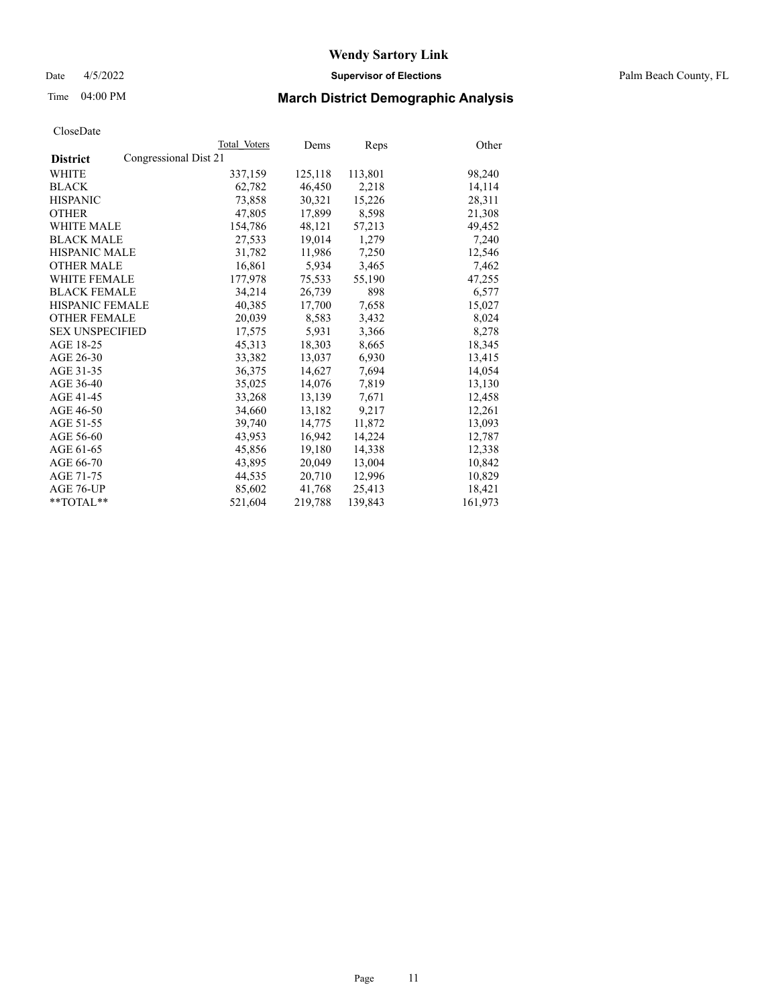Date 4/5/2022 **Supervisor of Elections** Palm Beach County, FL

# Time 04:00 PM **March District Demographic Analysis**

|                                          | Total Voters | Dems    | <b>Reps</b> | Other   |
|------------------------------------------|--------------|---------|-------------|---------|
| Congressional Dist 21<br><b>District</b> |              |         |             |         |
| WHITE                                    | 337,159      | 125,118 | 113,801     | 98,240  |
| <b>BLACK</b>                             | 62,782       | 46,450  | 2,218       | 14,114  |
| <b>HISPANIC</b>                          | 73,858       | 30,321  | 15,226      | 28,311  |
| <b>OTHER</b>                             | 47,805       | 17,899  | 8,598       | 21,308  |
| <b>WHITE MALE</b>                        | 154,786      | 48,121  | 57,213      | 49,452  |
| <b>BLACK MALE</b>                        | 27,533       | 19,014  | 1,279       | 7,240   |
| <b>HISPANIC MALE</b>                     | 31,782       | 11,986  | 7,250       | 12,546  |
| <b>OTHER MALE</b>                        | 16,861       | 5,934   | 3,465       | 7,462   |
| <b>WHITE FEMALE</b>                      | 177,978      | 75,533  | 55,190      | 47,255  |
| <b>BLACK FEMALE</b>                      | 34,214       | 26,739  | 898         | 6,577   |
| <b>HISPANIC FEMALE</b>                   | 40,385       | 17,700  | 7,658       | 15,027  |
| <b>OTHER FEMALE</b>                      | 20,039       | 8,583   | 3,432       | 8,024   |
| <b>SEX UNSPECIFIED</b>                   | 17,575       | 5,931   | 3,366       | 8,278   |
| AGE 18-25                                | 45,313       | 18,303  | 8,665       | 18,345  |
| AGE 26-30                                | 33,382       | 13.037  | 6,930       | 13,415  |
| AGE 31-35                                | 36,375       | 14,627  | 7,694       | 14,054  |
| AGE 36-40                                | 35,025       | 14,076  | 7,819       | 13,130  |
| AGE 41-45                                | 33,268       | 13,139  | 7,671       | 12,458  |
| AGE 46-50                                | 34,660       | 13,182  | 9,217       | 12,261  |
| AGE 51-55                                | 39,740       | 14,775  | 11,872      | 13,093  |
| AGE 56-60                                | 43,953       | 16,942  | 14,224      | 12,787  |
| AGE 61-65                                | 45,856       | 19,180  | 14,338      | 12,338  |
| AGE 66-70                                | 43,895       | 20,049  | 13,004      | 10,842  |
| AGE 71-75                                | 44,535       | 20,710  | 12,996      | 10,829  |
| AGE 76-UP                                | 85,602       | 41,768  | 25,413      | 18,421  |
| $*$ TOTAL $*$                            | 521,604      | 219,788 | 139,843     | 161,973 |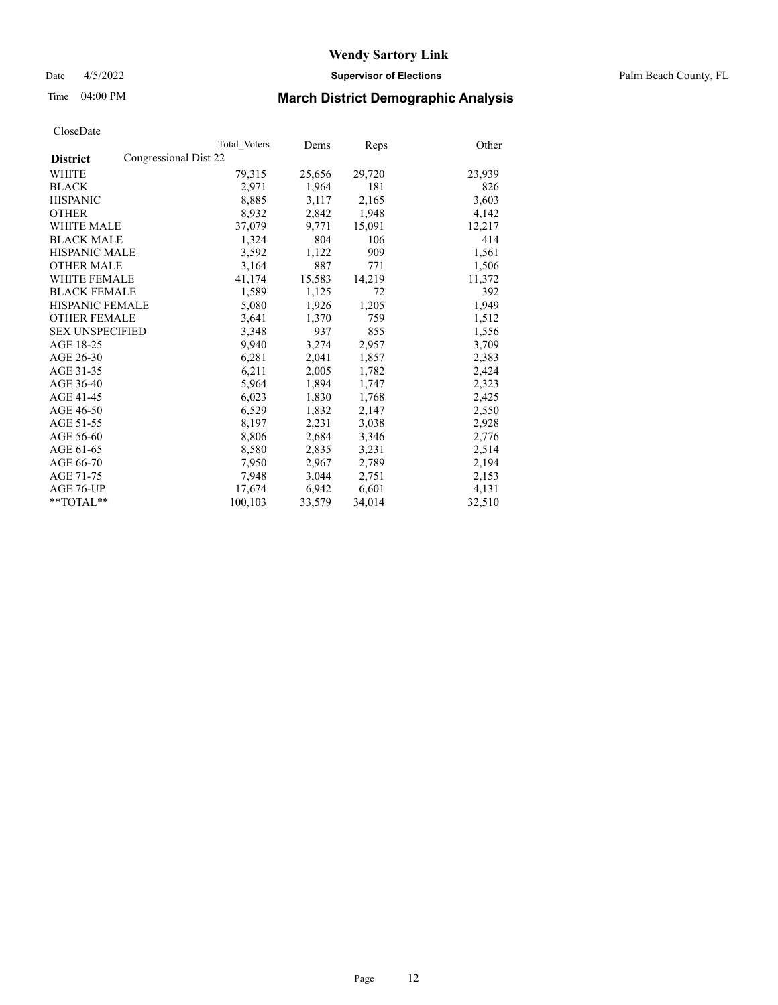Date 4/5/2022 **Supervisor of Elections** Palm Beach County, FL

# Time 04:00 PM **March District Demographic Analysis**

|                                          | Total Voters | Dems   | <b>Reps</b> | Other  |
|------------------------------------------|--------------|--------|-------------|--------|
| Congressional Dist 22<br><b>District</b> |              |        |             |        |
| WHITE                                    | 79,315       | 25,656 | 29,720      | 23,939 |
| <b>BLACK</b>                             | 2,971        | 1,964  | 181         | 826    |
| <b>HISPANIC</b>                          | 8,885        | 3,117  | 2,165       | 3,603  |
| <b>OTHER</b>                             | 8,932        | 2,842  | 1,948       | 4,142  |
| <b>WHITE MALE</b>                        | 37,079       | 9,771  | 15,091      | 12,217 |
| <b>BLACK MALE</b>                        | 1,324        | 804    | 106         | 414    |
| <b>HISPANIC MALE</b>                     | 3,592        | 1,122  | 909         | 1,561  |
| <b>OTHER MALE</b>                        | 3,164        | 887    | 771         | 1,506  |
| <b>WHITE FEMALE</b>                      | 41,174       | 15,583 | 14,219      | 11,372 |
| <b>BLACK FEMALE</b>                      | 1,589        | 1,125  | 72          | 392    |
| <b>HISPANIC FEMALE</b>                   | 5,080        | 1,926  | 1,205       | 1,949  |
| <b>OTHER FEMALE</b>                      | 3,641        | 1,370  | 759         | 1,512  |
| <b>SEX UNSPECIFIED</b>                   | 3,348        | 937    | 855         | 1,556  |
| AGE 18-25                                | 9,940        | 3,274  | 2,957       | 3,709  |
| AGE 26-30                                | 6,281        | 2,041  | 1,857       | 2,383  |
| AGE 31-35                                | 6,211        | 2,005  | 1,782       | 2,424  |
| AGE 36-40                                | 5,964        | 1,894  | 1,747       | 2,323  |
| AGE 41-45                                | 6,023        | 1,830  | 1,768       | 2,425  |
| AGE 46-50                                | 6,529        | 1,832  | 2,147       | 2,550  |
| AGE 51-55                                | 8,197        | 2,231  | 3,038       | 2,928  |
| AGE 56-60                                | 8,806        | 2,684  | 3,346       | 2,776  |
| AGE 61-65                                | 8,580        | 2,835  | 3,231       | 2,514  |
| AGE 66-70                                | 7,950        | 2,967  | 2,789       | 2,194  |
| AGE 71-75                                | 7,948        | 3,044  | 2,751       | 2,153  |
| AGE 76-UP                                | 17,674       | 6,942  | 6,601       | 4,131  |
| $*$ TOTAL $*$                            | 100,103      | 33,579 | 34,014      | 32,510 |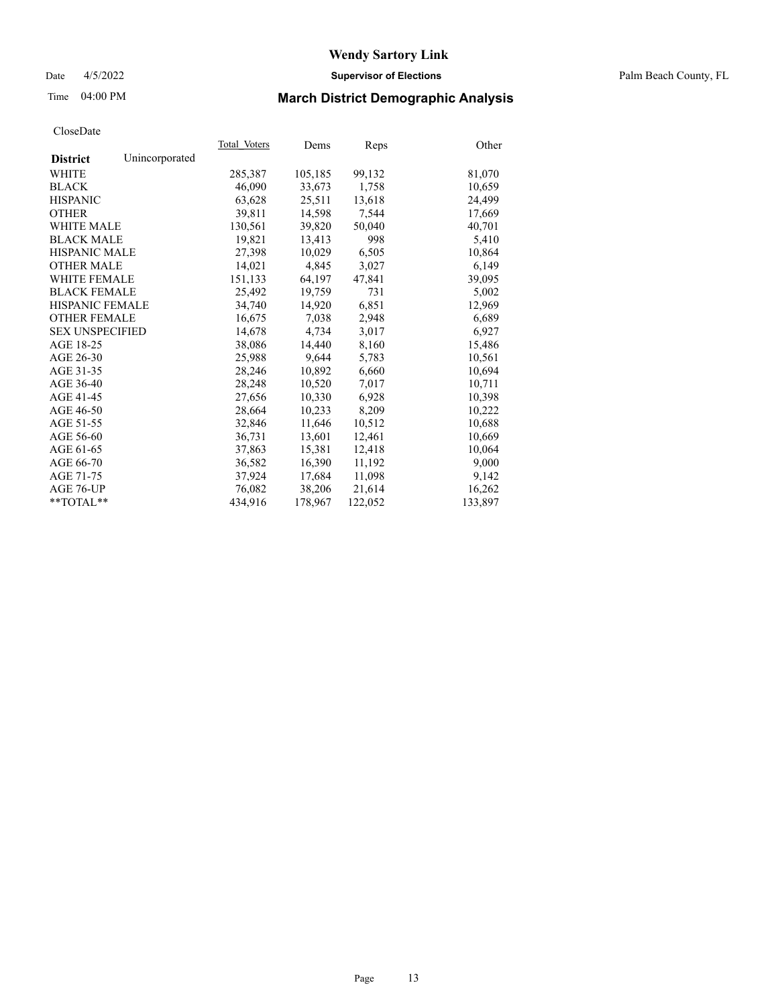## Date 4/5/2022 **Supervisor of Elections** Palm Beach County, FL

# Time 04:00 PM **March District Demographic Analysis**

|                        |                | Total Voters | Dems    | Reps    | Other   |
|------------------------|----------------|--------------|---------|---------|---------|
| <b>District</b>        | Unincorporated |              |         |         |         |
| WHITE                  |                | 285,387      | 105,185 | 99,132  | 81,070  |
| <b>BLACK</b>           |                | 46,090       | 33,673  | 1,758   | 10,659  |
| <b>HISPANIC</b>        |                | 63,628       | 25.511  | 13,618  | 24,499  |
| <b>OTHER</b>           |                | 39,811       | 14,598  | 7,544   | 17,669  |
| <b>WHITE MALE</b>      |                | 130,561      | 39,820  | 50,040  | 40,701  |
| <b>BLACK MALE</b>      |                | 19,821       | 13,413  | 998     | 5,410   |
| <b>HISPANIC MALE</b>   |                | 27,398       | 10,029  | 6,505   | 10,864  |
| <b>OTHER MALE</b>      |                | 14,021       | 4,845   | 3,027   | 6,149   |
| <b>WHITE FEMALE</b>    |                | 151,133      | 64,197  | 47,841  | 39,095  |
| <b>BLACK FEMALE</b>    |                | 25,492       | 19,759  | 731     | 5,002   |
| <b>HISPANIC FEMALE</b> |                | 34,740       | 14,920  | 6,851   | 12,969  |
| <b>OTHER FEMALE</b>    |                | 16,675       | 7,038   | 2,948   | 6,689   |
| <b>SEX UNSPECIFIED</b> |                | 14,678       | 4,734   | 3,017   | 6,927   |
| AGE 18-25              |                | 38,086       | 14,440  | 8,160   | 15,486  |
| AGE 26-30              |                | 25.988       | 9,644   | 5,783   | 10,561  |
| AGE 31-35              |                | 28,246       | 10,892  | 6,660   | 10,694  |
| AGE 36-40              |                | 28,248       | 10,520  | 7,017   | 10,711  |
| AGE 41-45              |                | 27,656       | 10,330  | 6,928   | 10,398  |
| AGE 46-50              |                | 28,664       | 10,233  | 8,209   | 10,222  |
| AGE 51-55              |                | 32,846       | 11,646  | 10,512  | 10,688  |
| AGE 56-60              |                | 36,731       | 13,601  | 12,461  | 10,669  |
| AGE 61-65              |                | 37,863       | 15,381  | 12,418  | 10,064  |
| AGE 66-70              |                | 36,582       | 16,390  | 11,192  | 9,000   |
| AGE 71-75              |                | 37,924       | 17,684  | 11,098  | 9,142   |
| AGE 76-UP              |                | 76,082       | 38,206  | 21,614  | 16,262  |
| $*$ $TOTAL**$          |                | 434,916      | 178,967 | 122,052 | 133,897 |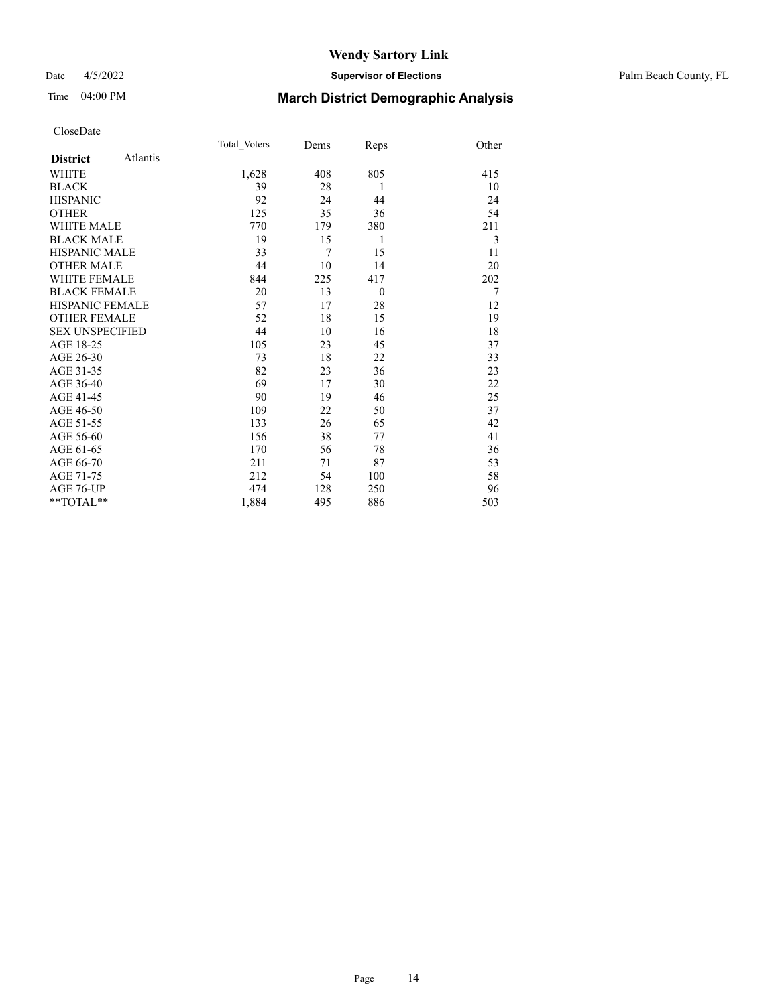## Date 4/5/2022 **Supervisor of Elections** Palm Beach County, FL

# Time 04:00 PM **March District Demographic Analysis**

|                        |          | Total Voters | Dems | Reps     | Other          |
|------------------------|----------|--------------|------|----------|----------------|
| <b>District</b>        | Atlantis |              |      |          |                |
| <b>WHITE</b>           |          | 1,628        | 408  | 805      | 415            |
| <b>BLACK</b>           |          | 39           | 28   | 1        | 10             |
| <b>HISPANIC</b>        |          | 92           | 24   | 44       | 24             |
| <b>OTHER</b>           |          | 125          | 35   | 36       | 54             |
| <b>WHITE MALE</b>      |          | 770          | 179  | 380      | 211            |
| <b>BLACK MALE</b>      |          | 19           | 15   | 1        | 3              |
| <b>HISPANIC MALE</b>   |          | 33           | 7    | 15       | 11             |
| <b>OTHER MALE</b>      |          | 44           | 10   | 14       | 20             |
| <b>WHITE FEMALE</b>    |          | 844          | 225  | 417      | 202            |
| <b>BLACK FEMALE</b>    |          | 20           | 13   | $\theta$ | $\overline{7}$ |
| <b>HISPANIC FEMALE</b> |          | 57           | 17   | 28       | 12             |
| <b>OTHER FEMALE</b>    |          | 52           | 18   | 15       | 19             |
| <b>SEX UNSPECIFIED</b> |          | 44           | 10   | 16       | 18             |
| AGE 18-25              |          | 105          | 23   | 45       | 37             |
| AGE 26-30              |          | 73           | 18   | 22       | 33             |
| AGE 31-35              |          | 82           | 23   | 36       | 23             |
| AGE 36-40              |          | 69           | 17   | 30       | 22             |
| AGE 41-45              |          | 90           | 19   | 46       | 25             |
| AGE 46-50              |          | 109          | 22   | 50       | 37             |
| AGE 51-55              |          | 133          | 26   | 65       | 42             |
| AGE 56-60              |          | 156          | 38   | 77       | 41             |
| AGE 61-65              |          | 170          | 56   | 78       | 36             |
| AGE 66-70              |          | 211          | 71   | 87       | 53             |
| AGE 71-75              |          | 212          | 54   | 100      | 58             |
| AGE 76-UP              |          | 474          | 128  | 250      | 96             |
| **TOTAL**              |          | 1,884        | 495  | 886      | 503            |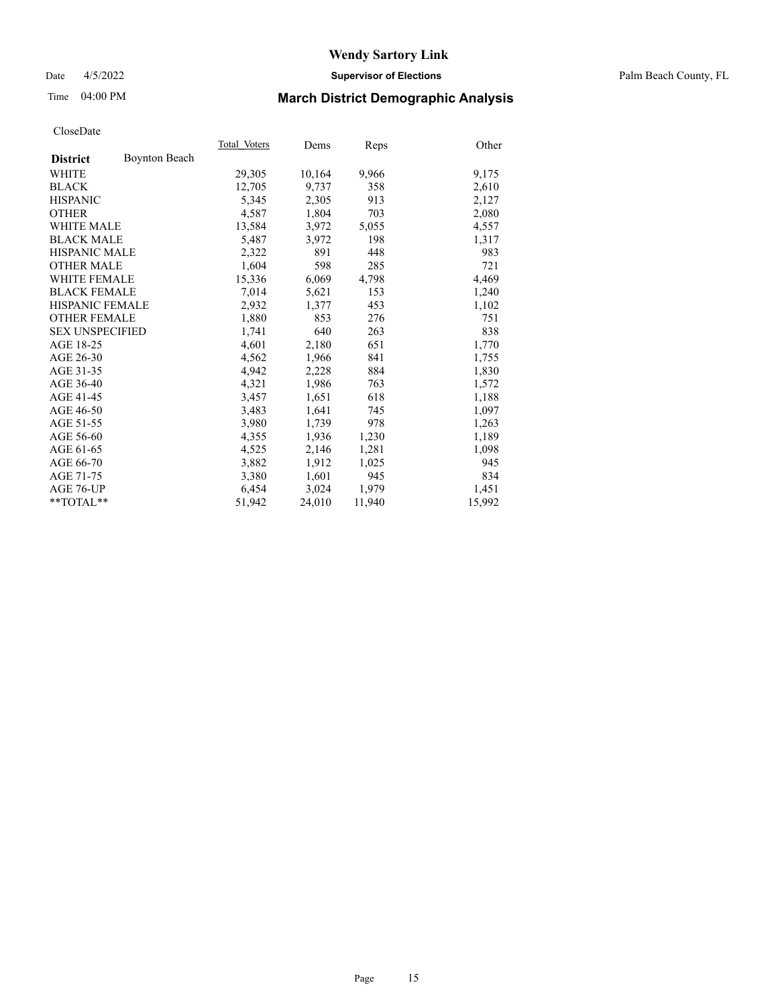## Date 4/5/2022 **Supervisor of Elections** Palm Beach County, FL

# Time 04:00 PM **March District Demographic Analysis**

|                        | Total Voters | Dems   | Reps   | Other  |
|------------------------|--------------|--------|--------|--------|
| <b>Boynton Beach</b>   |              |        |        |        |
|                        | 29,305       | 10,164 | 9,966  | 9,175  |
|                        | 12,705       | 9,737  | 358    | 2,610  |
|                        | 5,345        | 2,305  | 913    | 2,127  |
|                        | 4,587        | 1,804  | 703    | 2,080  |
| <b>WHITE MALE</b>      | 13,584       | 3,972  | 5,055  | 4,557  |
| <b>BLACK MALE</b>      | 5,487        | 3,972  | 198    | 1,317  |
| <b>HISPANIC MALE</b>   | 2,322        | 891    | 448    | 983    |
| <b>OTHER MALE</b>      | 1,604        | 598    | 285    | 721    |
| <b>WHITE FEMALE</b>    | 15,336       | 6,069  | 4,798  | 4,469  |
| <b>BLACK FEMALE</b>    | 7,014        | 5,621  | 153    | 1,240  |
| <b>HISPANIC FEMALE</b> | 2,932        | 1,377  | 453    | 1,102  |
| <b>OTHER FEMALE</b>    | 1,880        | 853    | 276    | 751    |
| <b>SEX UNSPECIFIED</b> | 1,741        | 640    | 263    | 838    |
|                        | 4,601        | 2,180  | 651    | 1,770  |
|                        | 4,562        | 1,966  | 841    | 1,755  |
|                        | 4,942        | 2,228  | 884    | 1,830  |
|                        | 4,321        | 1,986  | 763    | 1,572  |
|                        | 3,457        | 1,651  | 618    | 1,188  |
|                        | 3,483        | 1,641  | 745    | 1,097  |
|                        | 3,980        | 1,739  | 978    | 1,263  |
|                        | 4,355        | 1,936  | 1,230  | 1,189  |
|                        | 4,525        | 2,146  | 1,281  | 1,098  |
|                        | 3,882        | 1,912  | 1,025  | 945    |
|                        | 3,380        | 1,601  | 945    | 834    |
|                        | 6,454        | 3,024  | 1,979  | 1,451  |
| **TOTAL**              | 51,942       | 24,010 | 11,940 | 15,992 |
|                        |              |        |        |        |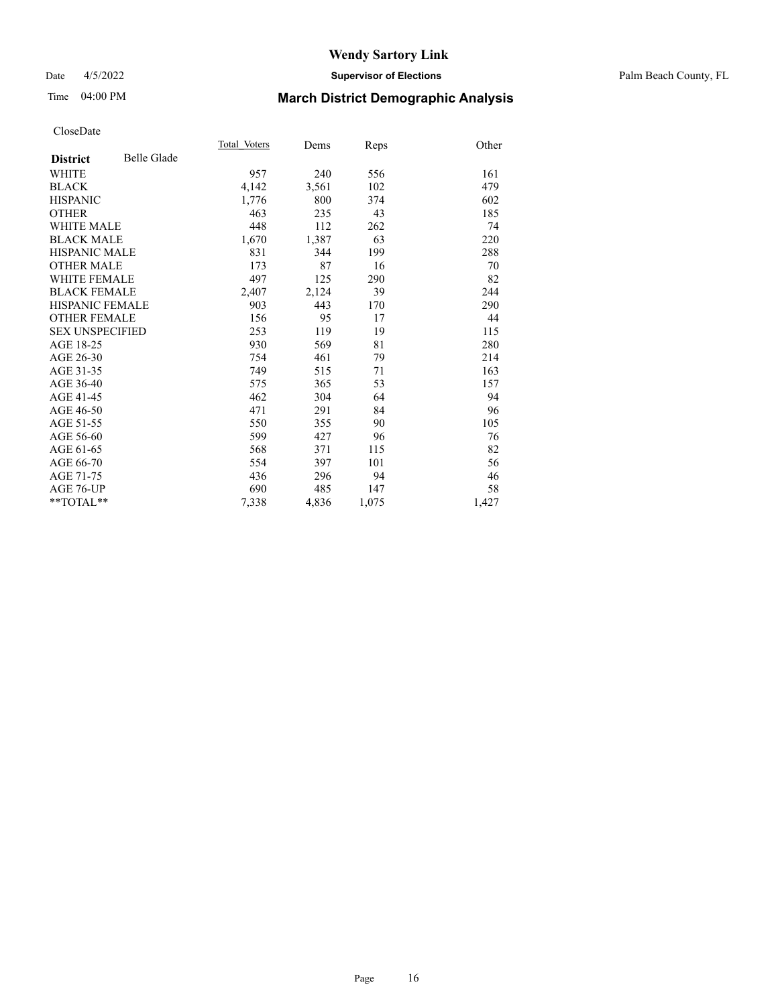## Date 4/5/2022 **Supervisor of Elections** Palm Beach County, FL

# Time 04:00 PM **March District Demographic Analysis**

|                        |                    | Total Voters | Dems  | Reps  | Other |
|------------------------|--------------------|--------------|-------|-------|-------|
| <b>District</b>        | <b>Belle Glade</b> |              |       |       |       |
| <b>WHITE</b>           |                    | 957          | 240   | 556   | 161   |
| <b>BLACK</b>           |                    | 4,142        | 3,561 | 102   | 479   |
| <b>HISPANIC</b>        |                    | 1,776        | 800   | 374   | 602   |
| <b>OTHER</b>           |                    | 463          | 235   | 43    | 185   |
| <b>WHITE MALE</b>      |                    | 448          | 112   | 262   | 74    |
| <b>BLACK MALE</b>      |                    | 1,670        | 1,387 | 63    | 220   |
| <b>HISPANIC MALE</b>   |                    | 831          | 344   | 199   | 288   |
| <b>OTHER MALE</b>      |                    | 173          | 87    | 16    | 70    |
| <b>WHITE FEMALE</b>    |                    | 497          | 125   | 290   | 82    |
| <b>BLACK FEMALE</b>    |                    | 2,407        | 2,124 | 39    | 244   |
| <b>HISPANIC FEMALE</b> |                    | 903          | 443   | 170   | 290   |
| <b>OTHER FEMALE</b>    |                    | 156          | 95    | 17    | 44    |
| <b>SEX UNSPECIFIED</b> |                    | 253          | 119   | 19    | 115   |
| AGE 18-25              |                    | 930          | 569   | 81    | 280   |
| AGE 26-30              |                    | 754          | 461   | 79    | 214   |
| AGE 31-35              |                    | 749          | 515   | 71    | 163   |
| AGE 36-40              |                    | 575          | 365   | 53    | 157   |
| AGE 41-45              |                    | 462          | 304   | 64    | 94    |
| AGE 46-50              |                    | 471          | 291   | 84    | 96    |
| AGE 51-55              |                    | 550          | 355   | 90    | 105   |
| AGE 56-60              |                    | 599          | 427   | 96    | 76    |
| AGE 61-65              |                    | 568          | 371   | 115   | 82    |
| AGE 66-70              |                    | 554          | 397   | 101   | 56    |
| AGE 71-75              |                    | 436          | 296   | 94    | 46    |
| AGE 76-UP              |                    | 690          | 485   | 147   | 58    |
| $*$ $TOTAL**$          |                    | 7,338        | 4,836 | 1,075 | 1,427 |
|                        |                    |              |       |       |       |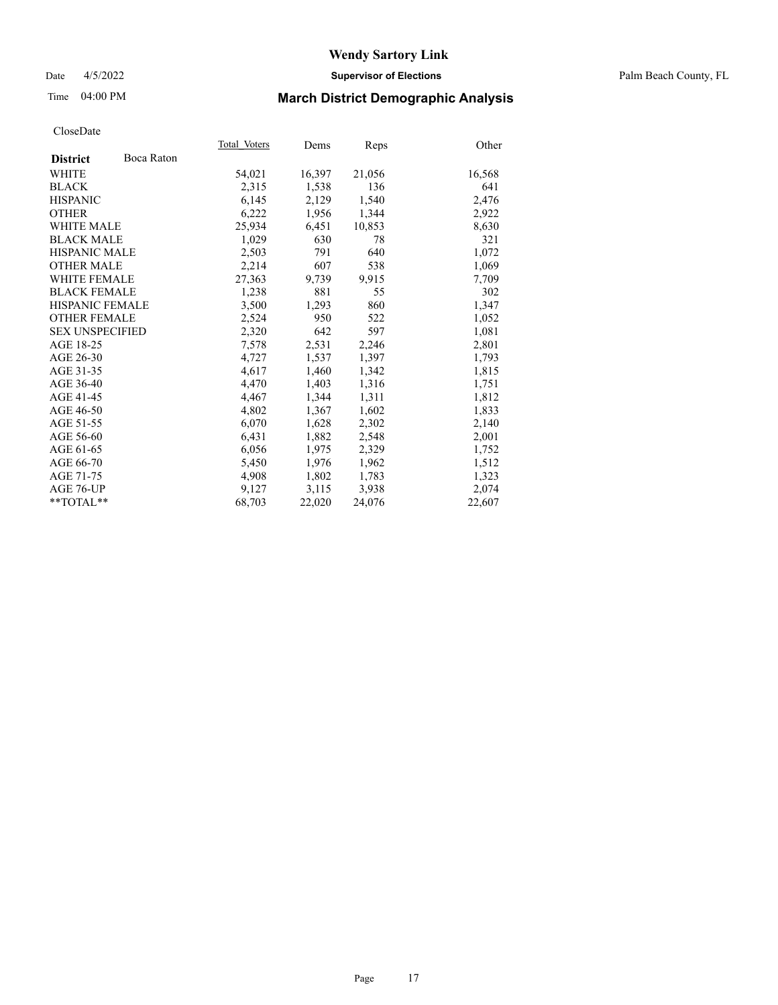## Date 4/5/2022 **Supervisor of Elections** Palm Beach County, FL

# Time 04:00 PM **March District Demographic Analysis**

|                        |            | Total Voters | Dems   | Reps   | Other  |
|------------------------|------------|--------------|--------|--------|--------|
| <b>District</b>        | Boca Raton |              |        |        |        |
| WHITE                  |            | 54,021       | 16,397 | 21,056 | 16,568 |
| <b>BLACK</b>           |            | 2,315        | 1,538  | 136    | 641    |
| <b>HISPANIC</b>        |            | 6.145        | 2,129  | 1,540  | 2,476  |
| <b>OTHER</b>           |            | 6,222        | 1,956  | 1,344  | 2,922  |
| <b>WHITE MALE</b>      |            | 25,934       | 6,451  | 10,853 | 8,630  |
| <b>BLACK MALE</b>      |            | 1,029        | 630    | 78     | 321    |
| <b>HISPANIC MALE</b>   |            | 2,503        | 791    | 640    | 1,072  |
| <b>OTHER MALE</b>      |            | 2,214        | 607    | 538    | 1,069  |
| <b>WHITE FEMALE</b>    |            | 27,363       | 9,739  | 9,915  | 7,709  |
| <b>BLACK FEMALE</b>    |            | 1,238        | 881    | 55     | 302    |
| <b>HISPANIC FEMALE</b> |            | 3,500        | 1,293  | 860    | 1,347  |
| <b>OTHER FEMALE</b>    |            | 2,524        | 950    | 522    | 1,052  |
| <b>SEX UNSPECIFIED</b> |            | 2,320        | 642    | 597    | 1,081  |
| AGE 18-25              |            | 7,578        | 2,531  | 2,246  | 2,801  |
| AGE 26-30              |            | 4,727        | 1,537  | 1,397  | 1,793  |
| AGE 31-35              |            | 4,617        | 1,460  | 1,342  | 1,815  |
| AGE 36-40              |            | 4,470        | 1,403  | 1,316  | 1,751  |
| AGE 41-45              |            | 4,467        | 1,344  | 1,311  | 1,812  |
| AGE 46-50              |            | 4,802        | 1,367  | 1,602  | 1,833  |
| AGE 51-55              |            | 6,070        | 1,628  | 2,302  | 2,140  |
| AGE 56-60              |            | 6,431        | 1,882  | 2,548  | 2,001  |
| AGE 61-65              |            | 6,056        | 1,975  | 2,329  | 1,752  |
| AGE 66-70              |            | 5,450        | 1,976  | 1,962  | 1,512  |
| AGE 71-75              |            | 4,908        | 1,802  | 1,783  | 1,323  |
| AGE 76-UP              |            | 9.127        | 3,115  | 3,938  | 2,074  |
| $*$ $TOTAL**$          |            | 68,703       | 22,020 | 24,076 | 22,607 |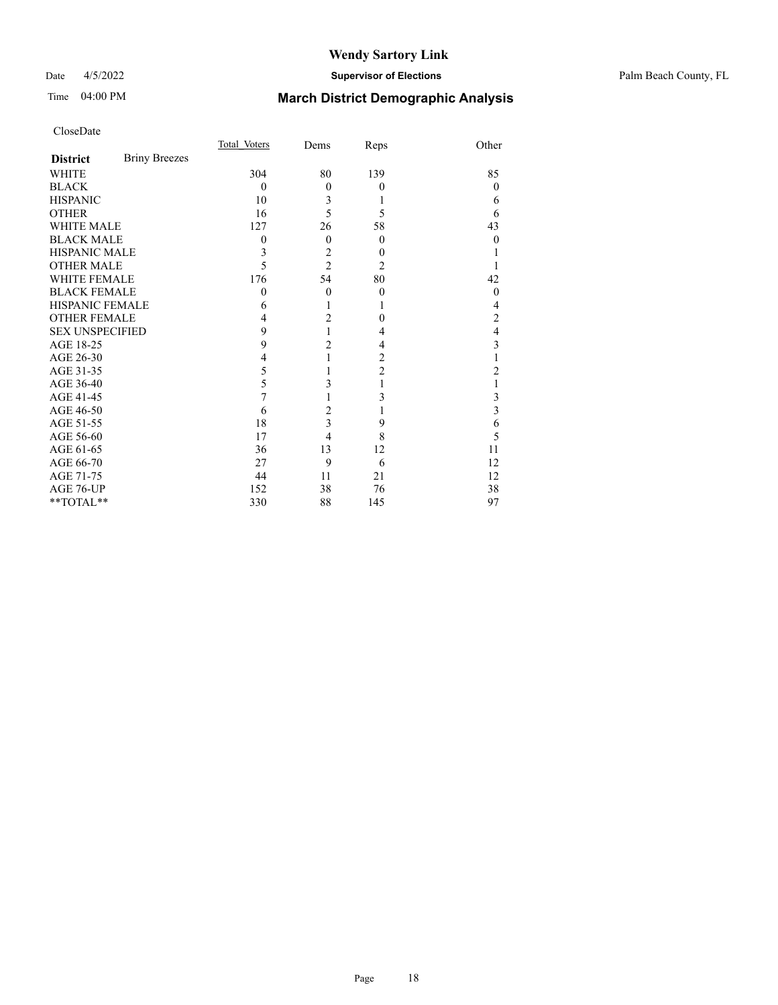## Date 4/5/2022 **Supervisor of Elections** Palm Beach County, FL

# Time 04:00 PM **March District Demographic Analysis**

|                        |                      | Total Voters | Dems           | Reps             | Other          |
|------------------------|----------------------|--------------|----------------|------------------|----------------|
| <b>District</b>        | <b>Briny Breezes</b> |              |                |                  |                |
| WHITE                  |                      | 304          | 80             | 139              | 85             |
| <b>BLACK</b>           |                      | $\theta$     | $\theta$       | $\theta$         | $\theta$       |
| <b>HISPANIC</b>        |                      | 10           | 3              | 1                | 6              |
| <b>OTHER</b>           |                      | 16           | 5              | 5                | 6              |
| <b>WHITE MALE</b>      |                      | 127          | 26             | 58               | 43             |
| <b>BLACK MALE</b>      |                      | 0            | $\theta$       | $\overline{0}$   | 0              |
| <b>HISPANIC MALE</b>   |                      | 3            | $\overline{2}$ | $\theta$         |                |
| <b>OTHER MALE</b>      |                      | 5            | $\overline{2}$ | 2                |                |
| WHITE FEMALE           |                      | 176          | 54             | 80               | 42             |
| <b>BLACK FEMALE</b>    |                      | $\theta$     | $\theta$       | $\boldsymbol{0}$ | $\theta$       |
| HISPANIC FEMALE        |                      | 6            |                | 1                | 4              |
| <b>OTHER FEMALE</b>    |                      | 4            | $\overline{c}$ | $\theta$         | 2              |
| <b>SEX UNSPECIFIED</b> |                      | 9            | 1              | 4                | 4              |
| AGE 18-25              |                      | 9            | $\overline{c}$ | 4                | 3              |
| AGE 26-30              |                      | 4            | 1              | $\overline{c}$   |                |
| AGE 31-35              |                      | 5            |                | $\overline{2}$   | $\overline{2}$ |
| AGE 36-40              |                      | 5            | 3              | 1                |                |
| AGE 41-45              |                      | 7            |                | 3                | 3              |
| AGE 46-50              |                      | 6            | $\overline{2}$ | 1                | 3              |
| AGE 51-55              |                      | 18           | 3              | 9                | 6              |
| AGE 56-60              |                      | 17           | 4              | 8                | 5              |
| AGE 61-65              |                      | 36           | 13             | 12               | 11             |
| AGE 66-70              |                      | 27           | 9              | 6                | 12             |
| AGE 71-75              |                      | 44           | 11             | 21               | 12             |
| AGE 76-UP              |                      | 152          | 38             | 76               | 38             |
| **TOTAL**              |                      | 330          | 88             | 145              | 97             |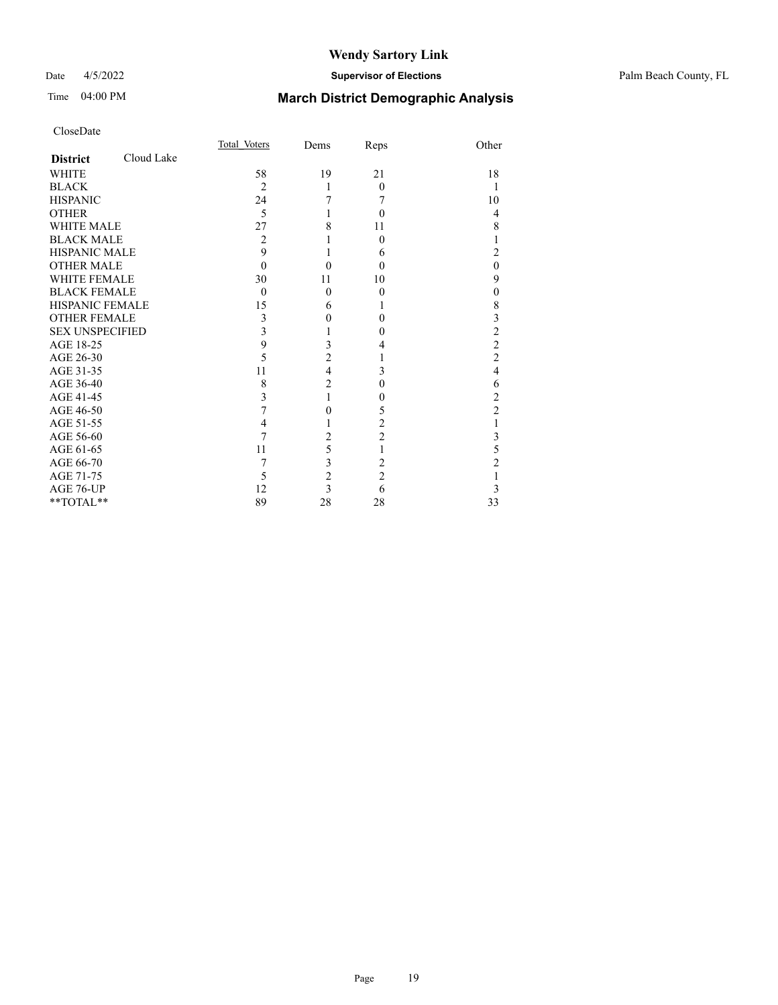## Date 4/5/2022 **Supervisor of Elections** Palm Beach County, FL

# Time 04:00 PM **March District Demographic Analysis**

|                        |            | Total Voters   | Dems                    | Reps           | Other                   |
|------------------------|------------|----------------|-------------------------|----------------|-------------------------|
| <b>District</b>        | Cloud Lake |                |                         |                |                         |
| <b>WHITE</b>           |            | 58             | 19                      | 21             | 18                      |
| <b>BLACK</b>           |            | $\overline{c}$ | 1                       | $\Omega$       | 1                       |
| <b>HISPANIC</b>        |            | 24             | 7                       | 7              | 10                      |
| <b>OTHER</b>           |            | 5              | 1                       | $\theta$       | 4                       |
| WHITE MALE             |            | 27             | 8                       | 11             | 8                       |
| <b>BLACK MALE</b>      |            | 2              |                         | $\Omega$       | 1                       |
| <b>HISPANIC MALE</b>   |            | 9              | 1                       | 6              | $\overline{2}$          |
| <b>OTHER MALE</b>      |            | $\Omega$       | $\theta$                | $\Omega$       | $\mathbf{0}$            |
| <b>WHITE FEMALE</b>    |            | 30             | 11                      | 10             | 9                       |
| <b>BLACK FEMALE</b>    |            | $\theta$       | $\mathbf{0}$            | $\theta$       | $\boldsymbol{0}$        |
| <b>HISPANIC FEMALE</b> |            | 15             | 6                       | L              | 8                       |
| <b>OTHER FEMALE</b>    |            | 3              | 0                       | 0              | $\overline{\mathbf{3}}$ |
| <b>SEX UNSPECIFIED</b> |            | 3              | 1                       | $\theta$       | $\overline{c}$          |
| AGE 18-25              |            | 9              | 3                       | 4              | $\overline{c}$          |
| AGE 26-30              |            | 5              | $\overline{c}$          | 1              | $\overline{c}$          |
| AGE 31-35              |            | 11             | $\overline{4}$          | 3              | $\overline{4}$          |
| AGE 36-40              |            | 8              | $\overline{2}$          | 0              | 6                       |
| AGE 41-45              |            | 3              | $\mathbf{1}$            | 0              | $\overline{c}$          |
| AGE 46-50              |            | 7              | 0                       | 5              | $\overline{c}$          |
| AGE 51-55              |            | 4              |                         | $\overline{c}$ | 1                       |
| AGE 56-60              |            | 7              | $\overline{c}$          | $\overline{c}$ | $\mathfrak{Z}$          |
| AGE 61-65              |            | 11             | 5                       | 1              | 5                       |
| AGE 66-70              |            | 7              | 3                       | 2              | $\overline{2}$          |
| AGE 71-75              |            | 5              | $\overline{c}$          | $\overline{c}$ | 1                       |
| AGE 76-UP              |            | 12             | $\overline{\mathbf{3}}$ | 6              | 3                       |
| **TOTAL**              |            | 89             | 28                      | 28             | 33                      |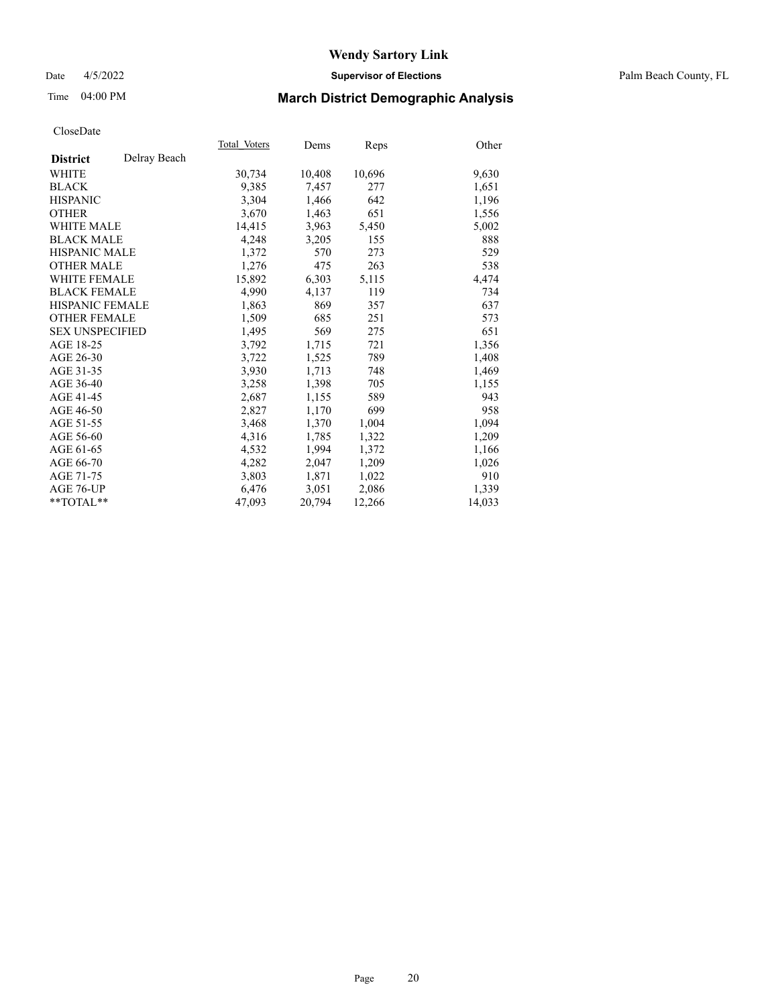## Date 4/5/2022 **Supervisor of Elections** Palm Beach County, FL

# Time 04:00 PM **March District Demographic Analysis**

|                        |              | Total Voters | Dems   | Reps   | Other  |
|------------------------|--------------|--------------|--------|--------|--------|
| <b>District</b>        | Delray Beach |              |        |        |        |
| WHITE                  |              | 30,734       | 10,408 | 10,696 | 9,630  |
| <b>BLACK</b>           |              | 9,385        | 7,457  | 277    | 1,651  |
| <b>HISPANIC</b>        |              | 3,304        | 1,466  | 642    | 1,196  |
| <b>OTHER</b>           |              | 3,670        | 1,463  | 651    | 1,556  |
| <b>WHITE MALE</b>      |              | 14,415       | 3,963  | 5,450  | 5,002  |
| <b>BLACK MALE</b>      |              | 4,248        | 3,205  | 155    | 888    |
| <b>HISPANIC MALE</b>   |              | 1,372        | 570    | 273    | 529    |
| <b>OTHER MALE</b>      |              | 1,276        | 475    | 263    | 538    |
| <b>WHITE FEMALE</b>    |              | 15,892       | 6,303  | 5,115  | 4,474  |
| <b>BLACK FEMALE</b>    |              | 4.990        | 4,137  | 119    | 734    |
| HISPANIC FEMALE        |              | 1,863        | 869    | 357    | 637    |
| <b>OTHER FEMALE</b>    |              | 1,509        | 685    | 251    | 573    |
| <b>SEX UNSPECIFIED</b> |              | 1.495        | 569    | 275    | 651    |
| AGE 18-25              |              | 3,792        | 1,715  | 721    | 1,356  |
| AGE 26-30              |              | 3,722        | 1,525  | 789    | 1,408  |
| AGE 31-35              |              | 3,930        | 1,713  | 748    | 1,469  |
| AGE 36-40              |              | 3,258        | 1,398  | 705    | 1,155  |
| AGE 41-45              |              | 2,687        | 1,155  | 589    | 943    |
| AGE 46-50              |              | 2,827        | 1,170  | 699    | 958    |
| AGE 51-55              |              | 3,468        | 1,370  | 1,004  | 1,094  |
| AGE 56-60              |              | 4,316        | 1,785  | 1,322  | 1,209  |
| AGE 61-65              |              | 4,532        | 1,994  | 1,372  | 1,166  |
| AGE 66-70              |              | 4.282        | 2,047  | 1,209  | 1,026  |
| AGE 71-75              |              | 3,803        | 1,871  | 1,022  | 910    |
| AGE 76-UP              |              | 6,476        | 3,051  | 2,086  | 1,339  |
| $*$ $TOTAL**$          |              | 47,093       | 20,794 | 12,266 | 14,033 |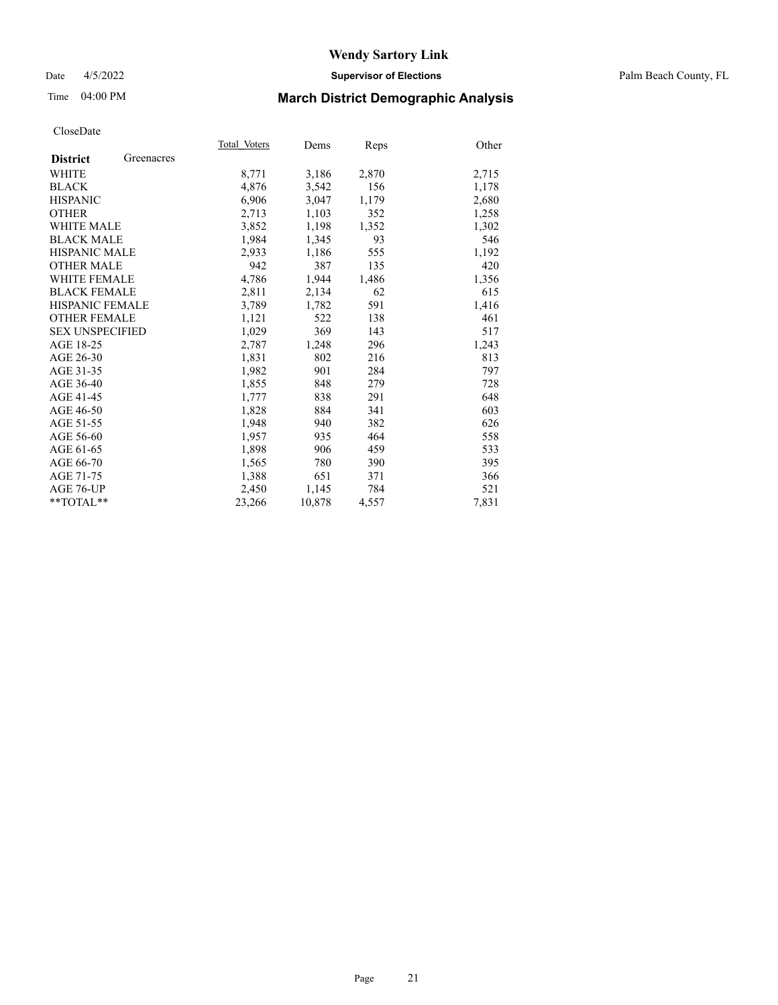## Date 4/5/2022 **Supervisor of Elections** Palm Beach County, FL

# Time 04:00 PM **March District Demographic Analysis**

|                        |            | Total Voters | Dems   | Reps  | Other |
|------------------------|------------|--------------|--------|-------|-------|
| <b>District</b>        | Greenacres |              |        |       |       |
| WHITE                  |            | 8,771        | 3,186  | 2,870 | 2,715 |
| <b>BLACK</b>           |            | 4,876        | 3,542  | 156   | 1,178 |
| <b>HISPANIC</b>        |            | 6.906        | 3,047  | 1,179 | 2,680 |
| <b>OTHER</b>           |            | 2,713        | 1,103  | 352   | 1,258 |
| <b>WHITE MALE</b>      |            | 3,852        | 1,198  | 1,352 | 1,302 |
| <b>BLACK MALE</b>      |            | 1,984        | 1,345  | 93    | 546   |
| <b>HISPANIC MALE</b>   |            | 2,933        | 1,186  | 555   | 1,192 |
| <b>OTHER MALE</b>      |            | 942          | 387    | 135   | 420   |
| <b>WHITE FEMALE</b>    |            | 4,786        | 1,944  | 1,486 | 1,356 |
| <b>BLACK FEMALE</b>    |            | 2,811        | 2,134  | 62    | 615   |
| <b>HISPANIC FEMALE</b> |            | 3,789        | 1,782  | 591   | 1,416 |
| <b>OTHER FEMALE</b>    |            | 1,121        | 522    | 138   | 461   |
| <b>SEX UNSPECIFIED</b> |            | 1,029        | 369    | 143   | 517   |
| AGE 18-25              |            | 2,787        | 1,248  | 296   | 1,243 |
| AGE 26-30              |            | 1,831        | 802    | 216   | 813   |
| AGE 31-35              |            | 1,982        | 901    | 284   | 797   |
| AGE 36-40              |            | 1,855        | 848    | 279   | 728   |
| AGE 41-45              |            | 1,777        | 838    | 291   | 648   |
| AGE 46-50              |            | 1,828        | 884    | 341   | 603   |
| AGE 51-55              |            | 1,948        | 940    | 382   | 626   |
| AGE 56-60              |            | 1,957        | 935    | 464   | 558   |
| AGE 61-65              |            | 1,898        | 906    | 459   | 533   |
| AGE 66-70              |            | 1,565        | 780    | 390   | 395   |
| AGE 71-75              |            | 1,388        | 651    | 371   | 366   |
| AGE 76-UP              |            | 2,450        | 1,145  | 784   | 521   |
| $*$ $TOTAL**$          |            | 23,266       | 10,878 | 4,557 | 7,831 |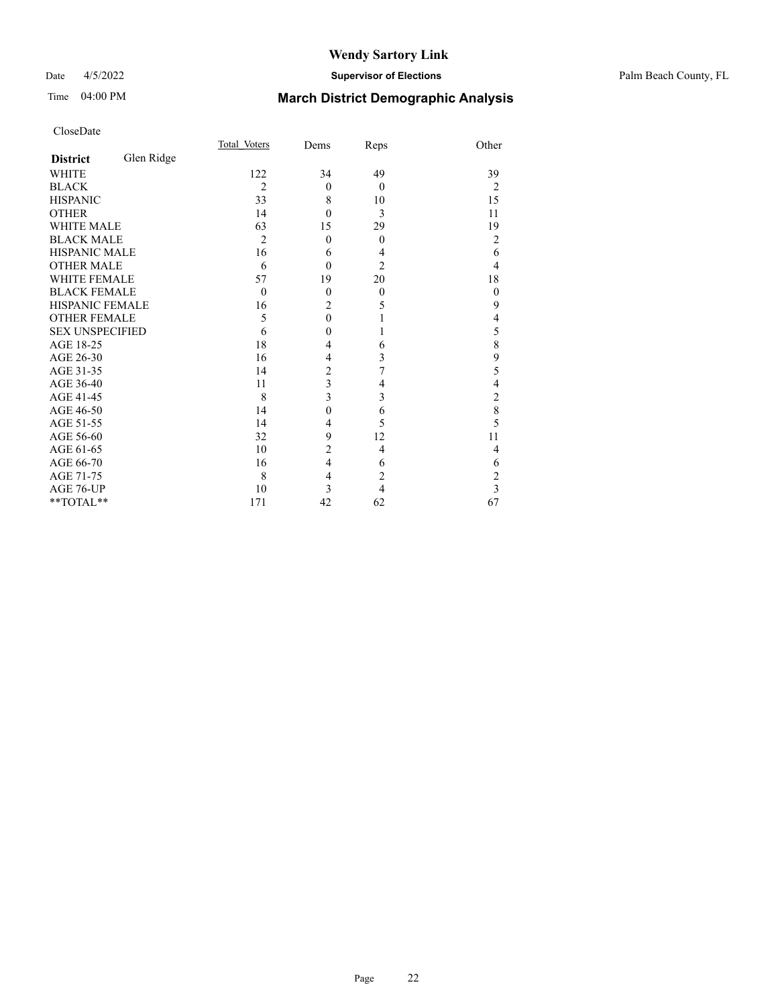## Date 4/5/2022 **Supervisor of Elections** Palm Beach County, FL

# Time 04:00 PM **March District Demographic Analysis**

|                        |            | Total Voters   | Dems           | Reps           | Other          |
|------------------------|------------|----------------|----------------|----------------|----------------|
| <b>District</b>        | Glen Ridge |                |                |                |                |
| <b>WHITE</b>           |            | 122            | 34             | 49             | 39             |
| <b>BLACK</b>           |            | $\overline{2}$ | $\theta$       | $\theta$       | 2              |
| <b>HISPANIC</b>        |            | 33             | 8              | 10             | 15             |
| <b>OTHER</b>           |            | 14             | $\theta$       | 3              | 11             |
| WHITE MALE             |            | 63             | 15             | 29             | 19             |
| <b>BLACK MALE</b>      |            | $\overline{2}$ | $\mathbf{0}$   | $\mathbf{0}$   | $\overline{2}$ |
| HISPANIC MALE          |            | 16             | 6              | 4              | 6              |
| <b>OTHER MALE</b>      |            | 6              | $\theta$       | $\overline{2}$ | 4              |
| WHITE FEMALE           |            | 57             | 19             | 20             | 18             |
| <b>BLACK FEMALE</b>    |            | $\theta$       | $\theta$       | $\theta$       | $\mathbf{0}$   |
| <b>HISPANIC FEMALE</b> |            | 16             | $\overline{2}$ | 5              | 9              |
| <b>OTHER FEMALE</b>    |            | 5              | $\overline{0}$ | 1              | 4              |
| <b>SEX UNSPECIFIED</b> |            | 6              | $\mathbf{0}$   | 1              | 5              |
| AGE 18-25              |            | 18             | 4              | 6              | 8              |
| AGE 26-30              |            | 16             | $\overline{4}$ | 3              | 9              |
| AGE 31-35              |            | 14             | $\overline{c}$ | 7              | 5              |
| AGE 36-40              |            | 11             | 3              | 4              | 4              |
| AGE 41-45              |            | 8              | 3              | 3              | $\overline{c}$ |
| AGE 46-50              |            | 14             | $\mathbf{0}$   | 6              | 8              |
| AGE 51-55              |            | 14             | $\overline{4}$ | 5              | 5              |
| AGE 56-60              |            | 32             | 9              | 12             | 11             |
| AGE 61-65              |            | 10             | $\overline{2}$ | 4              | 4              |
| AGE 66-70              |            | 16             | $\overline{4}$ | 6              | 6              |
| AGE 71-75              |            | 8              | $\overline{4}$ | $\overline{2}$ | 2              |
| AGE 76-UP              |            | 10             | 3              | $\overline{4}$ | 3              |
| **TOTAL**              |            | 171            | 42             | 62             | 67             |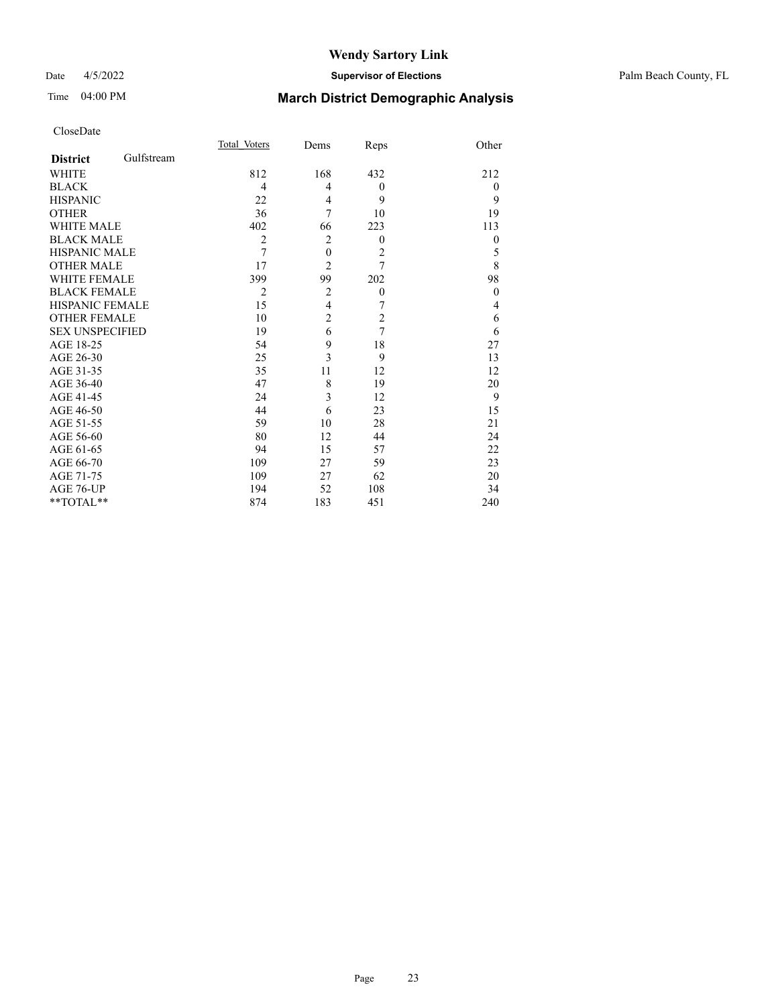## Date 4/5/2022 **Supervisor of Elections** Palm Beach County, FL

# Time 04:00 PM **March District Demographic Analysis**

|                        |            | Total Voters   | Dems           | Reps             | Other          |
|------------------------|------------|----------------|----------------|------------------|----------------|
| <b>District</b>        | Gulfstream |                |                |                  |                |
| WHITE                  |            | 812            | 168            | 432              | 212            |
| <b>BLACK</b>           |            | $\overline{4}$ | 4              | $\theta$         | $\overline{0}$ |
| <b>HISPANIC</b>        |            | 22             | 4              | 9                | 9              |
| <b>OTHER</b>           |            | 36             | 7              | 10               | 19             |
| <b>WHITE MALE</b>      |            | 402            | 66             | 223              | 113            |
| <b>BLACK MALE</b>      |            | $\overline{2}$ | $\overline{2}$ | $\theta$         | $\mathbf{0}$   |
| <b>HISPANIC MALE</b>   |            | 7              | $\overline{0}$ | $\overline{2}$   | 5              |
| <b>OTHER MALE</b>      |            | 17             | $\overline{2}$ | $\overline{7}$   | 8              |
| <b>WHITE FEMALE</b>    |            | 399            | 99             | 202              | 98             |
| <b>BLACK FEMALE</b>    |            | $\overline{2}$ | $\overline{c}$ | $\boldsymbol{0}$ | $\theta$       |
| <b>HISPANIC FEMALE</b> |            | 15             | $\overline{4}$ | 7                | 4              |
| <b>OTHER FEMALE</b>    |            | 10             | $\overline{c}$ | $\overline{c}$   | 6              |
| <b>SEX UNSPECIFIED</b> |            | 19             | 6              | $\overline{7}$   | 6              |
| AGE 18-25              |            | 54             | 9              | 18               | 27             |
| AGE 26-30              |            | 25             | 3              | 9                | 13             |
| AGE 31-35              |            | 35             | 11             | 12               | 12             |
| AGE 36-40              |            | 47             | 8              | 19               | 20             |
| AGE 41-45              |            | 24             | 3              | 12               | 9              |
| AGE 46-50              |            | 44             | 6              | 23               | 15             |
| AGE 51-55              |            | 59             | 10             | 28               | 21             |
| AGE 56-60              |            | 80             | 12             | 44               | 24             |
| AGE 61-65              |            | 94             | 15             | 57               | 22             |
| AGE 66-70              |            | 109            | 27             | 59               | 23             |
| AGE 71-75              |            | 109            | 27             | 62               | 20             |
| AGE 76-UP              |            | 194            | 52             | 108              | 34             |
| **TOTAL**              |            | 874            | 183            | 451              | 240            |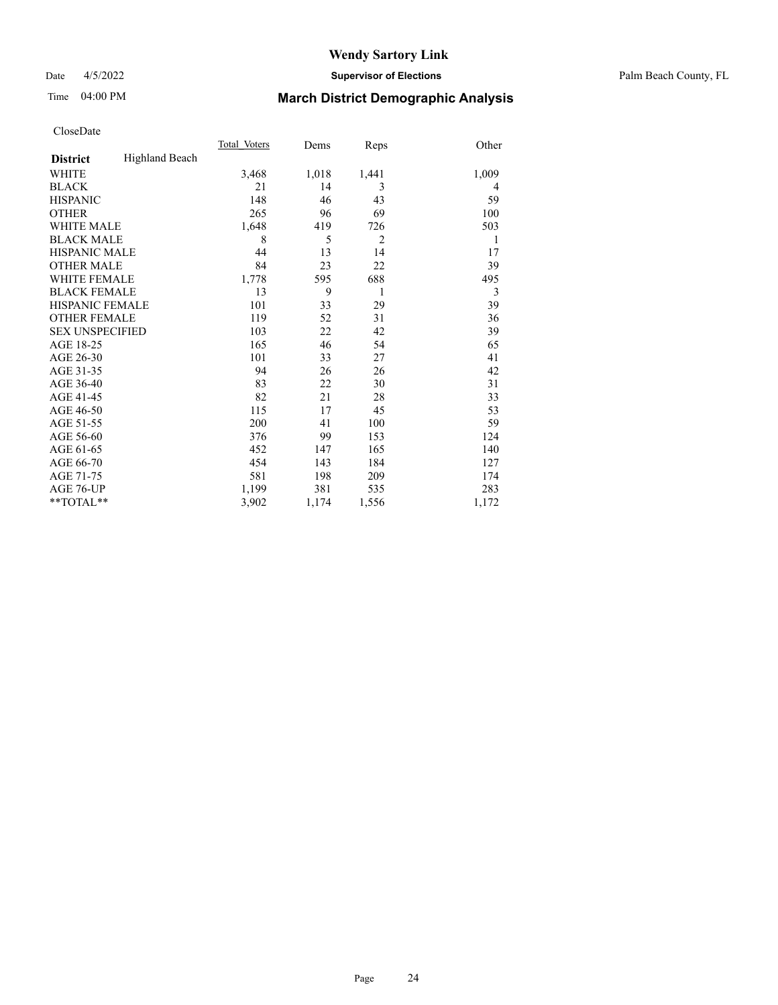Date 4/5/2022 **Supervisor of Elections** Palm Beach County, FL

# Time 04:00 PM **March District Demographic Analysis**

|                        |                | Total Voters | Dems  | Reps           | Other |
|------------------------|----------------|--------------|-------|----------------|-------|
| <b>District</b>        | Highland Beach |              |       |                |       |
| WHITE                  |                | 3,468        | 1,018 | 1,441          | 1,009 |
| <b>BLACK</b>           |                | 21           | 14    | 3              | 4     |
| <b>HISPANIC</b>        |                | 148          | 46    | 43             | 59    |
| <b>OTHER</b>           |                | 265          | 96    | 69             | 100   |
| <b>WHITE MALE</b>      |                | 1,648        | 419   | 726            | 503   |
| <b>BLACK MALE</b>      |                | 8            | 5     | $\overline{2}$ | 1     |
| <b>HISPANIC MALE</b>   |                | 44           | 13    | 14             | 17    |
| <b>OTHER MALE</b>      |                | 84           | 23    | 22             | 39    |
| <b>WHITE FEMALE</b>    |                | 1,778        | 595   | 688            | 495   |
| <b>BLACK FEMALE</b>    |                | 13           | 9     | 1              | 3     |
| HISPANIC FEMALE        |                | 101          | 33    | 29             | 39    |
| <b>OTHER FEMALE</b>    |                | 119          | 52    | 31             | 36    |
| <b>SEX UNSPECIFIED</b> |                | 103          | 22    | 42             | 39    |
| AGE 18-25              |                | 165          | 46    | 54             | 65    |
| AGE 26-30              |                | 101          | 33    | 27             | 41    |
| AGE 31-35              |                | 94           | 26    | 26             | 42    |
| AGE 36-40              |                | 83           | 22    | 30             | 31    |
| AGE 41-45              |                | 82           | 21    | 28             | 33    |
| AGE 46-50              |                | 115          | 17    | 45             | 53    |
| AGE 51-55              |                | 200          | 41    | 100            | 59    |
| AGE 56-60              |                | 376          | 99    | 153            | 124   |
| AGE 61-65              |                | 452          | 147   | 165            | 140   |
| AGE 66-70              |                | 454          | 143   | 184            | 127   |
| AGE 71-75              |                | 581          | 198   | 209            | 174   |
| AGE 76-UP              |                | 1.199        | 381   | 535            | 283   |
| $*$ $TOTAL**$          |                | 3,902        | 1,174 | 1,556          | 1,172 |
|                        |                |              |       |                |       |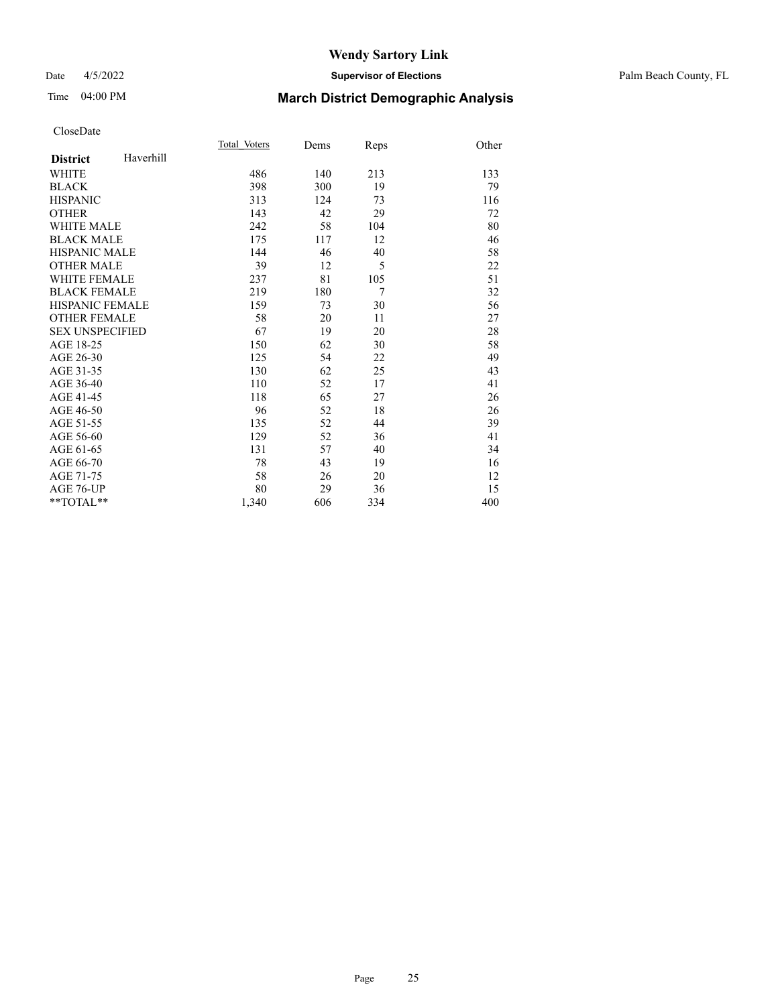## Date 4/5/2022 **Supervisor of Elections** Palm Beach County, FL

# Time 04:00 PM **March District Demographic Analysis**

|                        |           | Total Voters | Dems | Reps           | Other |
|------------------------|-----------|--------------|------|----------------|-------|
| <b>District</b>        | Haverhill |              |      |                |       |
| WHITE                  |           | 486          | 140  | 213            | 133   |
| <b>BLACK</b>           |           | 398          | 300  | 19             | 79    |
| <b>HISPANIC</b>        |           | 313          | 124  | 73             | 116   |
| <b>OTHER</b>           |           | 143          | 42   | 29             | 72    |
| <b>WHITE MALE</b>      |           | 242          | 58   | 104            | 80    |
| <b>BLACK MALE</b>      |           | 175          | 117  | 12             | 46    |
| <b>HISPANIC MALE</b>   |           | 144          | 46   | 40             | 58    |
| <b>OTHER MALE</b>      |           | 39           | 12   | 5              | 22    |
| <b>WHITE FEMALE</b>    |           | 237          | 81   | 105            | 51    |
| <b>BLACK FEMALE</b>    |           | 219          | 180  | $\overline{7}$ | 32    |
| HISPANIC FEMALE        |           | 159          | 73   | 30             | 56    |
| <b>OTHER FEMALE</b>    |           | 58           | 20   | 11             | 27    |
| <b>SEX UNSPECIFIED</b> |           | 67           | 19   | 20             | 28    |
| AGE 18-25              |           | 150          | 62   | 30             | 58    |
| AGE 26-30              |           | 125          | 54   | 22             | 49    |
| AGE 31-35              |           | 130          | 62   | 25             | 43    |
| AGE 36-40              |           | 110          | 52   | 17             | 41    |
| AGE 41-45              |           | 118          | 65   | 27             | 26    |
| AGE 46-50              |           | 96           | 52   | 18             | 26    |
| AGE 51-55              |           | 135          | 52   | 44             | 39    |
| AGE 56-60              |           | 129          | 52   | 36             | 41    |
| AGE 61-65              |           | 131          | 57   | 40             | 34    |
| AGE 66-70              |           | 78           | 43   | 19             | 16    |
| AGE 71-75              |           | 58           | 26   | 20             | 12    |
| <b>AGE 76-UP</b>       |           | 80           | 29   | 36             | 15    |
| $*$ $TOTAL**$          |           | 1,340        | 606  | 334            | 400   |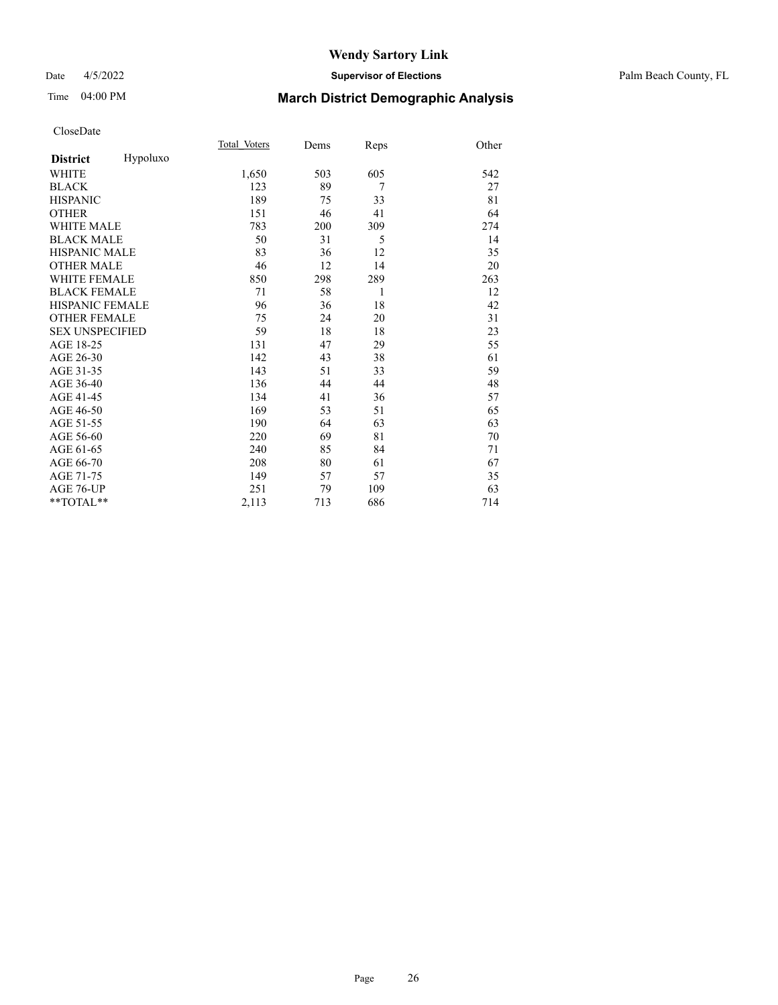## Date 4/5/2022 **Supervisor of Elections** Palm Beach County, FL

# Time 04:00 PM **March District Demographic Analysis**

|                        |          | Total Voters | Dems | Reps | Other |
|------------------------|----------|--------------|------|------|-------|
| <b>District</b>        | Hypoluxo |              |      |      |       |
| WHITE                  |          | 1,650        | 503  | 605  | 542   |
| <b>BLACK</b>           |          | 123          | 89   | 7    | 27    |
| <b>HISPANIC</b>        |          | 189          | 75   | 33   | 81    |
| <b>OTHER</b>           |          | 151          | 46   | 41   | 64    |
| <b>WHITE MALE</b>      |          | 783          | 200  | 309  | 274   |
| <b>BLACK MALE</b>      |          | 50           | 31   | 5    | 14    |
| <b>HISPANIC MALE</b>   |          | 83           | 36   | 12   | 35    |
| <b>OTHER MALE</b>      |          | 46           | 12   | 14   | 20    |
| <b>WHITE FEMALE</b>    |          | 850          | 298  | 289  | 263   |
| <b>BLACK FEMALE</b>    |          | 71           | 58   | 1    | 12    |
| <b>HISPANIC FEMALE</b> |          | 96           | 36   | 18   | 42    |
| <b>OTHER FEMALE</b>    |          | 75           | 24   | 20   | 31    |
| <b>SEX UNSPECIFIED</b> |          | 59           | 18   | 18   | 23    |
| AGE 18-25              |          | 131          | 47   | 29   | 55    |
| AGE 26-30              |          | 142          | 43   | 38   | 61    |
| AGE 31-35              |          | 143          | 51   | 33   | 59    |
| AGE 36-40              |          | 136          | 44   | 44   | 48    |
| AGE 41-45              |          | 134          | 41   | 36   | 57    |
| AGE 46-50              |          | 169          | 53   | 51   | 65    |
| AGE 51-55              |          | 190          | 64   | 63   | 63    |
| AGE 56-60              |          | 220          | 69   | 81   | 70    |
| AGE 61-65              |          | 240          | 85   | 84   | 71    |
| AGE 66-70              |          | 208          | 80   | 61   | 67    |
| AGE 71-75              |          | 149          | 57   | 57   | 35    |
| AGE 76-UP              |          | 251          | 79   | 109  | 63    |
| $*$ $TOTAL**$          |          | 2,113        | 713  | 686  | 714   |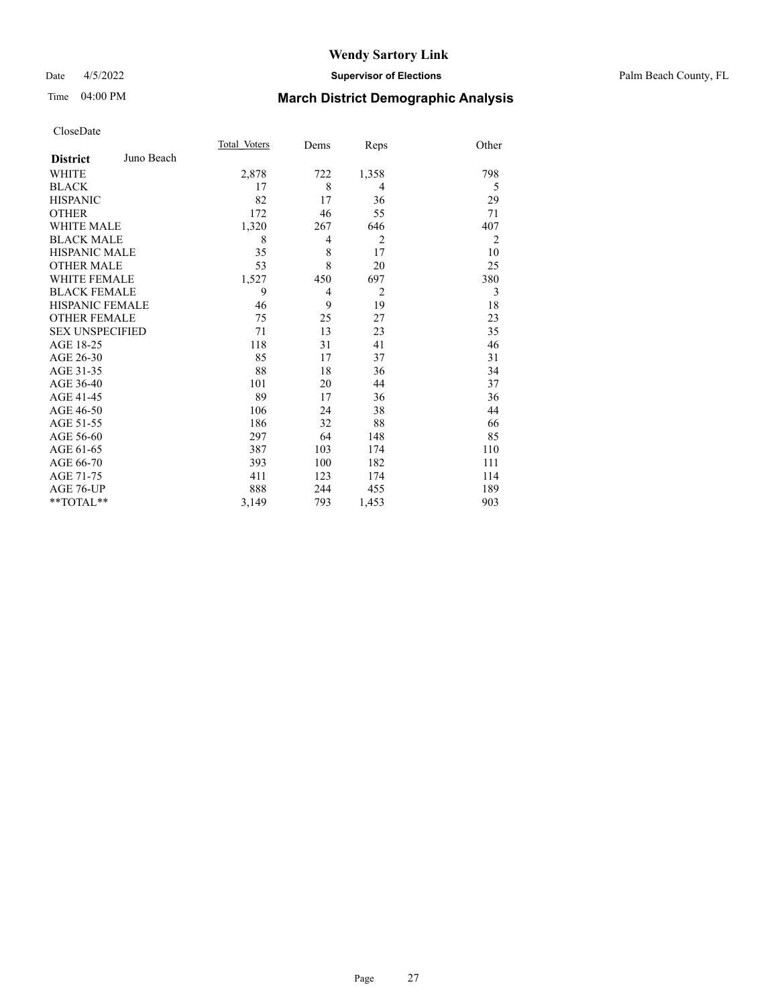## Date 4/5/2022 **Supervisor of Elections** Palm Beach County, FL

# Time 04:00 PM **March District Demographic Analysis**

|                        |            | Total Voters | Dems           | Reps           | Other          |
|------------------------|------------|--------------|----------------|----------------|----------------|
| <b>District</b>        | Juno Beach |              |                |                |                |
| WHITE                  |            | 2,878        | 722            | 1,358          | 798            |
| <b>BLACK</b>           |            | 17           | 8              | $\overline{4}$ | 5              |
| <b>HISPANIC</b>        |            | 82           | 17             | 36             | 29             |
| <b>OTHER</b>           |            | 172          | 46             | 55             | 71             |
| <b>WHITE MALE</b>      |            | 1,320        | 267            | 646            | 407            |
| <b>BLACK MALE</b>      |            | 8            | 4              | $\overline{2}$ | $\overline{2}$ |
| <b>HISPANIC MALE</b>   |            | 35           | 8              | 17             | 10             |
| <b>OTHER MALE</b>      |            | 53           | 8              | 20             | 25             |
| <b>WHITE FEMALE</b>    |            | 1,527        | 450            | 697            | 380            |
| <b>BLACK FEMALE</b>    |            | 9            | $\overline{4}$ | $\overline{2}$ | 3              |
| <b>HISPANIC FEMALE</b> |            | 46           | 9              | 19             | 18             |
| <b>OTHER FEMALE</b>    |            | 75           | 25             | 27             | 23             |
| <b>SEX UNSPECIFIED</b> |            | 71           | 13             | 23             | 35             |
| AGE 18-25              |            | 118          | 31             | 41             | 46             |
| AGE 26-30              |            | 85           | 17             | 37             | 31             |
| AGE 31-35              |            | 88           | 18             | 36             | 34             |
| AGE 36-40              |            | 101          | 20             | 44             | 37             |
| AGE 41-45              |            | 89           | 17             | 36             | 36             |
| AGE 46-50              |            | 106          | 24             | 38             | 44             |
| AGE 51-55              |            | 186          | 32             | 88             | 66             |
| AGE 56-60              |            | 297          | 64             | 148            | 85             |
| AGE 61-65              |            | 387          | 103            | 174            | 110            |
| AGE 66-70              |            | 393          | 100            | 182            | 111            |
| AGE 71-75              |            | 411          | 123            | 174            | 114            |
| AGE 76-UP              |            | 888          | 244            | 455            | 189            |
| $*$ $TOTAL**$          |            | 3,149        | 793            | 1,453          | 903            |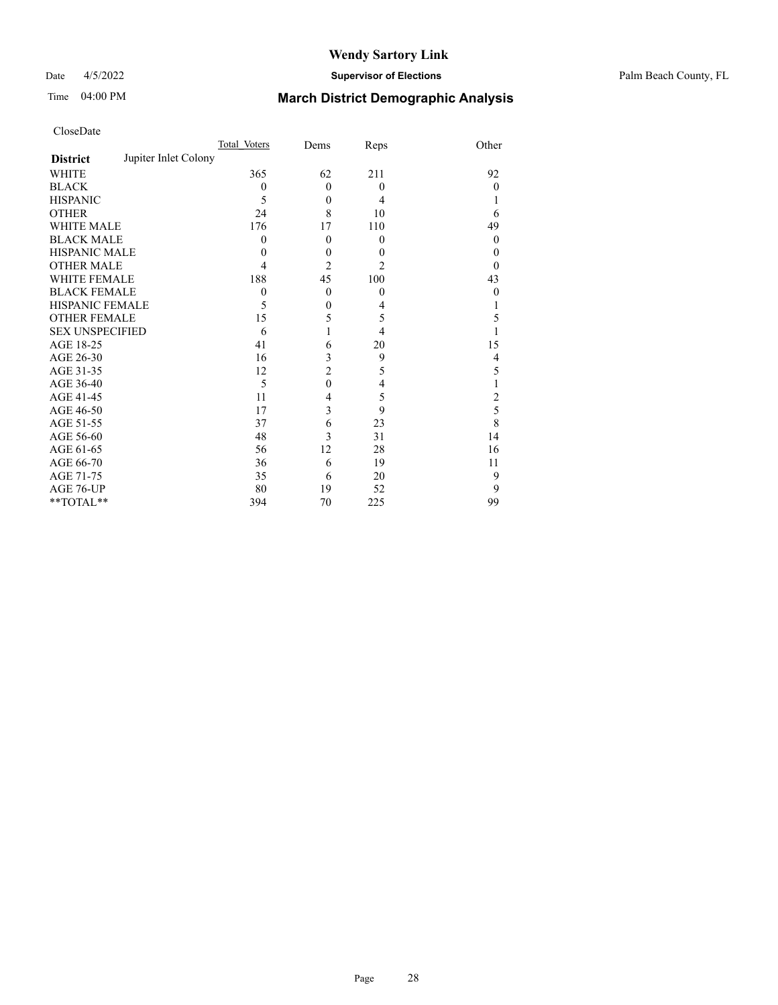## Date 4/5/2022 **Supervisor of Elections** Palm Beach County, FL

# Time 04:00 PM **March District Demographic Analysis**

| CloseDate |
|-----------|
|-----------|

|                                         | Total Voters | Dems           | Reps             | Other          |
|-----------------------------------------|--------------|----------------|------------------|----------------|
| Jupiter Inlet Colony<br><b>District</b> |              |                |                  |                |
| <b>WHITE</b>                            | 365          | 62             | 211              | 92             |
| <b>BLACK</b>                            | $\theta$     | $\mathbf{0}$   | $\boldsymbol{0}$ | $\theta$       |
| <b>HISPANIC</b>                         | 5            | $\theta$       | 4                |                |
| <b>OTHER</b>                            | 24           | 8              | 10               | 6              |
| <b>WHITE MALE</b>                       | 176          | 17             | 110              | 49             |
| <b>BLACK MALE</b>                       | $\theta$     | $\mathbf{0}$   | $\mathbf{0}$     | $\theta$       |
| <b>HISPANIC MALE</b>                    | 0            | $\mathbf{0}$   | $\theta$         | 0              |
| OTHER MALE                              | 4            | $\overline{2}$ | $\overline{c}$   | 0              |
| <b>WHITE FEMALE</b>                     | 188          | 45             | 100              | 43             |
| <b>BLACK FEMALE</b>                     | $\theta$     | $\mathbf{0}$   | $\mathbf{0}$     | 0              |
| <b>HISPANIC FEMALE</b>                  | 5            | $\mathbf{0}$   | 4                |                |
| <b>OTHER FEMALE</b>                     | 15           | 5              | 5                | 5              |
| <b>SEX UNSPECIFIED</b>                  | 6            |                | 4                |                |
| AGE 18-25                               | 41           | 6              | 20               | 15             |
| AGE 26-30                               | 16           | 3              | 9                | 4              |
| AGE 31-35                               | 12           | $\overline{2}$ | 5                | 5              |
| AGE 36-40                               | 5            | $\theta$       | 4                |                |
| AGE 41-45                               | 11           | 4              | 5                | $\overline{c}$ |
| AGE 46-50                               | 17           | 3              | 9                | 5              |
| AGE 51-55                               | 37           | 6              | 23               | 8              |
| AGE 56-60                               | 48           | 3              | 31               | 14             |
| AGE 61-65                               | 56           | 12             | 28               | 16             |
| AGE 66-70                               | 36           | 6              | 19               | 11             |
| AGE 71-75                               | 35           | 6              | 20               | 9              |
| AGE 76-UP                               | 80           | 19             | 52               | 9              |
| **TOTAL**                               | 394          | 70             | 225              | 99             |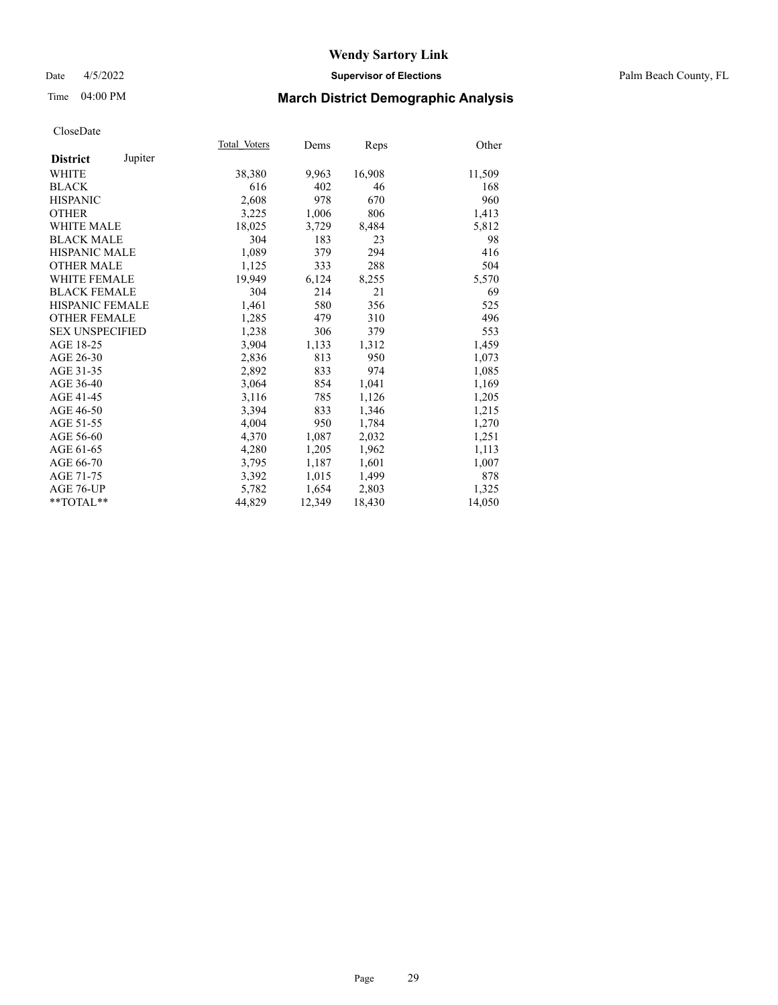## Date 4/5/2022 **Supervisor of Elections** Palm Beach County, FL

## Time 04:00 PM **March District Demographic Analysis**

|                        |         | Total Voters | Dems   | <b>Reps</b> | Other  |
|------------------------|---------|--------------|--------|-------------|--------|
| <b>District</b>        | Jupiter |              |        |             |        |
| WHITE                  |         | 38,380       | 9,963  | 16,908      | 11,509 |
| <b>BLACK</b>           |         | 616          | 402    | 46          | 168    |
| <b>HISPANIC</b>        |         | 2,608        | 978    | 670         | 960    |
| <b>OTHER</b>           |         | 3,225        | 1,006  | 806         | 1,413  |
| <b>WHITE MALE</b>      |         | 18,025       | 3,729  | 8,484       | 5,812  |
| <b>BLACK MALE</b>      |         | 304          | 183    | 23          | 98     |
| <b>HISPANIC MALE</b>   |         | 1,089        | 379    | 294         | 416    |
| <b>OTHER MALE</b>      |         | 1,125        | 333    | 288         | 504    |
| <b>WHITE FEMALE</b>    |         | 19,949       | 6,124  | 8,255       | 5,570  |
| <b>BLACK FEMALE</b>    |         | 304          | 214    | 21          | 69     |
| <b>HISPANIC FEMALE</b> |         | 1,461        | 580    | 356         | 525    |
| <b>OTHER FEMALE</b>    |         | 1,285        | 479    | 310         | 496    |
| <b>SEX UNSPECIFIED</b> |         | 1,238        | 306    | 379         | 553    |
| AGE 18-25              |         | 3,904        | 1,133  | 1,312       | 1,459  |
| AGE 26-30              |         | 2,836        | 813    | 950         | 1,073  |
| AGE 31-35              |         | 2,892        | 833    | 974         | 1,085  |
| AGE 36-40              |         | 3,064        | 854    | 1,041       | 1,169  |
| AGE 41-45              |         | 3,116        | 785    | 1,126       | 1,205  |
| AGE 46-50              |         | 3,394        | 833    | 1,346       | 1,215  |
| AGE 51-55              |         | 4,004        | 950    | 1,784       | 1,270  |
| AGE 56-60              |         | 4,370        | 1,087  | 2,032       | 1,251  |
| AGE 61-65              |         | 4,280        | 1,205  | 1,962       | 1,113  |
| AGE 66-70              |         | 3,795        | 1,187  | 1,601       | 1,007  |
| AGE 71-75              |         | 3,392        | 1,015  | 1,499       | 878    |
| AGE 76-UP              |         | 5,782        | 1,654  | 2,803       | 1,325  |
| $*$ $TOTAL**$          |         | 44,829       | 12,349 | 18,430      | 14,050 |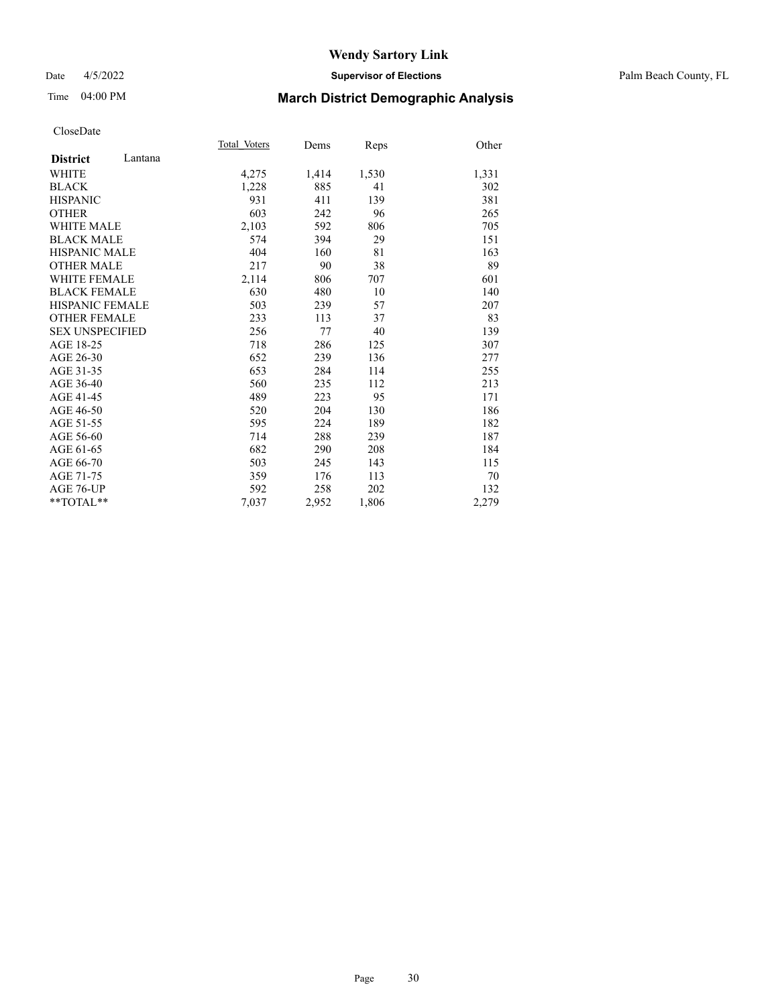## Date 4/5/2022 **Supervisor of Elections** Palm Beach County, FL

# Time 04:00 PM **March District Demographic Analysis**

|                            | Total Voters | Dems  | Reps  | Other |
|----------------------------|--------------|-------|-------|-------|
| Lantana<br><b>District</b> |              |       |       |       |
| <b>WHITE</b>               | 4,275        | 1,414 | 1,530 | 1,331 |
| <b>BLACK</b>               | 1,228        | 885   | 41    | 302   |
| <b>HISPANIC</b>            | 931          | 411   | 139   | 381   |
| <b>OTHER</b>               | 603          | 242   | 96    | 265   |
| WHITE MALE                 | 2,103        | 592   | 806   | 705   |
| <b>BLACK MALE</b>          | 574          | 394   | 29    | 151   |
| <b>HISPANIC MALE</b>       | 404          | 160   | 81    | 163   |
| <b>OTHER MALE</b>          | 217          | 90    | 38    | 89    |
| <b>WHITE FEMALE</b>        | 2,114        | 806   | 707   | 601   |
| <b>BLACK FEMALE</b>        | 630          | 480   | 10    | 140   |
| <b>HISPANIC FEMALE</b>     | 503          | 239   | 57    | 207   |
| <b>OTHER FEMALE</b>        | 233          | 113   | 37    | 83    |
| <b>SEX UNSPECIFIED</b>     | 256          | 77    | 40    | 139   |
| AGE 18-25                  | 718          | 286   | 125   | 307   |
| AGE 26-30                  | 652          | 239   | 136   | 277   |
| AGE 31-35                  | 653          | 284   | 114   | 255   |
| AGE 36-40                  | 560          | 235   | 112   | 213   |
| AGE 41-45                  | 489          | 223   | 95    | 171   |
| AGE 46-50                  | 520          | 204   | 130   | 186   |
| AGE 51-55                  | 595          | 224   | 189   | 182   |
| AGE 56-60                  | 714          | 288   | 239   | 187   |
| AGE 61-65                  | 682          | 290   | 208   | 184   |
| AGE 66-70                  | 503          | 245   | 143   | 115   |
| AGE 71-75                  | 359          | 176   | 113   | 70    |
| AGE 76-UP                  | 592          | 258   | 202   | 132   |
| $*$ $TOTAL**$              | 7,037        | 2,952 | 1,806 | 2,279 |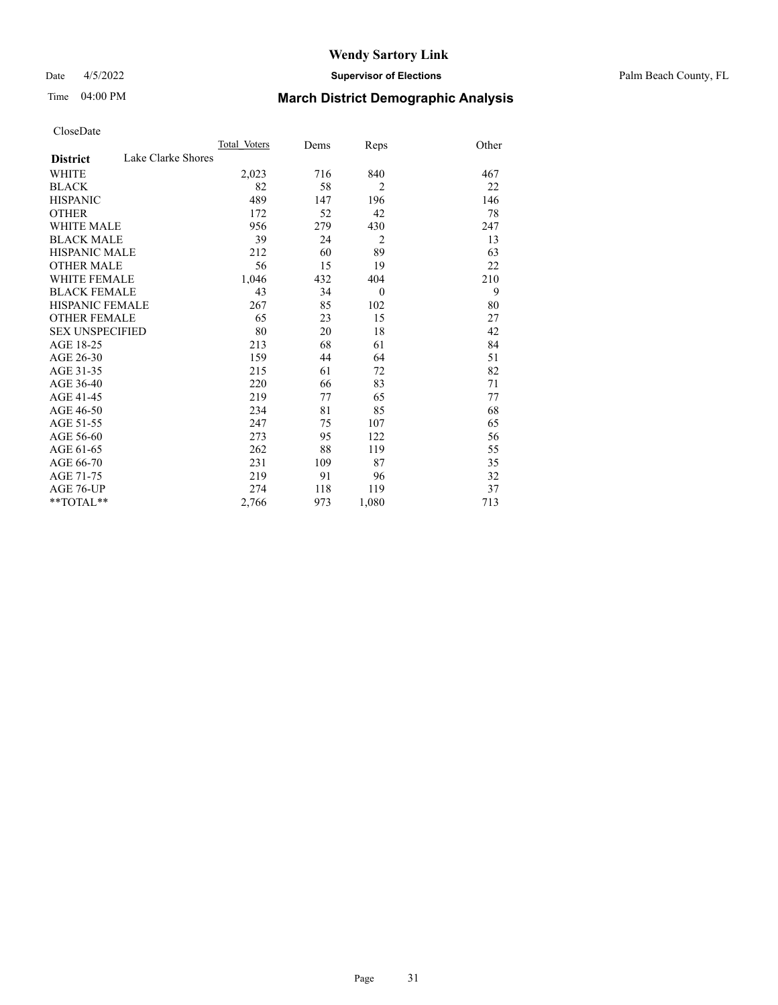## Date 4/5/2022 **Supervisor of Elections** Palm Beach County, FL

# Time 04:00 PM **March District Demographic Analysis**

|                                       | Total Voters | Dems | Reps           | Other |
|---------------------------------------|--------------|------|----------------|-------|
| Lake Clarke Shores<br><b>District</b> |              |      |                |       |
| WHITE                                 | 2,023        | 716  | 840            | 467   |
| <b>BLACK</b>                          | 82           | 58   | $\overline{2}$ | 22    |
| <b>HISPANIC</b>                       | 489          | 147  | 196            | 146   |
| <b>OTHER</b>                          | 172          | 52   | 42             | 78    |
| <b>WHITE MALE</b>                     | 956          | 279  | 430            | 247   |
| <b>BLACK MALE</b>                     | 39           | 24   | $\overline{2}$ | 13    |
| <b>HISPANIC MALE</b>                  | 212          | 60   | 89             | 63    |
| <b>OTHER MALE</b>                     | 56           | 15   | 19             | 22    |
| <b>WHITE FEMALE</b>                   | 1,046        | 432  | 404            | 210   |
| <b>BLACK FEMALE</b>                   | 43           | 34   | $\theta$       | 9     |
| <b>HISPANIC FEMALE</b>                | 267          | 85   | 102            | 80    |
| <b>OTHER FEMALE</b>                   | 65           | 23   | 15             | 27    |
| <b>SEX UNSPECIFIED</b>                | 80           | 20   | 18             | 42    |
| AGE 18-25                             | 213          | 68   | 61             | 84    |
| AGE 26-30                             | 159          | 44   | 64             | 51    |
| AGE 31-35                             | 215          | 61   | 72             | 82    |
| AGE 36-40                             | 220          | 66   | 83             | 71    |
| AGE 41-45                             | 219          | 77   | 65             | 77    |
| AGE 46-50                             | 234          | 81   | 85             | 68    |
| AGE 51-55                             | 247          | 75   | 107            | 65    |
| AGE 56-60                             | 273          | 95   | 122            | 56    |
| AGE 61-65                             | 262          | 88   | 119            | 55    |
| AGE 66-70                             | 231          | 109  | 87             | 35    |
| AGE 71-75                             | 219          | 91   | 96             | 32    |
| <b>AGE 76-UP</b>                      | 274          | 118  | 119            | 37    |
| $*$ $TOTAL**$                         | 2,766        | 973  | 1,080          | 713   |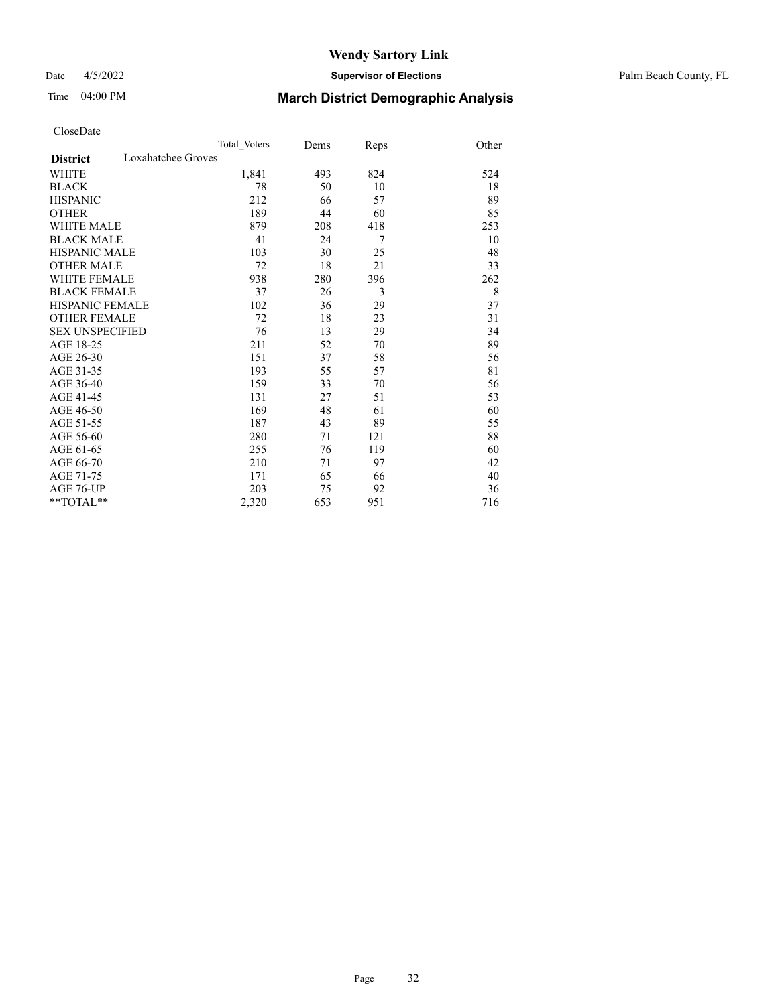## Date 4/5/2022 **Supervisor of Elections** Palm Beach County, FL

# Time 04:00 PM **March District Demographic Analysis**

|                                       | Total Voters | Dems | Reps | Other |
|---------------------------------------|--------------|------|------|-------|
| Loxahatchee Groves<br><b>District</b> |              |      |      |       |
| <b>WHITE</b>                          | 1,841        | 493  | 824  | 524   |
| <b>BLACK</b>                          | 78           | 50   | 10   | 18    |
| <b>HISPANIC</b>                       | 212          | 66   | 57   | 89    |
| <b>OTHER</b>                          | 189          | 44   | 60   | 85    |
| <b>WHITE MALE</b>                     | 879          | 208  | 418  | 253   |
| <b>BLACK MALE</b>                     | 41           | 24   | 7    | 10    |
| HISPANIC MALE                         | 103          | 30   | 25   | 48    |
| <b>OTHER MALE</b>                     | 72           | 18   | 21   | 33    |
| <b>WHITE FEMALE</b>                   | 938          | 280  | 396  | 262   |
| <b>BLACK FEMALE</b>                   | 37           | 26   | 3    | 8     |
| <b>HISPANIC FEMALE</b>                | 102          | 36   | 29   | 37    |
| <b>OTHER FEMALE</b>                   | 72           | 18   | 23   | 31    |
| <b>SEX UNSPECIFIED</b>                | 76           | 13   | 29   | 34    |
| AGE 18-25                             | 211          | 52   | 70   | 89    |
| AGE 26-30                             | 151          | 37   | 58   | 56    |
| AGE 31-35                             | 193          | 55   | 57   | 81    |
| AGE 36-40                             | 159          | 33   | 70   | 56    |
| AGE 41-45                             | 131          | 27   | 51   | 53    |
| AGE 46-50                             | 169          | 48   | 61   | 60    |
| AGE 51-55                             | 187          | 43   | 89   | 55    |
| AGE 56-60                             | 280          | 71   | 121  | 88    |
| AGE 61-65                             | 255          | 76   | 119  | 60    |
| AGE 66-70                             | 210          | 71   | 97   | 42    |
| AGE 71-75                             | 171          | 65   | 66   | 40    |
| <b>AGE 76-UP</b>                      | 203          | 75   | 92   | 36    |
| **TOTAL**                             | 2,320        | 653  | 951  | 716   |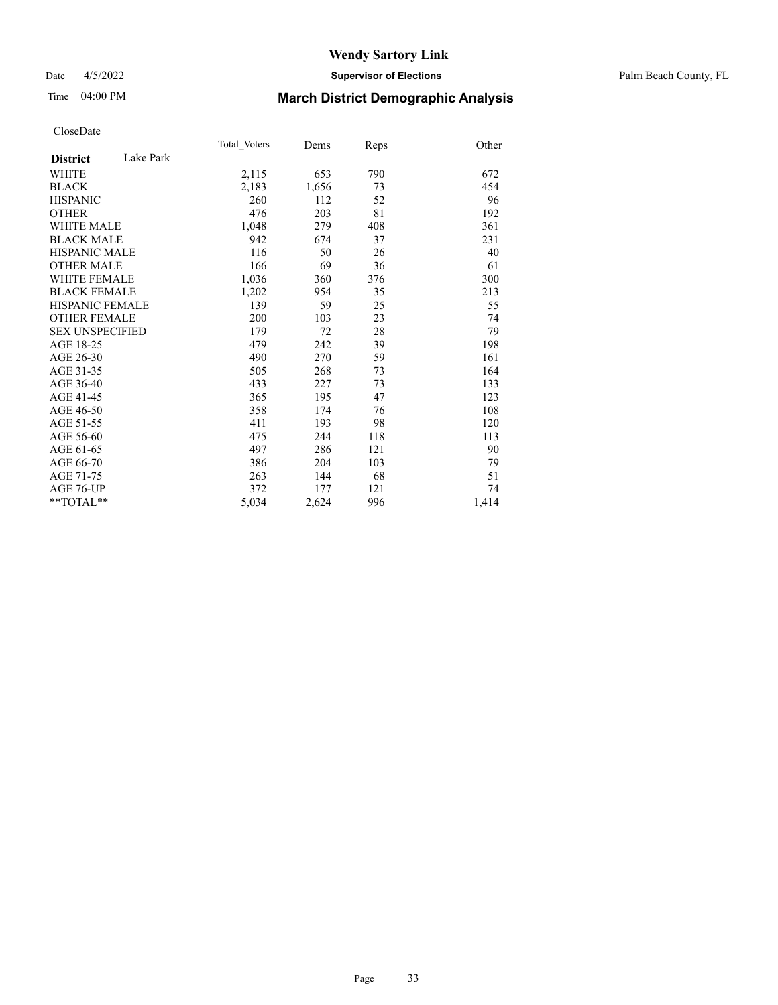## Date 4/5/2022 **Supervisor of Elections** Palm Beach County, FL

# Time 04:00 PM **March District Demographic Analysis**

|                              | Total Voters | Dems  | Reps | Other |
|------------------------------|--------------|-------|------|-------|
| Lake Park<br><b>District</b> |              |       |      |       |
| <b>WHITE</b>                 | 2,115        | 653   | 790  | 672   |
| <b>BLACK</b>                 | 2,183        | 1,656 | 73   | 454   |
| <b>HISPANIC</b>              | 260          | 112   | 52   | 96    |
| <b>OTHER</b>                 | 476          | 203   | 81   | 192   |
| WHITE MALE                   | 1,048        | 279   | 408  | 361   |
| <b>BLACK MALE</b>            | 942          | 674   | 37   | 231   |
| <b>HISPANIC MALE</b>         | 116          | 50    | 26   | 40    |
| <b>OTHER MALE</b>            | 166          | 69    | 36   | 61    |
| WHITE FEMALE                 | 1,036        | 360   | 376  | 300   |
| <b>BLACK FEMALE</b>          | 1,202        | 954   | 35   | 213   |
| <b>HISPANIC FEMALE</b>       | 139          | 59    | 25   | 55    |
| <b>OTHER FEMALE</b>          | 200          | 103   | 23   | 74    |
| <b>SEX UNSPECIFIED</b>       | 179          | 72    | 28   | 79    |
| AGE 18-25                    | 479          | 242   | 39   | 198   |
| AGE 26-30                    | 490          | 270   | 59   | 161   |
| AGE 31-35                    | 505          | 268   | 73   | 164   |
| AGE 36-40                    | 433          | 227   | 73   | 133   |
| AGE 41-45                    | 365          | 195   | 47   | 123   |
| AGE 46-50                    | 358          | 174   | 76   | 108   |
| AGE 51-55                    | 411          | 193   | 98   | 120   |
| AGE 56-60                    | 475          | 244   | 118  | 113   |
| AGE 61-65                    | 497          | 286   | 121  | 90    |
| AGE 66-70                    | 386          | 204   | 103  | 79    |
| AGE 71-75                    | 263          | 144   | 68   | 51    |
| AGE 76-UP                    | 372          | 177   | 121  | 74    |
| $*$ $TOTAL**$                | 5,034        | 2,624 | 996  | 1,414 |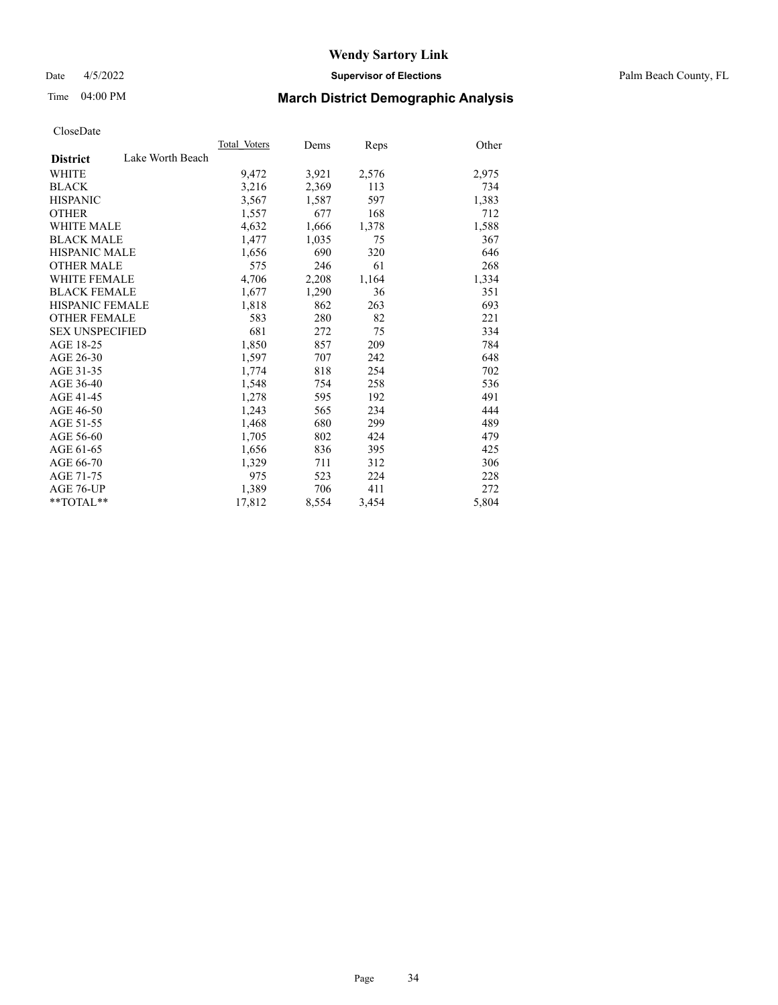Date 4/5/2022 **Supervisor of Elections** Palm Beach County, FL

# Time 04:00 PM **March District Demographic Analysis**

|                        |                  | Total Voters | Dems  | <b>Reps</b> | Other |
|------------------------|------------------|--------------|-------|-------------|-------|
| <b>District</b>        | Lake Worth Beach |              |       |             |       |
| WHITE                  |                  | 9,472        | 3,921 | 2,576       | 2,975 |
| <b>BLACK</b>           |                  | 3,216        | 2,369 | 113         | 734   |
| <b>HISPANIC</b>        |                  | 3,567        | 1,587 | 597         | 1,383 |
| <b>OTHER</b>           |                  | 1,557        | 677   | 168         | 712   |
| <b>WHITE MALE</b>      |                  | 4,632        | 1,666 | 1,378       | 1,588 |
| <b>BLACK MALE</b>      |                  | 1,477        | 1,035 | 75          | 367   |
| <b>HISPANIC MALE</b>   |                  | 1,656        | 690   | 320         | 646   |
| <b>OTHER MALE</b>      |                  | 575          | 246   | 61          | 268   |
| <b>WHITE FEMALE</b>    |                  | 4,706        | 2,208 | 1,164       | 1,334 |
| <b>BLACK FEMALE</b>    |                  | 1,677        | 1,290 | 36          | 351   |
| <b>HISPANIC FEMALE</b> |                  | 1,818        | 862   | 263         | 693   |
| <b>OTHER FEMALE</b>    |                  | 583          | 280   | 82          | 221   |
| <b>SEX UNSPECIFIED</b> |                  | 681          | 272   | 75          | 334   |
| AGE 18-25              |                  | 1,850        | 857   | 209         | 784   |
| AGE 26-30              |                  | 1,597        | 707   | 242         | 648   |
| AGE 31-35              |                  | 1,774        | 818   | 254         | 702   |
| AGE 36-40              |                  | 1,548        | 754   | 258         | 536   |
| AGE 41-45              |                  | 1,278        | 595   | 192         | 491   |
| AGE 46-50              |                  | 1,243        | 565   | 234         | 444   |
| AGE 51-55              |                  | 1,468        | 680   | 299         | 489   |
| AGE 56-60              |                  | 1,705        | 802   | 424         | 479   |
| AGE 61-65              |                  | 1,656        | 836   | 395         | 425   |
| AGE 66-70              |                  | 1,329        | 711   | 312         | 306   |
| AGE 71-75              |                  | 975          | 523   | 224         | 228   |
| AGE 76-UP              |                  | 1,389        | 706   | 411         | 272   |
| $*$ $TOTAL**$          |                  | 17,812       | 8,554 | 3,454       | 5,804 |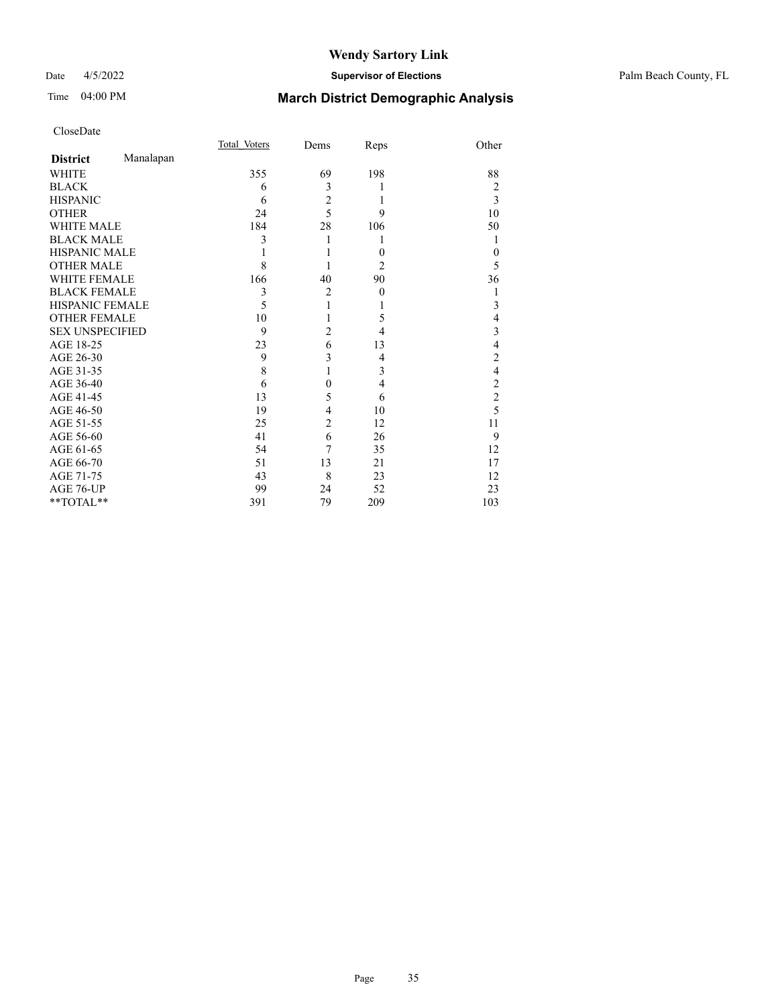## Date 4/5/2022 **Supervisor of Elections** Palm Beach County, FL

# Time 04:00 PM **March District Demographic Analysis**

|                        |           | Total Voters | Dems           | Reps             | Other          |
|------------------------|-----------|--------------|----------------|------------------|----------------|
| <b>District</b>        | Manalapan |              |                |                  |                |
| WHITE                  |           | 355          | 69             | 198              | 88             |
| <b>BLACK</b>           |           | 6            | 3              | 1                | $\overline{2}$ |
| <b>HISPANIC</b>        |           | 6            | $\overline{c}$ | 1                | 3              |
| <b>OTHER</b>           |           | 24           | 5              | 9                | 10             |
| <b>WHITE MALE</b>      |           | 184          | 28             | 106              | 50             |
| <b>BLACK MALE</b>      |           | 3            |                | 1                | 1              |
| <b>HISPANIC MALE</b>   |           |              |                | $\theta$         | $\theta$       |
| <b>OTHER MALE</b>      |           | 8            |                | 2                | 5              |
| <b>WHITE FEMALE</b>    |           | 166          | 40             | 90               | 36             |
| <b>BLACK FEMALE</b>    |           | 3            | $\overline{c}$ | $\boldsymbol{0}$ |                |
| HISPANIC FEMALE        |           | 5            | $\mathbf{1}$   |                  | 3              |
| <b>OTHER FEMALE</b>    |           | 10           |                | 5                | 4              |
| <b>SEX UNSPECIFIED</b> |           | 9            | $\overline{2}$ | 4                | 3              |
| AGE 18-25              |           | 23           | 6              | 13               | 4              |
| AGE 26-30              |           | 9            | 3              | 4                | $\overline{2}$ |
| AGE 31-35              |           | 8            |                | 3                | 4              |
| AGE 36-40              |           | 6            | $\mathbf{0}$   | 4                | $\overline{c}$ |
| AGE 41-45              |           | 13           | 5              | 6                | $\overline{c}$ |
| AGE 46-50              |           | 19           | 4              | 10               | 5              |
| AGE 51-55              |           | 25           | $\overline{2}$ | 12               | 11             |
| AGE 56-60              |           | 41           | 6              | 26               | 9              |
| AGE 61-65              |           | 54           | 7              | 35               | 12             |
| AGE 66-70              |           | 51           | 13             | 21               | 17             |
| AGE 71-75              |           | 43           | 8              | 23               | 12             |
| AGE 76-UP              |           | 99           | 24             | 52               | 23             |
| **TOTAL**              |           | 391          | 79             | 209              | 103            |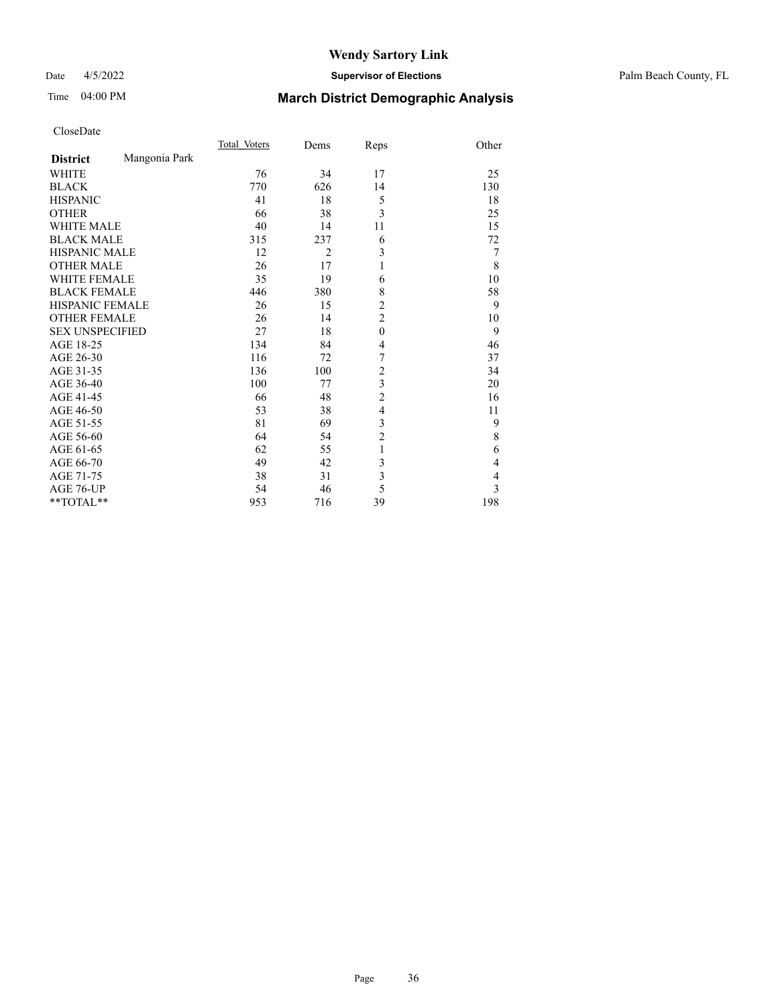## Date 4/5/2022 **Supervisor of Elections** Palm Beach County, FL

# Time 04:00 PM **March District Demographic Analysis**

|                        |               | Total Voters | Dems           | Reps           | Other          |
|------------------------|---------------|--------------|----------------|----------------|----------------|
| <b>District</b>        | Mangonia Park |              |                |                |                |
| <b>WHITE</b>           |               | 76           | 34             | 17             | 25             |
| <b>BLACK</b>           |               | 770          | 626            | 14             | 130            |
| <b>HISPANIC</b>        |               | 41           | 18             | 5              | 18             |
| <b>OTHER</b>           |               | 66           | 38             | 3              | 25             |
| <b>WHITE MALE</b>      |               | 40           | 14             | 11             | 15             |
| <b>BLACK MALE</b>      |               | 315          | 237            | 6              | 72             |
| <b>HISPANIC MALE</b>   |               | 12           | $\overline{2}$ | 3              | 7              |
| <b>OTHER MALE</b>      |               | 26           | 17             | 1              | 8              |
| <b>WHITE FEMALE</b>    |               | 35           | 19             | 6              | 10             |
| <b>BLACK FEMALE</b>    |               | 446          | 380            | 8              | 58             |
| <b>HISPANIC FEMALE</b> |               | 26           | 15             | $\overline{c}$ | 9              |
| <b>OTHER FEMALE</b>    |               | 26           | 14             | $\overline{c}$ | 10             |
| <b>SEX UNSPECIFIED</b> |               | 27           | 18             | $\mathbf{0}$   | 9              |
| AGE 18-25              |               | 134          | 84             | $\overline{4}$ | 46             |
| AGE 26-30              |               | 116          | 72             | 7              | 37             |
| AGE 31-35              |               | 136          | 100            | $\overline{c}$ | 34             |
| AGE 36-40              |               | 100          | 77             | 3              | 20             |
| AGE 41-45              |               | 66           | 48             | $\overline{c}$ | 16             |
| AGE 46-50              |               | 53           | 38             | $\overline{4}$ | 11             |
| AGE 51-55              |               | 81           | 69             | 3              | 9              |
| AGE 56-60              |               | 64           | 54             | $\overline{2}$ | 8              |
| AGE 61-65              |               | 62           | 55             | 1              | 6              |
| AGE 66-70              |               | 49           | 42             | 3              | 4              |
| AGE 71-75              |               | 38           | 31             | 3              | $\overline{4}$ |
| AGE 76-UP              |               | 54           | 46             | 5              | $\overline{3}$ |
| **TOTAL**              |               | 953          | 716            | 39             | 198            |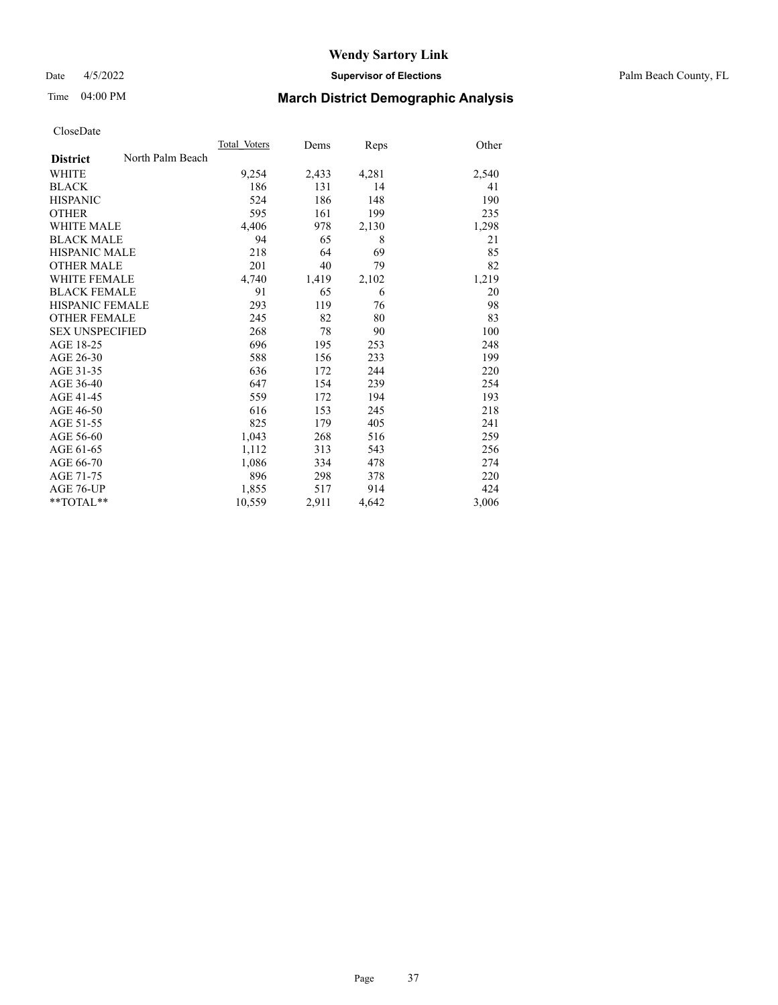Date 4/5/2022 **Supervisor of Elections** Palm Beach County, FL

# Time 04:00 PM **March District Demographic Analysis**

|                        |                  | Total Voters | Dems  | Reps  | Other |
|------------------------|------------------|--------------|-------|-------|-------|
| <b>District</b>        | North Palm Beach |              |       |       |       |
| WHITE                  |                  | 9,254        | 2,433 | 4,281 | 2,540 |
| <b>BLACK</b>           |                  | 186          | 131   | 14    | 41    |
| <b>HISPANIC</b>        |                  | 524          | 186   | 148   | 190   |
| <b>OTHER</b>           |                  | 595          | 161   | 199   | 235   |
| <b>WHITE MALE</b>      |                  | 4,406        | 978   | 2,130 | 1,298 |
| <b>BLACK MALE</b>      |                  | 94           | 65    | 8     | 21    |
| <b>HISPANIC MALE</b>   |                  | 218          | 64    | 69    | 85    |
| <b>OTHER MALE</b>      |                  | 201          | 40    | 79    | 82    |
| <b>WHITE FEMALE</b>    |                  | 4,740        | 1,419 | 2,102 | 1,219 |
| <b>BLACK FEMALE</b>    |                  | 91           | 65    | 6     | 20    |
| <b>HISPANIC FEMALE</b> |                  | 293          | 119   | 76    | 98    |
| <b>OTHER FEMALE</b>    |                  | 245          | 82    | 80    | 83    |
| <b>SEX UNSPECIFIED</b> |                  | 268          | 78    | 90    | 100   |
| AGE 18-25              |                  | 696          | 195   | 253   | 248   |
| AGE 26-30              |                  | 588          | 156   | 233   | 199   |
| AGE 31-35              |                  | 636          | 172   | 244   | 220   |
| AGE 36-40              |                  | 647          | 154   | 239   | 254   |
| AGE 41-45              |                  | 559          | 172   | 194   | 193   |
| AGE 46-50              |                  | 616          | 153   | 245   | 218   |
| AGE 51-55              |                  | 825          | 179   | 405   | 241   |
| AGE 56-60              |                  | 1,043        | 268   | 516   | 259   |
| AGE 61-65              |                  | 1,112        | 313   | 543   | 256   |
| AGE 66-70              |                  | 1,086        | 334   | 478   | 274   |
| AGE 71-75              |                  | 896          | 298   | 378   | 220   |
| <b>AGE 76-UP</b>       |                  | 1,855        | 517   | 914   | 424   |
| $*$ $TOTAL**$          |                  | 10,559       | 2,911 | 4,642 | 3,006 |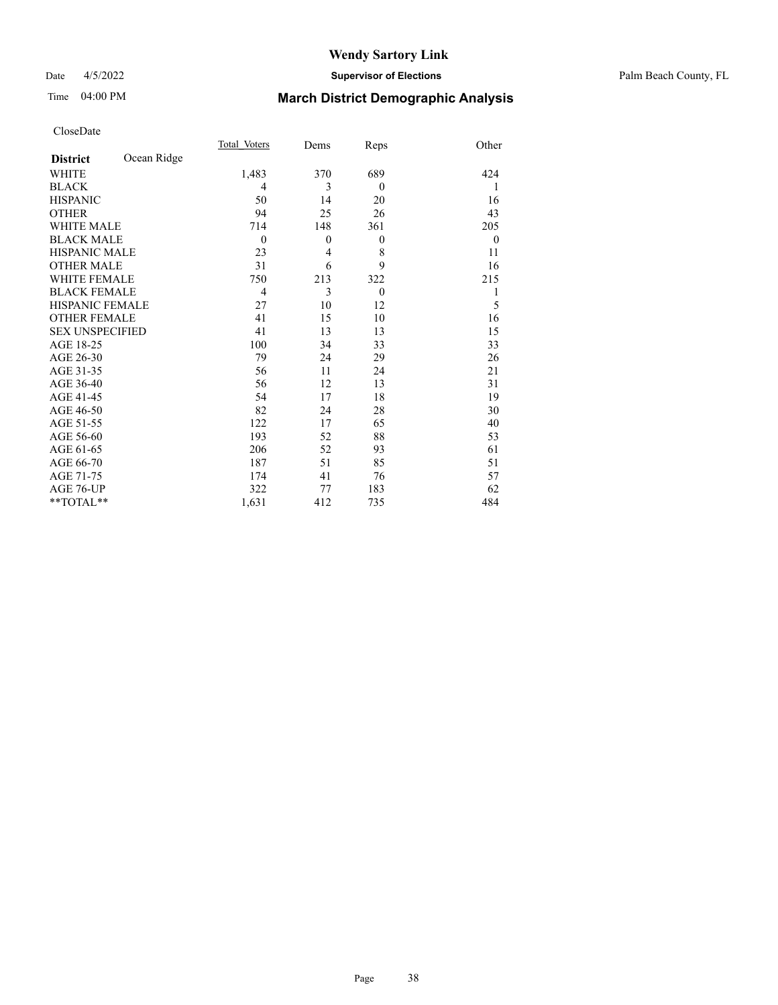#### Date 4/5/2022 **Supervisor of Elections** Palm Beach County, FL

# Time 04:00 PM **March District Demographic Analysis**

|                        |             | Total Voters   | Dems     | Reps         | Other        |
|------------------------|-------------|----------------|----------|--------------|--------------|
| <b>District</b>        | Ocean Ridge |                |          |              |              |
| <b>WHITE</b>           |             | 1,483          | 370      | 689          | 424          |
| <b>BLACK</b>           |             | $\overline{4}$ | 3        | $\mathbf{0}$ | 1            |
| <b>HISPANIC</b>        |             | 50             | 14       | 20           | 16           |
| <b>OTHER</b>           |             | 94             | 25       | 26           | 43           |
| <b>WHITE MALE</b>      |             | 714            | 148      | 361          | 205          |
| <b>BLACK MALE</b>      |             | $\overline{0}$ | $\theta$ | $\theta$     | $\mathbf{0}$ |
| HISPANIC MALE          |             | 23             | 4        | 8            | 11           |
| <b>OTHER MALE</b>      |             | 31             | 6        | 9            | 16           |
| <b>WHITE FEMALE</b>    |             | 750            | 213      | 322          | 215          |
| <b>BLACK FEMALE</b>    |             | $\overline{4}$ | 3        | $\mathbf{0}$ | 1            |
| <b>HISPANIC FEMALE</b> |             | 27             | 10       | 12           | 5            |
| <b>OTHER FEMALE</b>    |             | 41             | 15       | 10           | 16           |
| <b>SEX UNSPECIFIED</b> |             | 41             | 13       | 13           | 15           |
| AGE 18-25              |             | 100            | 34       | 33           | 33           |
| AGE 26-30              |             | 79             | 24       | 29           | 26           |
| AGE 31-35              |             | 56             | 11       | 24           | 21           |
| AGE 36-40              |             | 56             | 12       | 13           | 31           |
| AGE 41-45              |             | 54             | 17       | 18           | 19           |
| AGE 46-50              |             | 82             | 24       | 28           | 30           |
| AGE 51-55              |             | 122            | 17       | 65           | 40           |
| AGE 56-60              |             | 193            | 52       | 88           | 53           |
| AGE 61-65              |             | 206            | 52       | 93           | 61           |
| AGE 66-70              |             | 187            | 51       | 85           | 51           |
| AGE 71-75              |             | 174            | 41       | 76           | 57           |
| AGE 76-UP              |             | 322            | 77       | 183          | 62           |
| $*$ $TOTAL**$          |             | 1,631          | 412      | 735          | 484          |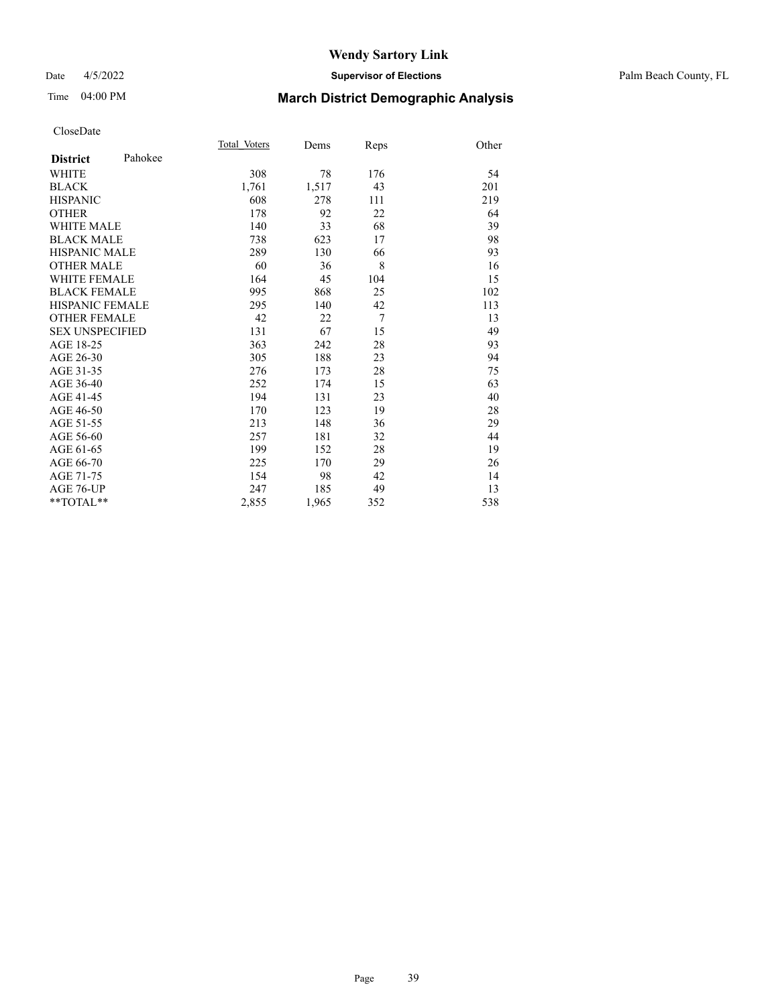#### Date 4/5/2022 **Supervisor of Elections** Palm Beach County, FL

# Time 04:00 PM **March District Demographic Analysis**

|                        |         | Total Voters | Dems  | Reps | Other |
|------------------------|---------|--------------|-------|------|-------|
| <b>District</b>        | Pahokee |              |       |      |       |
| <b>WHITE</b>           |         | 308          | 78    | 176  | 54    |
| <b>BLACK</b>           |         | 1,761        | 1,517 | 43   | 201   |
| <b>HISPANIC</b>        |         | 608          | 278   | 111  | 219   |
| <b>OTHER</b>           |         | 178          | 92    | 22   | 64    |
| <b>WHITE MALE</b>      |         | 140          | 33    | 68   | 39    |
| <b>BLACK MALE</b>      |         | 738          | 623   | 17   | 98    |
| <b>HISPANIC MALE</b>   |         | 289          | 130   | 66   | 93    |
| <b>OTHER MALE</b>      |         | 60           | 36    | 8    | 16    |
| <b>WHITE FEMALE</b>    |         | 164          | 45    | 104  | 15    |
| <b>BLACK FEMALE</b>    |         | 995          | 868   | 25   | 102   |
| <b>HISPANIC FEMALE</b> |         | 295          | 140   | 42   | 113   |
| <b>OTHER FEMALE</b>    |         | 42           | 22    | 7    | 13    |
| <b>SEX UNSPECIFIED</b> |         | 131          | 67    | 15   | 49    |
| AGE 18-25              |         | 363          | 242   | 28   | 93    |
| AGE 26-30              |         | 305          | 188   | 23   | 94    |
| AGE 31-35              |         | 276          | 173   | 28   | 75    |
| AGE 36-40              |         | 252          | 174   | 15   | 63    |
| AGE 41-45              |         | 194          | 131   | 23   | 40    |
| AGE 46-50              |         | 170          | 123   | 19   | 28    |
| AGE 51-55              |         | 213          | 148   | 36   | 29    |
| AGE 56-60              |         | 257          | 181   | 32   | 44    |
| AGE 61-65              |         | 199          | 152   | 28   | 19    |
| AGE 66-70              |         | 225          | 170   | 29   | 26    |
| AGE 71-75              |         | 154          | 98    | 42   | 14    |
| AGE 76-UP              |         | 247          | 185   | 49   | 13    |
| $*$ $TOTAL**$          |         | 2,855        | 1,965 | 352  | 538   |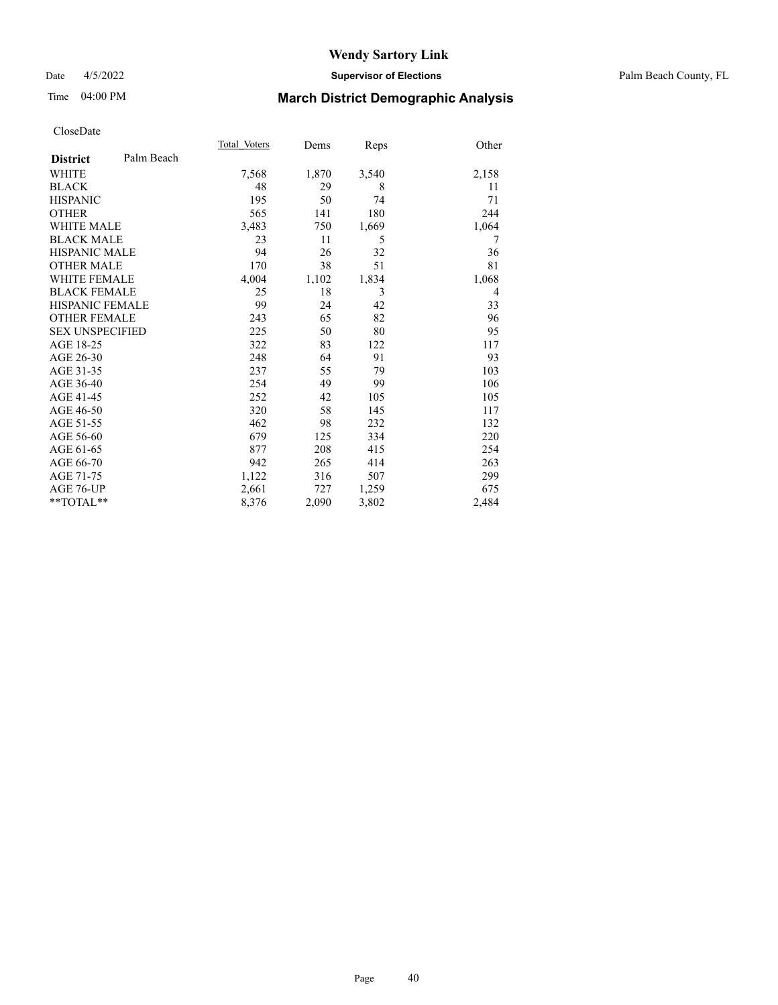#### Date 4/5/2022 **Supervisor of Elections** Palm Beach County, FL

# Time 04:00 PM **March District Demographic Analysis**

|                        |            | Total Voters | Dems  | Reps  | Other |
|------------------------|------------|--------------|-------|-------|-------|
| <b>District</b>        | Palm Beach |              |       |       |       |
| <b>WHITE</b>           |            | 7,568        | 1,870 | 3,540 | 2,158 |
| <b>BLACK</b>           |            | 48           | 29    | 8     | 11    |
| <b>HISPANIC</b>        |            | 195          | 50    | 74    | 71    |
| <b>OTHER</b>           |            | 565          | 141   | 180   | 244   |
| <b>WHITE MALE</b>      |            | 3,483        | 750   | 1,669 | 1,064 |
| <b>BLACK MALE</b>      |            | 23           | 11    | 5     | 7     |
| <b>HISPANIC MALE</b>   |            | 94           | 26    | 32    | 36    |
| <b>OTHER MALE</b>      |            | 170          | 38    | 51    | 81    |
| <b>WHITE FEMALE</b>    |            | 4,004        | 1,102 | 1,834 | 1,068 |
| <b>BLACK FEMALE</b>    |            | 25           | 18    | 3     | 4     |
| <b>HISPANIC FEMALE</b> |            | 99           | 24    | 42    | 33    |
| <b>OTHER FEMALE</b>    |            | 243          | 65    | 82    | 96    |
| <b>SEX UNSPECIFIED</b> |            | 225          | 50    | 80    | 95    |
| AGE 18-25              |            | 322          | 83    | 122   | 117   |
| AGE 26-30              |            | 248          | 64    | 91    | 93    |
| AGE 31-35              |            | 237          | 55    | 79    | 103   |
| AGE 36-40              |            | 254          | 49    | 99    | 106   |
| AGE 41-45              |            | 252          | 42    | 105   | 105   |
| AGE 46-50              |            | 320          | 58    | 145   | 117   |
| AGE 51-55              |            | 462          | 98    | 232   | 132   |
| AGE 56-60              |            | 679          | 125   | 334   | 220   |
| AGE 61-65              |            | 877          | 208   | 415   | 254   |
| AGE 66-70              |            | 942          | 265   | 414   | 263   |
| AGE 71-75              |            | 1,122        | 316   | 507   | 299   |
| AGE 76-UP              |            | 2,661        | 727   | 1,259 | 675   |
| $*$ $TOTAL**$          |            | 8,376        | 2,090 | 3,802 | 2,484 |
|                        |            |              |       |       |       |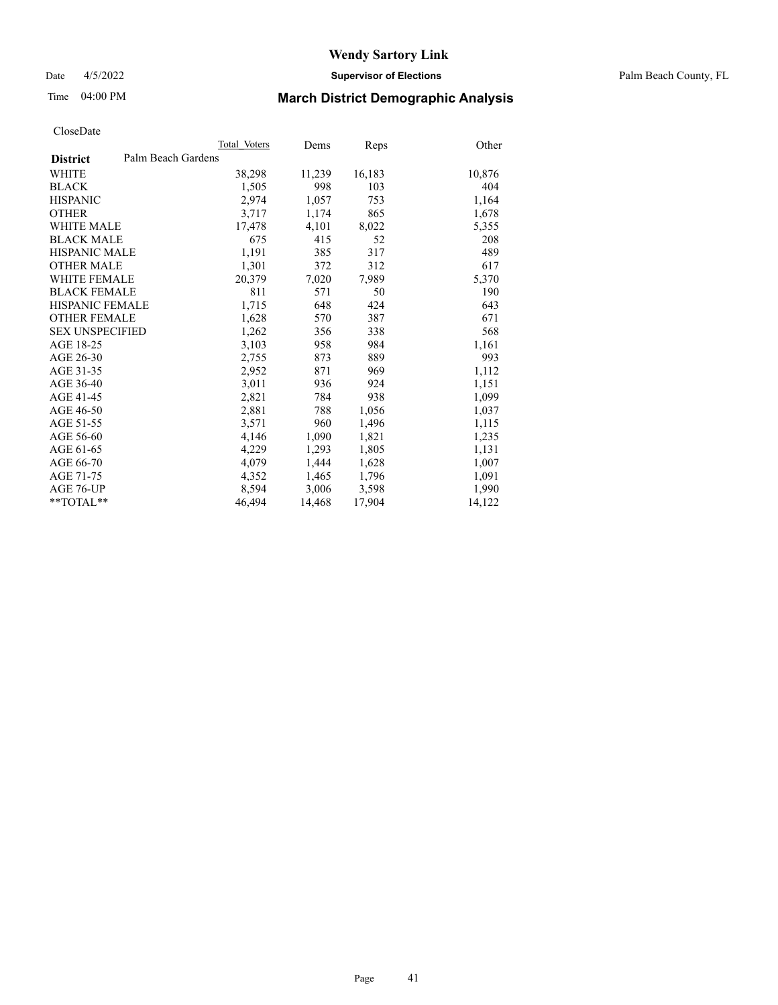Date 4/5/2022 **Supervisor of Elections** Palm Beach County, FL

# Time 04:00 PM **March District Demographic Analysis**

|                                       | Total Voters | Dems   | Reps   | Other  |
|---------------------------------------|--------------|--------|--------|--------|
| Palm Beach Gardens<br><b>District</b> |              |        |        |        |
| WHITE                                 | 38,298       | 11,239 | 16,183 | 10,876 |
| <b>BLACK</b>                          | 1,505        | 998    | 103    | 404    |
| <b>HISPANIC</b>                       | 2.974        | 1,057  | 753    | 1,164  |
| <b>OTHER</b>                          | 3,717        | 1,174  | 865    | 1,678  |
| <b>WHITE MALE</b>                     | 17,478       | 4,101  | 8,022  | 5,355  |
| <b>BLACK MALE</b>                     | 675          | 415    | 52     | 208    |
| <b>HISPANIC MALE</b>                  | 1,191        | 385    | 317    | 489    |
| <b>OTHER MALE</b>                     | 1,301        | 372    | 312    | 617    |
| <b>WHITE FEMALE</b>                   | 20,379       | 7,020  | 7,989  | 5,370  |
| <b>BLACK FEMALE</b>                   | 811          | 571    | 50     | 190    |
| <b>HISPANIC FEMALE</b>                | 1,715        | 648    | 424    | 643    |
| <b>OTHER FEMALE</b>                   | 1,628        | 570    | 387    | 671    |
| <b>SEX UNSPECIFIED</b>                | 1,262        | 356    | 338    | 568    |
| AGE 18-25                             | 3,103        | 958    | 984    | 1,161  |
| AGE 26-30                             | 2,755        | 873    | 889    | 993    |
| AGE 31-35                             | 2,952        | 871    | 969    | 1,112  |
| AGE 36-40                             | 3,011        | 936    | 924    | 1,151  |
| AGE 41-45                             | 2,821        | 784    | 938    | 1,099  |
| AGE 46-50                             | 2,881        | 788    | 1,056  | 1,037  |
| AGE 51-55                             | 3,571        | 960    | 1,496  | 1,115  |
| AGE 56-60                             | 4,146        | 1,090  | 1,821  | 1,235  |
| AGE 61-65                             | 4,229        | 1,293  | 1,805  | 1,131  |
| AGE 66-70                             | 4,079        | 1,444  | 1,628  | 1,007  |
| AGE 71-75                             | 4,352        | 1,465  | 1,796  | 1,091  |
| AGE 76-UP                             | 8.594        | 3,006  | 3,598  | 1,990  |
| $*$ $TOTAL**$                         | 46,494       | 14,468 | 17,904 | 14,122 |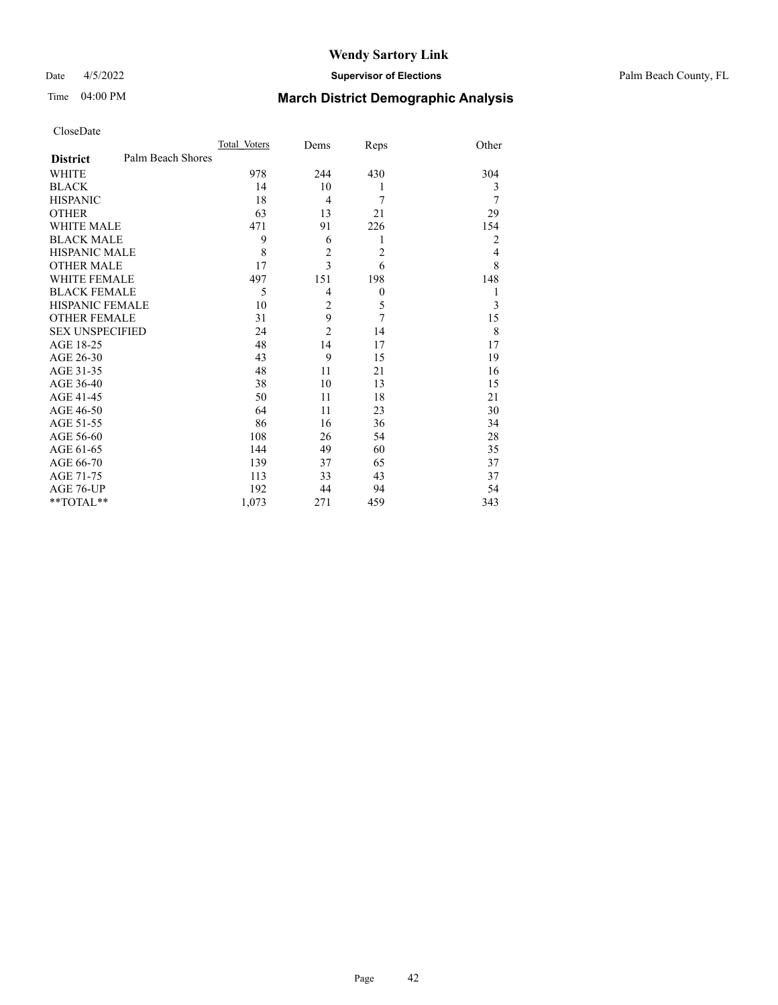### Date 4/5/2022 **Supervisor of Elections** Palm Beach County, FL

# Time 04:00 PM **March District Demographic Analysis**

| CloseDate |
|-----------|
|-----------|

|                        |                   | Total Voters | Dems           | Reps             | Other |
|------------------------|-------------------|--------------|----------------|------------------|-------|
| <b>District</b>        | Palm Beach Shores |              |                |                  |       |
| WHITE                  |                   | 978          | 244            | 430              | 304   |
| BLACK                  |                   | 14           | 10             | 1                | 3     |
| HISPANIC               |                   | 18           | 4              | 7                | 7     |
| <b>OTHER</b>           |                   | 63           | 13             | 21               | 29    |
| WHITE MALE             |                   | 471          | 91             | 226              | 154   |
| BLACK MALE             |                   | 9            | 6              | 1                | 2     |
| HISPANIC MALE          |                   | 8            | $\overline{c}$ | $\overline{2}$   | 4     |
| OTHER MALE             |                   | 17           | 3              | 6                | 8     |
| WHITE FEMALE           |                   | 497          | 151            | 198              | 148   |
| <b>BLACK FEMALE</b>    |                   | 5            | 4              | $\boldsymbol{0}$ | 1     |
| HISPANIC FEMALE        |                   | 10           | $\overline{c}$ | 5                | 3     |
| <b>OTHER FEMALE</b>    |                   | 31           | 9              | 7                | 15    |
| <b>SEX UNSPECIFIED</b> |                   | 24           | $\overline{2}$ | 14               | 8     |
| AGE 18-25              |                   | 48           | 14             | 17               | 17    |
| AGE 26-30              |                   | 43           | 9              | 15               | 19    |
| AGE 31-35              |                   | 48           | 11             | 21               | 16    |
| AGE 36-40              |                   | 38           | 10             | 13               | 15    |
| AGE 41-45              |                   | 50           | 11             | 18               | 21    |
| AGE 46-50              |                   | 64           | 11             | 23               | 30    |
| AGE 51-55              |                   | 86           | 16             | 36               | 34    |
| AGE 56-60              |                   | 108          | 26             | 54               | 28    |
| AGE 61-65              |                   | 144          | 49             | 60               | 35    |
| AGE 66-70              |                   | 139          | 37             | 65               | 37    |
| AGE 71-75              |                   | 113          | 33             | 43               | 37    |
| AGE 76-UP              |                   | 192          | 44             | 94               | 54    |
| **TOTAL**              |                   | 1,073        | 271            | 459              | 343   |
|                        |                   |              |                |                  |       |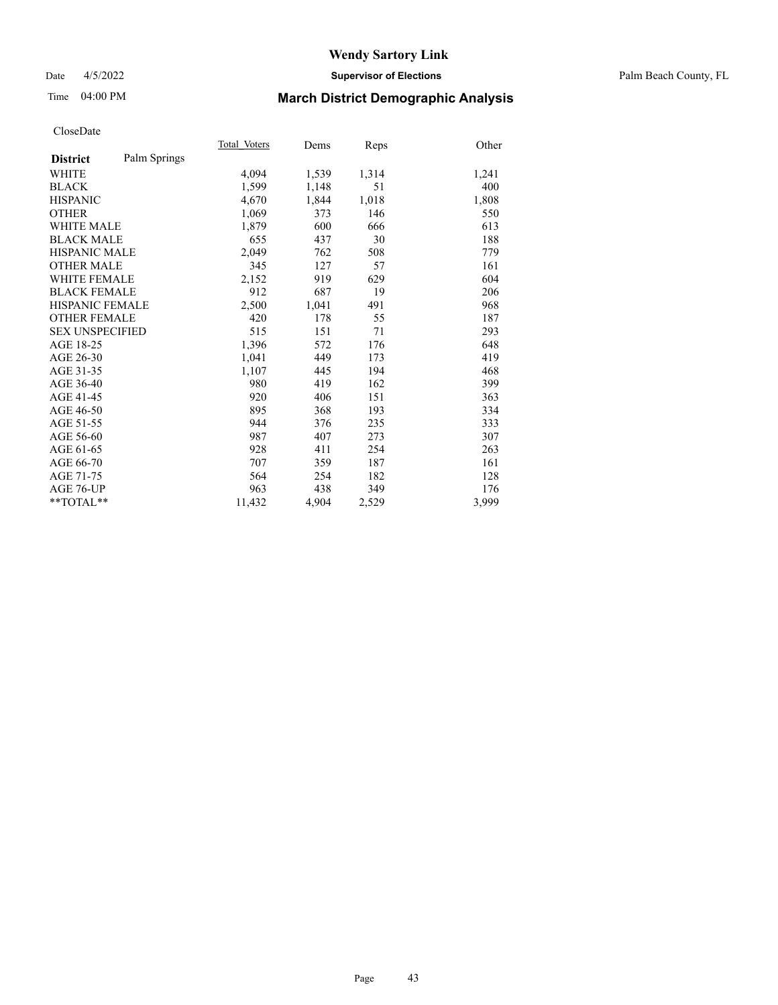#### Date 4/5/2022 **Supervisor of Elections** Palm Beach County, FL

# Time 04:00 PM **March District Demographic Analysis**

| Other<br>Reps<br>Dems<br>1,539<br>1,314<br>1,241<br>1,148<br>51<br>400 |
|------------------------------------------------------------------------|
|                                                                        |
|                                                                        |
|                                                                        |
|                                                                        |
| 1,844<br>1,018<br>1,808                                                |
| 146<br>550<br>373                                                      |
| 600<br>666<br>613                                                      |
| 30<br>188<br>437                                                       |
| 762<br>508<br>779                                                      |
| 127<br>57<br>161                                                       |
| 629<br>604<br>919                                                      |
| 687<br>19<br>206                                                       |
| 1,041<br>968<br>491                                                    |
| 178<br>187<br>55                                                       |
| 293<br>71<br>151                                                       |
| 648<br>572<br>176                                                      |
| 449<br>173<br>419                                                      |
| 468<br>445<br>194                                                      |
| 419<br>162<br>399                                                      |
| 406<br>151<br>363                                                      |
| 334<br>368<br>193                                                      |
| 235<br>333<br>376                                                      |
| 407<br>273<br>307                                                      |
| 411<br>254<br>263                                                      |
| 187<br>359<br>161                                                      |
| 254<br>182<br>128                                                      |
| 438<br>349<br>176                                                      |
|                                                                        |
|                                                                        |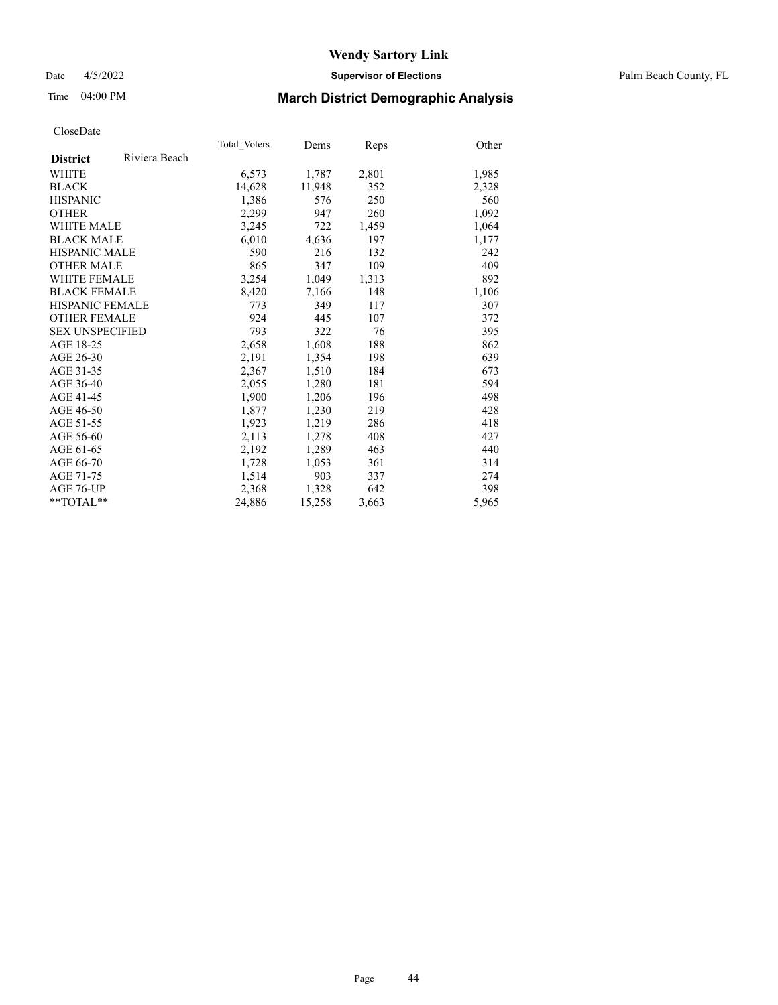### Date 4/5/2022 **Supervisor of Elections** Palm Beach County, FL

# Time 04:00 PM **March District Demographic Analysis**

|                        |               | Total Voters | Dems   | <b>Reps</b> | Other |
|------------------------|---------------|--------------|--------|-------------|-------|
| <b>District</b>        | Riviera Beach |              |        |             |       |
| WHITE                  |               | 6,573        | 1,787  | 2,801       | 1,985 |
| <b>BLACK</b>           |               | 14,628       | 11,948 | 352         | 2,328 |
| <b>HISPANIC</b>        |               | 1.386        | 576    | 250         | 560   |
| <b>OTHER</b>           |               | 2,299        | 947    | 260         | 1,092 |
| <b>WHITE MALE</b>      |               | 3,245        | 722    | 1,459       | 1,064 |
| <b>BLACK MALE</b>      |               | 6,010        | 4,636  | 197         | 1,177 |
| <b>HISPANIC MALE</b>   |               | 590          | 216    | 132         | 242   |
| <b>OTHER MALE</b>      |               | 865          | 347    | 109         | 409   |
| <b>WHITE FEMALE</b>    |               | 3,254        | 1,049  | 1,313       | 892   |
| <b>BLACK FEMALE</b>    |               | 8,420        | 7,166  | 148         | 1,106 |
| <b>HISPANIC FEMALE</b> |               | 773          | 349    | 117         | 307   |
| <b>OTHER FEMALE</b>    |               | 924          | 445    | 107         | 372   |
| <b>SEX UNSPECIFIED</b> |               | 793          | 322    | 76          | 395   |
| AGE 18-25              |               | 2,658        | 1,608  | 188         | 862   |
| AGE 26-30              |               | 2,191        | 1,354  | 198         | 639   |
| AGE 31-35              |               | 2,367        | 1,510  | 184         | 673   |
| AGE 36-40              |               | 2,055        | 1,280  | 181         | 594   |
| AGE 41-45              |               | 1,900        | 1,206  | 196         | 498   |
| AGE 46-50              |               | 1,877        | 1,230  | 219         | 428   |
| AGE 51-55              |               | 1,923        | 1,219  | 286         | 418   |
| AGE 56-60              |               | 2,113        | 1,278  | 408         | 427   |
| AGE 61-65              |               | 2,192        | 1,289  | 463         | 440   |
| AGE 66-70              |               | 1,728        | 1,053  | 361         | 314   |
| AGE 71-75              |               | 1,514        | 903    | 337         | 274   |
| AGE 76-UP              |               | 2,368        | 1,328  | 642         | 398   |
| $*$ $TOTAL**$          |               | 24,886       | 15,258 | 3,663       | 5,965 |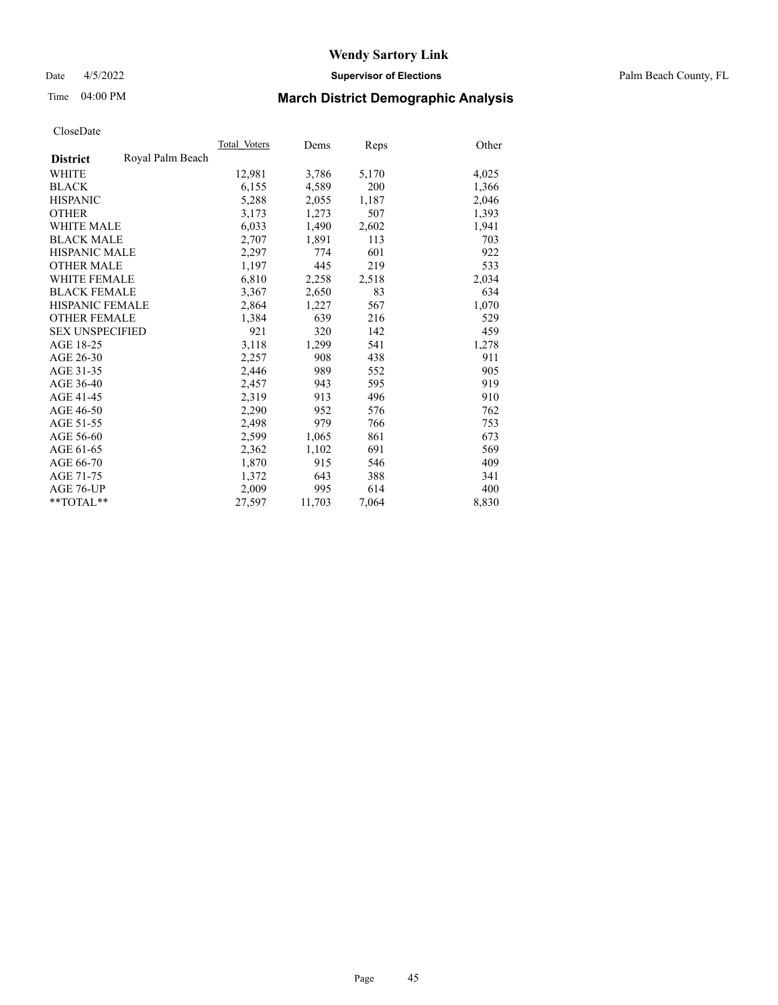Date 4/5/2022 **Supervisor of Elections** Palm Beach County, FL

# Time 04:00 PM **March District Demographic Analysis**

|                        |                  | Total Voters | Dems   | <b>Reps</b> | Other |
|------------------------|------------------|--------------|--------|-------------|-------|
| <b>District</b>        | Royal Palm Beach |              |        |             |       |
| WHITE                  |                  | 12,981       | 3,786  | 5,170       | 4,025 |
| <b>BLACK</b>           |                  | 6,155        | 4,589  | 200         | 1,366 |
| <b>HISPANIC</b>        |                  | 5,288        | 2,055  | 1,187       | 2,046 |
| <b>OTHER</b>           |                  | 3,173        | 1,273  | 507         | 1,393 |
| <b>WHITE MALE</b>      |                  | 6,033        | 1,490  | 2,602       | 1,941 |
| <b>BLACK MALE</b>      |                  | 2,707        | 1,891  | 113         | 703   |
| <b>HISPANIC MALE</b>   |                  | 2,297        | 774    | 601         | 922   |
| <b>OTHER MALE</b>      |                  | 1,197        | 445    | 219         | 533   |
| <b>WHITE FEMALE</b>    |                  | 6,810        | 2,258  | 2,518       | 2,034 |
| <b>BLACK FEMALE</b>    |                  | 3,367        | 2,650  | 83          | 634   |
| <b>HISPANIC FEMALE</b> |                  | 2,864        | 1,227  | 567         | 1,070 |
| <b>OTHER FEMALE</b>    |                  | 1,384        | 639    | 216         | 529   |
| <b>SEX UNSPECIFIED</b> |                  | 921          | 320    | 142         | 459   |
| AGE 18-25              |                  | 3,118        | 1,299  | 541         | 1,278 |
| AGE 26-30              |                  | 2,257        | 908    | 438         | 911   |
| AGE 31-35              |                  | 2,446        | 989    | 552         | 905   |
| AGE 36-40              |                  | 2,457        | 943    | 595         | 919   |
| AGE 41-45              |                  | 2,319        | 913    | 496         | 910   |
| AGE 46-50              |                  | 2,290        | 952    | 576         | 762   |
| AGE 51-55              |                  | 2,498        | 979    | 766         | 753   |
| AGE 56-60              |                  | 2,599        | 1,065  | 861         | 673   |
| AGE 61-65              |                  | 2,362        | 1,102  | 691         | 569   |
| AGE 66-70              |                  | 1,870        | 915    | 546         | 409   |
| AGE 71-75              |                  | 1,372        | 643    | 388         | 341   |
| AGE 76-UP              |                  | 2,009        | 995    | 614         | 400   |
| $*$ $TOTAL**$          |                  | 27,597       | 11,703 | 7,064       | 8,830 |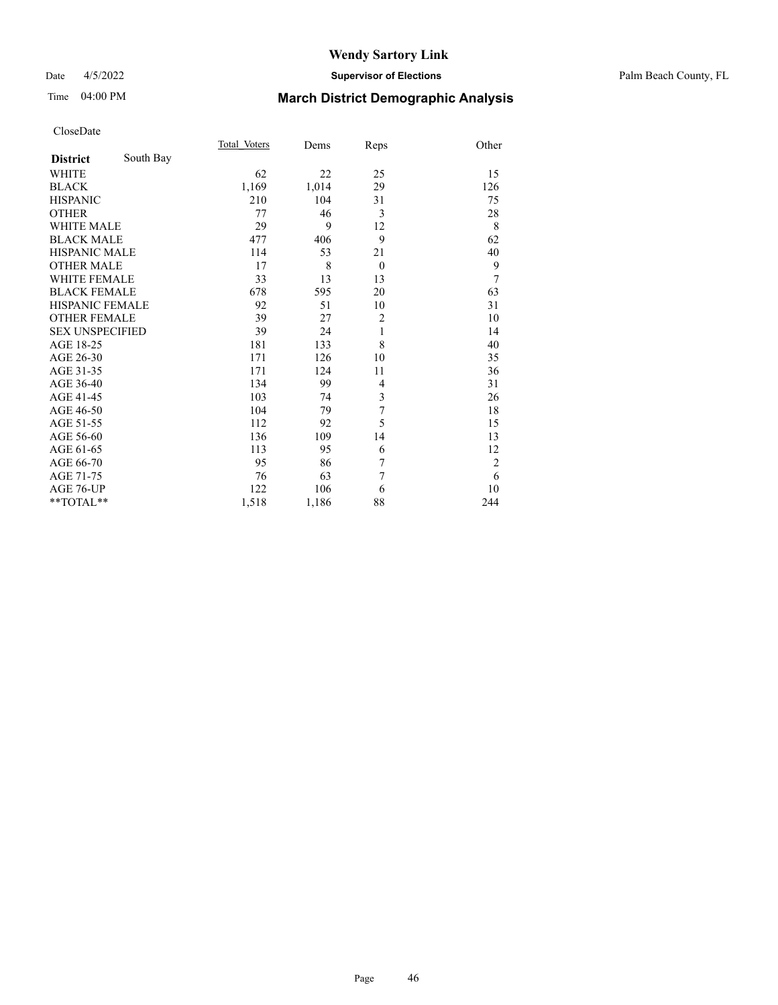### Date 4/5/2022 **Supervisor of Elections** Palm Beach County, FL

# Time 04:00 PM **March District Demographic Analysis**

|                        |           | Total Voters | Dems  | Reps           | Other          |
|------------------------|-----------|--------------|-------|----------------|----------------|
| <b>District</b>        | South Bay |              |       |                |                |
| <b>WHITE</b>           |           | 62           | 22    | 25             | 15             |
| <b>BLACK</b>           |           | 1,169        | 1,014 | 29             | 126            |
| <b>HISPANIC</b>        |           | 210          | 104   | 31             | 75             |
| <b>OTHER</b>           |           | 77           | 46    | 3              | 28             |
| <b>WHITE MALE</b>      |           | 29           | 9     | 12             | 8              |
| <b>BLACK MALE</b>      |           | 477          | 406   | 9              | 62             |
| <b>HISPANIC MALE</b>   |           | 114          | 53    | 21             | 40             |
| <b>OTHER MALE</b>      |           | 17           | 8     | $\theta$       | 9              |
| <b>WHITE FEMALE</b>    |           | 33           | 13    | 13             | 7              |
| <b>BLACK FEMALE</b>    |           | 678          | 595   | 20             | 63             |
| <b>HISPANIC FEMALE</b> |           | 92           | 51    | 10             | 31             |
| <b>OTHER FEMALE</b>    |           | 39           | 27    | $\overline{c}$ | 10             |
| <b>SEX UNSPECIFIED</b> |           | 39           | 24    | 1              | 14             |
| AGE 18-25              |           | 181          | 133   | 8              | 40             |
| AGE 26-30              |           | 171          | 126   | 10             | 35             |
| AGE 31-35              |           | 171          | 124   | 11             | 36             |
| AGE 36-40              |           | 134          | 99    | $\overline{4}$ | 31             |
| AGE 41-45              |           | 103          | 74    | 3              | 26             |
| AGE 46-50              |           | 104          | 79    | 7              | 18             |
| AGE 51-55              |           | 112          | 92    | 5              | 15             |
| AGE 56-60              |           | 136          | 109   | 14             | 13             |
| AGE 61-65              |           | 113          | 95    | 6              | 12             |
| AGE 66-70              |           | 95           | 86    | 7              | $\overline{2}$ |
| AGE 71-75              |           | 76           | 63    | 7              | 6              |
| AGE 76-UP              |           | 122          | 106   | 6              | 10             |
| **TOTAL**              |           | 1,518        | 1,186 | 88             | 244            |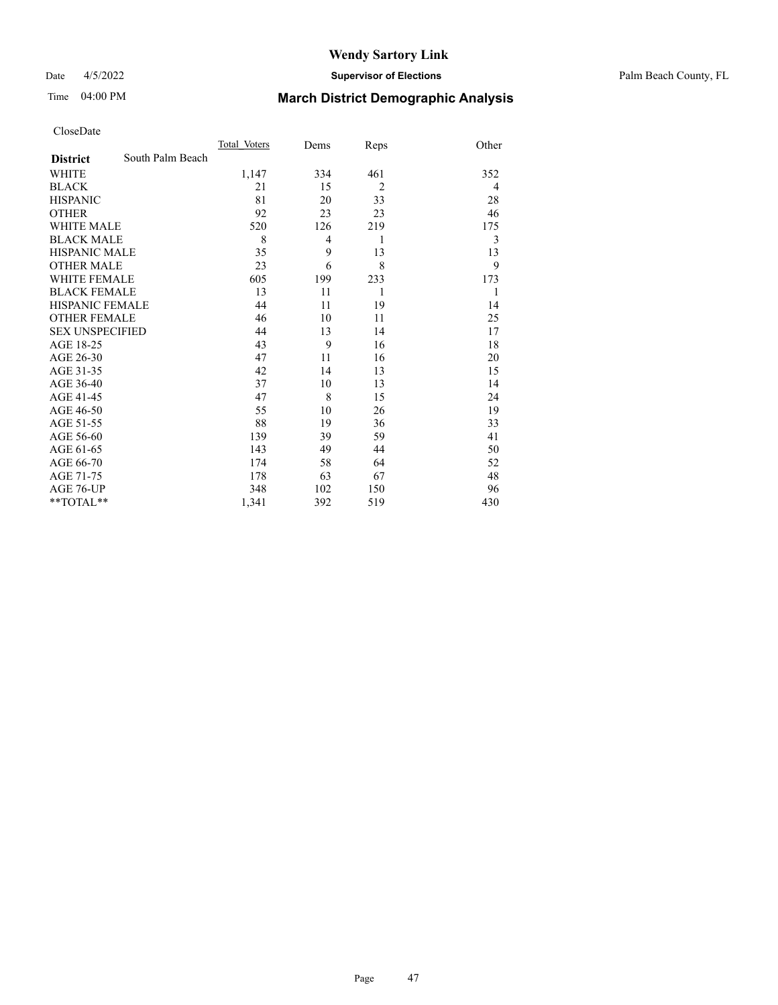#### Date 4/5/2022 **Supervisor of Elections** Palm Beach County, FL

# Time 04:00 PM **March District Demographic Analysis**

|                        |                  | Total Voters | Dems           | Reps           | Other |
|------------------------|------------------|--------------|----------------|----------------|-------|
| <b>District</b>        | South Palm Beach |              |                |                |       |
| <b>WHITE</b>           |                  | 1,147        | 334            | 461            | 352   |
| <b>BLACK</b>           |                  | 21           | 15             | $\overline{2}$ | 4     |
| <b>HISPANIC</b>        |                  | 81           | 20             | 33             | 28    |
| <b>OTHER</b>           |                  | 92           | 23             | 23             | 46    |
| <b>WHITE MALE</b>      |                  | 520          | 126            | 219            | 175   |
| <b>BLACK MALE</b>      |                  | 8            | $\overline{4}$ | 1              | 3     |
| <b>HISPANIC MALE</b>   |                  | 35           | 9              | 13             | 13    |
| <b>OTHER MALE</b>      |                  | 23           | 6              | 8              | 9     |
| <b>WHITE FEMALE</b>    |                  | 605          | 199            | 233            | 173   |
| <b>BLACK FEMALE</b>    |                  | 13           | 11             | 1              | 1     |
| <b>HISPANIC FEMALE</b> |                  | 44           | 11             | 19             | 14    |
| <b>OTHER FEMALE</b>    |                  | 46           | 10             | 11             | 25    |
| <b>SEX UNSPECIFIED</b> |                  | 44           | 13             | 14             | 17    |
| AGE 18-25              |                  | 43           | 9              | 16             | 18    |
| AGE 26-30              |                  | 47           | 11             | 16             | 20    |
| AGE 31-35              |                  | 42           | 14             | 13             | 15    |
| AGE 36-40              |                  | 37           | 10             | 13             | 14    |
| AGE 41-45              |                  | 47           | 8              | 15             | 24    |
| AGE 46-50              |                  | 55           | 10             | 26             | 19    |
| AGE 51-55              |                  | 88           | 19             | 36             | 33    |
| AGE 56-60              |                  | 139          | 39             | 59             | 41    |
| AGE 61-65              |                  | 143          | 49             | 44             | 50    |
| AGE 66-70              |                  | 174          | 58             | 64             | 52    |
| AGE 71-75              |                  | 178          | 63             | 67             | 48    |
| <b>AGE 76-UP</b>       |                  | 348          | 102            | 150            | 96    |
| **TOTAL**              |                  | 1,341        | 392            | 519            | 430   |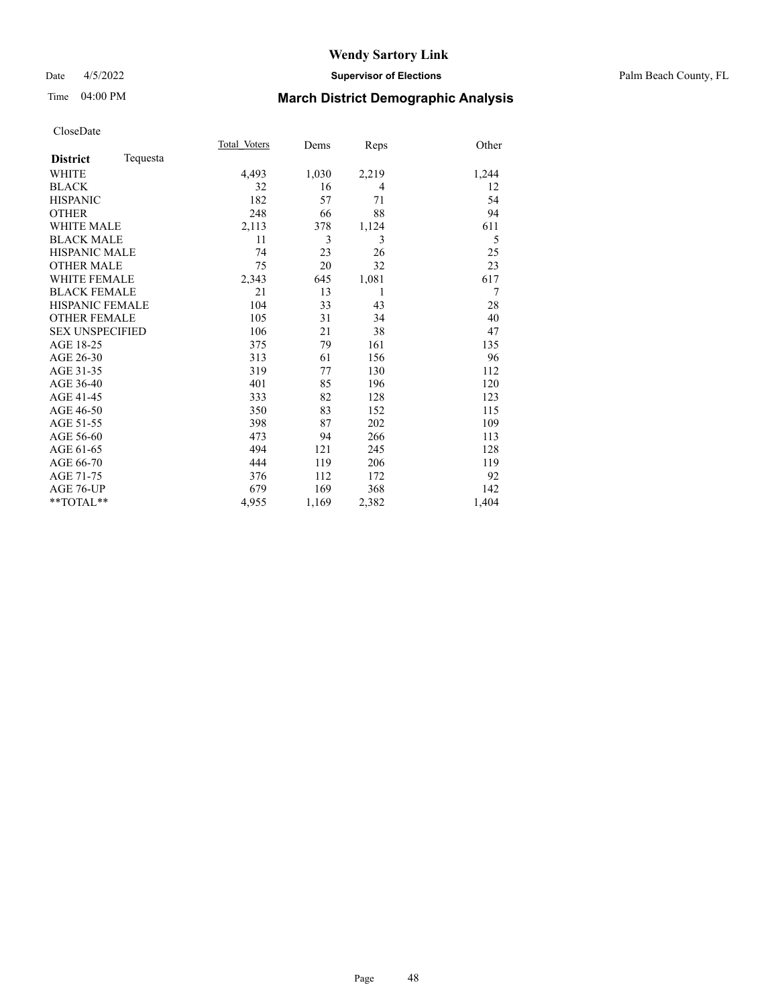### Date 4/5/2022 **Supervisor of Elections** Palm Beach County, FL

# Time 04:00 PM **March District Demographic Analysis**

|                        |          | Total Voters | Dems  | Reps           | Other |
|------------------------|----------|--------------|-------|----------------|-------|
| <b>District</b>        | Tequesta |              |       |                |       |
| <b>WHITE</b>           |          | 4,493        | 1,030 | 2,219          | 1,244 |
| <b>BLACK</b>           |          | 32           | 16    | $\overline{4}$ | 12    |
| <b>HISPANIC</b>        |          | 182          | 57    | 71             | 54    |
| <b>OTHER</b>           |          | 248          | 66    | 88             | 94    |
| <b>WHITE MALE</b>      |          | 2,113        | 378   | 1,124          | 611   |
| <b>BLACK MALE</b>      |          | 11           | 3     | 3              | 5     |
| <b>HISPANIC MALE</b>   |          | 74           | 23    | 26             | 25    |
| <b>OTHER MALE</b>      |          | 75           | 20    | 32             | 23    |
| <b>WHITE FEMALE</b>    |          | 2,343        | 645   | 1,081          | 617   |
| <b>BLACK FEMALE</b>    |          | 21           | 13    | 1              | 7     |
| <b>HISPANIC FEMALE</b> |          | 104          | 33    | 43             | 28    |
| <b>OTHER FEMALE</b>    |          | 105          | 31    | 34             | 40    |
| <b>SEX UNSPECIFIED</b> |          | 106          | 21    | 38             | 47    |
| AGE 18-25              |          | 375          | 79    | 161            | 135   |
| AGE 26-30              |          | 313          | 61    | 156            | 96    |
| AGE 31-35              |          | 319          | 77    | 130            | 112   |
| AGE 36-40              |          | 401          | 85    | 196            | 120   |
| AGE 41-45              |          | 333          | 82    | 128            | 123   |
| AGE 46-50              |          | 350          | 83    | 152            | 115   |
| AGE 51-55              |          | 398          | 87    | 202            | 109   |
| AGE 56-60              |          | 473          | 94    | 266            | 113   |
| AGE 61-65              |          | 494          | 121   | 245            | 128   |
| AGE 66-70              |          | 444          | 119   | 206            | 119   |
| AGE 71-75              |          | 376          | 112   | 172            | 92    |
| AGE 76-UP              |          | 679          | 169   | 368            | 142   |
| $*$ $TOTAL**$          |          | 4,955        | 1,169 | 2,382          | 1,404 |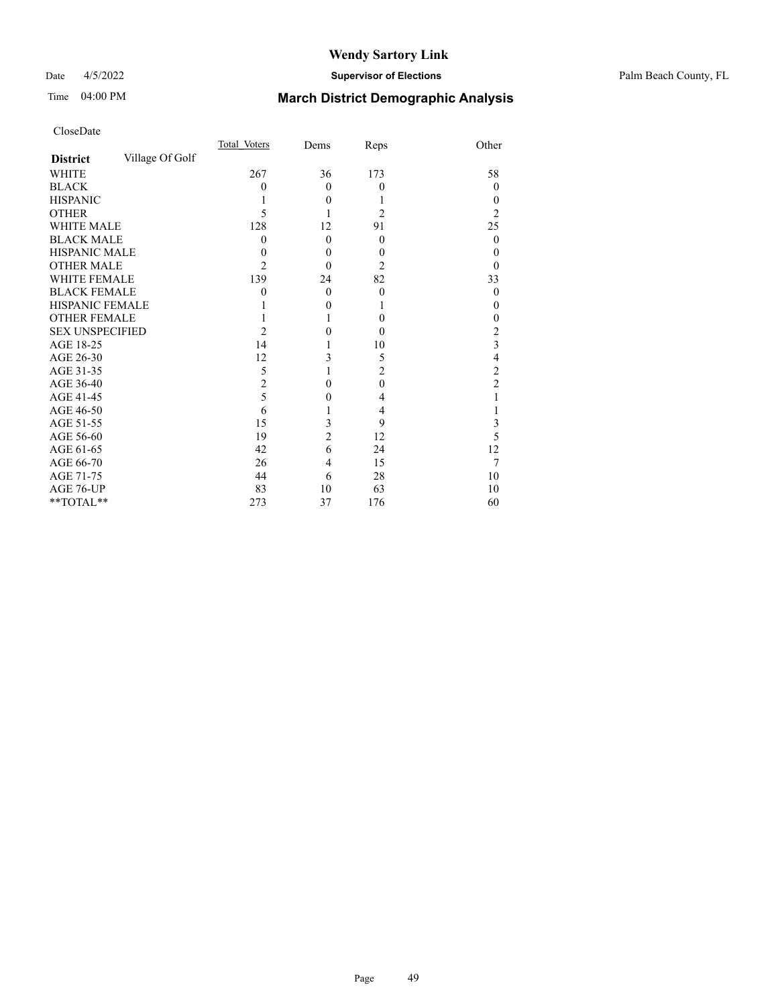### Date 4/5/2022 **Supervisor of Elections** Palm Beach County, FL

# Time 04:00 PM **March District Demographic Analysis**

|                        |                 | Total Voters   | Dems           | Reps           | Other          |
|------------------------|-----------------|----------------|----------------|----------------|----------------|
| <b>District</b>        | Village Of Golf |                |                |                |                |
| WHITE                  |                 | 267            | 36             | 173            | 58             |
| <b>BLACK</b>           |                 | 0              | $\theta$       | $\theta$       | $\theta$       |
| <b>HISPANIC</b>        |                 |                | $\theta$       |                | 0              |
| <b>OTHER</b>           |                 | 5              |                | $\overline{c}$ | 2              |
| <b>WHITE MALE</b>      |                 | 128            | 12             | 91             | 25             |
| <b>BLACK MALE</b>      |                 | 0              | $\theta$       | $\theta$       | $\theta$       |
| <b>HISPANIC MALE</b>   |                 | $_{0}$         | $\theta$       | $\theta$       | 0              |
| <b>OTHER MALE</b>      |                 | 2              | $\theta$       | $\overline{2}$ | 0              |
| WHITE FEMALE           |                 | 139            | 24             | 82             | 33             |
| <b>BLACK FEMALE</b>    |                 | 0              | $\theta$       | $\theta$       | $\theta$       |
| HISPANIC FEMALE        |                 |                | $\theta$       |                | 0              |
| <b>OTHER FEMALE</b>    |                 |                |                | $\theta$       | 0              |
| <b>SEX UNSPECIFIED</b> |                 | $\mathfrak{D}$ | 0              | $\theta$       | 2              |
| AGE 18-25              |                 | 14             |                | 10             | 3              |
| AGE 26-30              |                 | 12             | 3              | 5              | 4              |
| AGE 31-35              |                 | 5              |                | $\overline{2}$ | $\overline{c}$ |
| AGE 36-40              |                 | $\overline{2}$ | 0              | $\mathbf{0}$   | $\overline{c}$ |
| AGE 41-45              |                 | 5              | 0              | 4              |                |
| AGE 46-50              |                 | 6              |                | 4              |                |
| AGE 51-55              |                 | 15             | 3              | 9              | 3              |
| AGE 56-60              |                 | 19             | $\overline{c}$ | 12             | 5              |
| AGE 61-65              |                 | 42             | 6              | 24             | 12             |
| AGE 66-70              |                 | 26             | 4              | 15             | 7              |
| AGE 71-75              |                 | 44             | 6              | 28             | 10             |
| AGE 76-UP              |                 | 83             | 10             | 63             | 10             |
| **TOTAL**              |                 | 273            | 37             | 176            | 60             |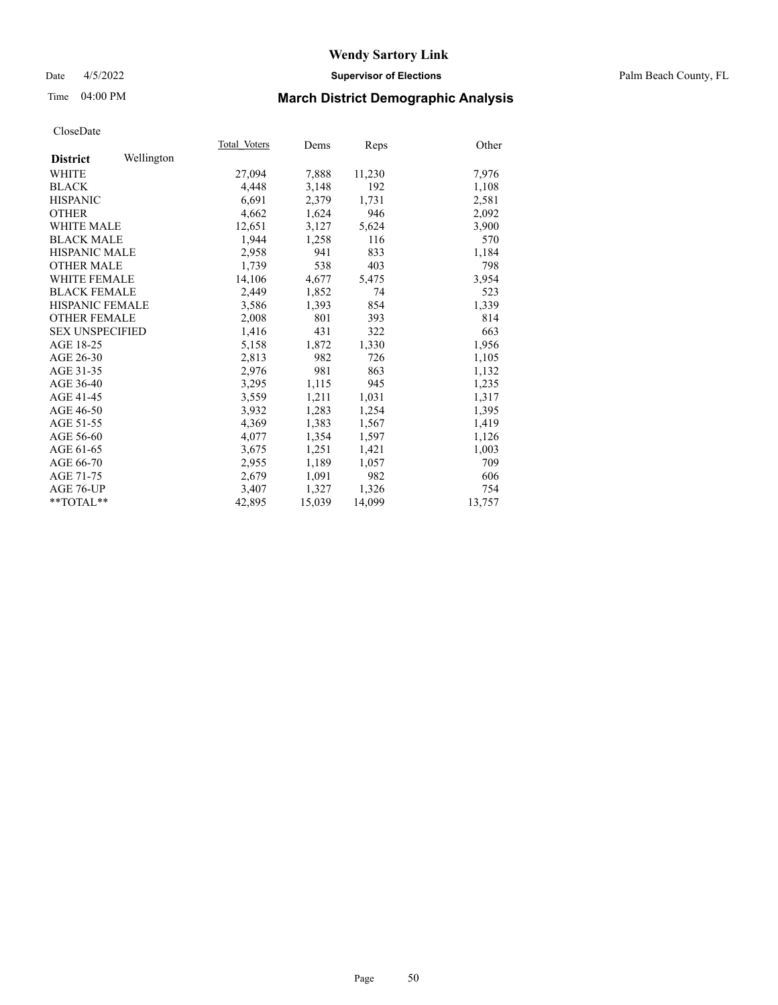#### Date 4/5/2022 **Supervisor of Elections** Palm Beach County, FL

# Time 04:00 PM **March District Demographic Analysis**

| Total Voters                                                                                                                                                | Dems   | Reps   | Other  |
|-------------------------------------------------------------------------------------------------------------------------------------------------------------|--------|--------|--------|
|                                                                                                                                                             |        |        |        |
| 27,094                                                                                                                                                      | 7,888  | 11,230 | 7,976  |
| 4,448                                                                                                                                                       | 3,148  | 192    | 1,108  |
| 6.691                                                                                                                                                       | 2,379  | 1,731  | 2,581  |
| 4,662                                                                                                                                                       | 1,624  | 946    | 2,092  |
| 12,651                                                                                                                                                      | 3,127  | 5,624  | 3,900  |
| 1,944                                                                                                                                                       | 1,258  | 116    | 570    |
| 2,958                                                                                                                                                       | 941    | 833    | 1,184  |
| 1.739                                                                                                                                                       | 538    | 403    | 798    |
| 14,106                                                                                                                                                      | 4,677  | 5,475  | 3,954  |
| 2,449                                                                                                                                                       | 1,852  | 74     | 523    |
| 3,586                                                                                                                                                       | 1,393  | 854    | 1,339  |
| 2,008                                                                                                                                                       | 801    | 393    | 814    |
| 1,416                                                                                                                                                       | 431    | 322    | 663    |
| 5,158                                                                                                                                                       | 1,872  | 1,330  | 1,956  |
| 2,813                                                                                                                                                       | 982    | 726    | 1,105  |
| 2,976                                                                                                                                                       | 981    | 863    | 1,132  |
| 3,295                                                                                                                                                       | 1,115  | 945    | 1,235  |
| 3,559                                                                                                                                                       | 1,211  | 1,031  | 1,317  |
| 3,932                                                                                                                                                       | 1,283  | 1,254  | 1,395  |
| 4,369                                                                                                                                                       | 1,383  | 1,567  | 1,419  |
| 4,077                                                                                                                                                       | 1,354  | 1,597  | 1,126  |
| 3,675                                                                                                                                                       | 1,251  | 1,421  | 1,003  |
| 2,955                                                                                                                                                       | 1,189  | 1,057  | 709    |
| 2,679                                                                                                                                                       | 1,091  | 982    | 606    |
| 3,407                                                                                                                                                       | 1,327  | 1,326  | 754    |
| 42,895                                                                                                                                                      | 15,039 | 14,099 | 13,757 |
| Wellington<br><b>HISPANIC MALE</b><br><b>WHITE FEMALE</b><br><b>BLACK FEMALE</b><br><b>HISPANIC FEMALE</b><br><b>OTHER FEMALE</b><br><b>SEX UNSPECIFIED</b> |        |        |        |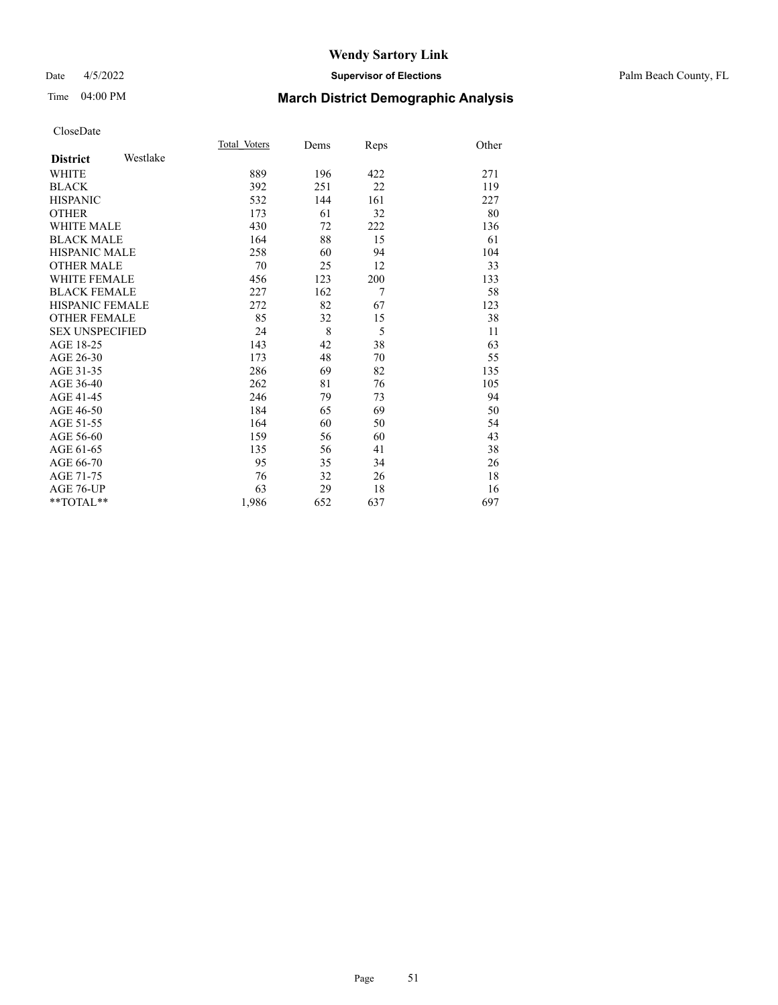### Date 4/5/2022 **Supervisor of Elections** Palm Beach County, FL

# Time 04:00 PM **March District Demographic Analysis**

|                        |          | Total Voters | Dems | Reps | Other |
|------------------------|----------|--------------|------|------|-------|
| <b>District</b>        | Westlake |              |      |      |       |
| <b>WHITE</b>           |          | 889          | 196  | 422  | 271   |
| <b>BLACK</b>           |          | 392          | 251  | 22   | 119   |
| <b>HISPANIC</b>        |          | 532          | 144  | 161  | 227   |
| <b>OTHER</b>           |          | 173          | 61   | 32   | 80    |
| WHITE MALE             |          | 430          | 72   | 222  | 136   |
| <b>BLACK MALE</b>      |          | 164          | 88   | 15   | 61    |
| <b>HISPANIC MALE</b>   |          | 258          | 60   | 94   | 104   |
| <b>OTHER MALE</b>      |          | 70           | 25   | 12   | 33    |
| <b>WHITE FEMALE</b>    |          | 456          | 123  | 200  | 133   |
| <b>BLACK FEMALE</b>    |          | 227          | 162  | 7    | 58    |
| <b>HISPANIC FEMALE</b> |          | 272          | 82   | 67   | 123   |
| <b>OTHER FEMALE</b>    |          | 85           | 32   | 15   | 38    |
| <b>SEX UNSPECIFIED</b> |          | 24           | 8    | 5    | 11    |
| AGE 18-25              |          | 143          | 42   | 38   | 63    |
| AGE 26-30              |          | 173          | 48   | 70   | 55    |
| AGE 31-35              |          | 286          | 69   | 82   | 135   |
| AGE 36-40              |          | 262          | 81   | 76   | 105   |
| AGE 41-45              |          | 246          | 79   | 73   | 94    |
| AGE 46-50              |          | 184          | 65   | 69   | 50    |
| AGE 51-55              |          | 164          | 60   | 50   | 54    |
| AGE 56-60              |          | 159          | 56   | 60   | 43    |
| AGE 61-65              |          | 135          | 56   | 41   | 38    |
| AGE 66-70              |          | 95           | 35   | 34   | 26    |
| AGE 71-75              |          | 76           | 32   | 26   | 18    |
| AGE 76-UP              |          | 63           | 29   | 18   | 16    |
| $*$ $TOTAL**$          |          | 1,986        | 652  | 637  | 697   |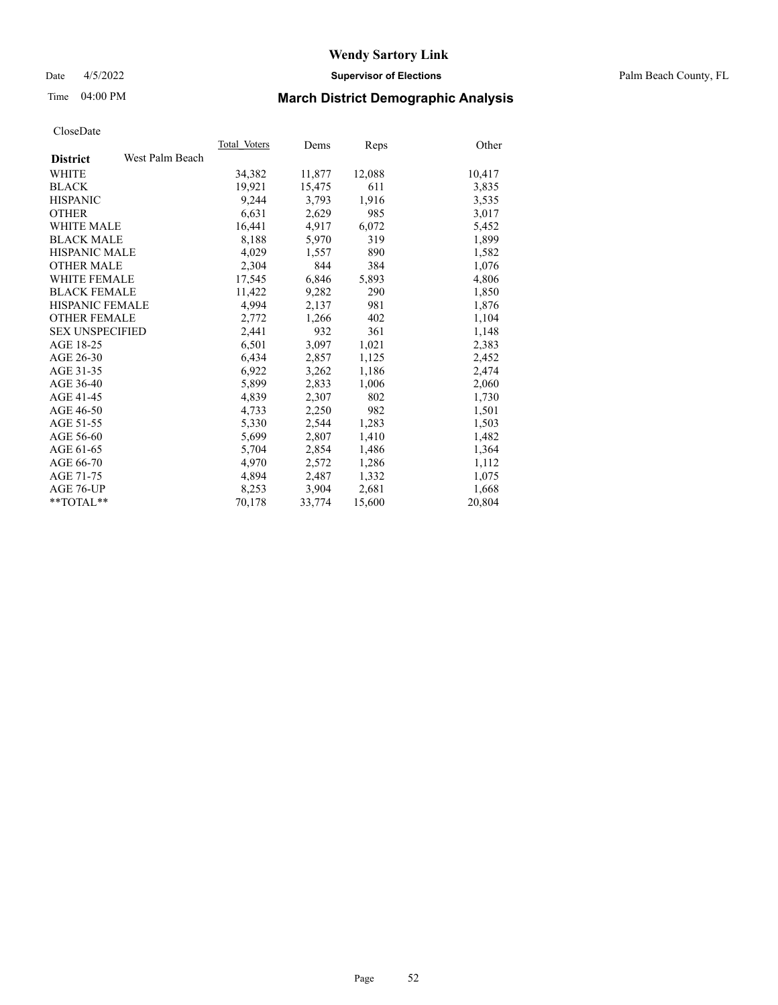### Date 4/5/2022 **Supervisor of Elections** Palm Beach County, FL

# Time 04:00 PM **March District Demographic Analysis**

|                        |                 | Total Voters | Dems   | <b>Reps</b> | Other  |
|------------------------|-----------------|--------------|--------|-------------|--------|
| <b>District</b>        | West Palm Beach |              |        |             |        |
| WHITE                  |                 | 34,382       | 11,877 | 12,088      | 10,417 |
| <b>BLACK</b>           |                 | 19,921       | 15,475 | 611         | 3,835  |
| <b>HISPANIC</b>        |                 | 9,244        | 3.793  | 1,916       | 3,535  |
| <b>OTHER</b>           |                 | 6,631        | 2,629  | 985         | 3,017  |
| <b>WHITE MALE</b>      |                 | 16,441       | 4,917  | 6,072       | 5,452  |
| <b>BLACK MALE</b>      |                 | 8,188        | 5,970  | 319         | 1,899  |
| <b>HISPANIC MALE</b>   |                 | 4,029        | 1,557  | 890         | 1,582  |
| <b>OTHER MALE</b>      |                 | 2,304        | 844    | 384         | 1,076  |
| <b>WHITE FEMALE</b>    |                 | 17,545       | 6,846  | 5,893       | 4,806  |
| <b>BLACK FEMALE</b>    |                 | 11,422       | 9,282  | 290         | 1,850  |
| <b>HISPANIC FEMALE</b> |                 | 4,994        | 2,137  | 981         | 1,876  |
| <b>OTHER FEMALE</b>    |                 | 2,772        | 1,266  | 402         | 1,104  |
| <b>SEX UNSPECIFIED</b> |                 | 2,441        | 932    | 361         | 1,148  |
| AGE 18-25              |                 | 6,501        | 3,097  | 1,021       | 2,383  |
| AGE 26-30              |                 | 6,434        | 2,857  | 1,125       | 2,452  |
| AGE 31-35              |                 | 6,922        | 3,262  | 1,186       | 2,474  |
| AGE 36-40              |                 | 5,899        | 2,833  | 1,006       | 2,060  |
| AGE 41-45              |                 | 4,839        | 2,307  | 802         | 1,730  |
| AGE 46-50              |                 | 4,733        | 2,250  | 982         | 1,501  |
| AGE 51-55              |                 | 5,330        | 2,544  | 1,283       | 1,503  |
| AGE 56-60              |                 | 5,699        | 2,807  | 1,410       | 1,482  |
| AGE 61-65              |                 | 5,704        | 2,854  | 1,486       | 1,364  |
| AGE 66-70              |                 | 4,970        | 2,572  | 1,286       | 1,112  |
| AGE 71-75              |                 | 4,894        | 2,487  | 1,332       | 1,075  |
| AGE 76-UP              |                 | 8,253        | 3,904  | 2,681       | 1,668  |
| **TOTAL**              |                 | 70,178       | 33,774 | 15,600      | 20,804 |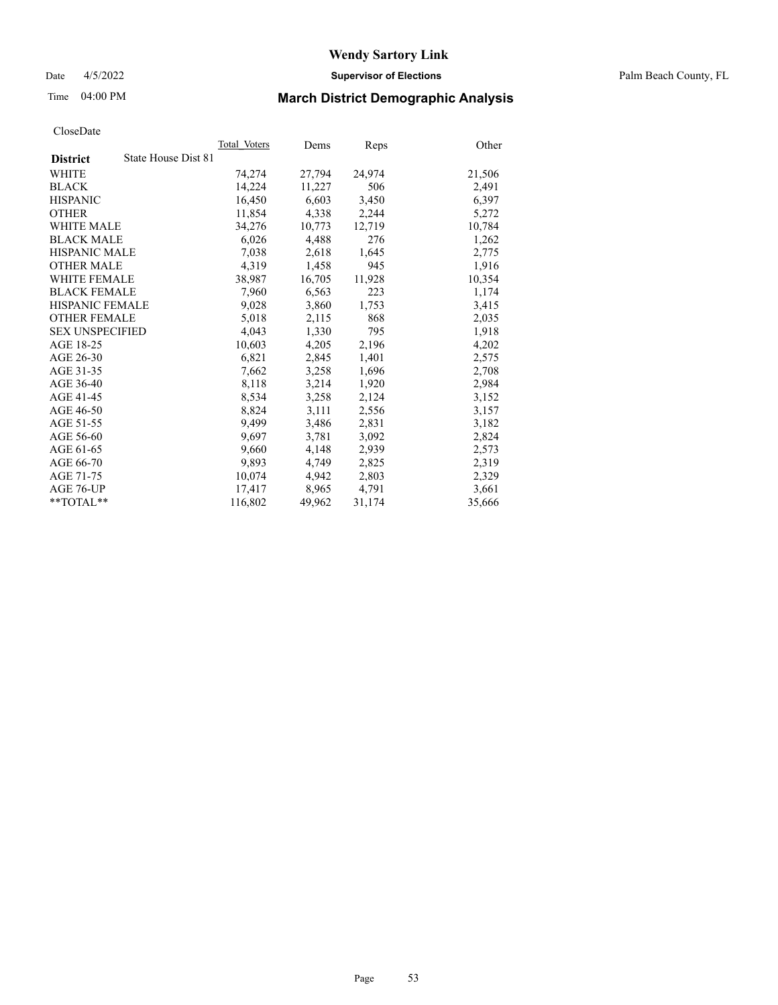Date 4/5/2022 **Supervisor of Elections** Palm Beach County, FL

# Time 04:00 PM **March District Demographic Analysis**

|                                        | Total Voters | Dems   | Reps   | Other  |
|----------------------------------------|--------------|--------|--------|--------|
| State House Dist 81<br><b>District</b> |              |        |        |        |
| WHITE                                  | 74,274       | 27,794 | 24,974 | 21,506 |
| <b>BLACK</b>                           | 14,224       | 11,227 | 506    | 2,491  |
| <b>HISPANIC</b>                        | 16,450       | 6,603  | 3,450  | 6,397  |
| <b>OTHER</b>                           | 11,854       | 4,338  | 2,244  | 5,272  |
| <b>WHITE MALE</b>                      | 34,276       | 10,773 | 12,719 | 10,784 |
| <b>BLACK MALE</b>                      | 6,026        | 4,488  | 276    | 1,262  |
| <b>HISPANIC MALE</b>                   | 7,038        | 2,618  | 1,645  | 2,775  |
| <b>OTHER MALE</b>                      | 4.319        | 1,458  | 945    | 1,916  |
| <b>WHITE FEMALE</b>                    | 38,987       | 16,705 | 11,928 | 10,354 |
| <b>BLACK FEMALE</b>                    | 7,960        | 6,563  | 223    | 1,174  |
| <b>HISPANIC FEMALE</b>                 | 9,028        | 3,860  | 1,753  | 3,415  |
| <b>OTHER FEMALE</b>                    | 5,018        | 2,115  | 868    | 2,035  |
| <b>SEX UNSPECIFIED</b>                 | 4,043        | 1,330  | 795    | 1,918  |
| AGE 18-25                              | 10,603       | 4,205  | 2,196  | 4,202  |
| AGE 26-30                              | 6,821        | 2,845  | 1,401  | 2,575  |
| AGE 31-35                              | 7,662        | 3,258  | 1,696  | 2,708  |
| AGE 36-40                              | 8,118        | 3,214  | 1,920  | 2,984  |
| AGE 41-45                              | 8,534        | 3,258  | 2,124  | 3,152  |
| AGE 46-50                              | 8,824        | 3,111  | 2,556  | 3,157  |
| AGE 51-55                              | 9,499        | 3,486  | 2,831  | 3,182  |
| AGE 56-60                              | 9,697        | 3,781  | 3,092  | 2,824  |
| AGE 61-65                              | 9.660        | 4,148  | 2,939  | 2,573  |
| AGE 66-70                              | 9,893        | 4,749  | 2,825  | 2,319  |
| AGE 71-75                              | 10,074       | 4,942  | 2,803  | 2,329  |
| AGE 76-UP                              | 17.417       | 8,965  | 4,791  | 3,661  |
| $*$ $TOTAL**$                          | 116,802      | 49,962 | 31,174 | 35,666 |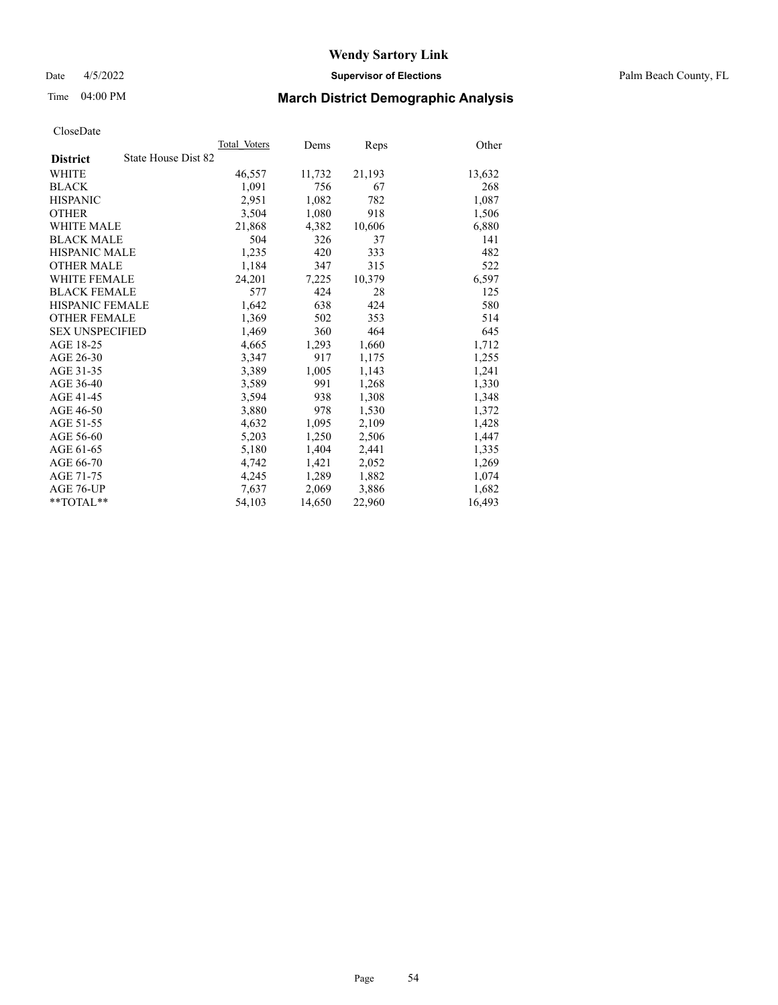Date 4/5/2022 **Supervisor of Elections** Palm Beach County, FL

# Time 04:00 PM **March District Demographic Analysis**

|                                        | Total Voters | Dems   | Reps   | Other  |
|----------------------------------------|--------------|--------|--------|--------|
| State House Dist 82<br><b>District</b> |              |        |        |        |
| WHITE                                  | 46,557       | 11,732 | 21,193 | 13,632 |
| <b>BLACK</b>                           | 1,091        | 756    | 67     | 268    |
| <b>HISPANIC</b>                        | 2,951        | 1,082  | 782    | 1,087  |
| <b>OTHER</b>                           | 3,504        | 1,080  | 918    | 1,506  |
| <b>WHITE MALE</b>                      | 21,868       | 4,382  | 10,606 | 6,880  |
| <b>BLACK MALE</b>                      | 504          | 326    | 37     | 141    |
| <b>HISPANIC MALE</b>                   | 1,235        | 420    | 333    | 482    |
| <b>OTHER MALE</b>                      | 1,184        | 347    | 315    | 522    |
| <b>WHITE FEMALE</b>                    | 24,201       | 7,225  | 10,379 | 6,597  |
| <b>BLACK FEMALE</b>                    | 577          | 424    | 28     | 125    |
| HISPANIC FEMALE                        | 1,642        | 638    | 424    | 580    |
| <b>OTHER FEMALE</b>                    | 1,369        | 502    | 353    | 514    |
| <b>SEX UNSPECIFIED</b>                 | 1,469        | 360    | 464    | 645    |
| AGE 18-25                              | 4,665        | 1,293  | 1,660  | 1,712  |
| AGE 26-30                              | 3,347        | 917    | 1,175  | 1,255  |
| AGE 31-35                              | 3,389        | 1,005  | 1,143  | 1,241  |
| AGE 36-40                              | 3,589        | 991    | 1,268  | 1,330  |
| AGE 41-45                              | 3,594        | 938    | 1,308  | 1,348  |
| AGE 46-50                              | 3,880        | 978    | 1,530  | 1,372  |
| AGE 51-55                              | 4,632        | 1,095  | 2,109  | 1,428  |
| AGE 56-60                              | 5,203        | 1,250  | 2,506  | 1,447  |
| AGE 61-65                              | 5,180        | 1,404  | 2,441  | 1,335  |
| AGE 66-70                              | 4,742        | 1,421  | 2,052  | 1,269  |
| AGE 71-75                              | 4,245        | 1,289  | 1,882  | 1,074  |
| AGE 76-UP                              | 7,637        | 2,069  | 3,886  | 1,682  |
| $*$ $TOTAL**$                          | 54,103       | 14,650 | 22,960 | 16,493 |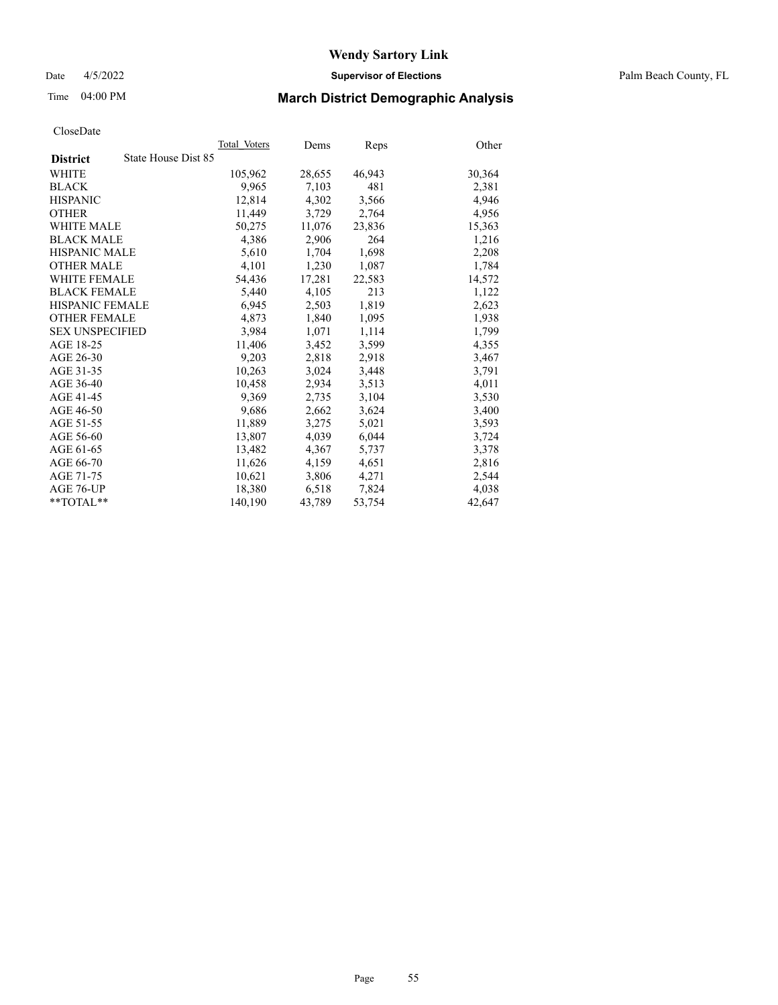Date 4/5/2022 **Supervisor of Elections** Palm Beach County, FL

# Time 04:00 PM **March District Demographic Analysis**

|                                        | Total Voters | Dems   | Reps   | Other  |
|----------------------------------------|--------------|--------|--------|--------|
| State House Dist 85<br><b>District</b> |              |        |        |        |
| WHITE                                  | 105,962      | 28,655 | 46,943 | 30,364 |
| <b>BLACK</b>                           | 9,965        | 7,103  | 481    | 2,381  |
| <b>HISPANIC</b>                        | 12,814       | 4,302  | 3,566  | 4,946  |
| <b>OTHER</b>                           | 11,449       | 3,729  | 2,764  | 4,956  |
| <b>WHITE MALE</b>                      | 50,275       | 11,076 | 23,836 | 15,363 |
| <b>BLACK MALE</b>                      | 4,386        | 2,906  | 264    | 1,216  |
| <b>HISPANIC MALE</b>                   | 5,610        | 1,704  | 1,698  | 2,208  |
| <b>OTHER MALE</b>                      | 4,101        | 1,230  | 1,087  | 1,784  |
| <b>WHITE FEMALE</b>                    | 54,436       | 17,281 | 22,583 | 14,572 |
| <b>BLACK FEMALE</b>                    | 5,440        | 4,105  | 213    | 1,122  |
| HISPANIC FEMALE                        | 6,945        | 2,503  | 1,819  | 2,623  |
| <b>OTHER FEMALE</b>                    | 4,873        | 1,840  | 1,095  | 1,938  |
| <b>SEX UNSPECIFIED</b>                 | 3,984        | 1,071  | 1,114  | 1,799  |
| AGE 18-25                              | 11,406       | 3,452  | 3,599  | 4,355  |
| AGE 26-30                              | 9,203        | 2,818  | 2,918  | 3,467  |
| AGE 31-35                              | 10,263       | 3,024  | 3,448  | 3,791  |
| AGE 36-40                              | 10,458       | 2,934  | 3,513  | 4,011  |
| AGE 41-45                              | 9,369        | 2,735  | 3,104  | 3,530  |
| AGE 46-50                              | 9,686        | 2,662  | 3,624  | 3,400  |
| AGE 51-55                              | 11,889       | 3,275  | 5,021  | 3,593  |
| AGE 56-60                              | 13,807       | 4,039  | 6,044  | 3,724  |
| AGE 61-65                              | 13,482       | 4,367  | 5,737  | 3,378  |
| AGE 66-70                              | 11,626       | 4,159  | 4,651  | 2,816  |
| AGE 71-75                              | 10,621       | 3,806  | 4,271  | 2,544  |
| AGE 76-UP                              | 18,380       | 6,518  | 7,824  | 4,038  |
| $*$ $TOTAL**$                          | 140,190      | 43,789 | 53,754 | 42,647 |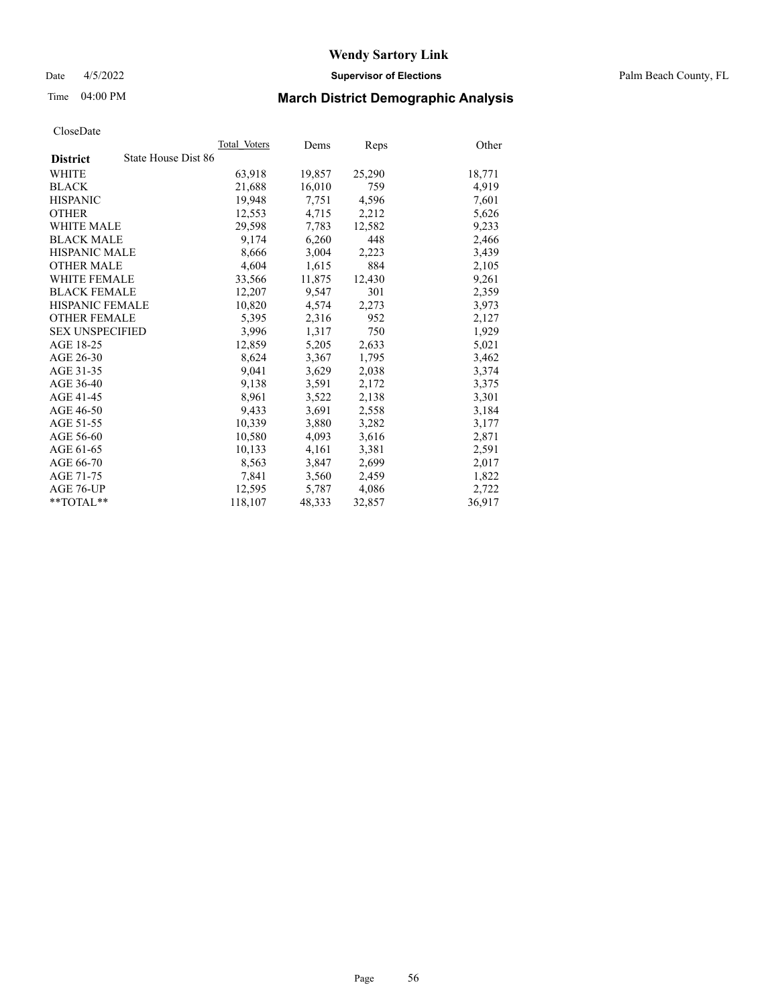Date 4/5/2022 **Supervisor of Elections** Palm Beach County, FL

# Time 04:00 PM **March District Demographic Analysis**

|                                        | Total Voters | Dems   | <b>Reps</b> | Other  |
|----------------------------------------|--------------|--------|-------------|--------|
| State House Dist 86<br><b>District</b> |              |        |             |        |
| WHITE                                  | 63,918       | 19,857 | 25,290      | 18,771 |
| <b>BLACK</b>                           | 21,688       | 16,010 | 759         | 4,919  |
| <b>HISPANIC</b>                        | 19.948       | 7,751  | 4,596       | 7,601  |
| <b>OTHER</b>                           | 12,553       | 4,715  | 2,212       | 5,626  |
| <b>WHITE MALE</b>                      | 29,598       | 7,783  | 12,582      | 9,233  |
| <b>BLACK MALE</b>                      | 9,174        | 6,260  | 448         | 2,466  |
| <b>HISPANIC MALE</b>                   | 8,666        | 3,004  | 2,223       | 3,439  |
| <b>OTHER MALE</b>                      | 4,604        | 1,615  | 884         | 2,105  |
| <b>WHITE FEMALE</b>                    | 33,566       | 11,875 | 12,430      | 9,261  |
| <b>BLACK FEMALE</b>                    | 12,207       | 9,547  | 301         | 2,359  |
| <b>HISPANIC FEMALE</b>                 | 10,820       | 4,574  | 2,273       | 3,973  |
| <b>OTHER FEMALE</b>                    | 5,395        | 2,316  | 952         | 2,127  |
| <b>SEX UNSPECIFIED</b>                 | 3,996        | 1,317  | 750         | 1,929  |
| AGE 18-25                              | 12,859       | 5,205  | 2,633       | 5,021  |
| AGE 26-30                              | 8,624        | 3,367  | 1,795       | 3,462  |
| AGE 31-35                              | 9,041        | 3,629  | 2,038       | 3,374  |
| AGE 36-40                              | 9,138        | 3,591  | 2,172       | 3,375  |
| AGE 41-45                              | 8,961        | 3,522  | 2,138       | 3,301  |
| AGE 46-50                              | 9,433        | 3,691  | 2,558       | 3,184  |
| AGE 51-55                              | 10,339       | 3,880  | 3,282       | 3,177  |
| AGE 56-60                              | 10,580       | 4,093  | 3,616       | 2,871  |
| AGE 61-65                              | 10,133       | 4,161  | 3,381       | 2,591  |
| AGE 66-70                              | 8,563        | 3,847  | 2,699       | 2,017  |
| AGE 71-75                              | 7,841        | 3,560  | 2,459       | 1,822  |
| AGE 76-UP                              | 12,595       | 5,787  | 4,086       | 2,722  |
| **TOTAL**                              | 118,107      | 48,333 | 32,857      | 36,917 |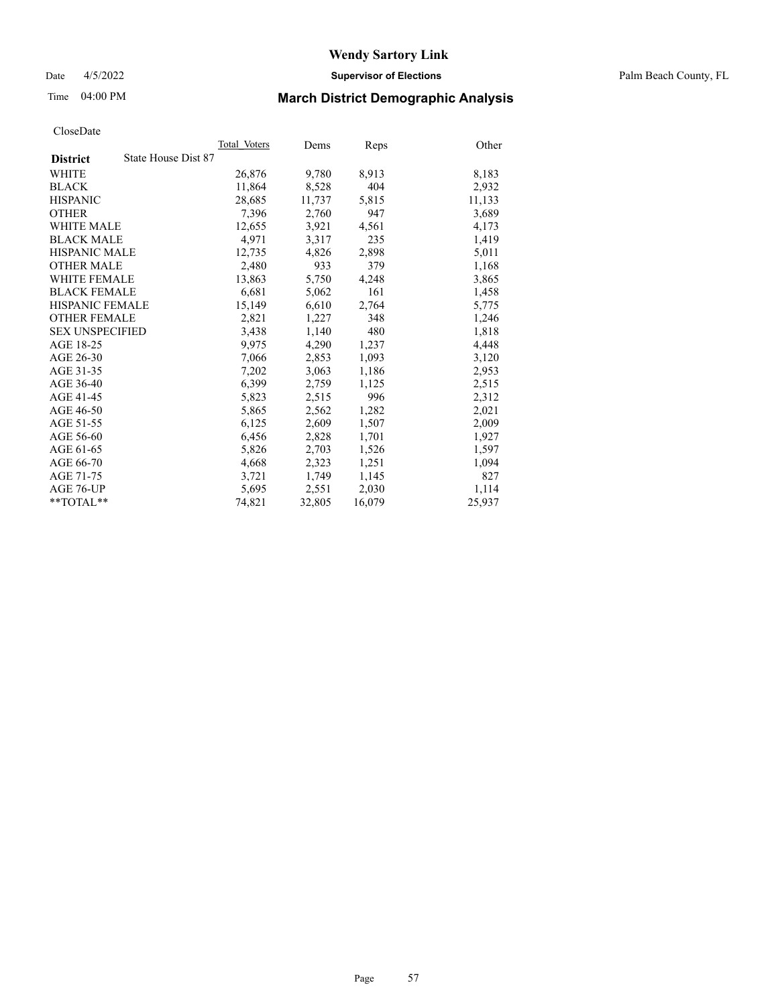Date 4/5/2022 **Supervisor of Elections** Palm Beach County, FL

# Time 04:00 PM **March District Demographic Analysis**

|                                        | Total Voters | Dems   | Reps   | Other  |
|----------------------------------------|--------------|--------|--------|--------|
| State House Dist 87<br><b>District</b> |              |        |        |        |
| WHITE                                  | 26,876       | 9,780  | 8,913  | 8,183  |
| <b>BLACK</b>                           | 11,864       | 8,528  | 404    | 2,932  |
| <b>HISPANIC</b>                        | 28,685       | 11,737 | 5,815  | 11,133 |
| <b>OTHER</b>                           | 7,396        | 2,760  | 947    | 3,689  |
| <b>WHITE MALE</b>                      | 12,655       | 3,921  | 4,561  | 4,173  |
| <b>BLACK MALE</b>                      | 4,971        | 3,317  | 235    | 1,419  |
| <b>HISPANIC MALE</b>                   | 12,735       | 4,826  | 2,898  | 5,011  |
| <b>OTHER MALE</b>                      | 2,480        | 933    | 379    | 1,168  |
| <b>WHITE FEMALE</b>                    | 13,863       | 5,750  | 4,248  | 3,865  |
| <b>BLACK FEMALE</b>                    | 6,681        | 5,062  | 161    | 1,458  |
| <b>HISPANIC FEMALE</b>                 | 15,149       | 6,610  | 2,764  | 5,775  |
| <b>OTHER FEMALE</b>                    | 2,821        | 1,227  | 348    | 1,246  |
| <b>SEX UNSPECIFIED</b>                 | 3.438        | 1,140  | 480    | 1,818  |
| AGE 18-25                              | 9,975        | 4,290  | 1,237  | 4,448  |
| AGE 26-30                              | 7,066        | 2,853  | 1,093  | 3,120  |
| AGE 31-35                              | 7,202        | 3,063  | 1,186  | 2,953  |
| AGE 36-40                              | 6,399        | 2,759  | 1,125  | 2,515  |
| AGE 41-45                              | 5,823        | 2,515  | 996    | 2,312  |
| AGE 46-50                              | 5,865        | 2,562  | 1,282  | 2,021  |
| AGE 51-55                              | 6,125        | 2,609  | 1,507  | 2,009  |
| AGE 56-60                              | 6,456        | 2,828  | 1,701  | 1,927  |
| AGE 61-65                              | 5,826        | 2,703  | 1,526  | 1,597  |
| AGE 66-70                              | 4,668        | 2,323  | 1,251  | 1,094  |
| AGE 71-75                              | 3,721        | 1,749  | 1,145  | 827    |
| AGE 76-UP                              | 5,695        | 2,551  | 2,030  | 1,114  |
| $*$ $TOTAL**$                          | 74,821       | 32,805 | 16,079 | 25,937 |
|                                        |              |        |        |        |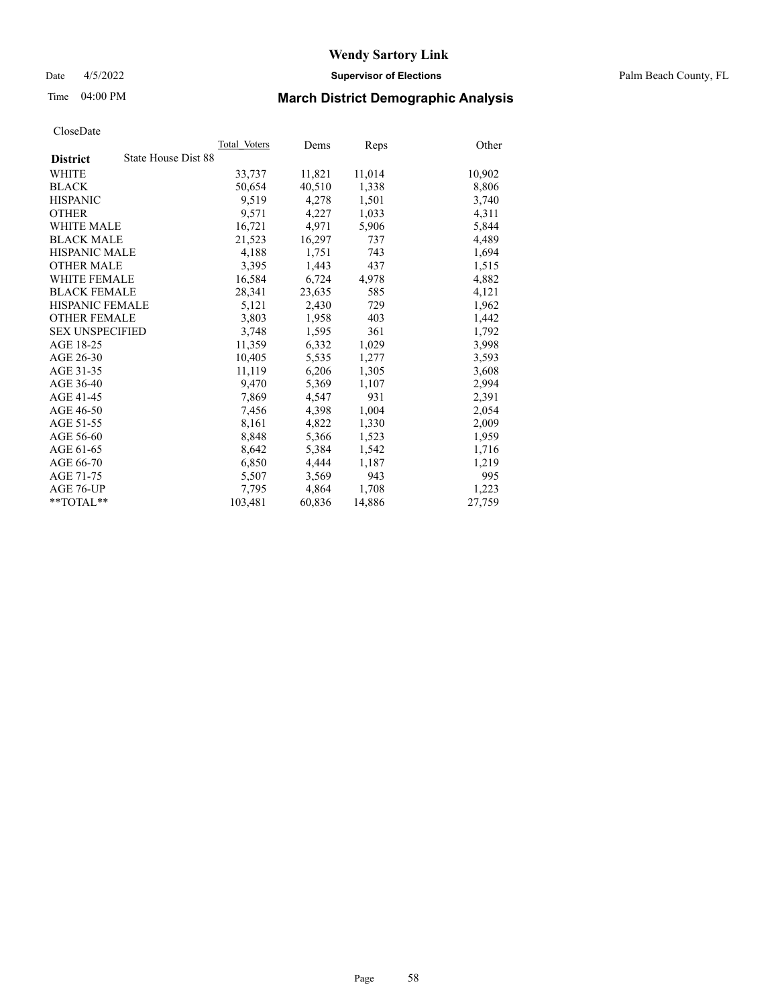Date 4/5/2022 **Supervisor of Elections** Palm Beach County, FL

# Time 04:00 PM **March District Demographic Analysis**

|                                        | Total Voters | Dems   | Reps   | Other  |
|----------------------------------------|--------------|--------|--------|--------|
| State House Dist 88<br><b>District</b> |              |        |        |        |
| WHITE                                  | 33,737       | 11,821 | 11,014 | 10,902 |
| <b>BLACK</b>                           | 50,654       | 40,510 | 1,338  | 8,806  |
| <b>HISPANIC</b>                        | 9,519        | 4,278  | 1,501  | 3,740  |
| <b>OTHER</b>                           | 9,571        | 4,227  | 1,033  | 4,311  |
| <b>WHITE MALE</b>                      | 16,721       | 4,971  | 5,906  | 5,844  |
| <b>BLACK MALE</b>                      | 21,523       | 16,297 | 737    | 4,489  |
| <b>HISPANIC MALE</b>                   | 4,188        | 1,751  | 743    | 1,694  |
| <b>OTHER MALE</b>                      | 3,395        | 1,443  | 437    | 1,515  |
| <b>WHITE FEMALE</b>                    | 16,584       | 6,724  | 4,978  | 4,882  |
| <b>BLACK FEMALE</b>                    | 28,341       | 23,635 | 585    | 4,121  |
| HISPANIC FEMALE                        | 5,121        | 2,430  | 729    | 1,962  |
| <b>OTHER FEMALE</b>                    | 3,803        | 1,958  | 403    | 1,442  |
| <b>SEX UNSPECIFIED</b>                 | 3,748        | 1,595  | 361    | 1,792  |
| AGE 18-25                              | 11,359       | 6,332  | 1,029  | 3,998  |
| AGE 26-30                              | 10,405       | 5,535  | 1,277  | 3,593  |
| AGE 31-35                              | 11,119       | 6,206  | 1,305  | 3,608  |
| AGE 36-40                              | 9,470        | 5,369  | 1,107  | 2,994  |
| AGE 41-45                              | 7,869        | 4,547  | 931    | 2,391  |
| AGE 46-50                              | 7,456        | 4,398  | 1,004  | 2,054  |
| AGE 51-55                              | 8,161        | 4,822  | 1,330  | 2,009  |
| AGE 56-60                              | 8,848        | 5,366  | 1,523  | 1,959  |
| AGE 61-65                              | 8,642        | 5,384  | 1,542  | 1,716  |
| AGE 66-70                              | 6,850        | 4,444  | 1,187  | 1,219  |
| AGE 71-75                              | 5,507        | 3,569  | 943    | 995    |
| AGE 76-UP                              | 7,795        | 4,864  | 1,708  | 1,223  |
| $*$ $TOTAL**$                          | 103,481      | 60,836 | 14,886 | 27,759 |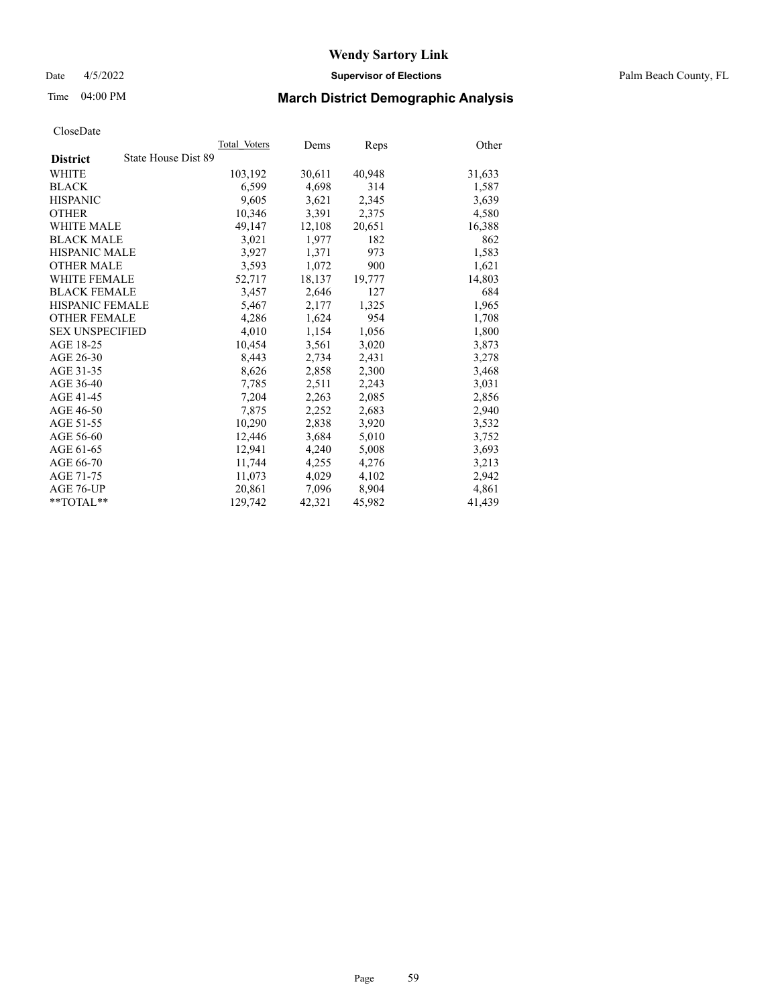Date 4/5/2022 **Supervisor of Elections** Palm Beach County, FL

# Time 04:00 PM **March District Demographic Analysis**

|                                        | Total Voters | Dems   | Reps   | Other  |
|----------------------------------------|--------------|--------|--------|--------|
| State House Dist 89<br><b>District</b> |              |        |        |        |
| WHITE                                  | 103,192      | 30,611 | 40,948 | 31,633 |
| <b>BLACK</b>                           | 6,599        | 4,698  | 314    | 1,587  |
| <b>HISPANIC</b>                        | 9.605        | 3,621  | 2,345  | 3,639  |
| <b>OTHER</b>                           | 10,346       | 3,391  | 2,375  | 4,580  |
| <b>WHITE MALE</b>                      | 49,147       | 12,108 | 20,651 | 16,388 |
| <b>BLACK MALE</b>                      | 3,021        | 1,977  | 182    | 862    |
| <b>HISPANIC MALE</b>                   | 3,927        | 1,371  | 973    | 1,583  |
| <b>OTHER MALE</b>                      | 3,593        | 1,072  | 900    | 1,621  |
| <b>WHITE FEMALE</b>                    | 52,717       | 18,137 | 19,777 | 14,803 |
| <b>BLACK FEMALE</b>                    | 3,457        | 2,646  | 127    | 684    |
| <b>HISPANIC FEMALE</b>                 | 5,467        | 2,177  | 1,325  | 1,965  |
| <b>OTHER FEMALE</b>                    | 4,286        | 1,624  | 954    | 1,708  |
| <b>SEX UNSPECIFIED</b>                 | 4,010        | 1,154  | 1,056  | 1,800  |
| AGE 18-25                              | 10,454       | 3,561  | 3,020  | 3,873  |
| AGE 26-30                              | 8,443        | 2,734  | 2,431  | 3,278  |
| AGE 31-35                              | 8,626        | 2,858  | 2,300  | 3,468  |
| AGE 36-40                              | 7,785        | 2,511  | 2,243  | 3,031  |
| AGE 41-45                              | 7,204        | 2,263  | 2,085  | 2,856  |
| AGE 46-50                              | 7,875        | 2,252  | 2,683  | 2,940  |
| AGE 51-55                              | 10,290       | 2,838  | 3,920  | 3,532  |
| AGE 56-60                              | 12,446       | 3,684  | 5,010  | 3,752  |
| AGE 61-65                              | 12,941       | 4,240  | 5,008  | 3,693  |
| AGE 66-70                              | 11,744       | 4,255  | 4,276  | 3,213  |
| AGE 71-75                              | 11,073       | 4,029  | 4,102  | 2,942  |
| AGE 76-UP                              | 20.861       | 7,096  | 8,904  | 4,861  |
| $*$ $TOTAL**$                          | 129,742      | 42,321 | 45,982 | 41,439 |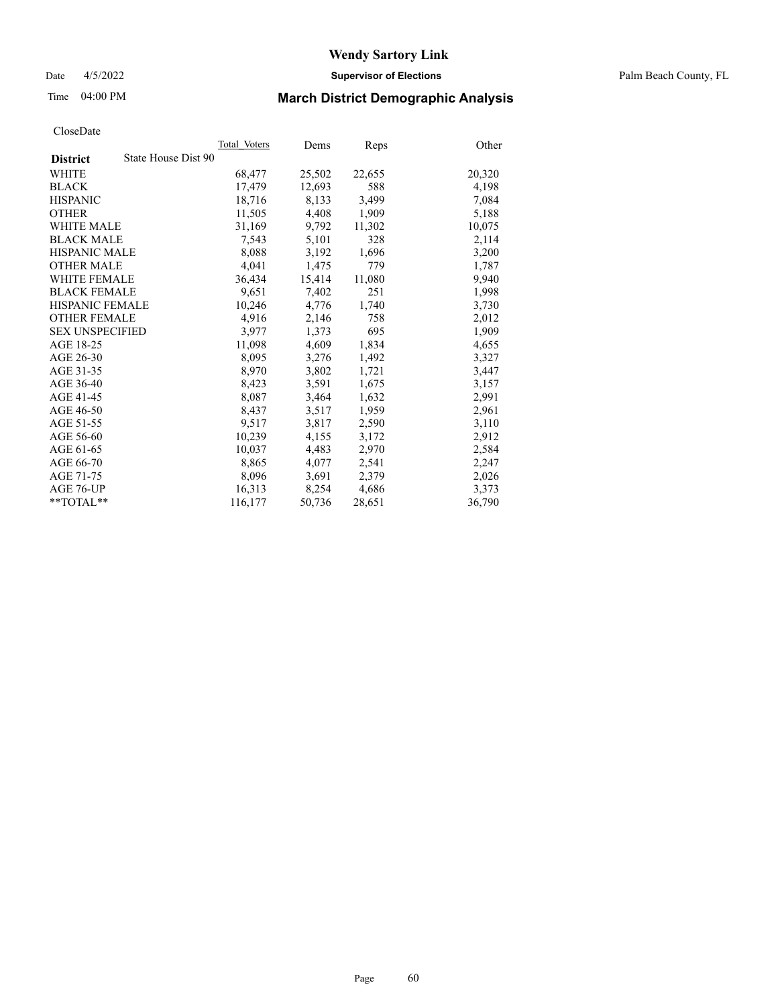Date 4/5/2022 **Supervisor of Elections** Palm Beach County, FL

# Time 04:00 PM **March District Demographic Analysis**

|                        |                     | Total Voters | Dems   | Reps   | Other  |
|------------------------|---------------------|--------------|--------|--------|--------|
| <b>District</b>        | State House Dist 90 |              |        |        |        |
| WHITE                  |                     | 68,477       | 25,502 | 22,655 | 20,320 |
| <b>BLACK</b>           |                     | 17,479       | 12,693 | 588    | 4,198  |
| <b>HISPANIC</b>        |                     | 18,716       | 8.133  | 3,499  | 7,084  |
| <b>OTHER</b>           |                     | 11,505       | 4,408  | 1,909  | 5,188  |
| <b>WHITE MALE</b>      |                     | 31,169       | 9,792  | 11,302 | 10,075 |
| <b>BLACK MALE</b>      |                     | 7,543        | 5,101  | 328    | 2,114  |
| <b>HISPANIC MALE</b>   |                     | 8,088        | 3,192  | 1,696  | 3,200  |
| <b>OTHER MALE</b>      |                     | 4.041        | 1,475  | 779    | 1,787  |
| <b>WHITE FEMALE</b>    |                     | 36,434       | 15,414 | 11,080 | 9,940  |
| <b>BLACK FEMALE</b>    |                     | 9,651        | 7,402  | 251    | 1,998  |
| <b>HISPANIC FEMALE</b> |                     | 10,246       | 4,776  | 1,740  | 3,730  |
| <b>OTHER FEMALE</b>    |                     | 4,916        | 2,146  | 758    | 2,012  |
| <b>SEX UNSPECIFIED</b> |                     | 3,977        | 1,373  | 695    | 1,909  |
| AGE 18-25              |                     | 11,098       | 4,609  | 1,834  | 4,655  |
| AGE 26-30              |                     | 8,095        | 3,276  | 1,492  | 3,327  |
| AGE 31-35              |                     | 8,970        | 3,802  | 1,721  | 3,447  |
| AGE 36-40              |                     | 8,423        | 3,591  | 1,675  | 3,157  |
| AGE 41-45              |                     | 8,087        | 3,464  | 1,632  | 2,991  |
| AGE 46-50              |                     | 8,437        | 3,517  | 1,959  | 2,961  |
| AGE 51-55              |                     | 9,517        | 3,817  | 2,590  | 3,110  |
| AGE 56-60              |                     | 10,239       | 4,155  | 3,172  | 2,912  |
| AGE 61-65              |                     | 10.037       | 4,483  | 2,970  | 2,584  |
| AGE 66-70              |                     | 8,865        | 4,077  | 2,541  | 2,247  |
| AGE 71-75              |                     | 8,096        | 3,691  | 2,379  | 2,026  |
| AGE 76-UP              |                     | 16.313       | 8,254  | 4,686  | 3,373  |
| **TOTAL**              |                     | 116,177      | 50,736 | 28,651 | 36,790 |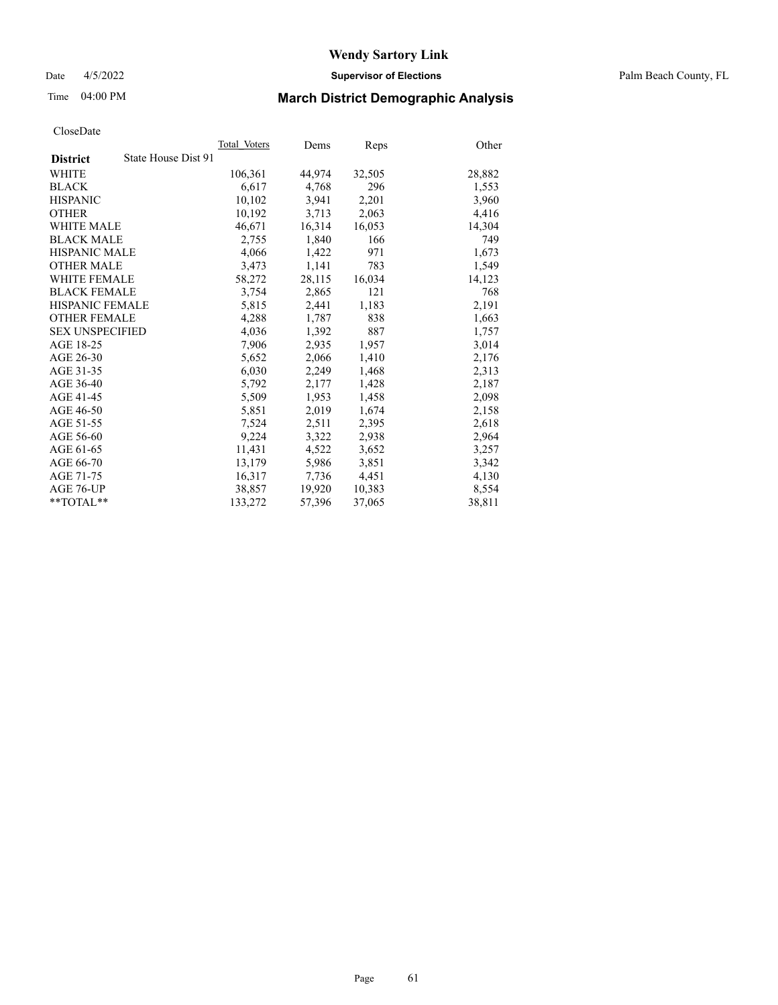Date 4/5/2022 **Supervisor of Elections** Palm Beach County, FL

# Time 04:00 PM **March District Demographic Analysis**

|                                        | Total Voters | Dems   | Reps   | Other  |
|----------------------------------------|--------------|--------|--------|--------|
| State House Dist 91<br><b>District</b> |              |        |        |        |
| WHITE                                  | 106,361      | 44,974 | 32,505 | 28,882 |
| <b>BLACK</b>                           | 6,617        | 4,768  | 296    | 1,553  |
| <b>HISPANIC</b>                        | 10.102       | 3.941  | 2,201  | 3,960  |
| <b>OTHER</b>                           | 10,192       | 3,713  | 2,063  | 4,416  |
| <b>WHITE MALE</b>                      | 46,671       | 16,314 | 16,053 | 14,304 |
| <b>BLACK MALE</b>                      | 2,755        | 1,840  | 166    | 749    |
| <b>HISPANIC MALE</b>                   | 4,066        | 1,422  | 971    | 1,673  |
| <b>OTHER MALE</b>                      | 3,473        | 1,141  | 783    | 1,549  |
| <b>WHITE FEMALE</b>                    | 58,272       | 28,115 | 16,034 | 14,123 |
| <b>BLACK FEMALE</b>                    | 3,754        | 2,865  | 121    | 768    |
| <b>HISPANIC FEMALE</b>                 | 5,815        | 2,441  | 1,183  | 2,191  |
| <b>OTHER FEMALE</b>                    | 4,288        | 1,787  | 838    | 1,663  |
| <b>SEX UNSPECIFIED</b>                 | 4,036        | 1,392  | 887    | 1,757  |
| AGE 18-25                              | 7,906        | 2,935  | 1,957  | 3,014  |
| AGE 26-30                              | 5,652        | 2,066  | 1,410  | 2,176  |
| AGE 31-35                              | 6,030        | 2,249  | 1,468  | 2,313  |
| AGE 36-40                              | 5,792        | 2,177  | 1,428  | 2,187  |
| AGE 41-45                              | 5,509        | 1,953  | 1,458  | 2,098  |
| AGE 46-50                              | 5,851        | 2,019  | 1,674  | 2,158  |
| AGE 51-55                              | 7,524        | 2,511  | 2,395  | 2,618  |
| AGE 56-60                              | 9,224        | 3,322  | 2,938  | 2,964  |
| AGE 61-65                              | 11,431       | 4,522  | 3,652  | 3,257  |
| AGE 66-70                              | 13,179       | 5,986  | 3,851  | 3,342  |
| AGE 71-75                              | 16,317       | 7,736  | 4,451  | 4,130  |
| AGE 76-UP                              | 38,857       | 19,920 | 10,383 | 8,554  |
| $*$ $TOTAL**$                          | 133,272      | 57,396 | 37,065 | 38,811 |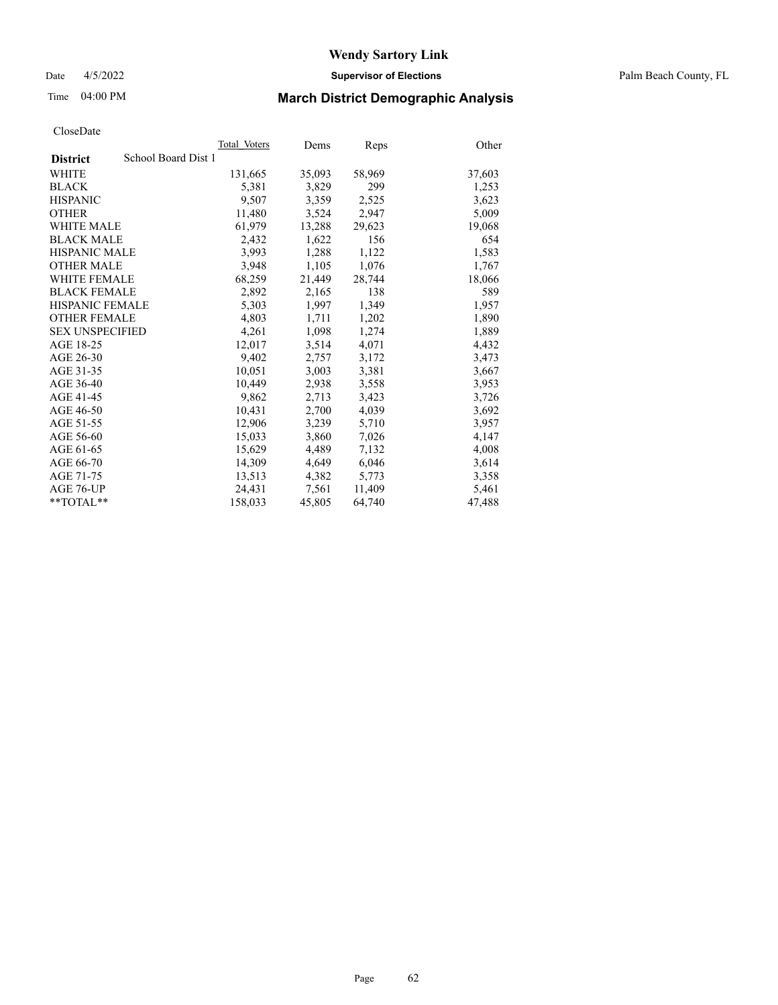Date 4/5/2022 **Supervisor of Elections** Palm Beach County, FL

# Time 04:00 PM **March District Demographic Analysis**

|                                        | Total Voters | Dems   | Reps   | Other  |
|----------------------------------------|--------------|--------|--------|--------|
| School Board Dist 1<br><b>District</b> |              |        |        |        |
| WHITE                                  | 131,665      | 35,093 | 58,969 | 37,603 |
| <b>BLACK</b>                           | 5,381        | 3,829  | 299    | 1,253  |
| <b>HISPANIC</b>                        | 9,507        | 3,359  | 2,525  | 3,623  |
| <b>OTHER</b>                           | 11,480       | 3,524  | 2,947  | 5,009  |
| <b>WHITE MALE</b>                      | 61,979       | 13,288 | 29,623 | 19,068 |
| <b>BLACK MALE</b>                      | 2,432        | 1,622  | 156    | 654    |
| <b>HISPANIC MALE</b>                   | 3,993        | 1,288  | 1,122  | 1,583  |
| <b>OTHER MALE</b>                      | 3,948        | 1,105  | 1,076  | 1,767  |
| <b>WHITE FEMALE</b>                    | 68,259       | 21,449 | 28,744 | 18,066 |
| <b>BLACK FEMALE</b>                    | 2,892        | 2,165  | 138    | 589    |
| <b>HISPANIC FEMALE</b>                 | 5,303        | 1,997  | 1,349  | 1,957  |
| <b>OTHER FEMALE</b>                    | 4,803        | 1,711  | 1,202  | 1,890  |
| <b>SEX UNSPECIFIED</b>                 | 4,261        | 1,098  | 1,274  | 1,889  |
| AGE 18-25                              | 12,017       | 3,514  | 4,071  | 4,432  |
| AGE 26-30                              | 9.402        | 2,757  | 3,172  | 3,473  |
| AGE 31-35                              | 10,051       | 3,003  | 3,381  | 3,667  |
| AGE 36-40                              | 10,449       | 2,938  | 3,558  | 3,953  |
| AGE 41-45                              | 9,862        | 2,713  | 3,423  | 3,726  |
| AGE 46-50                              | 10,431       | 2,700  | 4,039  | 3,692  |
| AGE 51-55                              | 12,906       | 3,239  | 5,710  | 3,957  |
| AGE 56-60                              | 15,033       | 3,860  | 7,026  | 4,147  |
| AGE 61-65                              | 15.629       | 4,489  | 7,132  | 4,008  |
| AGE 66-70                              | 14,309       | 4,649  | 6,046  | 3,614  |
| AGE 71-75                              | 13,513       | 4,382  | 5,773  | 3,358  |
| AGE 76-UP                              | 24.431       | 7,561  | 11,409 | 5,461  |
| **TOTAL**                              | 158,033      | 45,805 | 64,740 | 47,488 |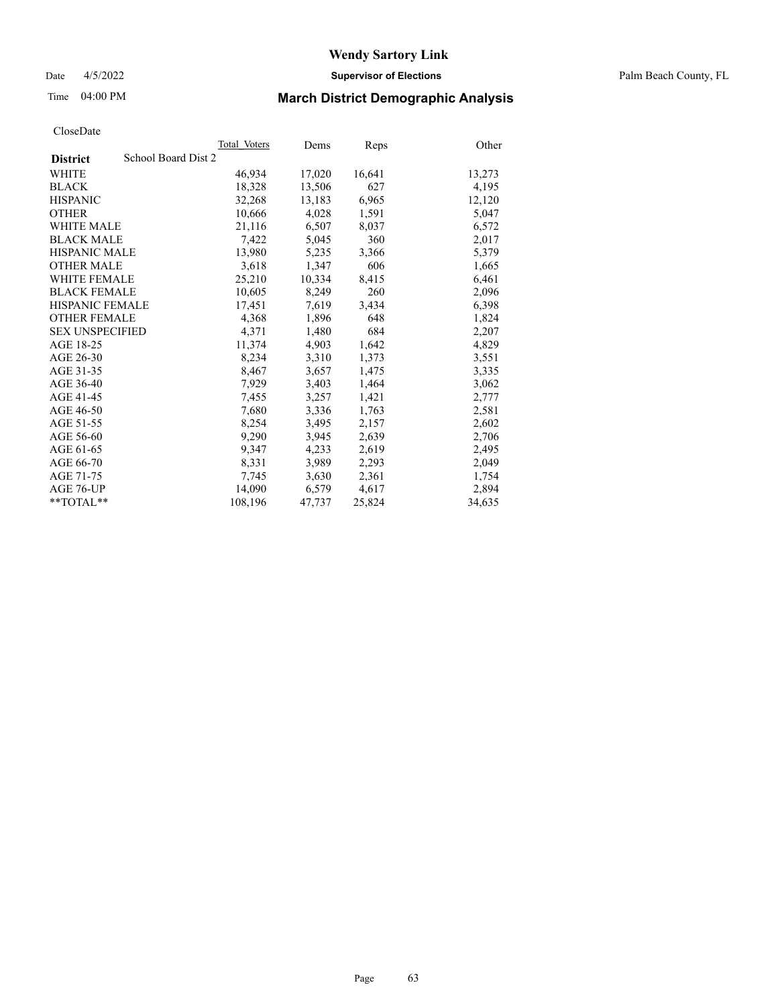Date 4/5/2022 **Supervisor of Elections** Palm Beach County, FL

# Time 04:00 PM **March District Demographic Analysis**

|                        | Total Voters        | Dems   | <b>Reps</b> | Other  |
|------------------------|---------------------|--------|-------------|--------|
| <b>District</b>        | School Board Dist 2 |        |             |        |
| WHITE                  | 46,934              | 17,020 | 16,641      | 13,273 |
| <b>BLACK</b>           | 18,328              | 13,506 | 627         | 4,195  |
| <b>HISPANIC</b>        | 32,268              | 13,183 | 6,965       | 12,120 |
| <b>OTHER</b>           | 10,666              | 4,028  | 1,591       | 5,047  |
| <b>WHITE MALE</b>      | 21,116              | 6,507  | 8,037       | 6,572  |
| <b>BLACK MALE</b>      | 7,422               | 5,045  | 360         | 2,017  |
| <b>HISPANIC MALE</b>   | 13,980              | 5,235  | 3,366       | 5,379  |
| <b>OTHER MALE</b>      | 3,618               | 1,347  | 606         | 1,665  |
| <b>WHITE FEMALE</b>    | 25,210              | 10,334 | 8,415       | 6,461  |
| <b>BLACK FEMALE</b>    | 10,605              | 8,249  | 260         | 2,096  |
| <b>HISPANIC FEMALE</b> | 17,451              | 7,619  | 3,434       | 6,398  |
| <b>OTHER FEMALE</b>    | 4,368               | 1,896  | 648         | 1,824  |
| <b>SEX UNSPECIFIED</b> | 4,371               | 1,480  | 684         | 2,207  |
| AGE 18-25              | 11,374              | 4,903  | 1,642       | 4,829  |
| AGE 26-30              | 8,234               | 3,310  | 1,373       | 3,551  |
| AGE 31-35              | 8,467               | 3,657  | 1,475       | 3,335  |
| AGE 36-40              | 7,929               | 3,403  | 1,464       | 3,062  |
| AGE 41-45              | 7,455               | 3,257  | 1,421       | 2,777  |
| AGE 46-50              | 7,680               | 3,336  | 1,763       | 2,581  |
| AGE 51-55              | 8,254               | 3,495  | 2,157       | 2,602  |
| AGE 56-60              | 9,290               | 3,945  | 2,639       | 2,706  |
| AGE 61-65              | 9,347               | 4,233  | 2,619       | 2,495  |
| AGE 66-70              | 8,331               | 3,989  | 2,293       | 2,049  |
| AGE 71-75              | 7,745               | 3,630  | 2,361       | 1,754  |
| AGE 76-UP              | 14.090              | 6,579  | 4,617       | 2,894  |
| **TOTAL**              | 108,196             | 47,737 | 25,824      | 34,635 |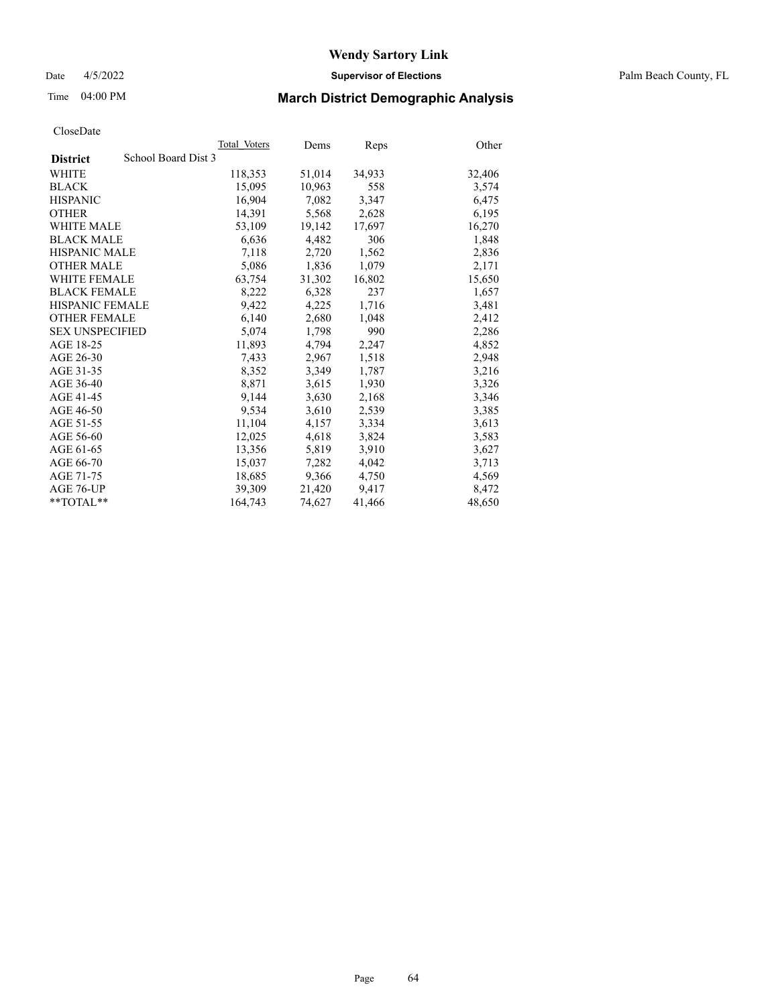Date 4/5/2022 **Supervisor of Elections** Palm Beach County, FL

# Time 04:00 PM **March District Demographic Analysis**

|                                        | Total Voters | Dems   | Reps   | Other  |
|----------------------------------------|--------------|--------|--------|--------|
| School Board Dist 3<br><b>District</b> |              |        |        |        |
| WHITE                                  | 118,353      | 51,014 | 34,933 | 32,406 |
| <b>BLACK</b>                           | 15,095       | 10,963 | 558    | 3,574  |
| <b>HISPANIC</b>                        | 16.904       | 7,082  | 3,347  | 6,475  |
| <b>OTHER</b>                           | 14,391       | 5,568  | 2,628  | 6,195  |
| <b>WHITE MALE</b>                      | 53,109       | 19,142 | 17,697 | 16,270 |
| <b>BLACK MALE</b>                      | 6,636        | 4,482  | 306    | 1,848  |
| <b>HISPANIC MALE</b>                   | 7,118        | 2,720  | 1,562  | 2,836  |
| <b>OTHER MALE</b>                      | 5,086        | 1,836  | 1,079  | 2,171  |
| <b>WHITE FEMALE</b>                    | 63,754       | 31,302 | 16,802 | 15,650 |
| <b>BLACK FEMALE</b>                    | 8,222        | 6,328  | 237    | 1,657  |
| <b>HISPANIC FEMALE</b>                 | 9,422        | 4,225  | 1,716  | 3,481  |
| <b>OTHER FEMALE</b>                    | 6,140        | 2,680  | 1,048  | 2,412  |
| <b>SEX UNSPECIFIED</b>                 | 5,074        | 1,798  | 990    | 2,286  |
| AGE 18-25                              | 11,893       | 4,794  | 2,247  | 4,852  |
| AGE 26-30                              | 7,433        | 2,967  | 1,518  | 2,948  |
| AGE 31-35                              | 8,352        | 3,349  | 1,787  | 3,216  |
| AGE 36-40                              | 8,871        | 3,615  | 1,930  | 3,326  |
| AGE 41-45                              | 9,144        | 3,630  | 2,168  | 3,346  |
| AGE 46-50                              | 9,534        | 3,610  | 2,539  | 3,385  |
| AGE 51-55                              | 11,104       | 4,157  | 3,334  | 3,613  |
| AGE 56-60                              | 12,025       | 4,618  | 3,824  | 3,583  |
| AGE 61-65                              | 13,356       | 5,819  | 3,910  | 3,627  |
| AGE 66-70                              | 15,037       | 7,282  | 4,042  | 3,713  |
| AGE 71-75                              | 18,685       | 9,366  | 4,750  | 4,569  |
| AGE 76-UP                              | 39,309       | 21,420 | 9,417  | 8,472  |
| $*$ TOTAL $*$                          | 164,743      | 74,627 | 41,466 | 48,650 |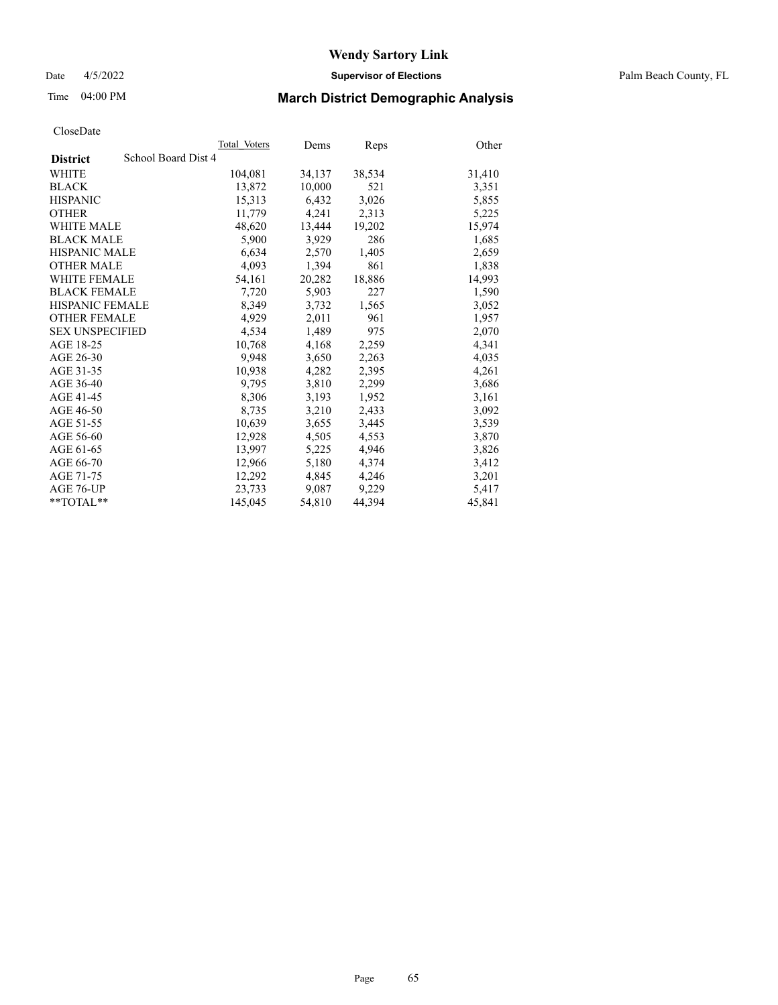Date 4/5/2022 **Supervisor of Elections** Palm Beach County, FL

# Time 04:00 PM **March District Demographic Analysis**

|                                        | Total Voters | Dems   | Reps   | Other  |
|----------------------------------------|--------------|--------|--------|--------|
| School Board Dist 4<br><b>District</b> |              |        |        |        |
| WHITE                                  | 104,081      | 34,137 | 38,534 | 31,410 |
| <b>BLACK</b>                           | 13,872       | 10,000 | 521    | 3,351  |
| <b>HISPANIC</b>                        | 15,313       | 6,432  | 3,026  | 5,855  |
| <b>OTHER</b>                           | 11,779       | 4,241  | 2,313  | 5,225  |
| <b>WHITE MALE</b>                      | 48,620       | 13,444 | 19,202 | 15,974 |
| <b>BLACK MALE</b>                      | 5,900        | 3,929  | 286    | 1,685  |
| <b>HISPANIC MALE</b>                   | 6,634        | 2,570  | 1,405  | 2,659  |
| <b>OTHER MALE</b>                      | 4,093        | 1,394  | 861    | 1,838  |
| <b>WHITE FEMALE</b>                    | 54,161       | 20,282 | 18,886 | 14,993 |
| <b>BLACK FEMALE</b>                    | 7,720        | 5,903  | 227    | 1,590  |
| HISPANIC FEMALE                        | 8,349        | 3,732  | 1,565  | 3,052  |
| <b>OTHER FEMALE</b>                    | 4,929        | 2,011  | 961    | 1,957  |
| <b>SEX UNSPECIFIED</b>                 | 4,534        | 1,489  | 975    | 2,070  |
| AGE 18-25                              | 10,768       | 4,168  | 2,259  | 4,341  |
| AGE 26-30                              | 9.948        | 3,650  | 2,263  | 4,035  |
| AGE 31-35                              | 10,938       | 4,282  | 2,395  | 4,261  |
| AGE 36-40                              | 9.795        | 3,810  | 2,299  | 3,686  |
| AGE 41-45                              | 8,306        | 3,193  | 1,952  | 3,161  |
| AGE 46-50                              | 8,735        | 3,210  | 2,433  | 3,092  |
| AGE 51-55                              | 10,639       | 3,655  | 3,445  | 3,539  |
| AGE 56-60                              | 12,928       | 4,505  | 4,553  | 3,870  |
| AGE 61-65                              | 13,997       | 5,225  | 4,946  | 3,826  |
| AGE 66-70                              | 12,966       | 5,180  | 4,374  | 3,412  |
| AGE 71-75                              | 12,292       | 4,845  | 4,246  | 3,201  |
| AGE 76-UP                              | 23,733       | 9,087  | 9,229  | 5,417  |
| $*$ $TOTAL**$                          | 145,045      | 54,810 | 44,394 | 45,841 |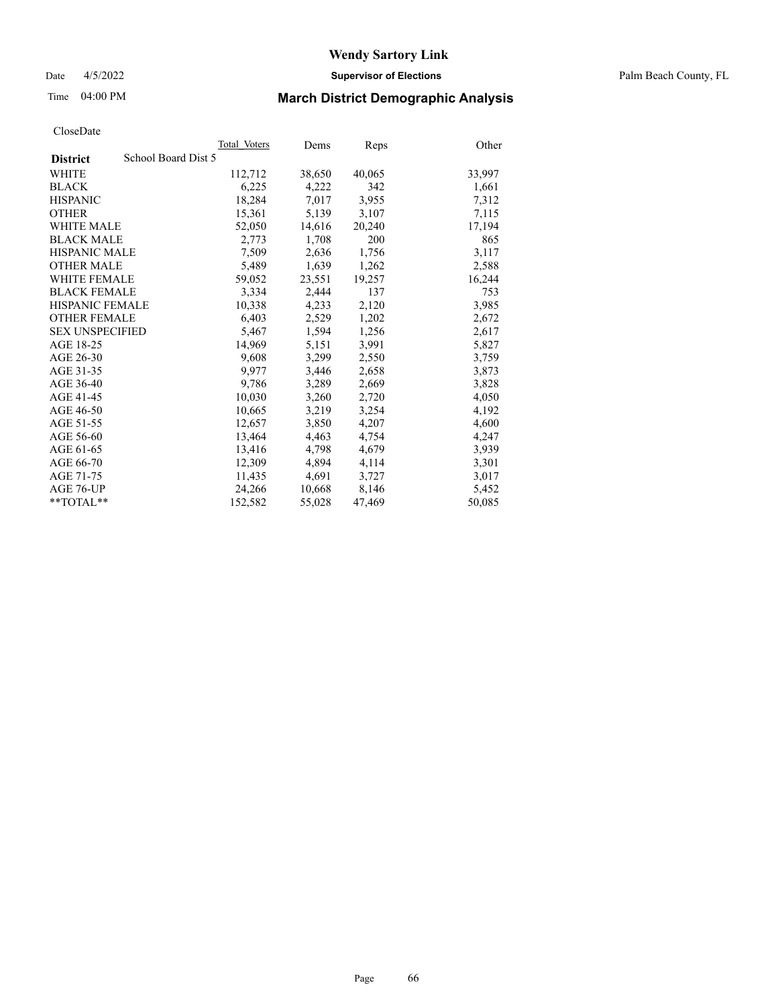Date 4/5/2022 **Supervisor of Elections** Palm Beach County, FL

# Time 04:00 PM **March District Demographic Analysis**

|                                        | Total Voters | Dems   | Reps   | Other  |
|----------------------------------------|--------------|--------|--------|--------|
| School Board Dist 5<br><b>District</b> |              |        |        |        |
| WHITE                                  | 112,712      | 38,650 | 40,065 | 33,997 |
| <b>BLACK</b>                           | 6,225        | 4,222  | 342    | 1,661  |
| <b>HISPANIC</b>                        | 18,284       | 7,017  | 3,955  | 7,312  |
| <b>OTHER</b>                           | 15,361       | 5,139  | 3,107  | 7,115  |
| <b>WHITE MALE</b>                      | 52,050       | 14,616 | 20,240 | 17,194 |
| <b>BLACK MALE</b>                      | 2,773        | 1,708  | 200    | 865    |
| <b>HISPANIC MALE</b>                   | 7,509        | 2,636  | 1,756  | 3,117  |
| <b>OTHER MALE</b>                      | 5.489        | 1,639  | 1,262  | 2,588  |
| <b>WHITE FEMALE</b>                    | 59,052       | 23,551 | 19,257 | 16,244 |
| <b>BLACK FEMALE</b>                    | 3,334        | 2,444  | 137    | 753    |
| HISPANIC FEMALE                        | 10,338       | 4,233  | 2,120  | 3,985  |
| <b>OTHER FEMALE</b>                    | 6,403        | 2,529  | 1,202  | 2,672  |
| <b>SEX UNSPECIFIED</b>                 | 5,467        | 1,594  | 1,256  | 2,617  |
| AGE 18-25                              | 14,969       | 5,151  | 3,991  | 5,827  |
| AGE 26-30                              | 9,608        | 3,299  | 2,550  | 3,759  |
| AGE 31-35                              | 9,977        | 3,446  | 2,658  | 3,873  |
| AGE 36-40                              | 9,786        | 3,289  | 2,669  | 3,828  |
| AGE 41-45                              | 10,030       | 3,260  | 2,720  | 4,050  |
| AGE 46-50                              | 10,665       | 3,219  | 3,254  | 4,192  |
| AGE 51-55                              | 12,657       | 3,850  | 4,207  | 4,600  |
| AGE 56-60                              | 13,464       | 4,463  | 4,754  | 4,247  |
| AGE 61-65                              | 13,416       | 4,798  | 4,679  | 3,939  |
| AGE 66-70                              | 12,309       | 4,894  | 4,114  | 3,301  |
| AGE 71-75                              | 11,435       | 4,691  | 3,727  | 3,017  |
| AGE 76-UP                              | 24,266       | 10,668 | 8,146  | 5,452  |
| $*$ $TOTAL**$                          | 152,582      | 55,028 | 47,469 | 50,085 |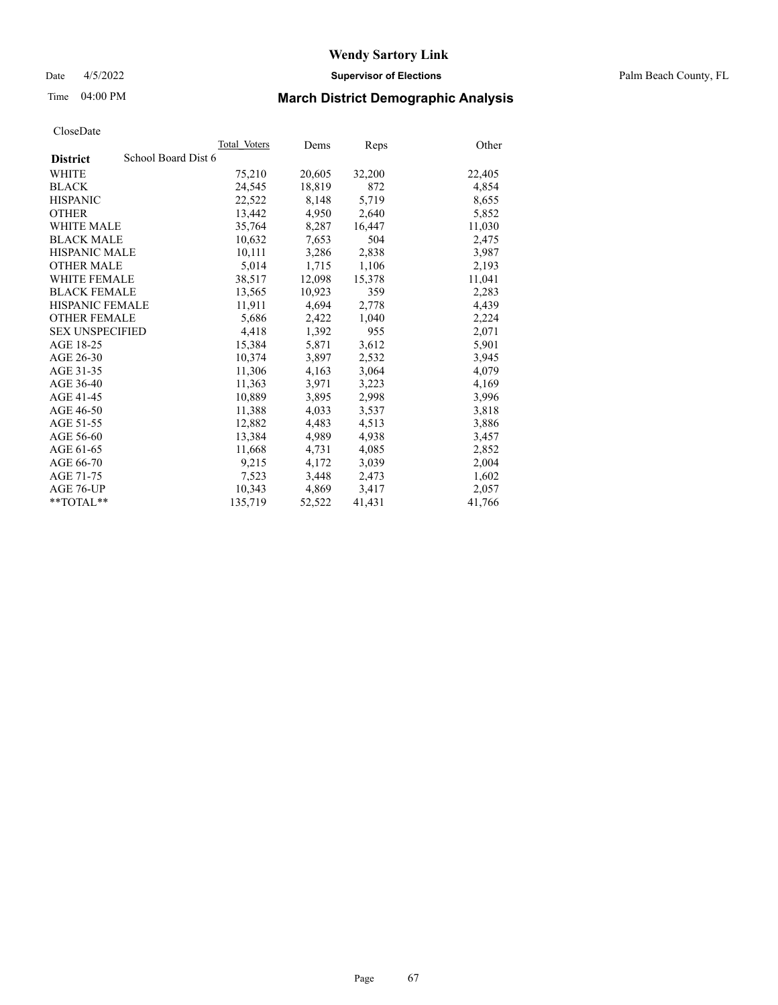Date 4/5/2022 **Supervisor of Elections** Palm Beach County, FL

# Time 04:00 PM **March District Demographic Analysis**

|                        |                     | Total Voters | Dems   | <b>Reps</b> | Other  |
|------------------------|---------------------|--------------|--------|-------------|--------|
| <b>District</b>        | School Board Dist 6 |              |        |             |        |
| WHITE                  |                     | 75,210       | 20,605 | 32,200      | 22,405 |
| <b>BLACK</b>           |                     | 24,545       | 18,819 | 872         | 4,854  |
| <b>HISPANIC</b>        |                     | 22,522       | 8,148  | 5,719       | 8,655  |
| <b>OTHER</b>           |                     | 13,442       | 4,950  | 2,640       | 5,852  |
| <b>WHITE MALE</b>      |                     | 35,764       | 8,287  | 16,447      | 11,030 |
| <b>BLACK MALE</b>      |                     | 10,632       | 7,653  | 504         | 2,475  |
| <b>HISPANIC MALE</b>   |                     | 10,111       | 3,286  | 2,838       | 3,987  |
| <b>OTHER MALE</b>      |                     | 5,014        | 1,715  | 1,106       | 2,193  |
| <b>WHITE FEMALE</b>    |                     | 38,517       | 12,098 | 15,378      | 11,041 |
| <b>BLACK FEMALE</b>    |                     | 13,565       | 10,923 | 359         | 2,283  |
| <b>HISPANIC FEMALE</b> |                     | 11,911       | 4,694  | 2,778       | 4,439  |
| <b>OTHER FEMALE</b>    |                     | 5,686        | 2,422  | 1,040       | 2,224  |
| <b>SEX UNSPECIFIED</b> |                     | 4,418        | 1,392  | 955         | 2,071  |
| AGE 18-25              |                     | 15,384       | 5,871  | 3,612       | 5,901  |
| AGE 26-30              |                     | 10,374       | 3,897  | 2,532       | 3,945  |
| AGE 31-35              |                     | 11,306       | 4,163  | 3,064       | 4,079  |
| AGE 36-40              |                     | 11,363       | 3,971  | 3,223       | 4,169  |
| AGE 41-45              |                     | 10,889       | 3,895  | 2,998       | 3,996  |
| AGE 46-50              |                     | 11,388       | 4,033  | 3,537       | 3,818  |
| AGE 51-55              |                     | 12,882       | 4,483  | 4,513       | 3,886  |
| AGE 56-60              |                     | 13,384       | 4,989  | 4,938       | 3,457  |
| AGE 61-65              |                     | 11,668       | 4,731  | 4,085       | 2,852  |
| AGE 66-70              |                     | 9,215        | 4,172  | 3,039       | 2,004  |
| AGE 71-75              |                     | 7,523        | 3,448  | 2,473       | 1,602  |
| AGE 76-UP              |                     | 10,343       | 4,869  | 3,417       | 2,057  |
| **TOTAL**              |                     | 135,719      | 52,522 | 41,431      | 41,766 |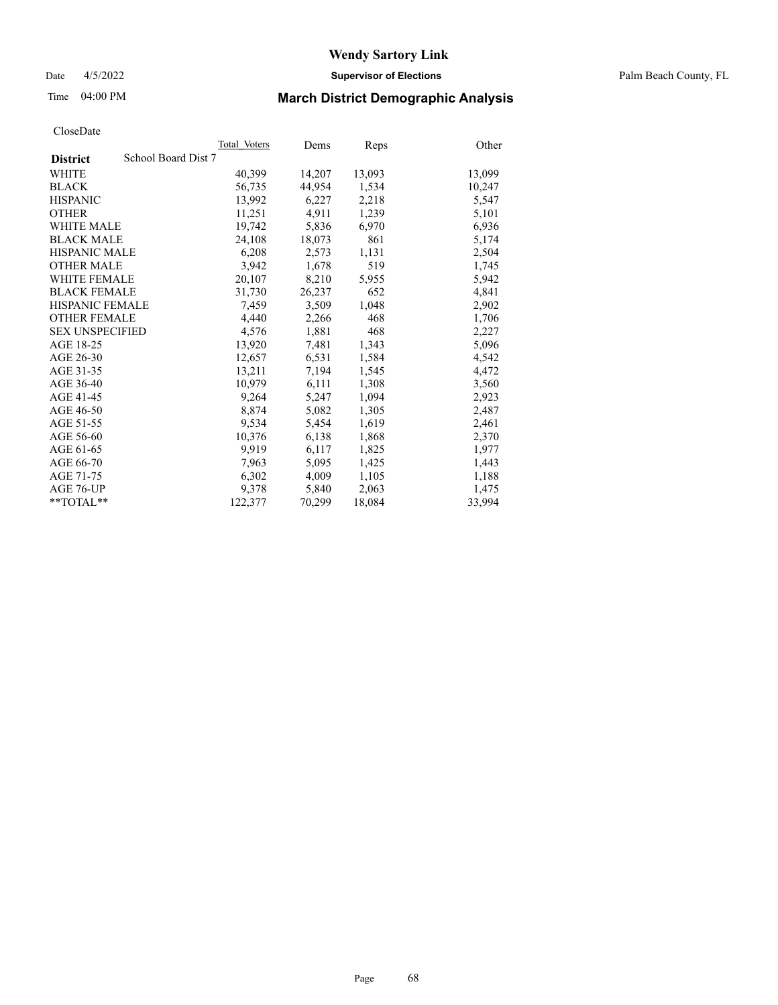Date 4/5/2022 **Supervisor of Elections** Palm Beach County, FL

# Time 04:00 PM **March District Demographic Analysis**

|                                        | Total Voters | Dems   | Reps   | Other  |
|----------------------------------------|--------------|--------|--------|--------|
| School Board Dist 7<br><b>District</b> |              |        |        |        |
| WHITE                                  | 40,399       | 14,207 | 13,093 | 13,099 |
| <b>BLACK</b>                           | 56,735       | 44,954 | 1,534  | 10,247 |
| <b>HISPANIC</b>                        | 13.992       | 6,227  | 2,218  | 5,547  |
| <b>OTHER</b>                           | 11,251       | 4,911  | 1,239  | 5,101  |
| <b>WHITE MALE</b>                      | 19,742       | 5,836  | 6,970  | 6,936  |
| <b>BLACK MALE</b>                      | 24,108       | 18,073 | 861    | 5,174  |
| <b>HISPANIC MALE</b>                   | 6,208        | 2,573  | 1,131  | 2,504  |
| <b>OTHER MALE</b>                      | 3,942        | 1,678  | 519    | 1,745  |
| <b>WHITE FEMALE</b>                    | 20,107       | 8,210  | 5,955  | 5,942  |
| <b>BLACK FEMALE</b>                    | 31,730       | 26,237 | 652    | 4,841  |
| <b>HISPANIC FEMALE</b>                 | 7,459        | 3,509  | 1,048  | 2,902  |
| <b>OTHER FEMALE</b>                    | 4,440        | 2,266  | 468    | 1,706  |
| <b>SEX UNSPECIFIED</b>                 | 4,576        | 1,881  | 468    | 2,227  |
| AGE 18-25                              | 13,920       | 7,481  | 1,343  | 5,096  |
| AGE 26-30                              | 12,657       | 6,531  | 1,584  | 4,542  |
| AGE 31-35                              | 13,211       | 7,194  | 1,545  | 4,472  |
| AGE 36-40                              | 10.979       | 6,111  | 1,308  | 3,560  |
| AGE 41-45                              | 9,264        | 5,247  | 1,094  | 2,923  |
| AGE 46-50                              | 8,874        | 5,082  | 1,305  | 2,487  |
| AGE 51-55                              | 9,534        | 5,454  | 1,619  | 2,461  |
| AGE 56-60                              | 10,376       | 6,138  | 1,868  | 2,370  |
| AGE 61-65                              | 9,919        | 6,117  | 1,825  | 1,977  |
| AGE 66-70                              | 7,963        | 5,095  | 1,425  | 1,443  |
| AGE 71-75                              | 6,302        | 4,009  | 1,105  | 1,188  |
| AGE 76-UP                              | 9.378        | 5,840  | 2,063  | 1,475  |
| $*$ $TOTAL**$                          | 122,377      | 70,299 | 18,084 | 33,994 |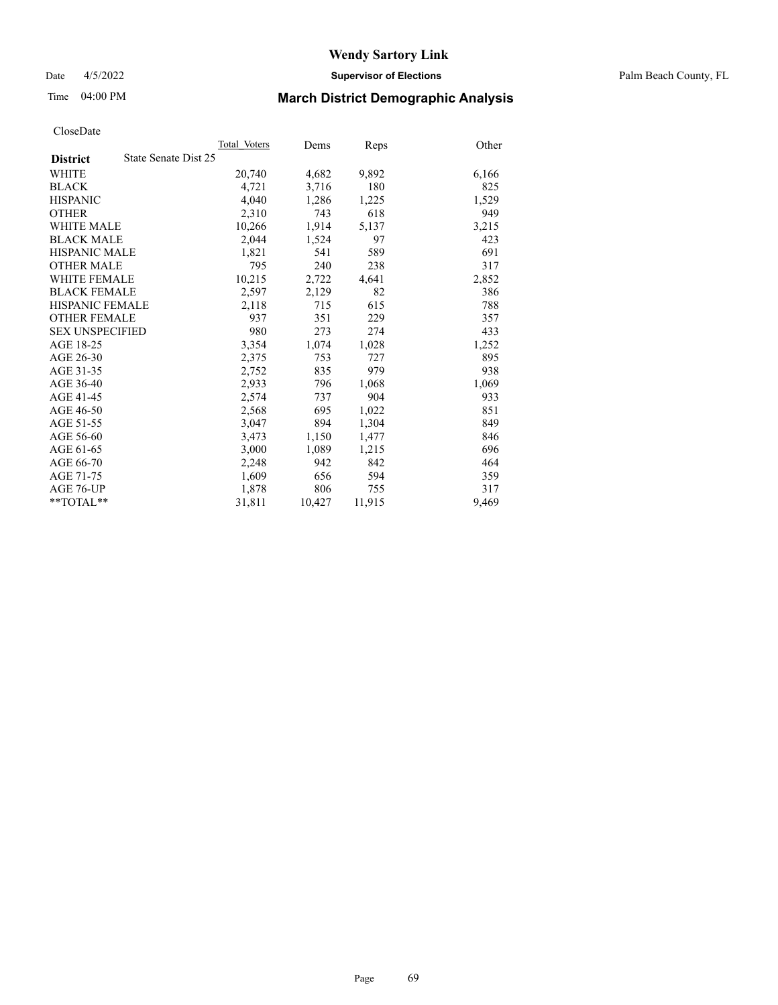Date 4/5/2022 **Supervisor of Elections** Palm Beach County, FL

# Time 04:00 PM **March District Demographic Analysis**

|                        |                      | Total Voters | Dems   | Reps   | Other |
|------------------------|----------------------|--------------|--------|--------|-------|
| <b>District</b>        | State Senate Dist 25 |              |        |        |       |
| WHITE                  |                      | 20,740       | 4,682  | 9,892  | 6,166 |
| <b>BLACK</b>           |                      | 4,721        | 3,716  | 180    | 825   |
| <b>HISPANIC</b>        |                      | 4.040        | 1,286  | 1,225  | 1,529 |
| <b>OTHER</b>           |                      | 2,310        | 743    | 618    | 949   |
| <b>WHITE MALE</b>      |                      | 10,266       | 1,914  | 5,137  | 3,215 |
| <b>BLACK MALE</b>      |                      | 2,044        | 1,524  | 97     | 423   |
| <b>HISPANIC MALE</b>   |                      | 1,821        | 541    | 589    | 691   |
| <b>OTHER MALE</b>      |                      | 795          | 240    | 238    | 317   |
| <b>WHITE FEMALE</b>    |                      | 10,215       | 2,722  | 4,641  | 2,852 |
| <b>BLACK FEMALE</b>    |                      | 2,597        | 2,129  | 82     | 386   |
| <b>HISPANIC FEMALE</b> |                      | 2,118        | 715    | 615    | 788   |
| <b>OTHER FEMALE</b>    |                      | 937          | 351    | 229    | 357   |
| <b>SEX UNSPECIFIED</b> |                      | 980          | 273    | 274    | 433   |
| AGE 18-25              |                      | 3,354        | 1,074  | 1,028  | 1,252 |
| AGE 26-30              |                      | 2,375        | 753    | 727    | 895   |
| AGE 31-35              |                      | 2,752        | 835    | 979    | 938   |
| AGE 36-40              |                      | 2,933        | 796    | 1,068  | 1,069 |
| AGE 41-45              |                      | 2,574        | 737    | 904    | 933   |
| AGE 46-50              |                      | 2,568        | 695    | 1,022  | 851   |
| AGE 51-55              |                      | 3,047        | 894    | 1,304  | 849   |
| AGE 56-60              |                      | 3,473        | 1,150  | 1,477  | 846   |
| AGE 61-65              |                      | 3,000        | 1,089  | 1,215  | 696   |
| AGE 66-70              |                      | 2,248        | 942    | 842    | 464   |
| AGE 71-75              |                      | 1,609        | 656    | 594    | 359   |
| AGE 76-UP              |                      | 1,878        | 806    | 755    | 317   |
| $*$ TOTAL $*$          |                      | 31,811       | 10,427 | 11,915 | 9,469 |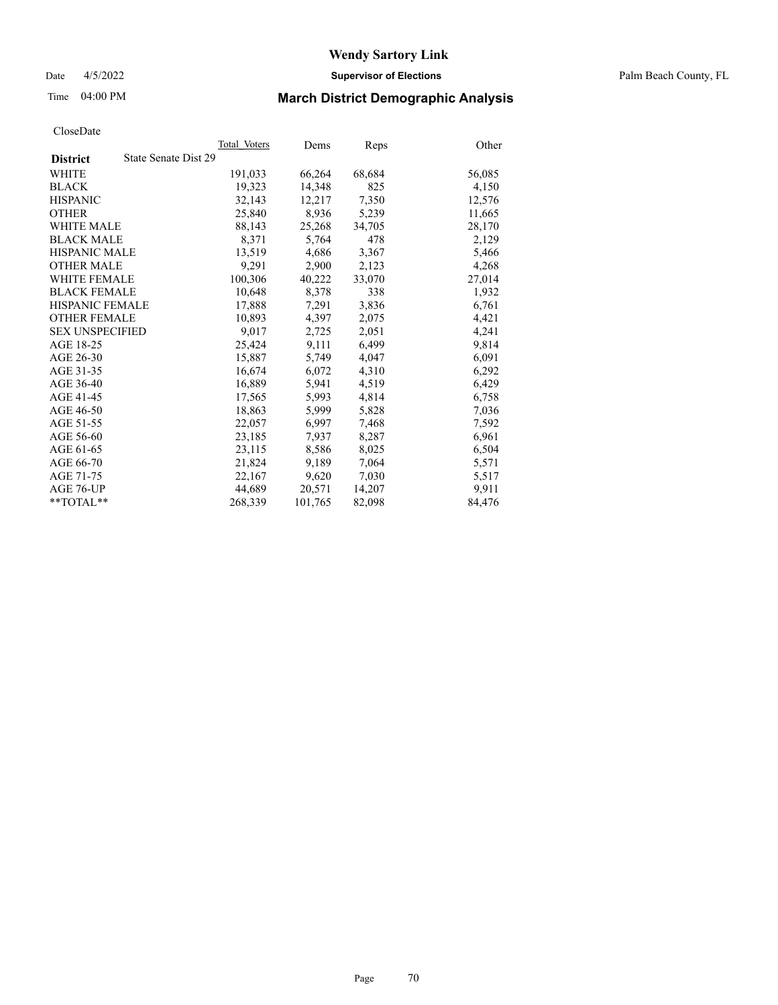Date 4/5/2022 **Supervisor of Elections** Palm Beach County, FL

# Time 04:00 PM **March District Demographic Analysis**

|                                         | Total Voters | Dems    | Reps   | Other  |
|-----------------------------------------|--------------|---------|--------|--------|
| State Senate Dist 29<br><b>District</b> |              |         |        |        |
| WHITE                                   | 191,033      | 66,264  | 68,684 | 56,085 |
| <b>BLACK</b>                            | 19,323       | 14,348  | 825    | 4,150  |
| <b>HISPANIC</b>                         | 32,143       | 12,217  | 7,350  | 12,576 |
| <b>OTHER</b>                            | 25,840       | 8,936   | 5,239  | 11,665 |
| <b>WHITE MALE</b>                       | 88,143       | 25,268  | 34,705 | 28,170 |
| <b>BLACK MALE</b>                       | 8,371        | 5,764   | 478    | 2,129  |
| <b>HISPANIC MALE</b>                    | 13,519       | 4,686   | 3,367  | 5,466  |
| <b>OTHER MALE</b>                       | 9,291        | 2,900   | 2,123  | 4,268  |
| <b>WHITE FEMALE</b>                     | 100,306      | 40,222  | 33,070 | 27,014 |
| <b>BLACK FEMALE</b>                     | 10.648       | 8.378   | 338    | 1,932  |
| <b>HISPANIC FEMALE</b>                  | 17,888       | 7,291   | 3,836  | 6,761  |
| <b>OTHER FEMALE</b>                     | 10,893       | 4,397   | 2,075  | 4,421  |
| <b>SEX UNSPECIFIED</b>                  | 9.017        | 2,725   | 2,051  | 4,241  |
| AGE 18-25                               | 25,424       | 9,111   | 6,499  | 9,814  |
| AGE 26-30                               | 15,887       | 5,749   | 4,047  | 6,091  |
| AGE 31-35                               | 16,674       | 6,072   | 4,310  | 6,292  |
| AGE 36-40                               | 16,889       | 5.941   | 4,519  | 6,429  |
| AGE 41-45                               | 17,565       | 5,993   | 4,814  | 6,758  |
| AGE 46-50                               | 18,863       | 5,999   | 5,828  | 7,036  |
| AGE 51-55                               | 22,057       | 6,997   | 7,468  | 7,592  |
| AGE 56-60                               | 23,185       | 7,937   | 8,287  | 6,961  |
| AGE 61-65                               | 23,115       | 8,586   | 8,025  | 6,504  |
| AGE 66-70                               | 21,824       | 9,189   | 7,064  | 5,571  |
| AGE 71-75                               | 22,167       | 9,620   | 7,030  | 5,517  |
| AGE 76-UP                               | 44,689       | 20,571  | 14,207 | 9,911  |
| $*$ $TOTAL**$                           | 268,339      | 101,765 | 82,098 | 84,476 |
|                                         |              |         |        |        |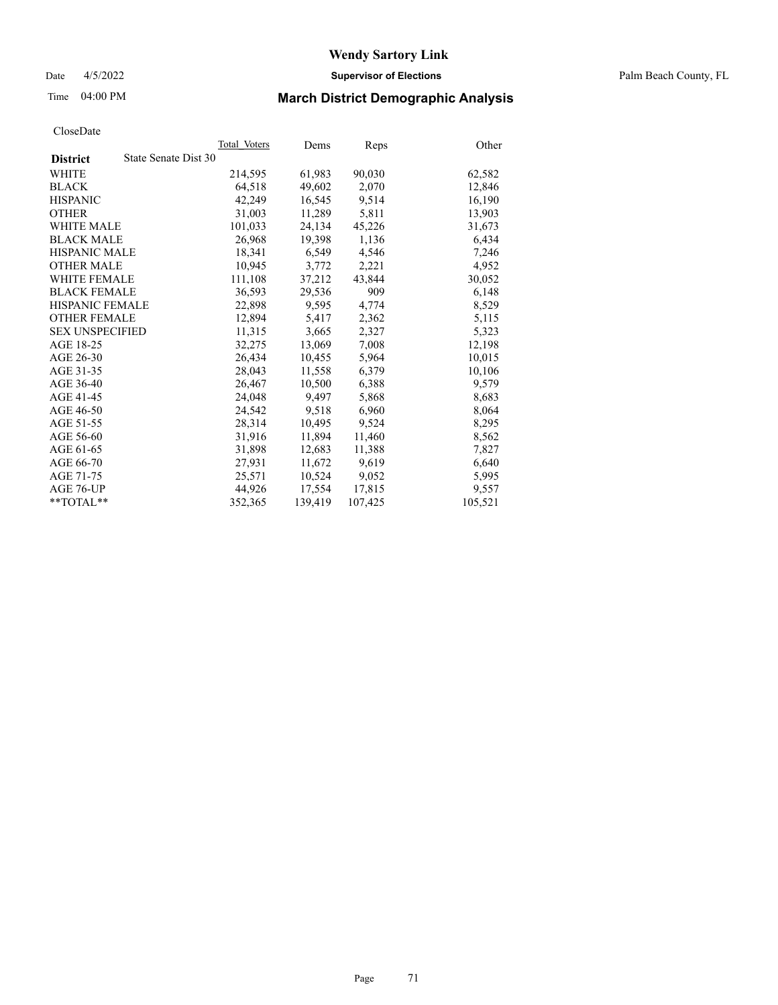Date 4/5/2022 **Supervisor of Elections** Palm Beach County, FL

# Time 04:00 PM **March District Demographic Analysis**

|                                         | Total Voters | Dems    | <b>Reps</b> | Other   |
|-----------------------------------------|--------------|---------|-------------|---------|
| State Senate Dist 30<br><b>District</b> |              |         |             |         |
| WHITE                                   | 214,595      | 61,983  | 90,030      | 62,582  |
| <b>BLACK</b>                            | 64,518       | 49.602  | 2,070       | 12,846  |
| <b>HISPANIC</b>                         | 42,249       | 16.545  | 9,514       | 16,190  |
| <b>OTHER</b>                            | 31,003       | 11,289  | 5,811       | 13,903  |
| <b>WHITE MALE</b>                       | 101,033      | 24,134  | 45,226      | 31,673  |
| <b>BLACK MALE</b>                       | 26,968       | 19,398  | 1,136       | 6,434   |
| <b>HISPANIC MALE</b>                    | 18,341       | 6,549   | 4,546       | 7,246   |
| <b>OTHER MALE</b>                       | 10.945       | 3,772   | 2,221       | 4,952   |
| <b>WHITE FEMALE</b>                     | 111,108      | 37,212  | 43,844      | 30,052  |
| <b>BLACK FEMALE</b>                     | 36,593       | 29,536  | 909         | 6,148   |
| <b>HISPANIC FEMALE</b>                  | 22,898       | 9,595   | 4,774       | 8,529   |
| <b>OTHER FEMALE</b>                     | 12,894       | 5,417   | 2,362       | 5,115   |
| <b>SEX UNSPECIFIED</b>                  | 11,315       | 3,665   | 2,327       | 5,323   |
| AGE 18-25                               | 32,275       | 13,069  | 7,008       | 12,198  |
| AGE 26-30                               | 26.434       | 10,455  | 5,964       | 10,015  |
| AGE 31-35                               | 28,043       | 11,558  | 6,379       | 10,106  |
| AGE 36-40                               | 26,467       | 10.500  | 6,388       | 9,579   |
| AGE 41-45                               | 24,048       | 9,497   | 5,868       | 8,683   |
| AGE 46-50                               | 24,542       | 9,518   | 6,960       | 8,064   |
| AGE 51-55                               | 28,314       | 10,495  | 9,524       | 8,295   |
| AGE 56-60                               | 31,916       | 11,894  | 11,460      | 8,562   |
| AGE 61-65                               | 31,898       | 12,683  | 11,388      | 7,827   |
| AGE 66-70                               | 27,931       | 11,672  | 9,619       | 6,640   |
| AGE 71-75                               | 25,571       | 10,524  | 9,052       | 5,995   |
| AGE 76-UP                               | 44,926       | 17,554  | 17,815      | 9,557   |
| $*$ TOTAL $*$                           | 352,365      | 139,419 | 107,425     | 105,521 |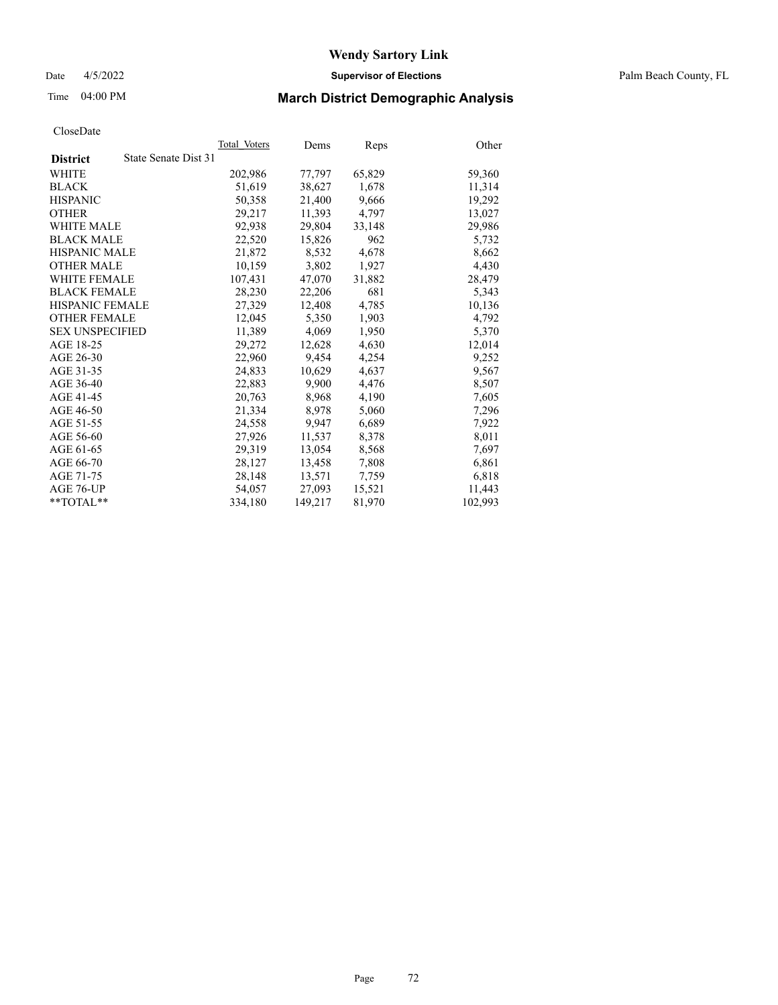Date 4/5/2022 **Supervisor of Elections** Palm Beach County, FL

# Time 04:00 PM **March District Demographic Analysis**

| Cioscizate             |                      |              |         |        |         |
|------------------------|----------------------|--------------|---------|--------|---------|
|                        |                      | Total Voters | Dems    | Reps   | Other   |
| <b>District</b>        | State Senate Dist 31 |              |         |        |         |
| WHITE                  |                      | 202,986      | 77,797  | 65,829 | 59,360  |
| <b>BLACK</b>           |                      | 51,619       | 38,627  | 1,678  | 11,314  |
| <b>HISPANIC</b>        |                      | 50.358       | 21,400  | 9.666  | 19.292  |
| <b>OTHER</b>           |                      | 29,217       | 11,393  | 4,797  | 13,027  |
| <b>WHITE MALE</b>      |                      | 92,938       | 29,804  | 33,148 | 29,986  |
| <b>BLACK MALE</b>      |                      | 22,520       | 15,826  | 962    | 5,732   |
| HISPANIC MALE          |                      | 21,872       | 8,532   | 4,678  | 8,662   |
| <b>OTHER MALE</b>      |                      | 10,159       | 3,802   | 1,927  | 4,430   |
| <b>WHITE FEMALE</b>    |                      | 107,431      | 47,070  | 31,882 | 28,479  |
| <b>BLACK FEMALE</b>    |                      | 28,230       | 22,206  | 681    | 5.343   |
| <b>HISPANIC FEMALE</b> |                      | 27,329       | 12,408  | 4,785  | 10,136  |
| <b>OTHER FEMALE</b>    |                      | 12,045       | 5,350   | 1,903  | 4,792   |
| <b>SEX UNSPECIFIED</b> |                      | 11,389       | 4,069   | 1,950  | 5,370   |
| AGE 18-25              |                      | 29,272       | 12,628  | 4,630  | 12,014  |
| AGE 26-30              |                      | 22,960       | 9,454   | 4,254  | 9,252   |
| AGE 31-35              |                      | 24,833       | 10,629  | 4,637  | 9,567   |
| AGE 36-40              |                      | 22,883       | 9.900   | 4,476  | 8,507   |
| AGE 41-45              |                      | 20,763       | 8,968   | 4,190  | 7,605   |
| AGE 46-50              |                      | 21,334       | 8,978   | 5,060  | 7,296   |
| AGE 51-55              |                      | 24,558       | 9,947   | 6,689  | 7,922   |
| AGE 56-60              |                      | 27,926       | 11,537  | 8,378  | 8,011   |
| AGE 61-65              |                      | 29,319       | 13,054  | 8,568  | 7,697   |
| AGE 66-70              |                      | 28,127       | 13,458  | 7,808  | 6,861   |
| AGE 71-75              |                      | 28,148       | 13,571  | 7,759  | 6,818   |
| AGE 76-UP              |                      | 54,057       | 27,093  | 15,521 | 11,443  |
| $*$ $TOTAL**$          |                      | 334,180      | 149,217 | 81,970 | 102.993 |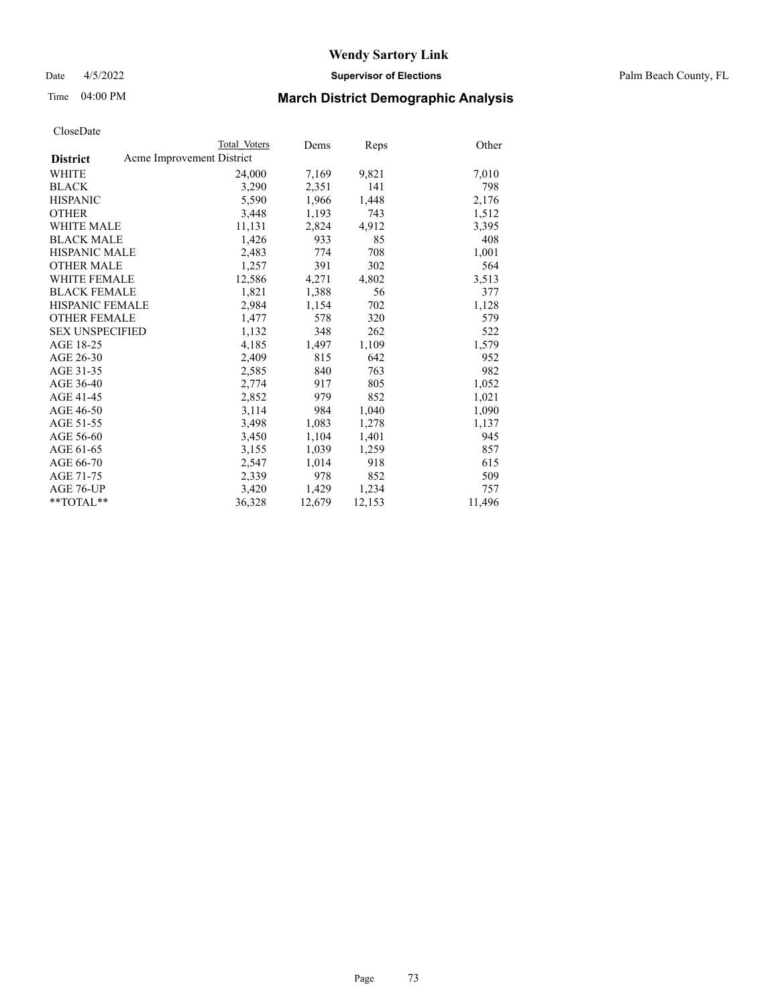Date 4/5/2022 **Supervisor of Elections** Palm Beach County, FL

### Time 04:00 PM **March District Demographic Analysis**

|                        | Total Voters              | Dems   | <b>Reps</b> | Other  |
|------------------------|---------------------------|--------|-------------|--------|
| <b>District</b>        | Acme Improvement District |        |             |        |
| WHITE                  | 24,000                    | 7,169  | 9,821       | 7,010  |
| <b>BLACK</b>           | 3,290                     | 2,351  | 141         | 798    |
| <b>HISPANIC</b>        | 5,590                     | 1,966  | 1,448       | 2,176  |
| <b>OTHER</b>           | 3,448                     | 1,193  | 743         | 1,512  |
| <b>WHITE MALE</b>      | 11,131                    | 2,824  | 4,912       | 3,395  |
| <b>BLACK MALE</b>      | 1,426                     | 933    | 85          | 408    |
| <b>HISPANIC MALE</b>   | 2,483                     | 774    | 708         | 1,001  |
| <b>OTHER MALE</b>      | 1,257                     | 391    | 302         | 564    |
| <b>WHITE FEMALE</b>    | 12,586                    | 4,271  | 4,802       | 3,513  |
| <b>BLACK FEMALE</b>    | 1,821                     | 1,388  | 56          | 377    |
| <b>HISPANIC FEMALE</b> | 2,984                     | 1,154  | 702         | 1,128  |
| <b>OTHER FEMALE</b>    | 1,477                     | 578    | 320         | 579    |
| <b>SEX UNSPECIFIED</b> | 1,132                     | 348    | 262         | 522    |
| AGE 18-25              | 4,185                     | 1,497  | 1,109       | 1,579  |
| AGE 26-30              | 2,409                     | 815    | 642         | 952    |
| AGE 31-35              | 2,585                     | 840    | 763         | 982    |
| AGE 36-40              | 2,774                     | 917    | 805         | 1,052  |
| AGE 41-45              | 2,852                     | 979    | 852         | 1,021  |
| AGE 46-50              | 3,114                     | 984    | 1,040       | 1,090  |
| AGE 51-55              | 3,498                     | 1,083  | 1,278       | 1,137  |
| AGE 56-60              | 3,450                     | 1,104  | 1,401       | 945    |
| AGE 61-65              | 3,155                     | 1,039  | 1,259       | 857    |
| AGE 66-70              | 2,547                     | 1,014  | 918         | 615    |
| AGE 71-75              | 2,339                     | 978    | 852         | 509    |
| AGE 76-UP              | 3,420                     | 1,429  | 1,234       | 757    |
| $*$ $TOTAL**$          | 36,328                    | 12,679 | 12,153      | 11,496 |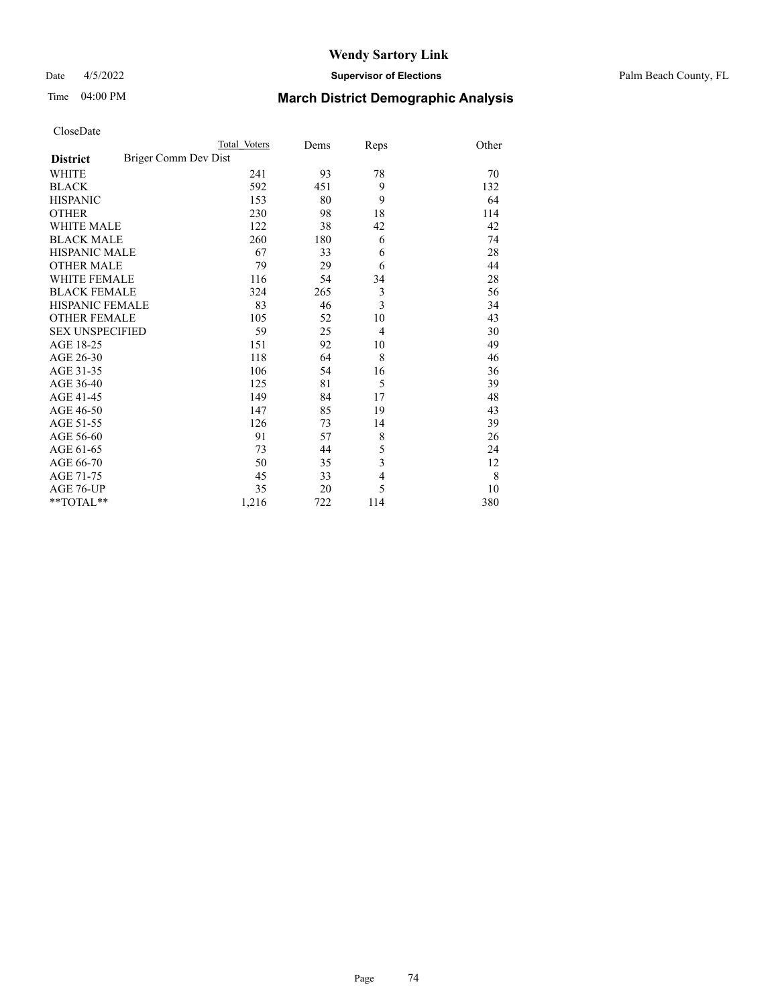### Date 4/5/2022 **Supervisor of Elections** Palm Beach County, FL

| CloseDate |
|-----------|
|-----------|

|                        |                      | Total Voters | Dems | Reps                    | Other |
|------------------------|----------------------|--------------|------|-------------------------|-------|
| <b>District</b>        | Briger Comm Dev Dist |              |      |                         |       |
| WHITE                  |                      | 241          | 93   | 78                      | 70    |
| BLACK                  |                      | 592          | 451  | 9                       | 132   |
| HISPANIC               |                      | 153          | 80   | 9                       | 64    |
| OTHER                  |                      | 230          | 98   | 18                      | 114   |
| WHITE MALE             |                      | 122          | 38   | 42                      | 42    |
| <b>BLACK MALE</b>      |                      | 260          | 180  | 6                       | 74    |
| HISPANIC MALE          |                      | 67           | 33   | 6                       | 28    |
| OTHER MALE             |                      | 79           | 29   | 6                       | 44    |
| WHITE FEMALE           |                      | 116          | 54   | 34                      | 28    |
| BLACK FEMALE           |                      | 324          | 265  | $\mathfrak{Z}$          | 56    |
| HISPANIC FEMALE        |                      | 83           | 46   | $\overline{\mathbf{3}}$ | 34    |
| OTHER FEMALE           |                      | 105          | 52   | 10                      | 43    |
| <b>SEX UNSPECIFIED</b> |                      | 59           | 25   | $\overline{4}$          | 30    |
| AGE 18-25              |                      | 151          | 92   | 10                      | 49    |
| AGE 26-30              |                      | 118          | 64   | 8                       | 46    |
| AGE 31-35              |                      | 106          | 54   | 16                      | 36    |
| AGE 36-40              |                      | 125          | 81   | 5                       | 39    |
| AGE 41-45              |                      | 149          | 84   | 17                      | 48    |
| AGE 46-50              |                      | 147          | 85   | 19                      | 43    |
| AGE 51-55              |                      | 126          | 73   | 14                      | 39    |
| AGE 56-60              |                      | 91           | 57   | 8                       | 26    |
| AGE 61-65              |                      | 73           | 44   | 5                       | 24    |
| AGE 66-70              |                      | 50           | 35   | 3                       | 12    |
| AGE 71-75              |                      | 45           | 33   | $\overline{4}$          | 8     |
| AGE 76-UP              |                      | 35           | 20   | 5                       | 10    |
| $*$ $TOTAL**$          |                      | 1,216        | 722  | 114                     | 380   |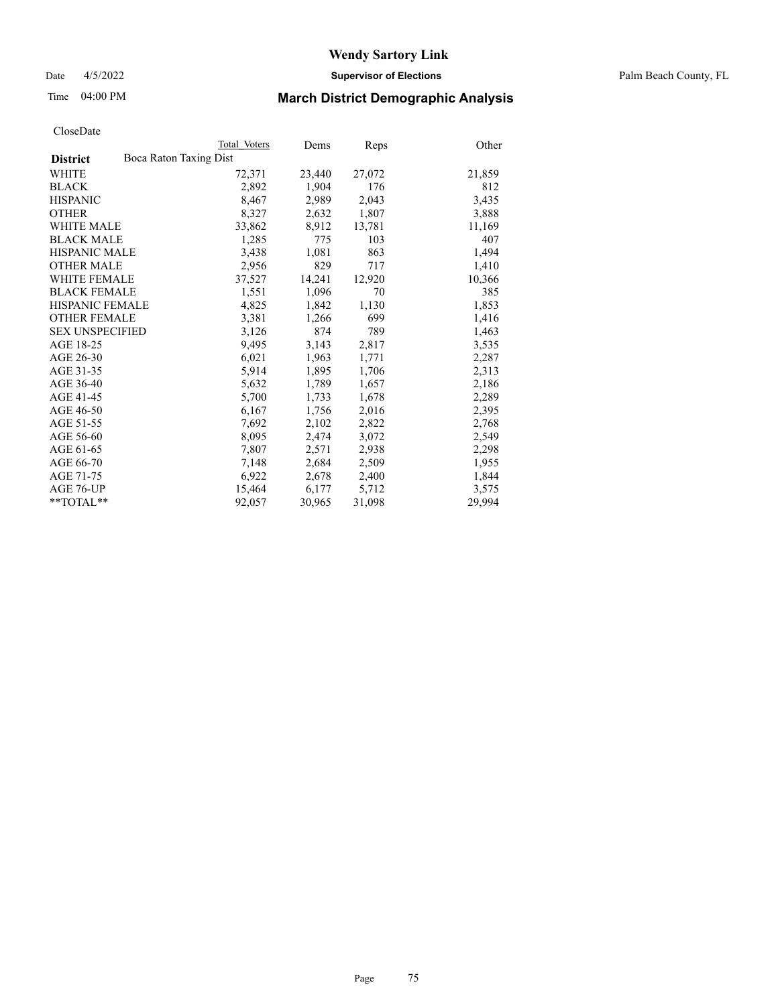Date 4/5/2022 **Supervisor of Elections** Palm Beach County, FL

### Time 04:00 PM **March District Demographic Analysis**

|                                           | Total Voters | Dems   | Reps   | Other  |
|-------------------------------------------|--------------|--------|--------|--------|
| Boca Raton Taxing Dist<br><b>District</b> |              |        |        |        |
| WHITE                                     | 72,371       | 23,440 | 27,072 | 21,859 |
| <b>BLACK</b>                              | 2,892        | 1,904  | 176    | 812    |
| <b>HISPANIC</b>                           | 8,467        | 2,989  | 2,043  | 3,435  |
| <b>OTHER</b>                              | 8,327        | 2,632  | 1,807  | 3,888  |
| <b>WHITE MALE</b>                         | 33,862       | 8,912  | 13,781 | 11,169 |
| <b>BLACK MALE</b>                         | 1,285        | 775    | 103    | 407    |
| <b>HISPANIC MALE</b>                      | 3,438        | 1,081  | 863    | 1,494  |
| <b>OTHER MALE</b>                         | 2,956        | 829    | 717    | 1,410  |
| <b>WHITE FEMALE</b>                       | 37,527       | 14,241 | 12,920 | 10,366 |
| <b>BLACK FEMALE</b>                       | 1,551        | 1,096  | 70     | 385    |
| <b>HISPANIC FEMALE</b>                    | 4,825        | 1,842  | 1,130  | 1,853  |
| <b>OTHER FEMALE</b>                       | 3,381        | 1,266  | 699    | 1,416  |
| <b>SEX UNSPECIFIED</b>                    | 3,126        | 874    | 789    | 1,463  |
| AGE 18-25                                 | 9,495        | 3,143  | 2,817  | 3,535  |
| AGE 26-30                                 | 6,021        | 1,963  | 1,771  | 2,287  |
| AGE 31-35                                 | 5,914        | 1,895  | 1,706  | 2,313  |
| AGE 36-40                                 | 5,632        | 1,789  | 1,657  | 2,186  |
| AGE 41-45                                 | 5,700        | 1,733  | 1,678  | 2,289  |
| AGE 46-50                                 | 6,167        | 1,756  | 2,016  | 2,395  |
| AGE 51-55                                 | 7,692        | 2,102  | 2,822  | 2,768  |
| AGE 56-60                                 | 8,095        | 2,474  | 3,072  | 2,549  |
| AGE 61-65                                 | 7,807        | 2,571  | 2,938  | 2,298  |
| AGE 66-70                                 | 7,148        | 2,684  | 2,509  | 1,955  |
| AGE 71-75                                 | 6,922        | 2,678  | 2,400  | 1,844  |
| AGE 76-UP                                 | 15,464       | 6,177  | 5,712  | 3,575  |
| **TOTAL**                                 | 92,057       | 30,965 | 31,098 | 29.994 |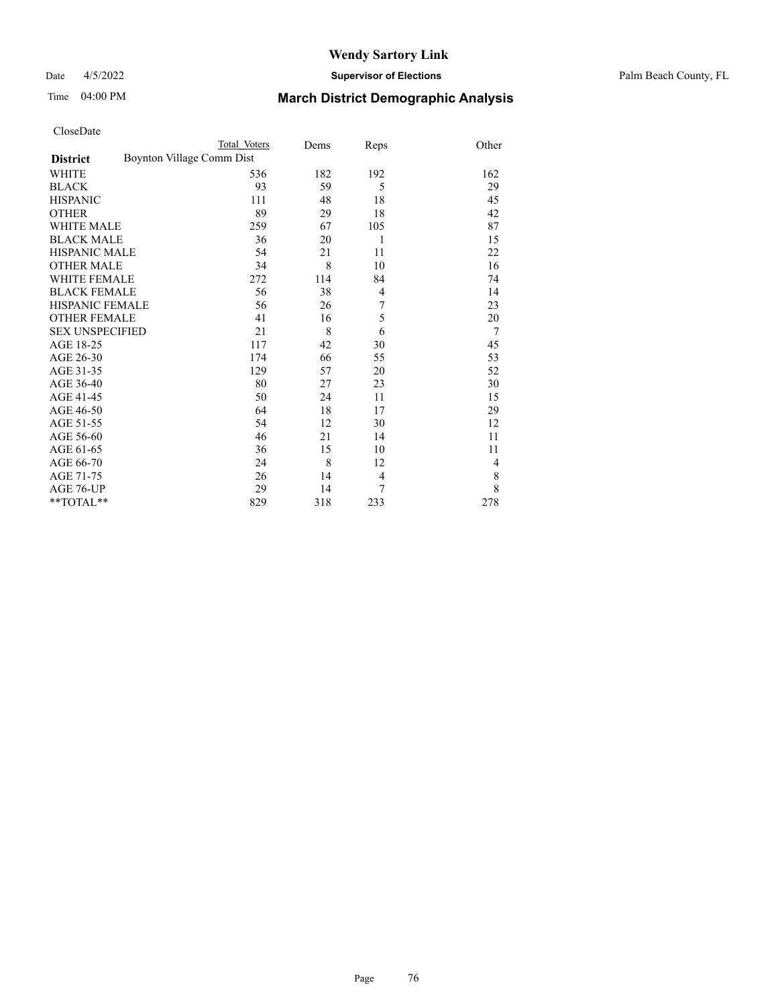Date 4/5/2022 **Supervisor of Elections** Palm Beach County, FL

| CloseDate |
|-----------|
|-----------|

|                                              | Total Voters | Dems | Reps | Other |
|----------------------------------------------|--------------|------|------|-------|
| Boynton Village Comm Dist<br><b>District</b> |              |      |      |       |
| WHITE                                        | 536          | 182  | 192  | 162   |
| BLACK                                        | 93           | 59   | 5    | 29    |
| HISPANIC                                     | 111          | 48   | 18   | 45    |
| OTHER                                        | 89           | 29   | 18   | 42    |
| WHITE MALE                                   | 259          | 67   | 105  | 87    |
| <b>BLACK MALE</b>                            | 36           | 20   | 1    | 15    |
| HISPANIC MALE                                | 54           | 21   | 11   | 22    |
| <b>OTHER MALE</b>                            | 34           | 8    | 10   | 16    |
| WHITE FEMALE                                 | 272          | 114  | 84   | 74    |
| <b>BLACK FEMALE</b>                          | 56           | 38   | 4    | 14    |
| HISPANIC FEMALE                              | 56           | 26   | 7    | 23    |
| <b>OTHER FEMALE</b>                          | 41           | 16   | 5    | 20    |
| <b>SEX UNSPECIFIED</b>                       | 21           | 8    | 6    | 7     |
| AGE 18-25                                    | 117          | 42   | 30   | 45    |
| AGE 26-30                                    | 174          | 66   | 55   | 53    |
| AGE 31-35                                    | 129          | 57   | 20   | 52    |
| AGE 36-40                                    | 80           | 27   | 23   | 30    |
| AGE 41-45                                    | 50           | 24   | 11   | 15    |
| AGE 46-50                                    | 64           | 18   | 17   | 29    |
| AGE 51-55                                    | 54           | 12   | 30   | 12    |
| AGE 56-60                                    | 46           | 21   | 14   | 11    |
| AGE 61-65                                    | 36           | 15   | 10   | 11    |
| AGE 66-70                                    | 24           | 8    | 12   | 4     |
| AGE 71-75                                    | 26           | 14   | 4    | 8     |
| AGE 76-UP                                    | 29           | 14   | 7    | 8     |
| **TOTAL**                                    | 829          | 318  | 233  | 278   |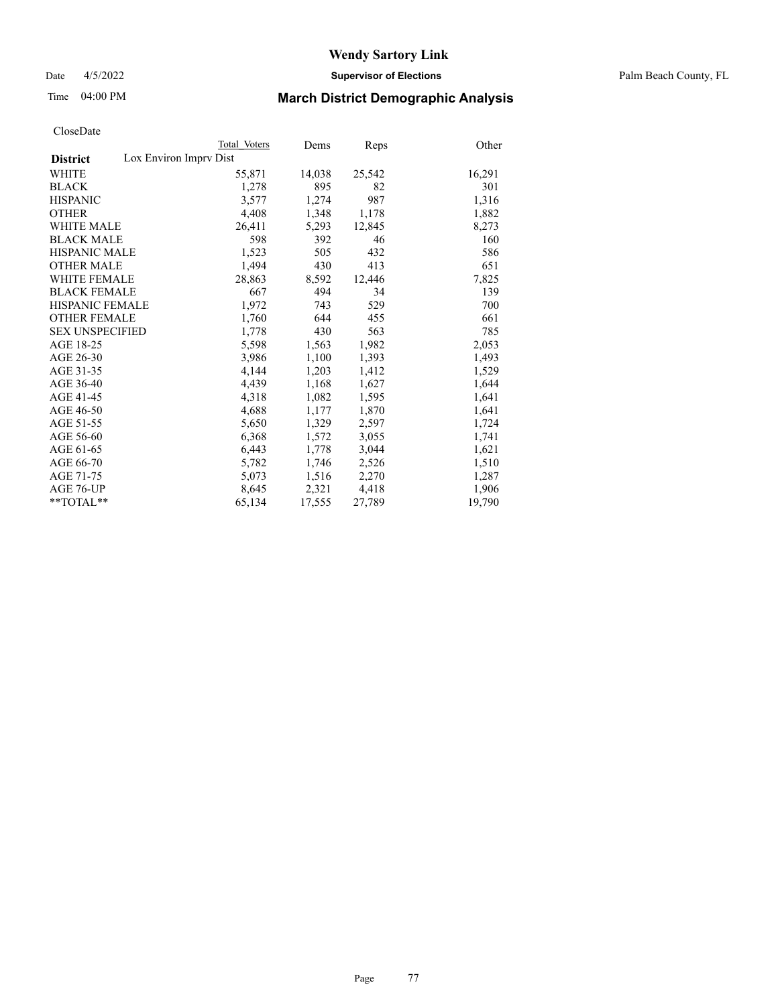Date 4/5/2022 **Supervisor of Elections** Palm Beach County, FL

### Time 04:00 PM **March District Demographic Analysis**

|                                           | Total Voters | Dems   | Reps   | Other  |
|-------------------------------------------|--------------|--------|--------|--------|
| Lox Environ Imprv Dist<br><b>District</b> |              |        |        |        |
| <b>WHITE</b>                              | 55,871       | 14,038 | 25,542 | 16,291 |
| <b>BLACK</b>                              | 1,278        | 895    | 82     | 301    |
| <b>HISPANIC</b>                           | 3,577        | 1,274  | 987    | 1,316  |
| <b>OTHER</b>                              | 4,408        | 1,348  | 1,178  | 1,882  |
| <b>WHITE MALE</b>                         | 26,411       | 5,293  | 12,845 | 8,273  |
| <b>BLACK MALE</b>                         | 598          | 392    | 46     | 160    |
| <b>HISPANIC MALE</b>                      | 1,523        | 505    | 432    | 586    |
| <b>OTHER MALE</b>                         | 1,494        | 430    | 413    | 651    |
| <b>WHITE FEMALE</b>                       | 28,863       | 8,592  | 12,446 | 7,825  |
| <b>BLACK FEMALE</b>                       | 667          | 494    | 34     | 139    |
| HISPANIC FEMALE                           | 1,972        | 743    | 529    | 700    |
| <b>OTHER FEMALE</b>                       | 1,760        | 644    | 455    | 661    |
| <b>SEX UNSPECIFIED</b>                    | 1,778        | 430    | 563    | 785    |
| AGE 18-25                                 | 5,598        | 1,563  | 1,982  | 2,053  |
| AGE 26-30                                 | 3,986        | 1,100  | 1,393  | 1,493  |
| AGE 31-35                                 | 4,144        | 1,203  | 1,412  | 1,529  |
| AGE 36-40                                 | 4,439        | 1,168  | 1,627  | 1,644  |
| AGE 41-45                                 | 4,318        | 1,082  | 1,595  | 1,641  |
| AGE 46-50                                 | 4,688        | 1,177  | 1,870  | 1,641  |
| AGE 51-55                                 | 5,650        | 1,329  | 2,597  | 1,724  |
| AGE 56-60                                 | 6,368        | 1,572  | 3,055  | 1,741  |
| AGE 61-65                                 | 6,443        | 1,778  | 3,044  | 1,621  |
| AGE 66-70                                 | 5,782        | 1,746  | 2,526  | 1,510  |
| AGE 71-75                                 | 5,073        | 1,516  | 2,270  | 1,287  |
| AGE 76-UP                                 | 8,645        | 2,321  | 4,418  | 1,906  |
| $*$ $TOTAL**$                             | 65,134       | 17,555 | 27,789 | 19,790 |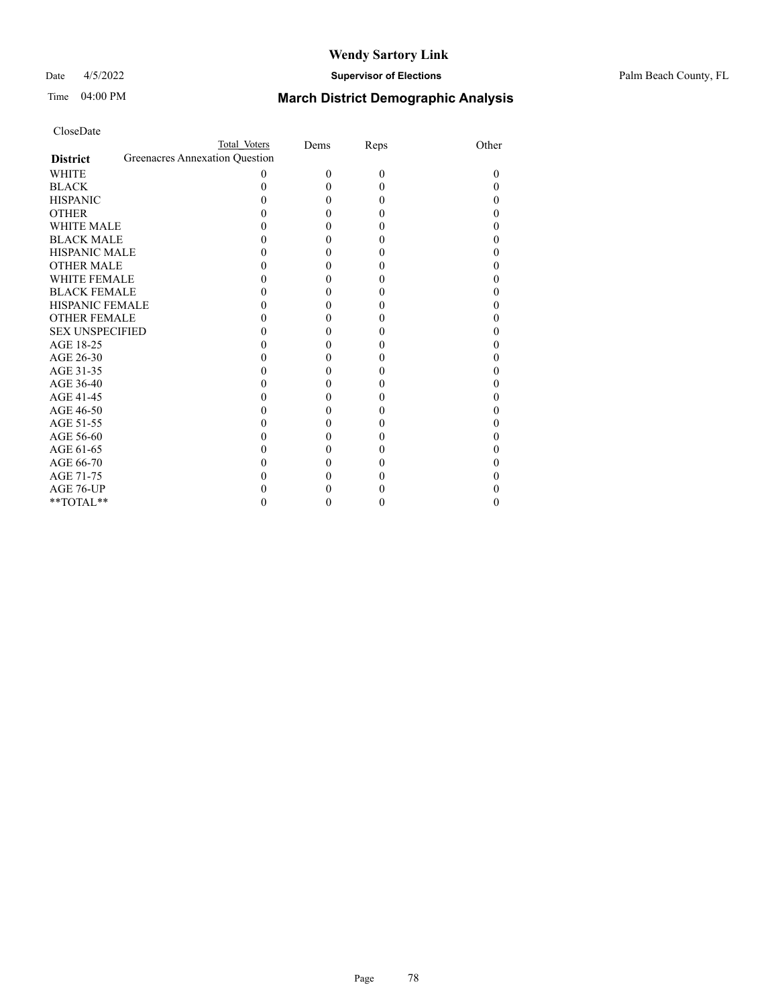### Date 4/5/2022 **Supervisor of Elections** Palm Beach County, FL

| CloseDate |
|-----------|
|-----------|

|                        | Total Voters                   |   | Dems     | Reps     | Other |
|------------------------|--------------------------------|---|----------|----------|-------|
| <b>District</b>        | Greenacres Annexation Question |   |          |          |       |
| WHITE                  |                                | 0 | $\Omega$ | $\theta$ | 0     |
| BLACK                  |                                |   | 0        | $\theta$ |       |
| <b>HISPANIC</b>        |                                |   | 0        | 0        |       |
| OTHER                  |                                |   | 0        | 0        |       |
| WHITE MALE             |                                |   |          | 0        |       |
| <b>BLACK MALE</b>      |                                |   | 0        | 0        |       |
| HISPANIC MALE          |                                |   | 0        | 0        |       |
| OTHER MALE             |                                |   |          | 0        |       |
| WHITE FEMALE           |                                |   | 0        | 0        |       |
| BLACK FEMALE           |                                |   | 0        | 0        |       |
| HISPANIC FEMALE        |                                |   |          |          |       |
| OTHER FEMALE           |                                |   | 0        | 0        |       |
| <b>SEX UNSPECIFIED</b> |                                |   | 0        | 0        |       |
| AGE 18-25              |                                |   |          | 0        |       |
| AGE 26-30              |                                |   | 0        |          |       |
| AGE 31-35              |                                |   | 0        | 0        |       |
| AGE 36-40              |                                |   |          | 0        |       |
| AGE 41-45              |                                |   |          | 0        |       |
| AGE 46-50              |                                |   | 0        | 0        |       |
| AGE 51-55              |                                |   | 0        | 0        |       |
| AGE 56-60              |                                |   |          | 0        |       |
| AGE 61-65              |                                |   | 0        | 0        |       |
| AGE 66-70              |                                |   | 0        | 0        |       |
| AGE 71-75              |                                |   |          |          |       |
| AGE 76-UP              |                                |   |          |          |       |
| $*$ TOTAL $*$          |                                |   |          |          |       |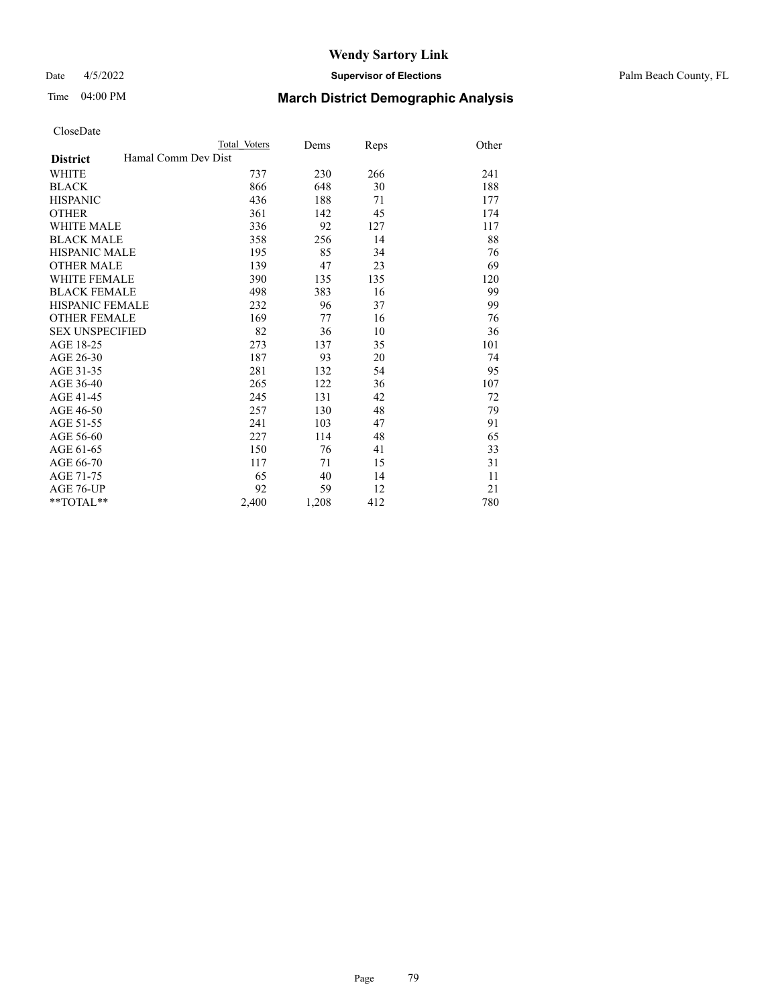#### Date 4/5/2022 **Supervisor of Elections** Palm Beach County, FL

### Time 04:00 PM **March District Demographic Analysis**

|                                        | Total Voters | Dems  | Reps | Other |
|----------------------------------------|--------------|-------|------|-------|
| Hamal Comm Dev Dist<br><b>District</b> |              |       |      |       |
| WHITE                                  | 737          | 230   | 266  | 241   |
| <b>BLACK</b>                           | 866          | 648   | 30   | 188   |
| <b>HISPANIC</b>                        | 436          | 188   | 71   | 177   |
| <b>OTHER</b>                           | 361          | 142   | 45   | 174   |
| <b>WHITE MALE</b>                      | 336          | 92    | 127  | 117   |
| <b>BLACK MALE</b>                      | 358          | 256   | 14   | 88    |
| <b>HISPANIC MALE</b>                   | 195          | 85    | 34   | 76    |
| <b>OTHER MALE</b>                      | 139          | 47    | 23   | 69    |
| <b>WHITE FEMALE</b>                    | 390          | 135   | 135  | 120   |
| <b>BLACK FEMALE</b>                    | 498          | 383   | 16   | 99    |
| <b>HISPANIC FEMALE</b>                 | 232          | 96    | 37   | 99    |
| <b>OTHER FEMALE</b>                    | 169          | 77    | 16   | 76    |
| <b>SEX UNSPECIFIED</b>                 | 82           | 36    | 10   | 36    |
| AGE 18-25                              | 273          | 137   | 35   | 101   |
| AGE 26-30                              | 187          | 93    | 20   | 74    |
| AGE 31-35                              | 281          | 132   | 54   | 95    |
| AGE 36-40                              | 265          | 122   | 36   | 107   |
| AGE 41-45                              | 245          | 131   | 42   | 72    |
| AGE 46-50                              | 257          | 130   | 48   | 79    |
| AGE 51-55                              | 241          | 103   | 47   | 91    |
| AGE 56-60                              | 227          | 114   | 48   | 65    |
| AGE 61-65                              | 150          | 76    | 41   | 33    |
| AGE 66-70                              | 117          | 71    | 15   | 31    |
| AGE 71-75                              | 65           | 40    | 14   | 11    |
| <b>AGE 76-UP</b>                       | 92           | 59    | 12   | 21    |
| $*$ $TOTAL**$                          | 2,400        | 1,208 | 412  | 780   |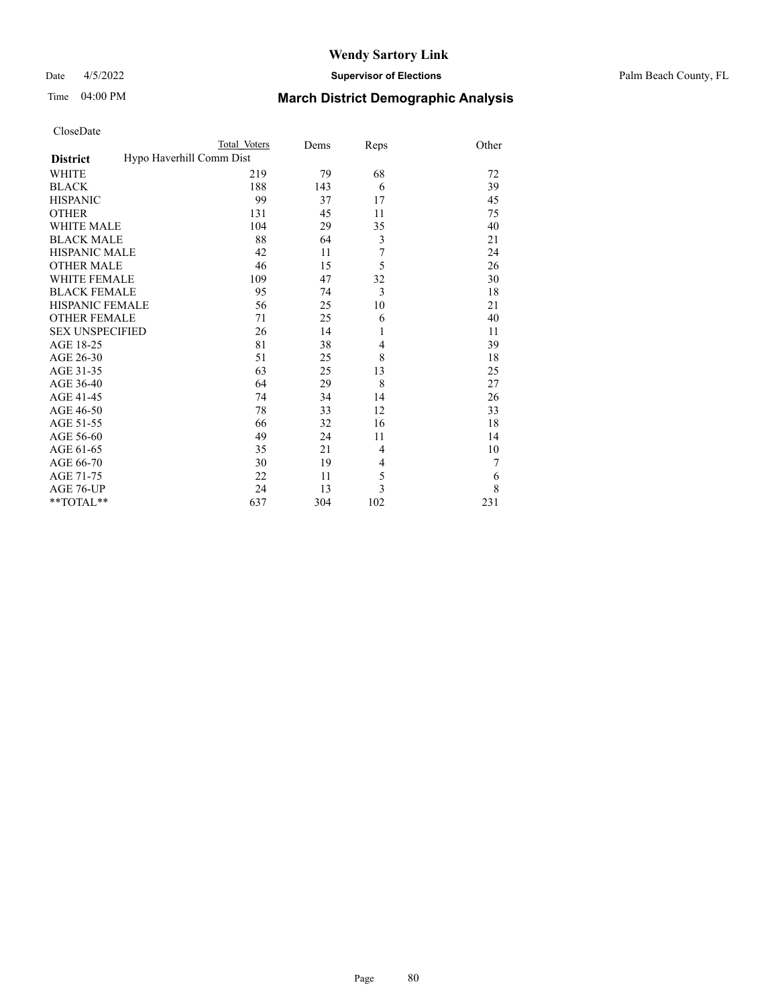### Date 4/5/2022 **Supervisor of Elections** Palm Beach County, FL

| CloseDate |
|-----------|
|-----------|

|                        |                          | Total Voters | Dems | Reps           | Other |
|------------------------|--------------------------|--------------|------|----------------|-------|
| <b>District</b>        | Hypo Haverhill Comm Dist |              |      |                |       |
| WHITE                  |                          | 219          | 79   | 68             | 72    |
| BLACK                  |                          | 188          | 143  | 6              | 39    |
| <b>HISPANIC</b>        |                          | 99           | 37   | 17             | 45    |
| OTHER                  |                          | 131          | 45   | 11             | 75    |
| WHITE MALE             |                          | 104          | 29   | 35             | 40    |
| <b>BLACK MALE</b>      |                          | 88           | 64   | $\mathfrak{Z}$ | 21    |
| HISPANIC MALE          |                          | 42           | 11   | 7              | 24    |
| OTHER MALE             |                          | 46           | 15   | 5              | 26    |
| WHITE FEMALE           |                          | 109          | 47   | 32             | 30    |
| <b>BLACK FEMALE</b>    |                          | 95           | 74   | 3              | 18    |
| HISPANIC FEMALE        |                          | 56           | 25   | 10             | 21    |
| <b>OTHER FEMALE</b>    |                          | 71           | 25   | 6              | 40    |
| <b>SEX UNSPECIFIED</b> |                          | 26           | 14   | 1              | 11    |
| AGE 18-25              |                          | 81           | 38   | $\overline{4}$ | 39    |
| AGE 26-30              |                          | 51           | 25   | 8              | 18    |
| AGE 31-35              |                          | 63           | 25   | 13             | 25    |
| AGE 36-40              |                          | 64           | 29   | 8              | 27    |
| AGE 41-45              |                          | 74           | 34   | 14             | 26    |
| AGE 46-50              |                          | 78           | 33   | 12             | 33    |
| AGE 51-55              |                          | 66           | 32   | 16             | 18    |
| AGE 56-60              |                          | 49           | 24   | 11             | 14    |
| AGE 61-65              |                          | 35           | 21   | $\overline{4}$ | 10    |
| AGE 66-70              |                          | 30           | 19   | 4              | 7     |
| AGE 71-75              |                          | 22           | 11   | 5              | 6     |
| AGE 76-UP              |                          | 24           | 13   | $\overline{3}$ | 8     |
| $*$ TOTAL $*$          |                          | 637          | 304  | 102            | 231   |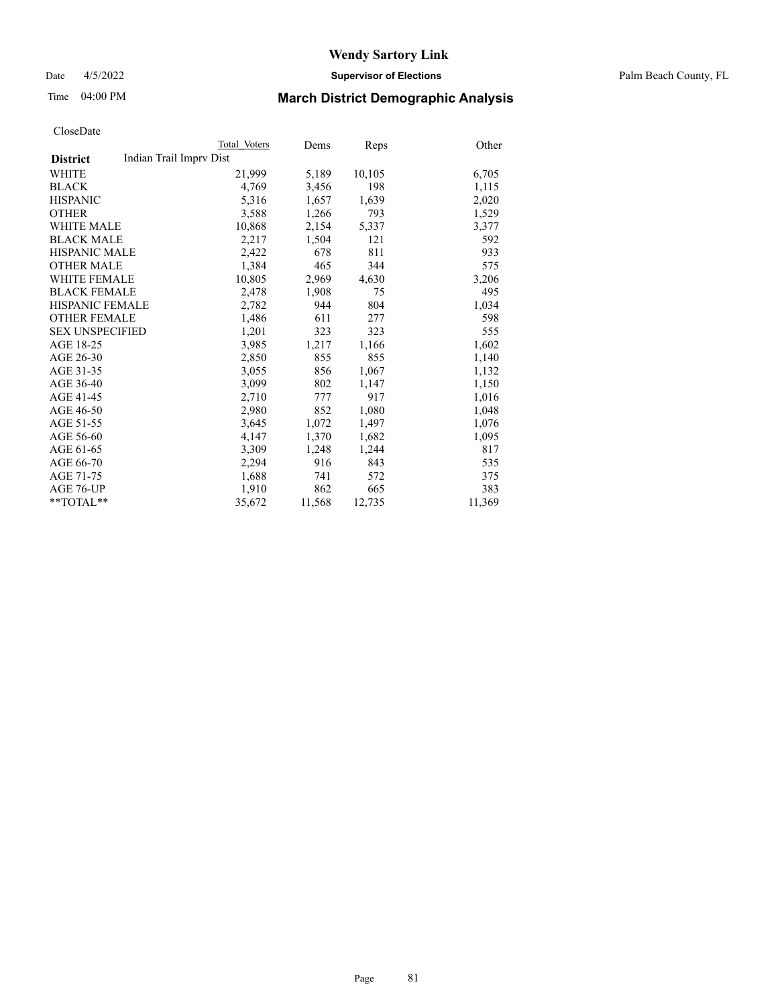Date 4/5/2022 **Supervisor of Elections** Palm Beach County, FL

### Time 04:00 PM **March District Demographic Analysis**

|                        | Total Voters            | Dems   | Reps   | Other  |
|------------------------|-------------------------|--------|--------|--------|
| <b>District</b>        | Indian Trail Imprv Dist |        |        |        |
| WHITE                  | 21,999                  | 5,189  | 10,105 | 6,705  |
| <b>BLACK</b>           | 4.769                   | 3,456  | 198    | 1,115  |
| <b>HISPANIC</b>        | 5,316                   | 1,657  | 1,639  | 2,020  |
| <b>OTHER</b>           | 3,588                   | 1,266  | 793    | 1,529  |
| <b>WHITE MALE</b>      | 10,868                  | 2,154  | 5,337  | 3,377  |
| <b>BLACK MALE</b>      | 2,217                   | 1,504  | 121    | 592    |
| <b>HISPANIC MALE</b>   | 2,422                   | 678    | 811    | 933    |
| <b>OTHER MALE</b>      | 1,384                   | 465    | 344    | 575    |
| <b>WHITE FEMALE</b>    | 10,805                  | 2,969  | 4,630  | 3,206  |
| <b>BLACK FEMALE</b>    | 2,478                   | 1,908  | 75     | 495    |
| <b>HISPANIC FEMALE</b> | 2,782                   | 944    | 804    | 1,034  |
| <b>OTHER FEMALE</b>    | 1,486                   | 611    | 277    | 598    |
| <b>SEX UNSPECIFIED</b> | 1,201                   | 323    | 323    | 555    |
| AGE 18-25              | 3,985                   | 1,217  | 1,166  | 1,602  |
| AGE 26-30              | 2,850                   | 855    | 855    | 1,140  |
| AGE 31-35              | 3,055                   | 856    | 1,067  | 1,132  |
| AGE 36-40              | 3,099                   | 802    | 1,147  | 1,150  |
| AGE 41-45              | 2,710                   | 777    | 917    | 1,016  |
| AGE 46-50              | 2,980                   | 852    | 1,080  | 1,048  |
| AGE 51-55              | 3,645                   | 1,072  | 1,497  | 1,076  |
| AGE 56-60              | 4,147                   | 1,370  | 1,682  | 1,095  |
| AGE 61-65              | 3,309                   | 1,248  | 1,244  | 817    |
| AGE 66-70              | 2,294                   | 916    | 843    | 535    |
| AGE 71-75              | 1,688                   | 741    | 572    | 375    |
| AGE 76-UP              | 1,910                   | 862    | 665    | 383    |
| **TOTAL**              | 35,672                  | 11,568 | 12,735 | 11,369 |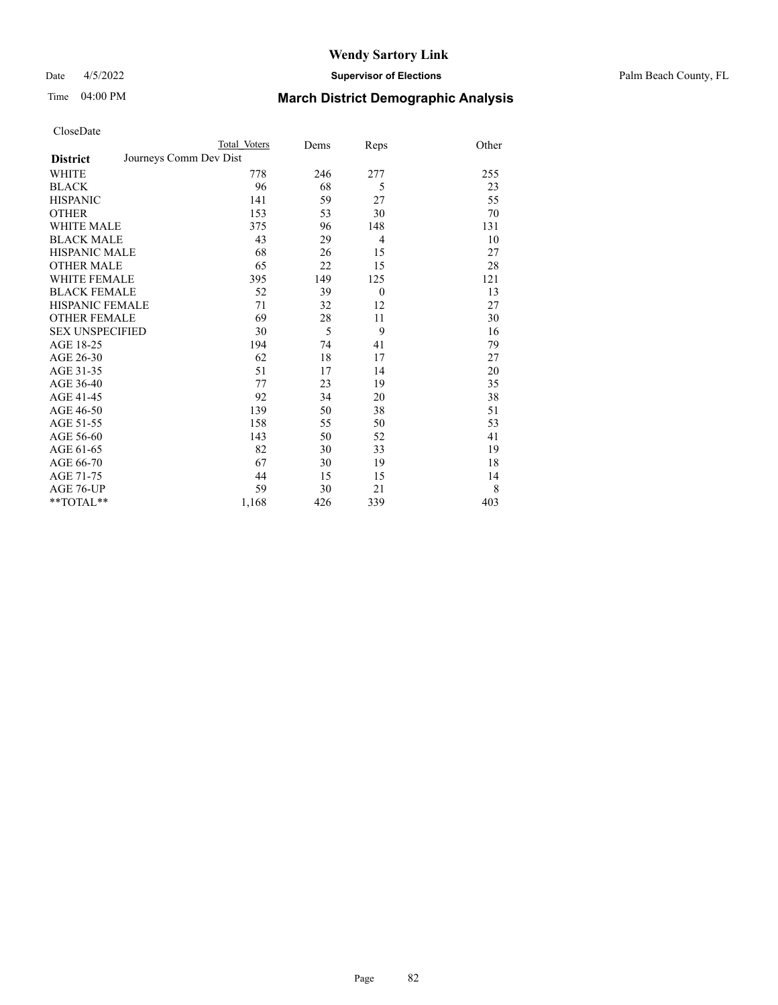Date 4/5/2022 **Supervisor of Elections** Palm Beach County, FL

| CloseDate |
|-----------|
|-----------|

|                        | Total Voters           | Dems | Reps           | Other |
|------------------------|------------------------|------|----------------|-------|
| <b>District</b>        | Journeys Comm Dev Dist |      |                |       |
| WHITE                  | 778                    | 246  | 277            | 255   |
| BLACK                  | 96                     | 68   | 5              | 23    |
| HISPANIC               | 141                    | 59   | 27             | 55    |
| OTHER                  | 153                    | 53   | 30             | 70    |
| WHITE MALE             | 375                    | 96   | 148            | 131   |
| <b>BLACK MALE</b>      | 43                     | 29   | 4              | 10    |
| HISPANIC MALE          | 68                     | 26   | 15             | 27    |
| OTHER MALE             | 65                     | 22   | 15             | 28    |
| WHITE FEMALE           | 395                    | 149  | 125            | 121   |
| BLACK FEMALE           | 52                     | 39   | $\overline{0}$ | 13    |
| HISPANIC FEMALE        | 71                     | 32   | 12             | 27    |
| <b>OTHER FEMALE</b>    | 69                     | 28   | 11             | 30    |
| <b>SEX UNSPECIFIED</b> | 30                     | 5    | 9              | 16    |
| AGE 18-25              | 194                    | 74   | 41             | 79    |
| AGE 26-30              | 62                     | 18   | 17             | 27    |
| AGE 31-35              | 51                     | 17   | 14             | 20    |
| AGE 36-40              | 77                     | 23   | 19             | 35    |
| AGE 41-45              | 92                     | 34   | 20             | 38    |
| AGE 46-50              | 139                    | 50   | 38             | 51    |
| AGE 51-55              | 158                    | 55   | 50             | 53    |
| AGE 56-60              | 143                    | 50   | 52             | 41    |
| AGE 61-65              | 82                     | 30   | 33             | 19    |
| AGE 66-70              | 67                     | 30   | 19             | 18    |
| AGE 71-75              | 44                     | 15   | 15             | 14    |
| AGE 76-UP              | 59                     | 30   | 21             | 8     |
| **TOTAL**              | 1,168                  | 426  | 339            | 403   |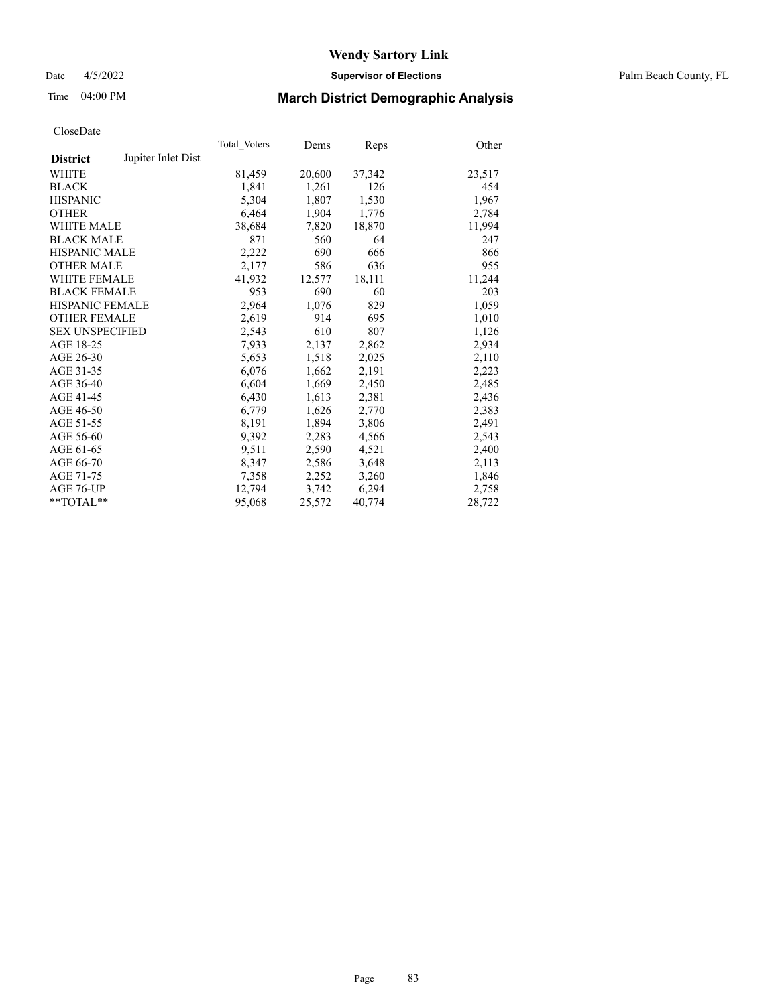#### Date 4/5/2022 **Supervisor of Elections** Palm Beach County, FL

### Time 04:00 PM **March District Demographic Analysis**

|                        |                    | Total Voters | Dems   | Reps   | Other  |
|------------------------|--------------------|--------------|--------|--------|--------|
| <b>District</b>        | Jupiter Inlet Dist |              |        |        |        |
| <b>WHITE</b>           |                    | 81,459       | 20,600 | 37,342 | 23,517 |
| <b>BLACK</b>           |                    | 1,841        | 1,261  | 126    | 454    |
| <b>HISPANIC</b>        |                    | 5.304        | 1,807  | 1,530  | 1,967  |
| <b>OTHER</b>           |                    | 6.464        | 1,904  | 1,776  | 2,784  |
| <b>WHITE MALE</b>      |                    | 38,684       | 7,820  | 18,870 | 11,994 |
| <b>BLACK MALE</b>      |                    | 871          | 560    | 64     | 247    |
| <b>HISPANIC MALE</b>   |                    | 2,222        | 690    | 666    | 866    |
| <b>OTHER MALE</b>      |                    | 2,177        | 586    | 636    | 955    |
| <b>WHITE FEMALE</b>    |                    | 41.932       | 12,577 | 18,111 | 11,244 |
| <b>BLACK FEMALE</b>    |                    | 953          | 690    | 60     | 203    |
| <b>HISPANIC FEMALE</b> |                    | 2,964        | 1,076  | 829    | 1,059  |
| <b>OTHER FEMALE</b>    |                    | 2,619        | 914    | 695    | 1,010  |
| <b>SEX UNSPECIFIED</b> |                    | 2,543        | 610    | 807    | 1,126  |
| AGE 18-25              |                    | 7,933        | 2,137  | 2,862  | 2,934  |
| AGE 26-30              |                    | 5,653        | 1,518  | 2,025  | 2,110  |
| AGE 31-35              |                    | 6,076        | 1,662  | 2,191  | 2,223  |
| AGE 36-40              |                    | 6,604        | 1,669  | 2,450  | 2,485  |
| AGE 41-45              |                    | 6,430        | 1,613  | 2,381  | 2,436  |
| AGE 46-50              |                    | 6,779        | 1,626  | 2,770  | 2,383  |
| AGE 51-55              |                    | 8,191        | 1,894  | 3,806  | 2,491  |
| AGE 56-60              |                    | 9,392        | 2,283  | 4,566  | 2,543  |
| AGE 61-65              |                    | 9,511        | 2,590  | 4,521  | 2,400  |
| AGE 66-70              |                    | 8,347        | 2,586  | 3,648  | 2,113  |
| AGE 71-75              |                    | 7,358        | 2,252  | 3,260  | 1,846  |
| AGE 76-UP              |                    | 12.794       | 3,742  | 6,294  | 2,758  |
| **TOTAL**              |                    | 95,068       | 25,572 | 40,774 | 28,722 |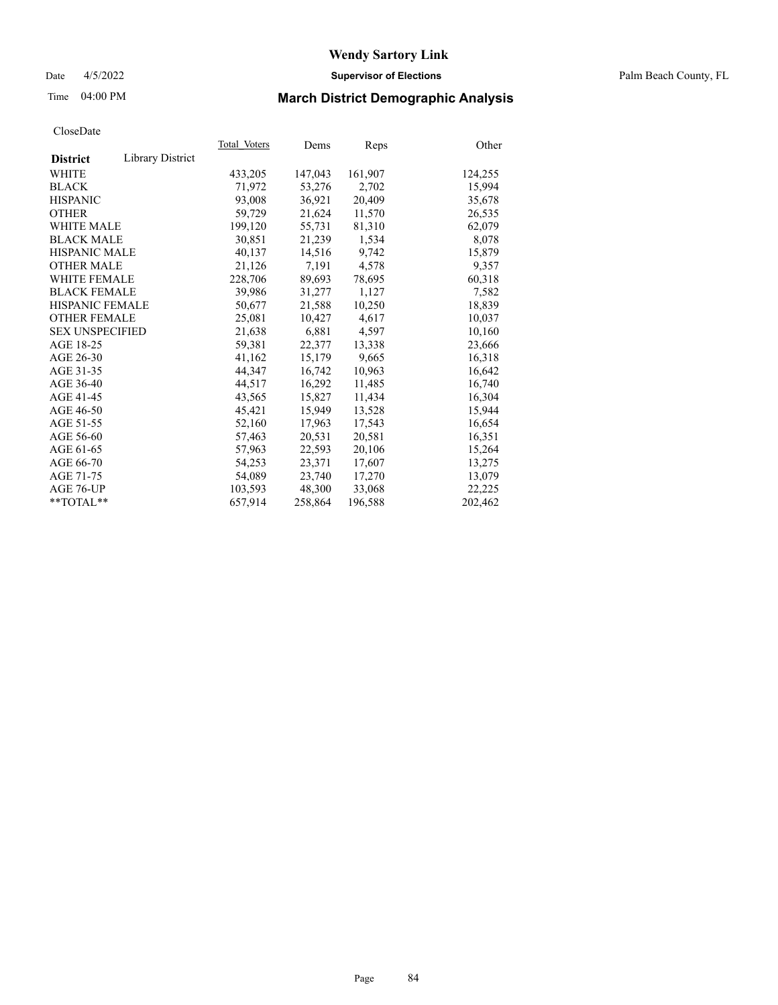#### Date 4/5/2022 **Supervisor of Elections** Palm Beach County, FL

### Time 04:00 PM **March District Demographic Analysis**

| Cioscizato             |                  |              |         |         |         |
|------------------------|------------------|--------------|---------|---------|---------|
|                        |                  | Total Voters | Dems    | Reps    | Other   |
| <b>District</b>        | Library District |              |         |         |         |
| WHITE                  |                  | 433,205      | 147,043 | 161,907 | 124,255 |
| <b>BLACK</b>           |                  | 71,972       | 53,276  | 2,702   | 15,994  |
| <b>HISPANIC</b>        |                  | 93,008       | 36,921  | 20,409  | 35,678  |
| <b>OTHER</b>           |                  | 59,729       | 21,624  | 11,570  | 26,535  |
| <b>WHITE MALE</b>      |                  | 199,120      | 55,731  | 81,310  | 62,079  |
| <b>BLACK MALE</b>      |                  | 30,851       | 21,239  | 1,534   | 8,078   |
| <b>HISPANIC MALE</b>   |                  | 40,137       | 14,516  | 9,742   | 15,879  |
| <b>OTHER MALE</b>      |                  | 21,126       | 7,191   | 4,578   | 9,357   |
| <b>WHITE FEMALE</b>    |                  | 228,706      | 89,693  | 78,695  | 60,318  |
| <b>BLACK FEMALE</b>    |                  | 39,986       | 31,277  | 1,127   | 7,582   |
| <b>HISPANIC FEMALE</b> |                  | 50,677       | 21,588  | 10,250  | 18,839  |
| <b>OTHER FEMALE</b>    |                  | 25,081       | 10,427  | 4,617   | 10,037  |
| <b>SEX UNSPECIFIED</b> |                  | 21,638       | 6,881   | 4,597   | 10,160  |
| AGE 18-25              |                  | 59,381       | 22,377  | 13,338  | 23,666  |
| AGE 26-30              |                  | 41,162       | 15,179  | 9,665   | 16,318  |
| AGE 31-35              |                  | 44,347       | 16,742  | 10,963  | 16,642  |
| AGE 36-40              |                  | 44.517       | 16,292  | 11,485  | 16,740  |
| AGE 41-45              |                  | 43,565       | 15,827  | 11,434  | 16,304  |
| AGE 46-50              |                  | 45,421       | 15,949  | 13,528  | 15,944  |
| AGE 51-55              |                  | 52,160       | 17,963  | 17,543  | 16,654  |
| AGE 56-60              |                  | 57,463       | 20,531  | 20,581  | 16,351  |
| AGE 61-65              |                  | 57,963       | 22,593  | 20,106  | 15,264  |
| AGE 66-70              |                  | 54,253       | 23.371  | 17,607  | 13,275  |
| AGE 71-75              |                  | 54,089       | 23,740  | 17,270  | 13,079  |
| AGE 76-UP              |                  | 103,593      | 48,300  | 33,068  | 22,225  |
| $*$ $TOTAL**$          |                  | 657,914      | 258,864 | 196,588 | 202,462 |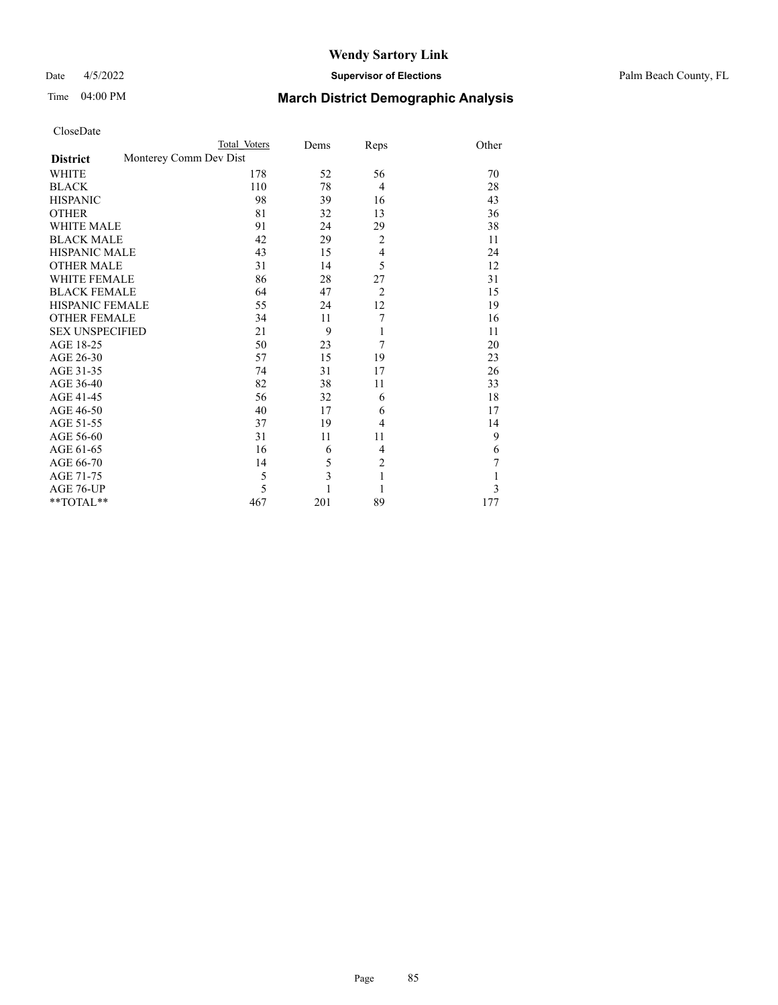#### Date 4/5/2022 **Supervisor of Elections** Palm Beach County, FL

| CloseDate |
|-----------|
|-----------|

|                        | Total Voters           | Dems | Reps           | Other |
|------------------------|------------------------|------|----------------|-------|
| <b>District</b>        | Monterey Comm Dev Dist |      |                |       |
| WHITE                  | 178                    | 52   | 56             | 70    |
| BLACK                  | 110                    | 78   | $\overline{4}$ | 28    |
| HISPANIC               | 98                     | 39   | 16             | 43    |
| <b>OTHER</b>           | 81                     | 32   | 13             | 36    |
| <b>WHITE MALE</b>      | 91                     | 24   | 29             | 38    |
| BLACK MALE             | 42                     | 29   | $\overline{2}$ | 11    |
| HISPANIC MALE          | 43                     | 15   | $\overline{4}$ | 24    |
| <b>OTHER MALE</b>      | 31                     | 14   | 5              | 12    |
| WHITE FEMALE           | 86                     | 28   | 27             | 31    |
| <b>BLACK FEMALE</b>    | 64                     | 47   | $\overline{2}$ | 15    |
| HISPANIC FEMALE        | 55                     | 24   | 12             | 19    |
| OTHER FEMALE           | 34                     | 11   | 7              | 16    |
| <b>SEX UNSPECIFIED</b> | 21                     | 9    | 1              | 11    |
| AGE 18-25              | 50                     | 23   | 7              | 20    |
| AGE 26-30              | 57                     | 15   | 19             | 23    |
| AGE 31-35              | 74                     | 31   | 17             | 26    |
| AGE 36-40              | 82                     | 38   | 11             | 33    |
| AGE 41-45              | 56                     | 32   | 6              | 18    |
| AGE 46-50              | 40                     | 17   | 6              | 17    |
| AGE 51-55              | 37                     | 19   | $\overline{4}$ | 14    |
| AGE 56-60              | 31                     | 11   | 11             | 9     |
| AGE 61-65              | 16                     | 6    | $\overline{4}$ | 6     |
| AGE 66-70              | 14                     | 5    | $\overline{2}$ | 7     |
| AGE 71-75              | 5                      | 3    | $\mathbf{1}$   | 1     |
| AGE 76-UP              | 5                      |      | 1              | 3     |
| $*$ $TOTAL**$          | 467                    | 201  | 89             | 177   |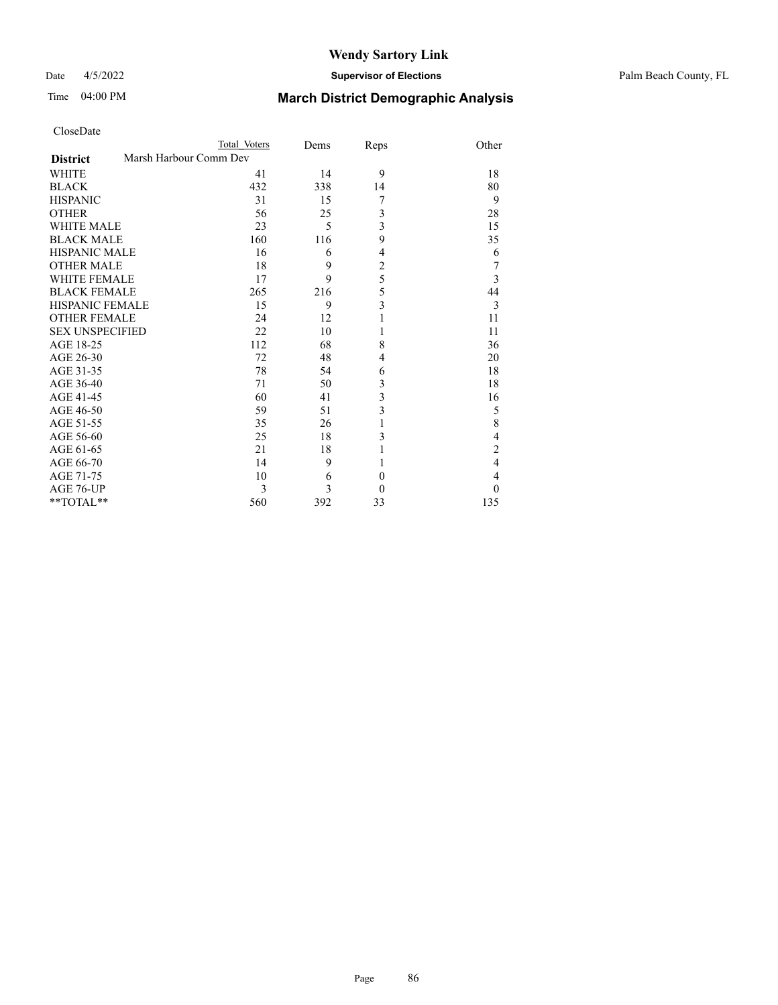#### Date 4/5/2022 **Supervisor of Elections** Palm Beach County, FL

### Time 04:00 PM **March District Demographic Analysis**

| CloseDate |
|-----------|
|-----------|

| CloseDate              |                        |      |                |                  |
|------------------------|------------------------|------|----------------|------------------|
|                        | Total Voters           | Dems | Reps           | Other            |
| <b>District</b>        | Marsh Harbour Comm Dev |      |                |                  |
| <b>WHITE</b>           | 41                     | 14   | 9              | 18               |
| <b>BLACK</b>           | 432                    | 338  | 14             | 80               |
| <b>HISPANIC</b>        | 31                     | 15   | 7              | 9                |
| <b>OTHER</b>           | 56                     | 25   | 3              | 28               |
| <b>WHITE MALE</b>      | 23                     | 5    | 3              | 15               |
| <b>BLACK MALE</b>      | 160                    | 116  | 9              | 35               |
| <b>HISPANIC MALE</b>   | 16                     | 6    | $\overline{4}$ | 6                |
| <b>OTHER MALE</b>      | 18                     | 9    | $\overline{c}$ | 7                |
| <b>WHITE FEMALE</b>    | 17                     | 9    | 5              | $\overline{3}$   |
| <b>BLACK FEMALE</b>    | 265                    | 216  | 5              | 44               |
| HISPANIC FEMALE        | 15                     | 9    | 3              | 3                |
| <b>OTHER FEMALE</b>    | 24                     | 12   |                | 11               |
| <b>SEX UNSPECIFIED</b> | 22                     | 10   |                | 11               |
| AGE 18-25              | 112                    | 68   | 8              | 36               |
| AGE 26-30              | 72                     | 48   | 4              | 20               |
| AGE 31-35              | 78                     | 54   | 6              | 18               |
| AGE 36-40              | 71                     | 50   | 3              | 18               |
| AGE 41-45              | 60                     | 41   | 3              | 16               |
| AGE 46-50              | 59                     | 51   | 3              | 5                |
| AGE 51-55              | 35                     | 26   | 1              | 8                |
| AGE 56-60              | 25                     | 18   | 3              | $\overline{4}$   |
| AGE 61-65              | 21                     | 18   |                | $\overline{c}$   |
| AGE 66-70              | 14                     | 9    |                | $\overline{4}$   |
| AGE 71-75              | 10                     | 6    | $\theta$       | $\overline{4}$   |
| AGE 76-UP              | 3                      | 3    | $\mathbf{0}$   | $\boldsymbol{0}$ |

\*\*TOTAL\*\* 560 392 33 135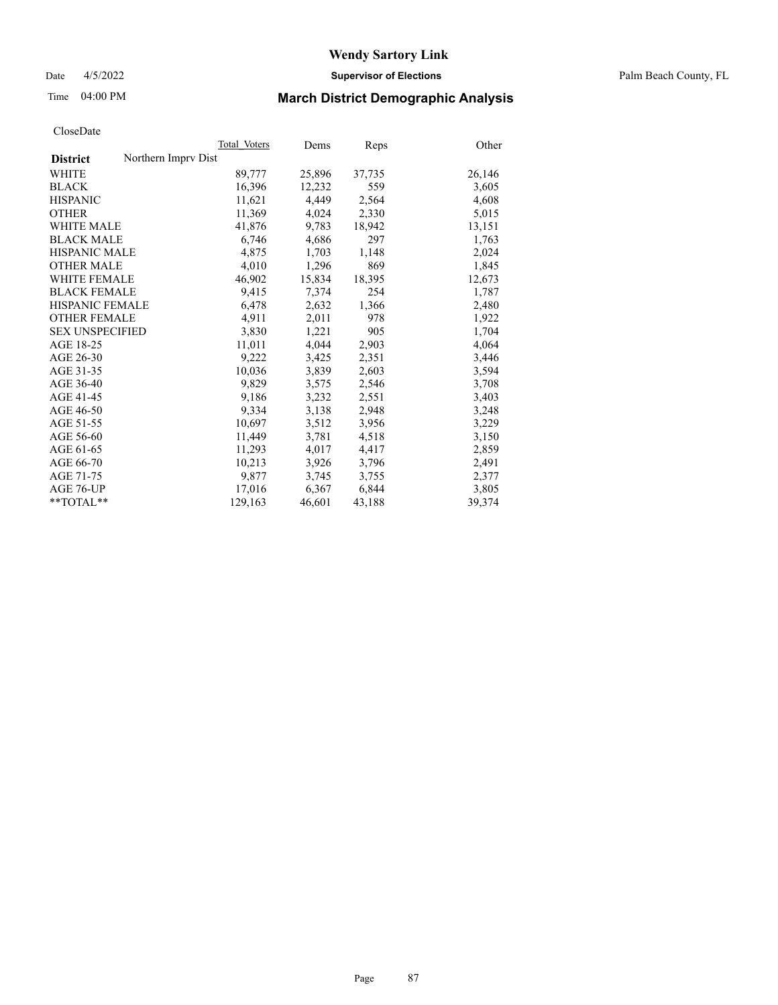Date 4/5/2022 **Supervisor of Elections** Palm Beach County, FL

### Time 04:00 PM **March District Demographic Analysis**

|                                        | Total Voters | Dems   | Reps   | Other  |
|----------------------------------------|--------------|--------|--------|--------|
| Northern Impry Dist<br><b>District</b> |              |        |        |        |
| WHITE                                  | 89,777       | 25,896 | 37,735 | 26,146 |
| <b>BLACK</b>                           | 16,396       | 12,232 | 559    | 3,605  |
| <b>HISPANIC</b>                        | 11,621       | 4,449  | 2,564  | 4,608  |
| <b>OTHER</b>                           | 11,369       | 4,024  | 2,330  | 5,015  |
| <b>WHITE MALE</b>                      | 41,876       | 9,783  | 18,942 | 13,151 |
| <b>BLACK MALE</b>                      | 6,746        | 4,686  | 297    | 1,763  |
| <b>HISPANIC MALE</b>                   | 4,875        | 1,703  | 1,148  | 2,024  |
| <b>OTHER MALE</b>                      | 4,010        | 1,296  | 869    | 1,845  |
| <b>WHITE FEMALE</b>                    | 46,902       | 15,834 | 18,395 | 12,673 |
| <b>BLACK FEMALE</b>                    | 9,415        | 7,374  | 254    | 1,787  |
| HISPANIC FEMALE                        | 6,478        | 2,632  | 1,366  | 2,480  |
| <b>OTHER FEMALE</b>                    | 4,911        | 2,011  | 978    | 1,922  |
| <b>SEX UNSPECIFIED</b>                 | 3,830        | 1,221  | 905    | 1,704  |
| AGE 18-25                              | 11,011       | 4,044  | 2,903  | 4,064  |
| AGE 26-30                              | 9,222        | 3,425  | 2,351  | 3,446  |
| AGE 31-35                              | 10,036       | 3,839  | 2,603  | 3,594  |
| AGE 36-40                              | 9,829        | 3,575  | 2,546  | 3,708  |
| AGE 41-45                              | 9,186        | 3,232  | 2,551  | 3,403  |
| AGE 46-50                              | 9,334        | 3,138  | 2,948  | 3,248  |
| AGE 51-55                              | 10,697       | 3,512  | 3,956  | 3,229  |
| AGE 56-60                              | 11,449       | 3,781  | 4,518  | 3,150  |
| AGE 61-65                              | 11,293       | 4,017  | 4,417  | 2,859  |
| AGE 66-70                              | 10,213       | 3,926  | 3,796  | 2,491  |
| AGE 71-75                              | 9,877        | 3,745  | 3,755  | 2,377  |
| AGE 76-UP                              | 17,016       | 6,367  | 6,844  | 3,805  |
| $*$ $TOTAL**$                          | 129,163      | 46,601 | 43,188 | 39,374 |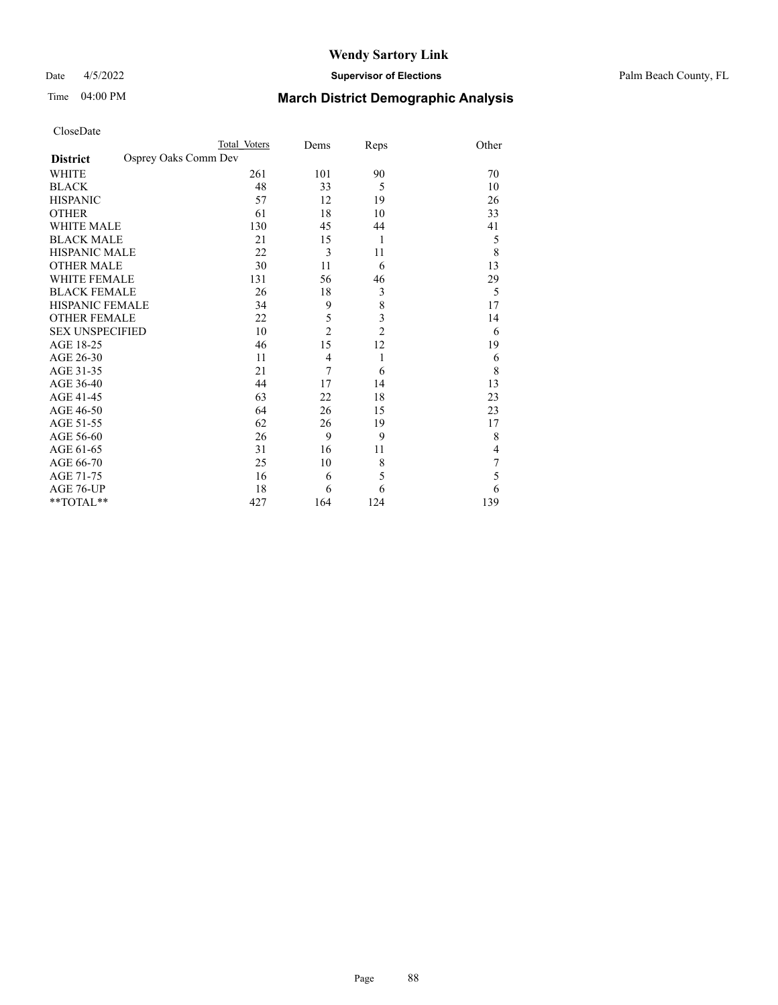#### Date 4/5/2022 **Supervisor of Elections** Palm Beach County, FL

| CloseDate |
|-----------|
|-----------|

|                        | Total Voters         | Dems           | Reps           | Other          |
|------------------------|----------------------|----------------|----------------|----------------|
| <b>District</b>        | Osprey Oaks Comm Dev |                |                |                |
| WHITE                  | 261                  | 101            | 90             | 70             |
| <b>BLACK</b>           | 48                   | 33             | 5              | 10             |
| HISPANIC               | 57                   | 12             | 19             | 26             |
| OTHER                  | 61                   | 18             | 10             | 33             |
| WHITE MALE             | 130                  | 45             | 44             | 41             |
| <b>BLACK MALE</b>      | 21                   | 15             | $\mathbf{1}$   | 5              |
| HISPANIC MALE          | 22                   | 3              | 11             | 8              |
| <b>OTHER MALE</b>      | 30                   | 11             | 6              | 13             |
| WHITE FEMALE           | 131                  | 56             | 46             | 29             |
| BLACK FEMALE           | 26                   | 18             | $\mathfrak{Z}$ | 5              |
| HISPANIC FEMALE        | 34                   | 9              | 8              | 17             |
| <b>OTHER FEMALE</b>    | 22                   | 5              | 3              | 14             |
| <b>SEX UNSPECIFIED</b> | 10                   | $\overline{2}$ | $\overline{c}$ | 6              |
| AGE 18-25              | 46                   | 15             | 12             | 19             |
| AGE 26-30              | 11                   | $\overline{4}$ | 1              | 6              |
| AGE 31-35              | 21                   | 7              | 6              | 8              |
| AGE 36-40              | 44                   | 17             | 14             | 13             |
| AGE 41-45              | 63                   | 22             | 18             | 23             |
| AGE 46-50              | 64                   | 26             | 15             | 23             |
| AGE 51-55              | 62                   | 26             | 19             | 17             |
| AGE 56-60              | 26                   | 9              | 9              | 8              |
| AGE 61-65              | 31                   | 16             | 11             | $\overline{4}$ |
| AGE 66-70              | 25                   | 10             | $\,$ $\,$      | 7              |
| AGE 71-75              | 16                   | 6              | 5              | 5              |
| AGE 76-UP              | 18                   | 6              | 6              | 6              |
| $*$ $TOTAL**$          | 427                  | 164            | 124            | 139            |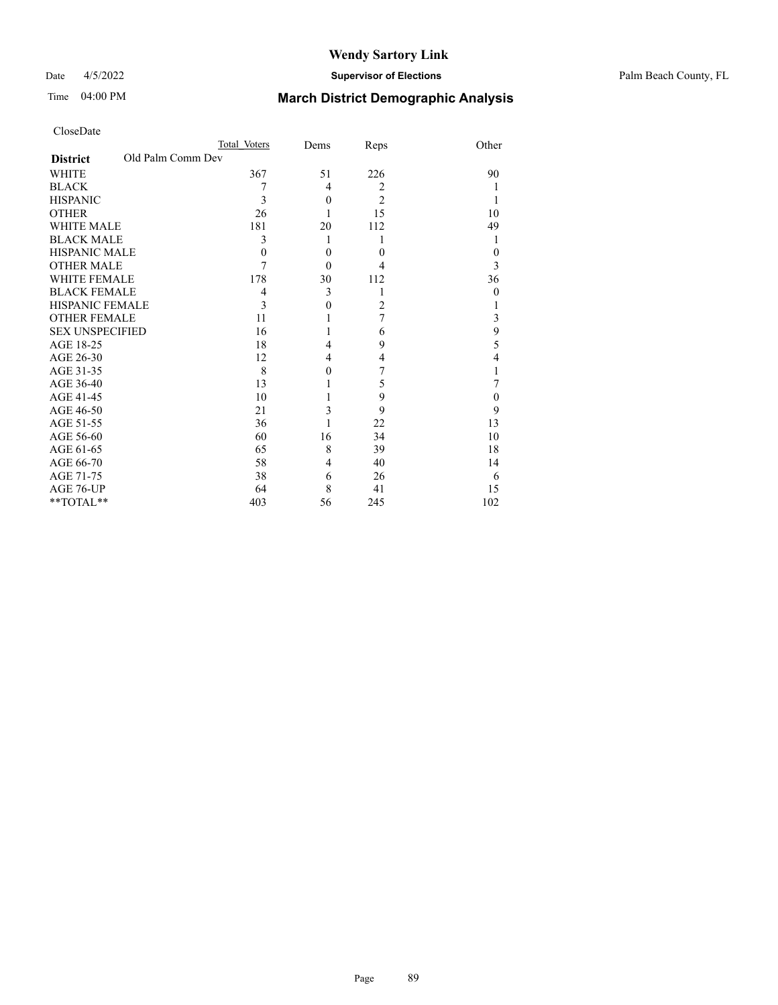### Date 4/5/2022 **Supervisor of Elections** Palm Beach County, FL

| CloseDate |
|-----------|
|-----------|

|                        |                   | Total Voters | Dems     | Reps           | Other    |
|------------------------|-------------------|--------------|----------|----------------|----------|
| <b>District</b>        | Old Palm Comm Dev |              |          |                |          |
| WHITE                  |                   | 367          | 51       | 226            | 90       |
| BLACK                  |                   | 7            | 4        | $\overline{2}$ |          |
| HISPANIC               |                   | 3            | $\theta$ | $\overline{2}$ |          |
| <b>OTHER</b>           |                   | 26           | 1        | 15             | 10       |
| WHITE MALE             |                   | 181          | 20       | 112            | 49       |
| <b>BLACK MALE</b>      |                   | 3            | 1        |                |          |
| HISPANIC MALE          |                   | $\theta$     | $\theta$ | $\theta$       | $\Omega$ |
| OTHER MALE             |                   | 7            | $\theta$ | 4              | 3        |
| WHITE FEMALE           |                   | 178          | 30       | 112            | 36       |
| BLACK FEMALE           |                   | 4            | 3        | 1              | $\theta$ |
| HISPANIC FEMALE        |                   | 3            | $\theta$ | $\overline{2}$ |          |
| <b>OTHER FEMALE</b>    |                   | 11           |          | 7              | 3        |
| <b>SEX UNSPECIFIED</b> |                   | 16           | 1        | 6              | 9        |
| AGE 18-25              |                   | 18           | 4        | 9              | 5        |
| AGE 26-30              |                   | 12           | 4        | $\overline{4}$ | 4        |
| AGE 31-35              |                   | 8            | $\Omega$ | 7              |          |
| AGE 36-40              |                   | 13           |          | 5              |          |
| AGE 41-45              |                   | 10           |          | 9              | 0        |
| AGE 46-50              |                   | 21           | 3        | 9              | 9        |
| AGE 51-55              |                   | 36           |          | 22             | 13       |
| AGE 56-60              |                   | 60           | 16       | 34             | 10       |
| AGE 61-65              |                   | 65           | 8        | 39             | 18       |
| AGE 66-70              |                   | 58           | 4        | 40             | 14       |
| AGE 71-75              |                   | 38           | 6        | 26             | 6        |
| AGE 76-UP              |                   | 64           | 8        | 41             | 15       |
| $*$ $TOTAL**$          |                   | 403          | 56       | 245            | 102      |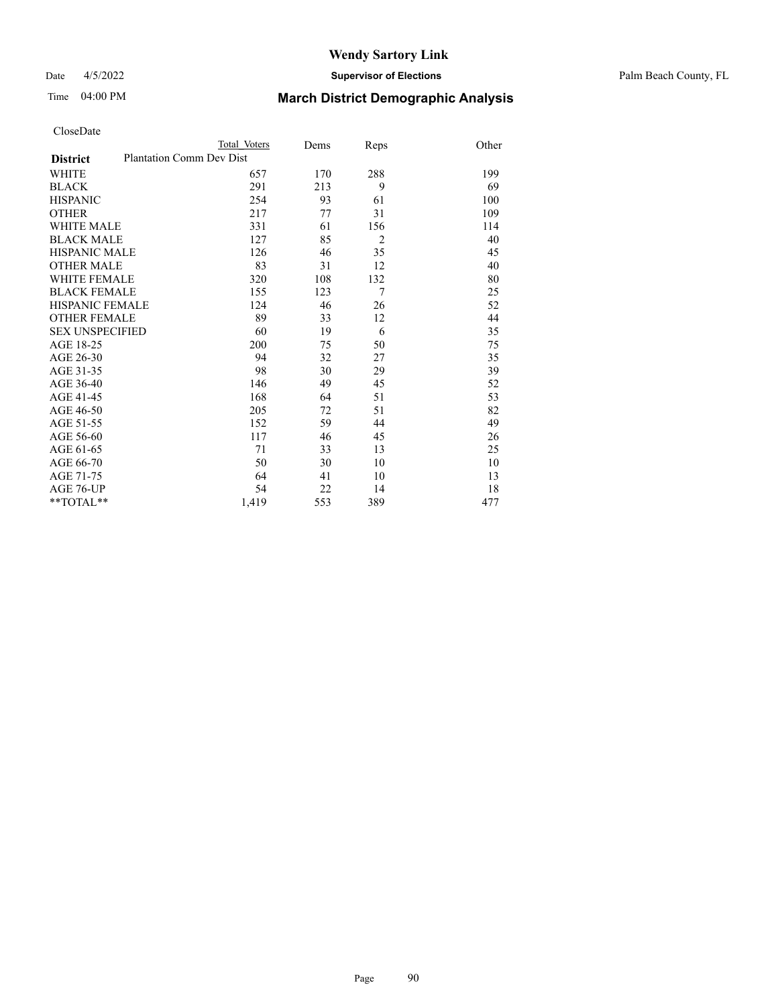Date 4/5/2022 **Supervisor of Elections** Palm Beach County, FL

| CloseDate |
|-----------|
|-----------|

|                     | Total Voters                    | Dems | Reps           | Other |
|---------------------|---------------------------------|------|----------------|-------|
| <b>District</b>     | <b>Plantation Comm Dev Dist</b> |      |                |       |
| WHITE               | 657                             | 170  | 288            | 199   |
| BLACK               | 291                             | 213  | 9              | 69    |
| <b>HISPANIC</b>     | 254                             | 93   | 61             | 100   |
| OTHER               | 217                             | 77   | 31             | 109   |
| WHITE MALE          | 331                             | 61   | 156            | 114   |
| <b>BLACK MALE</b>   | 127                             | 85   | $\overline{2}$ | 40    |
| HISPANIC MALE       | 126                             | 46   | 35             | 45    |
| OTHER MALE          | 83                              | 31   | 12             | 40    |
| WHITE FEMALE        | 320                             | 108  | 132            | 80    |
| <b>BLACK FEMALE</b> | 155                             | 123  | $\tau$         | 25    |
| HISPANIC FEMALE     | 124                             | 46   | 26             | 52    |
| <b>OTHER FEMALE</b> | 89                              | 33   | 12             | 44    |
| SEX UNSPECIFIED     | 60                              | 19   | 6              | 35    |
| AGE 18-25           | 200                             | 75   | 50             | 75    |
| AGE 26-30           | 94                              | 32   | 27             | 35    |
| AGE 31-35           | 98                              | 30   | 29             | 39    |
| AGE 36-40           | 146                             | 49   | 45             | 52    |
| AGE 41-45           | 168                             | 64   | 51             | 53    |
| AGE 46-50           | 205                             | 72   | 51             | 82    |
| AGE 51-55           | 152                             | 59   | 44             | 49    |
| AGE 56-60           | 117                             | 46   | 45             | 26    |
| AGE 61-65           | 71                              | 33   | 13             | 25    |
| AGE 66-70           | 50                              | 30   | 10             | 10    |
| AGE 71-75           | 64                              | 41   | 10             | 13    |
| AGE 76-UP           | 54                              | 22   | 14             | 18    |
| $*$ $TOTAL**$       | 1,419                           | 553  | 389            | 477   |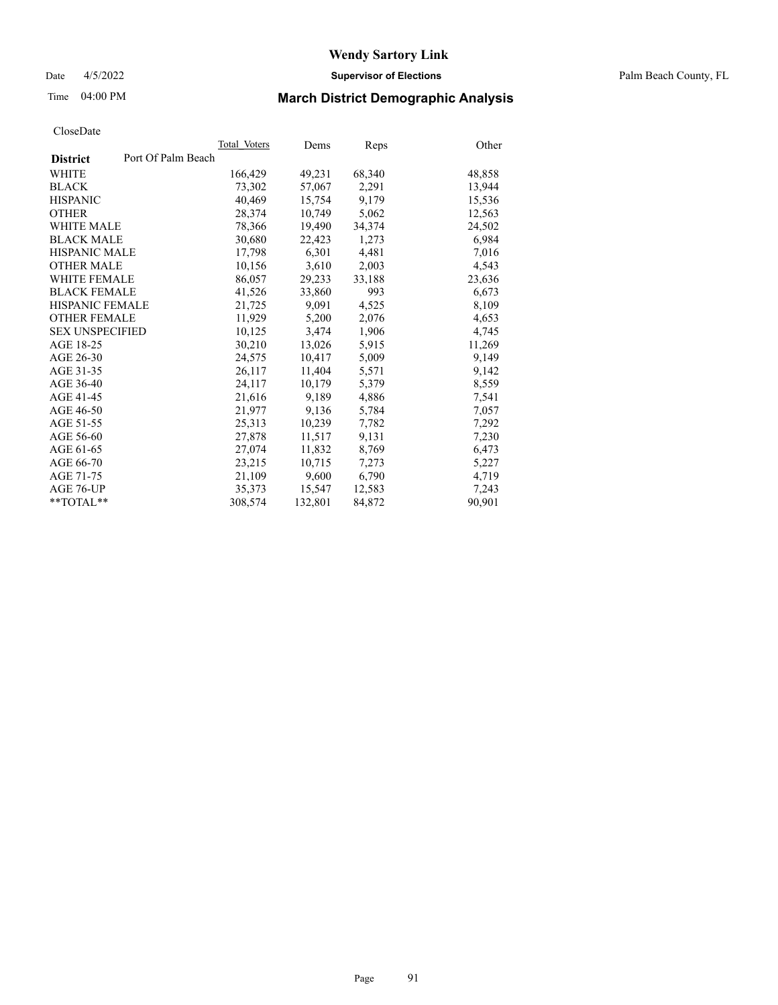Date 4/5/2022 **Supervisor of Elections** Palm Beach County, FL

### Time 04:00 PM **March District Demographic Analysis**

|                                       | Total Voters | Dems    | Reps   | Other  |
|---------------------------------------|--------------|---------|--------|--------|
| Port Of Palm Beach<br><b>District</b> |              |         |        |        |
| WHITE                                 | 166,429      | 49,231  | 68,340 | 48,858 |
| <b>BLACK</b>                          | 73,302       | 57,067  | 2,291  | 13,944 |
| <b>HISPANIC</b>                       | 40,469       | 15,754  | 9.179  | 15,536 |
| <b>OTHER</b>                          | 28,374       | 10,749  | 5,062  | 12,563 |
| <b>WHITE MALE</b>                     | 78,366       | 19,490  | 34,374 | 24,502 |
| <b>BLACK MALE</b>                     | 30,680       | 22,423  | 1,273  | 6,984  |
| <b>HISPANIC MALE</b>                  | 17,798       | 6,301   | 4,481  | 7,016  |
| <b>OTHER MALE</b>                     | 10,156       | 3,610   | 2,003  | 4,543  |
| <b>WHITE FEMALE</b>                   | 86,057       | 29,233  | 33,188 | 23,636 |
| <b>BLACK FEMALE</b>                   | 41,526       | 33,860  | 993    | 6,673  |
| HISPANIC FEMALE                       | 21,725       | 9,091   | 4,525  | 8,109  |
| <b>OTHER FEMALE</b>                   | 11,929       | 5,200   | 2,076  | 4,653  |
| <b>SEX UNSPECIFIED</b>                | 10,125       | 3,474   | 1,906  | 4,745  |
| AGE 18-25                             | 30,210       | 13,026  | 5,915  | 11,269 |
| AGE 26-30                             | 24,575       | 10,417  | 5,009  | 9,149  |
| AGE 31-35                             | 26,117       | 11,404  | 5,571  | 9,142  |
| AGE 36-40                             | 24,117       | 10,179  | 5,379  | 8,559  |
| AGE 41-45                             | 21,616       | 9,189   | 4,886  | 7,541  |
| AGE 46-50                             | 21,977       | 9,136   | 5,784  | 7,057  |
| AGE 51-55                             | 25,313       | 10,239  | 7,782  | 7,292  |
| AGE 56-60                             | 27,878       | 11,517  | 9,131  | 7,230  |
| AGE 61-65                             | 27,074       | 11,832  | 8,769  | 6,473  |
| AGE 66-70                             | 23,215       | 10,715  | 7,273  | 5,227  |
| AGE 71-75                             | 21,109       | 9,600   | 6,790  | 4,719  |
| AGE 76-UP                             | 35,373       | 15,547  | 12,583 | 7,243  |
| $*$ $TOTAL**$                         | 308,574      | 132,801 | 84,872 | 90,901 |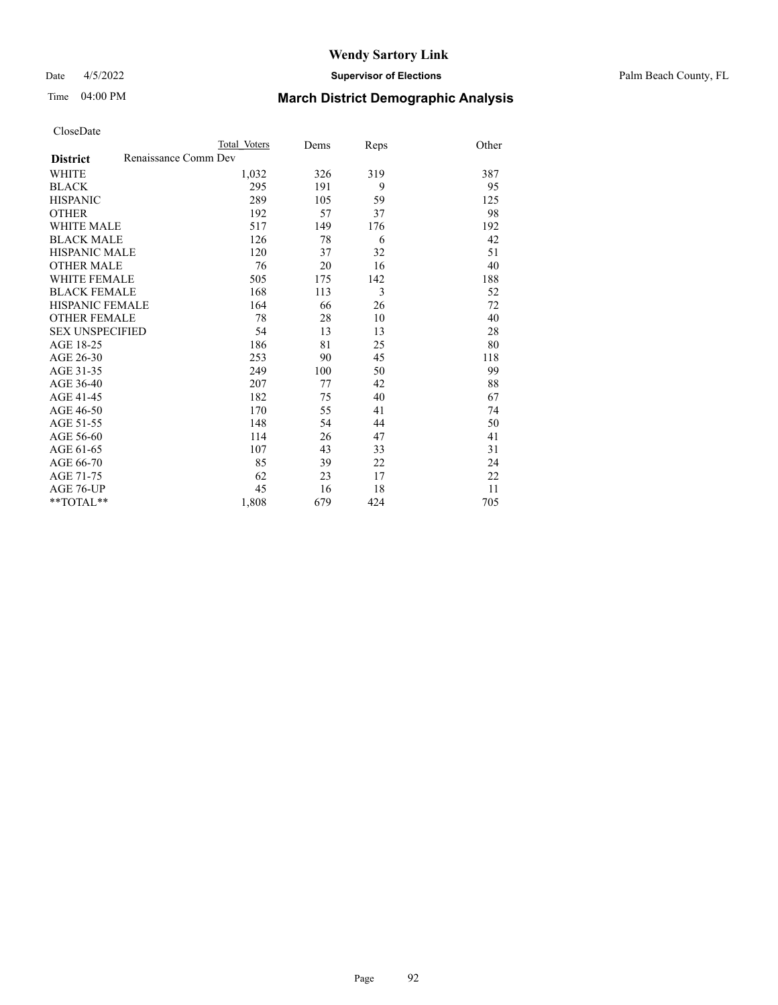#### Date 4/5/2022 **Supervisor of Elections** Palm Beach County, FL

### Time 04:00 PM **March District Demographic Analysis**

|                                         | Total Voters | Dems | Reps | Other |
|-----------------------------------------|--------------|------|------|-------|
| Renaissance Comm Dev<br><b>District</b> |              |      |      |       |
| WHITE                                   | 1,032        | 326  | 319  | 387   |
| <b>BLACK</b>                            | 295          | 191  | 9    | 95    |
| <b>HISPANIC</b>                         | 289          | 105  | 59   | 125   |
| <b>OTHER</b>                            | 192          | 57   | 37   | 98    |
| <b>WHITE MALE</b>                       | 517          | 149  | 176  | 192   |
| <b>BLACK MALE</b>                       | 126          | 78   | 6    | 42    |
| <b>HISPANIC MALE</b>                    | 120          | 37   | 32   | 51    |
| <b>OTHER MALE</b>                       | 76           | 20   | 16   | 40    |
| <b>WHITE FEMALE</b>                     | 505          | 175  | 142  | 188   |
| <b>BLACK FEMALE</b>                     | 168          | 113  | 3    | 52    |
| HISPANIC FEMALE                         | 164          | 66   | 26   | 72    |
| <b>OTHER FEMALE</b>                     | 78           | 28   | 10   | 40    |
| <b>SEX UNSPECIFIED</b>                  | 54           | 13   | 13   | 28    |
| AGE 18-25                               | 186          | 81   | 25   | 80    |
| AGE 26-30                               | 253          | 90   | 45   | 118   |
| AGE 31-35                               | 249          | 100  | 50   | 99    |
| AGE 36-40                               | 207          | 77   | 42   | 88    |
| AGE 41-45                               | 182          | 75   | 40   | 67    |
| AGE 46-50                               | 170          | 55   | 41   | 74    |
| AGE 51-55                               | 148          | 54   | 44   | 50    |
| AGE 56-60                               | 114          | 26   | 47   | 41    |
| AGE 61-65                               | 107          | 43   | 33   | 31    |
| AGE 66-70                               | 85           | 39   | 22   | 24    |
| AGE 71-75                               | 62           | 23   | 17   | 22    |
| <b>AGE 76-UP</b>                        | 45           | 16   | 18   | 11    |
| $*$ $TOTAL**$                           | 1,808        | 679  | 424  | 705   |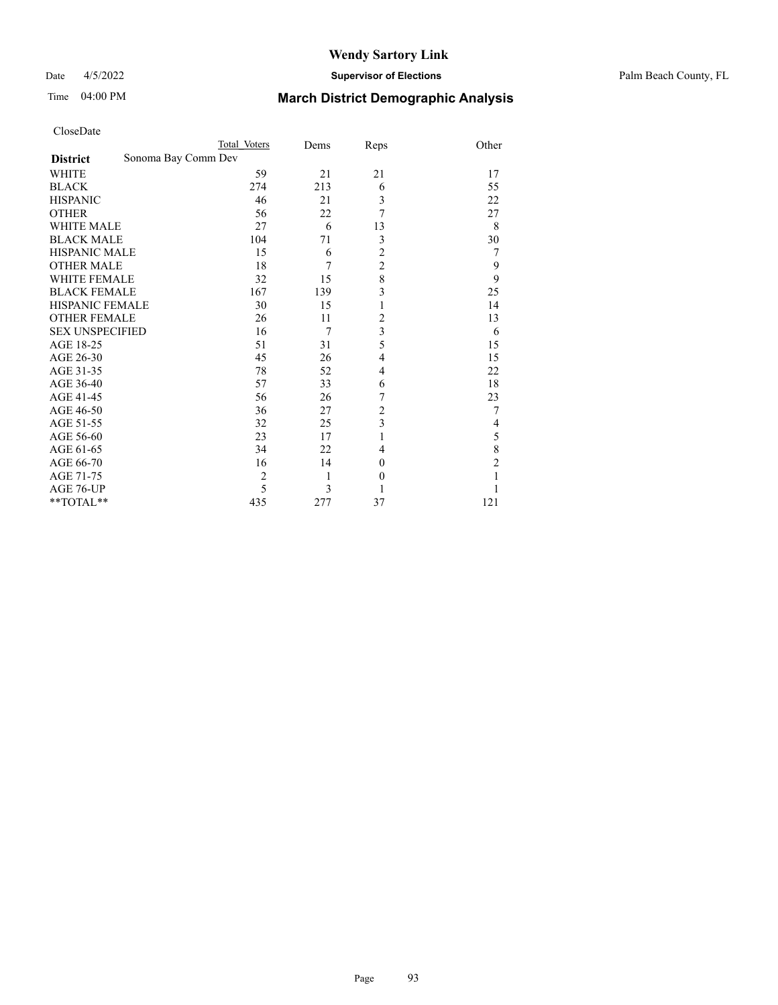### Date 4/5/2022 **Supervisor of Elections** Palm Beach County, FL

| CloseDate |
|-----------|
|-----------|

|                        |                     | Total Voters   | Dems           | Reps             | Other |
|------------------------|---------------------|----------------|----------------|------------------|-------|
| <b>District</b>        | Sonoma Bay Comm Dev |                |                |                  |       |
| WHITE                  |                     | 59             | 21             | 21               | 17    |
| BLACK                  |                     | 274            | 213            | 6                | 55    |
| HISPANIC               |                     | 46             | 21             | 3                | 22    |
| OTHER                  |                     | 56             | 22             | 7                | 27    |
| WHITE MALE             |                     | 27             | 6              | 13               | 8     |
| <b>BLACK MALE</b>      |                     | 104            | 71             | 3                | 30    |
| HISPANIC MALE          |                     | 15             | 6              | $\overline{c}$   | 7     |
| OTHER MALE             |                     | 18             | 7              | $\overline{c}$   | 9     |
| WHITE FEMALE           |                     | 32             | 15             | 8                | 9     |
| BLACK FEMALE           |                     | 167            | 139            | 3                | 25    |
| HISPANIC FEMALE        |                     | 30             | 15             | $\mathbf{1}$     | 14    |
| <b>OTHER FEMALE</b>    |                     | 26             | 11             | $\overline{c}$   | 13    |
| <b>SEX UNSPECIFIED</b> |                     | 16             | $\overline{7}$ | 3                | 6     |
| AGE 18-25              |                     | 51             | 31             | 5                | 15    |
| AGE 26-30              |                     | 45             | 26             | $\overline{4}$   | 15    |
| AGE 31-35              |                     | 78             | 52             | 4                | 22    |
| AGE 36-40              |                     | 57             | 33             | 6                | 18    |
| AGE 41-45              |                     | 56             | 26             | 7                | 23    |
| AGE 46-50              |                     | 36             | 27             | $\overline{c}$   | 7     |
| AGE 51-55              |                     | 32             | 25             | 3                | 4     |
| AGE 56-60              |                     | 23             | 17             | $\mathbf{1}$     | 5     |
| AGE 61-65              |                     | 34             | 22             | 4                | 8     |
| AGE 66-70              |                     | 16             | 14             | $\boldsymbol{0}$ | 2     |
| AGE 71-75              |                     | $\overline{2}$ | 1              | $\boldsymbol{0}$ |       |
| AGE 76-UP              |                     | 5              | 3              |                  |       |
| **TOTAL**              |                     | 435            | 277            | 37               | 121   |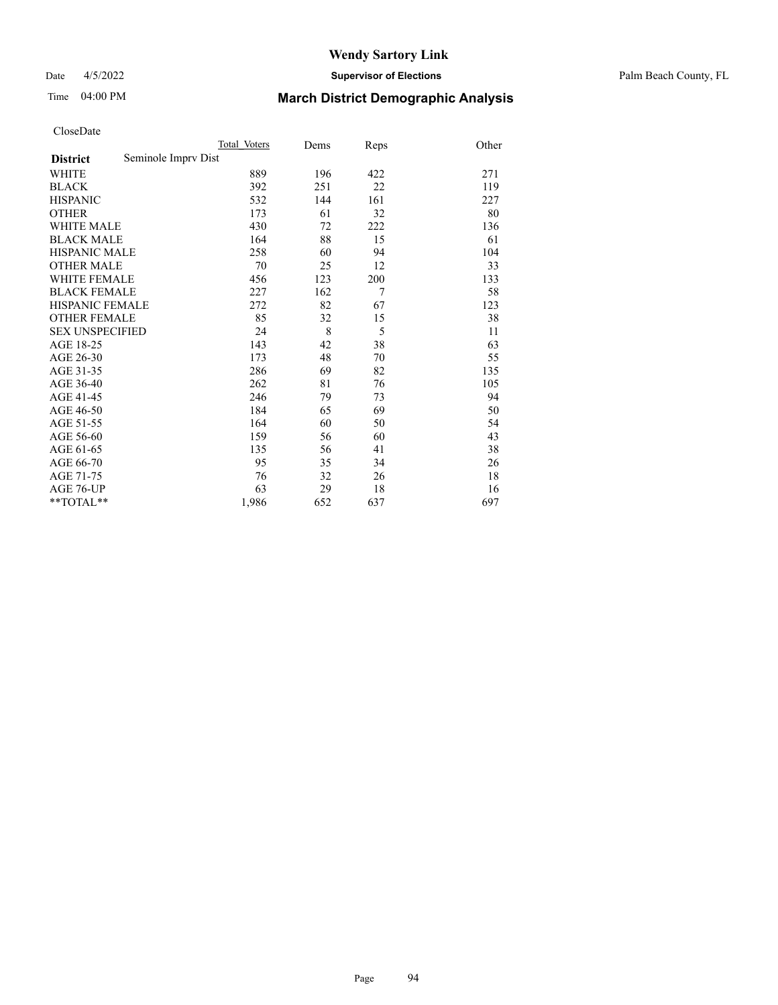Date 4/5/2022 **Supervisor of Elections** Palm Beach County, FL

### Time 04:00 PM **March District Demographic Analysis**

|                                        | Total Voters | Dems | Reps | Other |
|----------------------------------------|--------------|------|------|-------|
| Seminole Imprv Dist<br><b>District</b> |              |      |      |       |
| WHITE                                  | 889          | 196  | 422  | 271   |
| <b>BLACK</b>                           | 392          | 251  | 22   | 119   |
| <b>HISPANIC</b>                        | 532          | 144  | 161  | 227   |
| <b>OTHER</b>                           | 173          | 61   | 32   | 80    |
| <b>WHITE MALE</b>                      | 430          | 72   | 222  | 136   |
| <b>BLACK MALE</b>                      | 164          | 88   | 15   | 61    |
| <b>HISPANIC MALE</b>                   | 258          | 60   | 94   | 104   |
| <b>OTHER MALE</b>                      | 70           | 25   | 12   | 33    |
| <b>WHITE FEMALE</b>                    | 456          | 123  | 200  | 133   |
| <b>BLACK FEMALE</b>                    | 227          | 162  | 7    | 58    |
| <b>HISPANIC FEMALE</b>                 | 272          | 82   | 67   | 123   |
| <b>OTHER FEMALE</b>                    | 85           | 32   | 15   | 38    |
| <b>SEX UNSPECIFIED</b>                 | 24           | 8    | 5    | 11    |
| AGE 18-25                              | 143          | 42   | 38   | 63    |
| AGE 26-30                              | 173          | 48   | 70   | 55    |
| AGE 31-35                              | 286          | 69   | 82   | 135   |
| AGE 36-40                              | 262          | 81   | 76   | 105   |
| AGE 41-45                              | 246          | 79   | 73   | 94    |
| AGE 46-50                              | 184          | 65   | 69   | 50    |
| AGE 51-55                              | 164          | 60   | 50   | 54    |
| AGE 56-60                              | 159          | 56   | 60   | 43    |
| AGE 61-65                              | 135          | 56   | 41   | 38    |
| AGE 66-70                              | 95           | 35   | 34   | 26    |
| AGE 71-75                              | 76           | 32   | 26   | 18    |
| AGE 76-UP                              | 63           | 29   | 18   | 16    |
| **TOTAL**                              | 1,986        | 652  | 637  | 697   |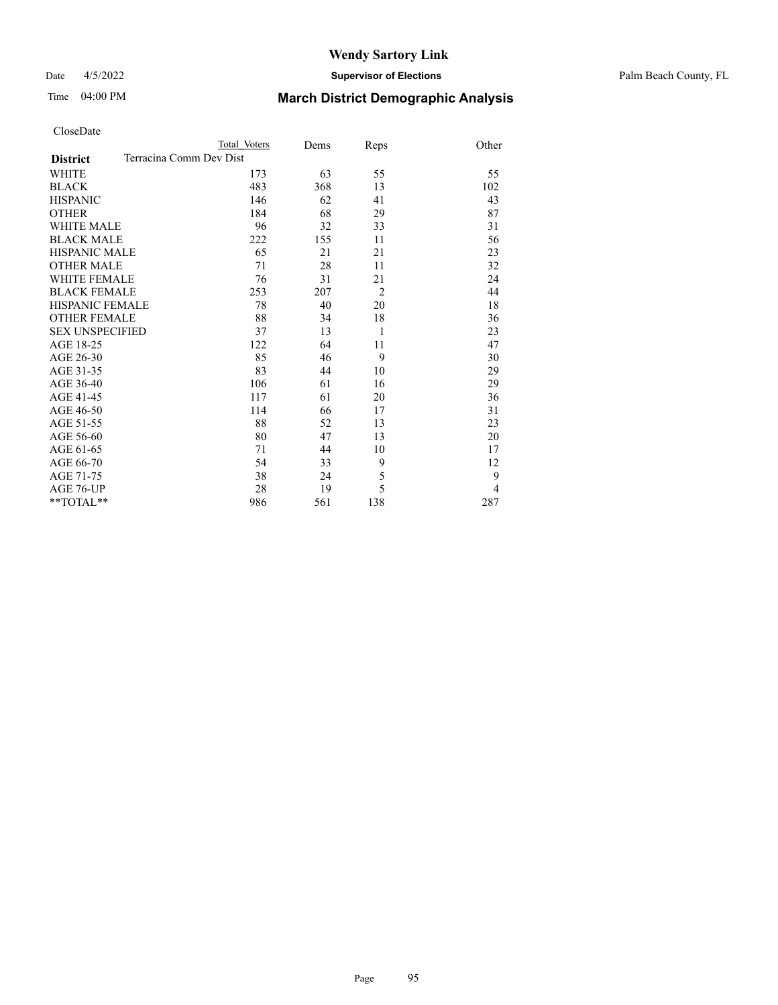### Date 4/5/2022 **Supervisor of Elections** Palm Beach County, FL

| CloseDate |
|-----------|
|-----------|

|                   | Total Voters            | Dems | Reps           | Other          |
|-------------------|-------------------------|------|----------------|----------------|
| <b>District</b>   | Terracina Comm Dev Dist |      |                |                |
| WHITE             | 173                     | 63   | 55             | 55             |
| BLACK             | 483                     | 368  | 13             | 102            |
| <b>HISPANIC</b>   | 146                     | 62   | 41             | 43             |
| OTHER             | 184                     | 68   | 29             | 87             |
| WHITE MALE        | 96                      | 32   | 33             | 31             |
| <b>BLACK MALE</b> | 222                     | 155  | 11             | 56             |
| HISPANIC MALE     | 65                      | 21   | 21             | 23             |
| <b>OTHER MALE</b> | 71                      | 28   | 11             | 32             |
| WHITE FEMALE      | 76                      | 31   | 21             | 24             |
| BLACK FEMALE      | 253                     | 207  | $\overline{2}$ | 44             |
| HISPANIC FEMALE   | 78                      | 40   | 20             | 18             |
| OTHER FEMALE      | 88                      | 34   | 18             | 36             |
| SEX UNSPECIFIED   | 37                      | 13   | 1              | 23             |
| AGE 18-25         | 122                     | 64   | 11             | 47             |
| AGE 26-30         | 85                      | 46   | 9              | 30             |
| AGE 31-35         | 83                      | 44   | 10             | 29             |
| AGE 36-40         | 106                     | 61   | 16             | 29             |
| AGE 41-45         | 117                     | 61   | 20             | 36             |
| AGE 46-50         | 114                     | 66   | 17             | 31             |
| AGE 51-55         | 88                      | 52   | 13             | 23             |
| AGE 56-60         | 80                      | 47   | 13             | 20             |
| AGE 61-65         | 71                      | 44   | 10             | 17             |
| AGE 66-70         | 54                      | 33   | 9              | 12             |
| AGE 71-75         | 38                      | 24   | 5              | 9              |
| AGE 76-UP         | 28                      | 19   | 5              | $\overline{4}$ |
| $*$ $TOTAL**$     | 986                     | 561  | 138            | 287            |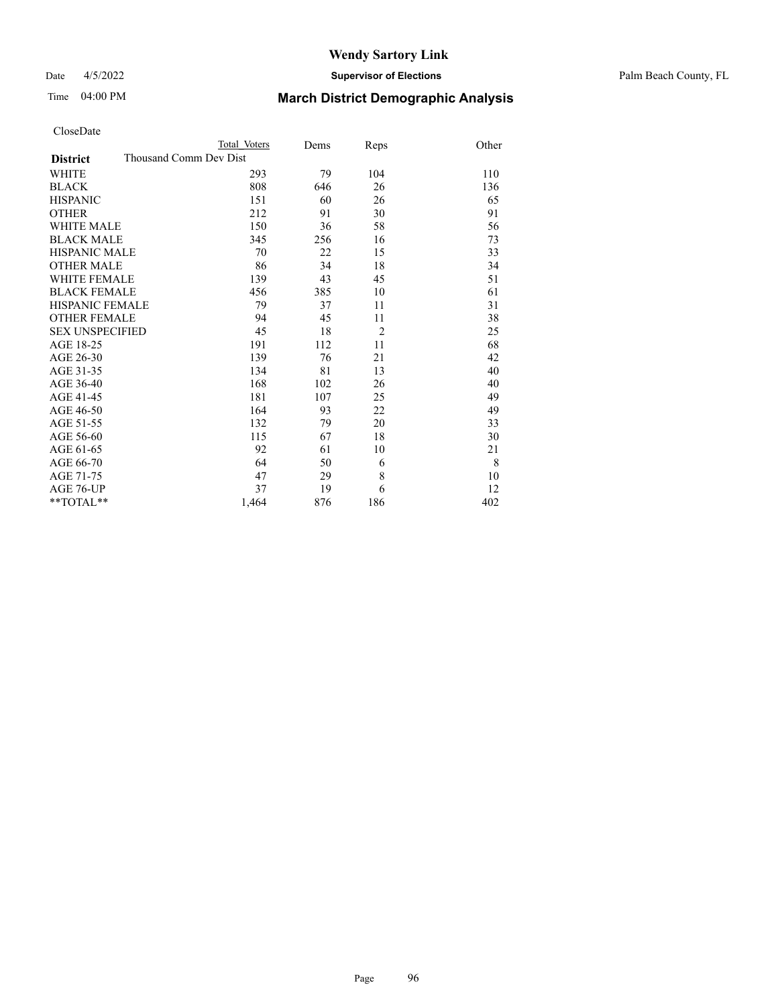### Date 4/5/2022 **Supervisor of Elections** Palm Beach County, FL

| CloseDate |
|-----------|
|-----------|

|                        | Total Voters           | Dems | Reps           | Other |
|------------------------|------------------------|------|----------------|-------|
| <b>District</b>        | Thousand Comm Dev Dist |      |                |       |
| WHITE                  | 293                    | 79   | 104            | 110   |
| BLACK                  | 808                    | 646  | 26             | 136   |
| HISPANIC               | 151                    | 60   | 26             | 65    |
| OTHER                  | 212                    | 91   | 30             | 91    |
| WHITE MALE             | 150                    | 36   | 58             | 56    |
| <b>BLACK MALE</b>      | 345                    | 256  | 16             | 73    |
| HISPANIC MALE          | 70                     | 22   | 15             | 33    |
| OTHER MALE             | 86                     | 34   | 18             | 34    |
| WHITE FEMALE           | 139                    | 43   | 45             | 51    |
| BLACK FEMALE           | 456                    | 385  | 10             | 61    |
| HISPANIC FEMALE        | 79                     | 37   | 11             | 31    |
| <b>OTHER FEMALE</b>    | 94                     | 45   | 11             | 38    |
| <b>SEX UNSPECIFIED</b> | 45                     | 18   | $\overline{2}$ | 25    |
| AGE 18-25              | 191                    | 112  | 11             | 68    |
| AGE 26-30              | 139                    | 76   | 21             | 42    |
| AGE 31-35              | 134                    | 81   | 13             | 40    |
| AGE 36-40              | 168                    | 102  | 26             | 40    |
| AGE 41-45              | 181                    | 107  | 25             | 49    |
| AGE 46-50              | 164                    | 93   | 22             | 49    |
| AGE 51-55              | 132                    | 79   | 20             | 33    |
| AGE 56-60              | 115                    | 67   | 18             | 30    |
| AGE 61-65              | 92                     | 61   | 10             | 21    |
| AGE 66-70              | 64                     | 50   | 6              | 8     |
| AGE 71-75              | 47                     | 29   | 8              | 10    |
| AGE 76-UP              | 37                     | 19   | 6              | 12    |
| $*$ $TOTAL**$          | 1,464                  | 876  | 186            | 402   |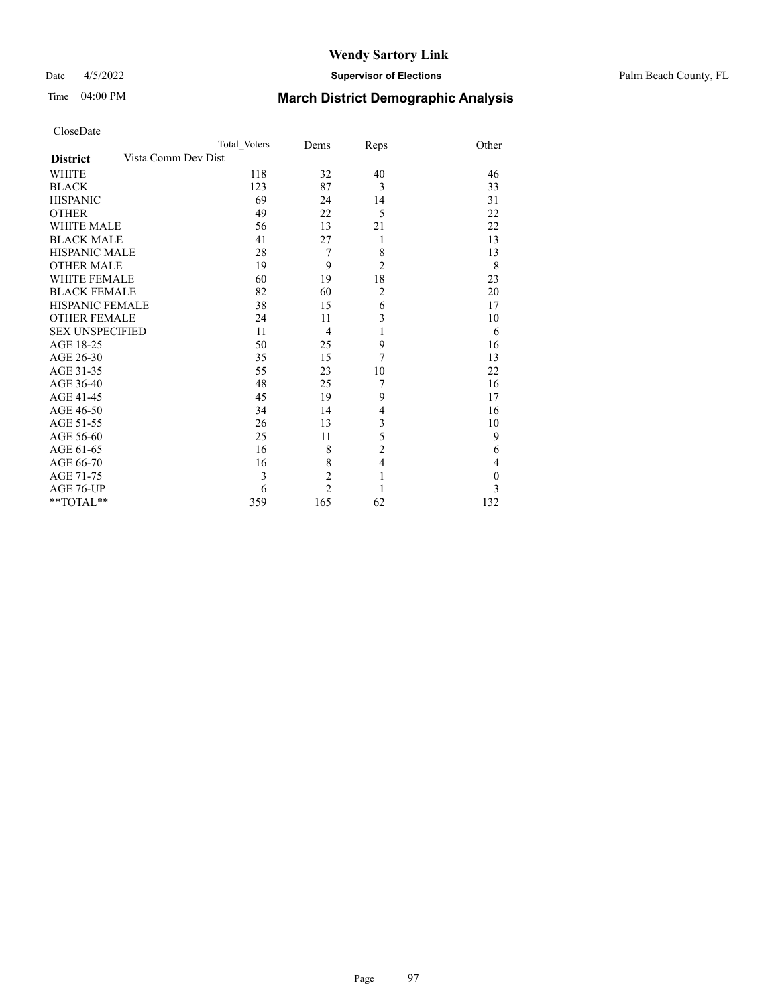### Date 4/5/2022 **Supervisor of Elections** Palm Beach County, FL

| CloseDate |
|-----------|
|-----------|

|                 | Total Voters        | Dems           | Reps           | Other    |
|-----------------|---------------------|----------------|----------------|----------|
| <b>District</b> | Vista Comm Dev Dist |                |                |          |
| WHITE           | 118                 | 32             | 40             | 46       |
| BLACK           | 123                 | 87             | 3              | 33       |
| HISPANIC        | 69                  | 24             | 14             | 31       |
| OTHER           | 49                  | 22             | 5              | 22       |
| WHITE MALE      | 56                  | 13             | 21             | 22       |
| BLACK MALE      | 41                  | 27             | 1              | 13       |
| HISPANIC MALE   | 28                  | 7              | 8              | 13       |
| OTHER MALE      | 19                  | 9              | $\overline{c}$ | 8        |
| WHITE FEMALE    | 60                  | 19             | 18             | 23       |
| BLACK FEMALE    | 82                  | 60             | $\overline{c}$ | 20       |
| HISPANIC FEMALE | 38                  | 15             | 6              | 17       |
| OTHER FEMALE    | 24                  | 11             | 3              | 10       |
| SEX UNSPECIFIED | 11                  | 4              | 1              | 6        |
| AGE 18-25       | 50                  | 25             | 9              | 16       |
| AGE 26-30       | 35                  | 15             | 7              | 13       |
| AGE 31-35       | 55                  | 23             | 10             | 22       |
| AGE 36-40       | 48                  | 25             | 7              | 16       |
| AGE 41-45       | 45                  | 19             | 9              | 17       |
| AGE 46-50       | 34                  | 14             | 4              | 16       |
| AGE 51-55       | 26                  | 13             | 3              | 10       |
| AGE 56-60       | 25                  | 11             | 5              | 9        |
| AGE 61-65       | 16                  | 8              | $\overline{2}$ | 6        |
| AGE 66-70       | 16                  | 8              | $\overline{4}$ | 4        |
| AGE 71-75       | 3                   | $\overline{c}$ | $\mathbf{1}$   | $\theta$ |
| AGE 76-UP       | 6                   | $\overline{2}$ | 1              | 3        |
| $*$ $TOTAL**$   | 359                 | 165            | 62             | 132      |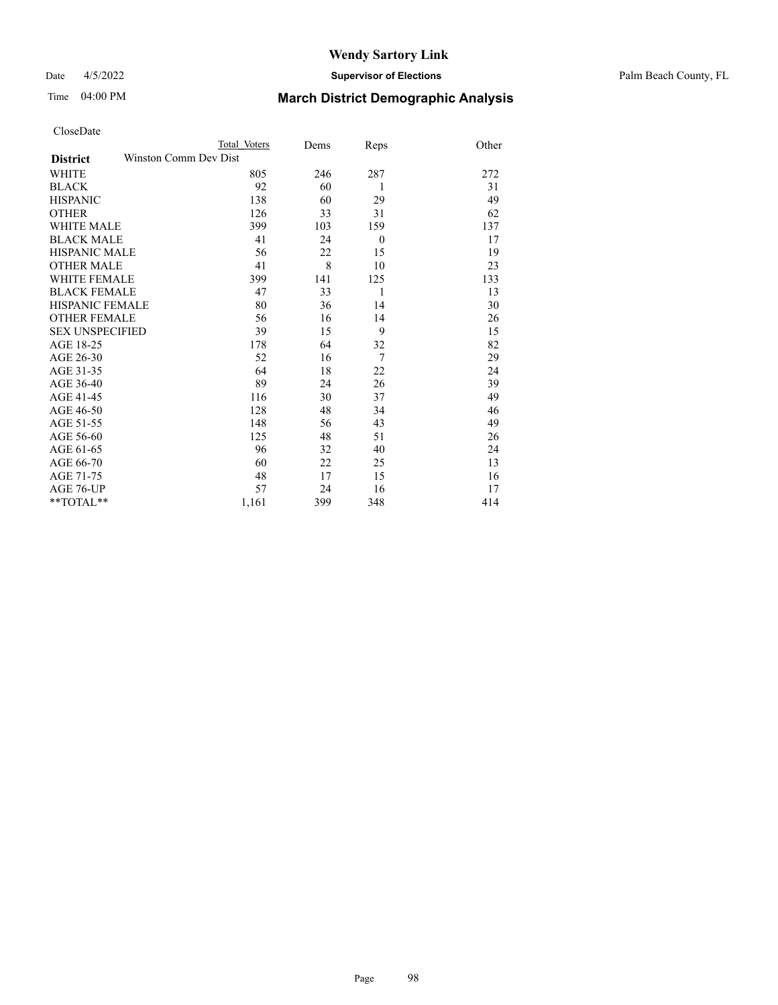Date 4/5/2022 **Supervisor of Elections** Palm Beach County, FL

|                     | Total Voters          | Dems | Reps             | Other |
|---------------------|-----------------------|------|------------------|-------|
| <b>District</b>     | Winston Comm Dev Dist |      |                  |       |
| WHITE               | 805                   | 246  | 287              | 272   |
| BLACK               | 92                    | 60   | 1                | 31    |
| <b>HISPANIC</b>     | 138                   | 60   | 29               | 49    |
| OTHER               | 126                   | 33   | 31               | 62    |
| WHITE MALE          | 399                   | 103  | 159              | 137   |
| <b>BLACK MALE</b>   | 41                    | 24   | $\boldsymbol{0}$ | 17    |
| HISPANIC MALE       | 56                    | 22   | 15               | 19    |
| OTHER MALE          | 41                    | 8    | 10               | 23    |
| WHITE FEMALE        | 399                   | 141  | 125              | 133   |
| <b>BLACK FEMALE</b> | 47                    | 33   | 1                | 13    |
| HISPANIC FEMALE     | 80                    | 36   | 14               | 30    |
| <b>OTHER FEMALE</b> | 56                    | 16   | 14               | 26    |
| SEX UNSPECIFIED     | 39                    | 15   | 9                | 15    |
| AGE 18-25           | 178                   | 64   | 32               | 82    |
| AGE 26-30           | 52                    | 16   | 7                | 29    |
| AGE 31-35           | 64                    | 18   | 22               | 24    |
| AGE 36-40           | 89                    | 24   | 26               | 39    |
| AGE 41-45           | 116                   | 30   | 37               | 49    |
| AGE 46-50           | 128                   | 48   | 34               | 46    |
| AGE 51-55           | 148                   | 56   | 43               | 49    |
| AGE 56-60           | 125                   | 48   | 51               | 26    |
| AGE 61-65           | 96                    | 32   | 40               | 24    |
| AGE 66-70           | 60                    | 22   | 25               | 13    |
| AGE 71-75           | 48                    | 17   | 15               | 16    |
| AGE 76-UP           | 57                    | 24   | 16               | 17    |
| **TOTAL**           | 1,161                 | 399  | 348              | 414   |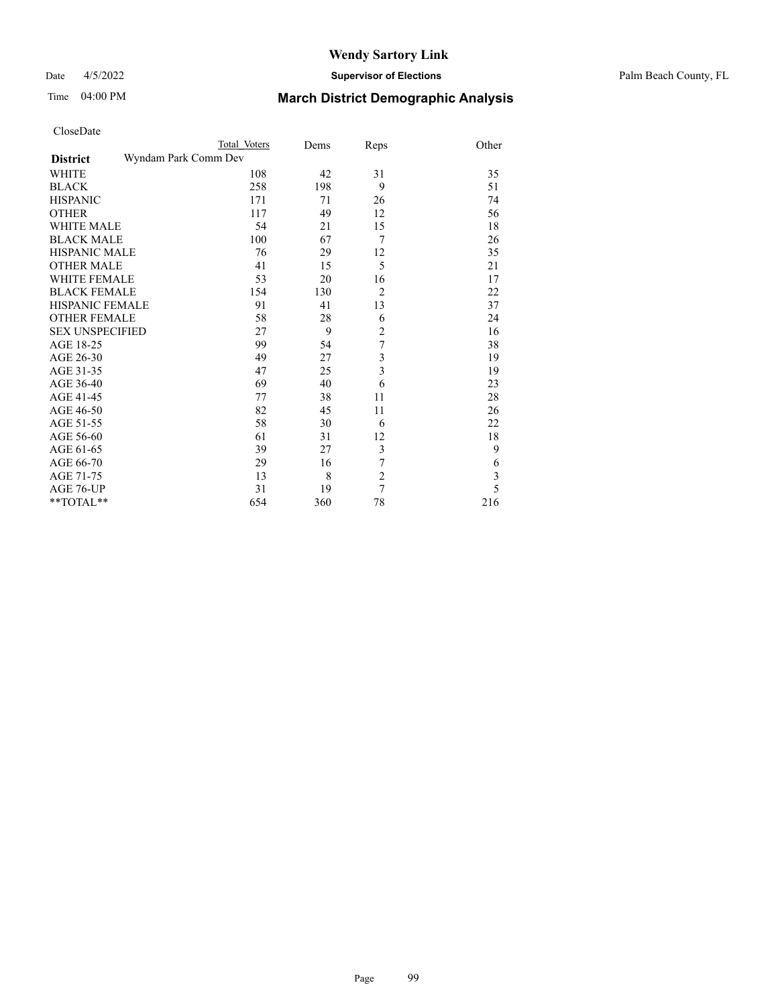#### Date 4/5/2022 **Supervisor of Elections** Palm Beach County, FL

| CloseDate |
|-----------|
|-----------|

|                        | Total Voters         | Dems | Reps                    | Other |
|------------------------|----------------------|------|-------------------------|-------|
| <b>District</b>        | Wyndam Park Comm Dev |      |                         |       |
| WHITE                  | 108                  | 42   | 31                      | 35    |
| <b>BLACK</b>           | 258                  | 198  | 9                       | 51    |
| HISPANIC               | 171                  | 71   | 26                      | 74    |
| OTHER                  | 117                  | 49   | 12                      | 56    |
| WHITE MALE             | 54                   | 21   | 15                      | 18    |
| <b>BLACK MALE</b>      | 100                  | 67   | 7                       | 26    |
| HISPANIC MALE          | 76                   | 29   | 12                      | 35    |
| <b>OTHER MALE</b>      | 41                   | 15   | 5                       | 21    |
| WHITE FEMALE           | 53                   | 20   | 16                      | 17    |
| BLACK FEMALE           | 154                  | 130  | $\overline{2}$          | 22    |
| HISPANIC FEMALE        | 91                   | 41   | 13                      | 37    |
| <b>OTHER FEMALE</b>    | 58                   | 28   | 6                       | 24    |
| <b>SEX UNSPECIFIED</b> | 27                   | 9    | $\overline{c}$          | 16    |
| AGE 18-25              | 99                   | 54   | $\overline{7}$          | 38    |
| AGE 26-30              | 49                   | 27   | 3                       | 19    |
| AGE 31-35              | 47                   | 25   | $\overline{3}$          | 19    |
| AGE 36-40              | 69                   | 40   | 6                       | 23    |
| AGE 41-45              | 77                   | 38   | 11                      | 28    |
| AGE 46-50              | 82                   | 45   | 11                      | 26    |
| AGE 51-55              | 58                   | 30   | 6                       | 22    |
| AGE 56-60              | 61                   | 31   | 12                      | 18    |
| AGE 61-65              | 39                   | 27   | $\overline{\mathbf{3}}$ | 9     |
| AGE 66-70              | 29                   | 16   | 7                       | 6     |
| AGE 71-75              | 13                   | 8    | $\overline{2}$          | 3     |
| AGE 76-UP              | 31                   | 19   | 7                       | 5     |
| **TOTAL**              | 654                  | 360  | 78                      | 216   |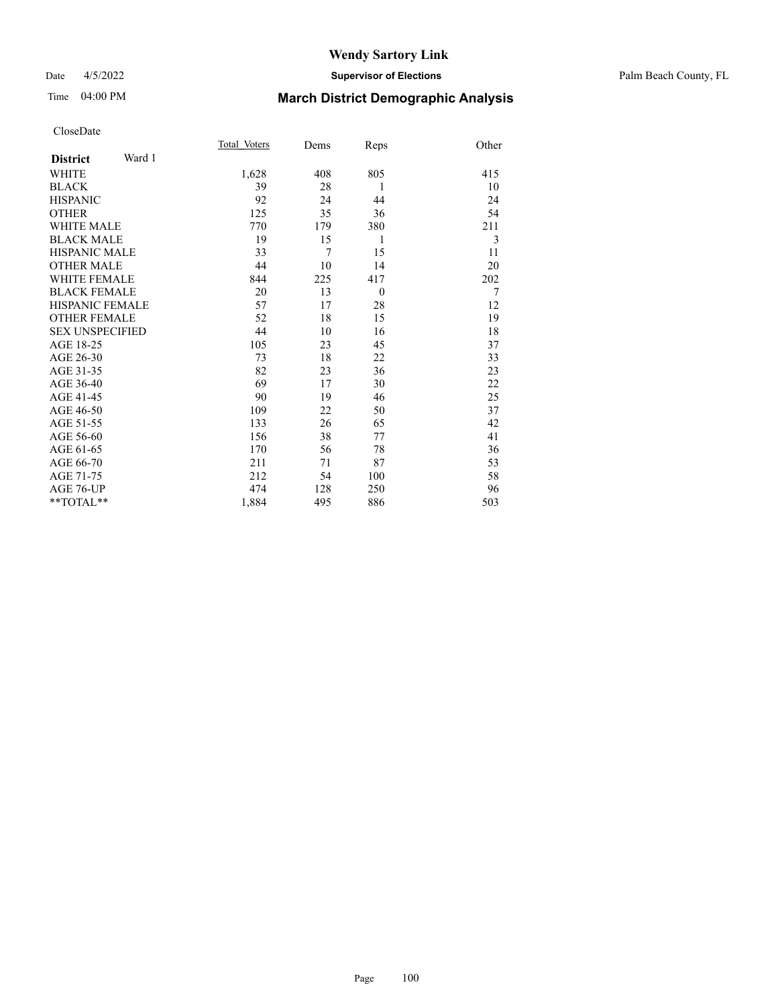#### Date 4/5/2022 **Supervisor of Elections** Palm Beach County, FL

### Time 04:00 PM **March District Demographic Analysis**

|                           | Total Voters | Dems           | Reps     | Other |
|---------------------------|--------------|----------------|----------|-------|
| Ward 1<br><b>District</b> |              |                |          |       |
| WHITE                     | 1,628        | 408            | 805      | 415   |
| <b>BLACK</b>              | 39           | 28             | 1        | 10    |
| <b>HISPANIC</b>           | 92           | 24             | 44       | 24    |
| <b>OTHER</b>              | 125          | 35             | 36       | 54    |
| <b>WHITE MALE</b>         | 770          | 179            | 380      | 211   |
| <b>BLACK MALE</b>         | 19           | 15             | 1        | 3     |
| <b>HISPANIC MALE</b>      | 33           | $\overline{7}$ | 15       | 11    |
| <b>OTHER MALE</b>         | 44           | 10             | 14       | 20    |
| <b>WHITE FEMALE</b>       | 844          | 225            | 417      | 202   |
| <b>BLACK FEMALE</b>       | 20           | 13             | $\theta$ | 7     |
| <b>HISPANIC FEMALE</b>    | 57           | 17             | 28       | 12    |
| <b>OTHER FEMALE</b>       | 52           | 18             | 15       | 19    |
| <b>SEX UNSPECIFIED</b>    | 44           | 10             | 16       | 18    |
| AGE 18-25                 | 105          | 23             | 45       | 37    |
| AGE 26-30                 | 73           | 18             | 22       | 33    |
| AGE 31-35                 | 82           | 23             | 36       | 23    |
| AGE 36-40                 | 69           | 17             | 30       | 22    |
| AGE 41-45                 | 90           | 19             | 46       | 25    |
| AGE 46-50                 | 109          | 22             | 50       | 37    |
| AGE 51-55                 | 133          | 26             | 65       | 42    |
| AGE 56-60                 | 156          | 38             | 77       | 41    |
| AGE 61-65                 | 170          | 56             | 78       | 36    |
| AGE 66-70                 | 211          | 71             | 87       | 53    |
| AGE 71-75                 | 212          | 54             | 100      | 58    |
| AGE 76-UP                 | 474          | 128            | 250      | 96    |
| $*$ $TOTAL**$             | 1,884        | 495            | 886      | 503   |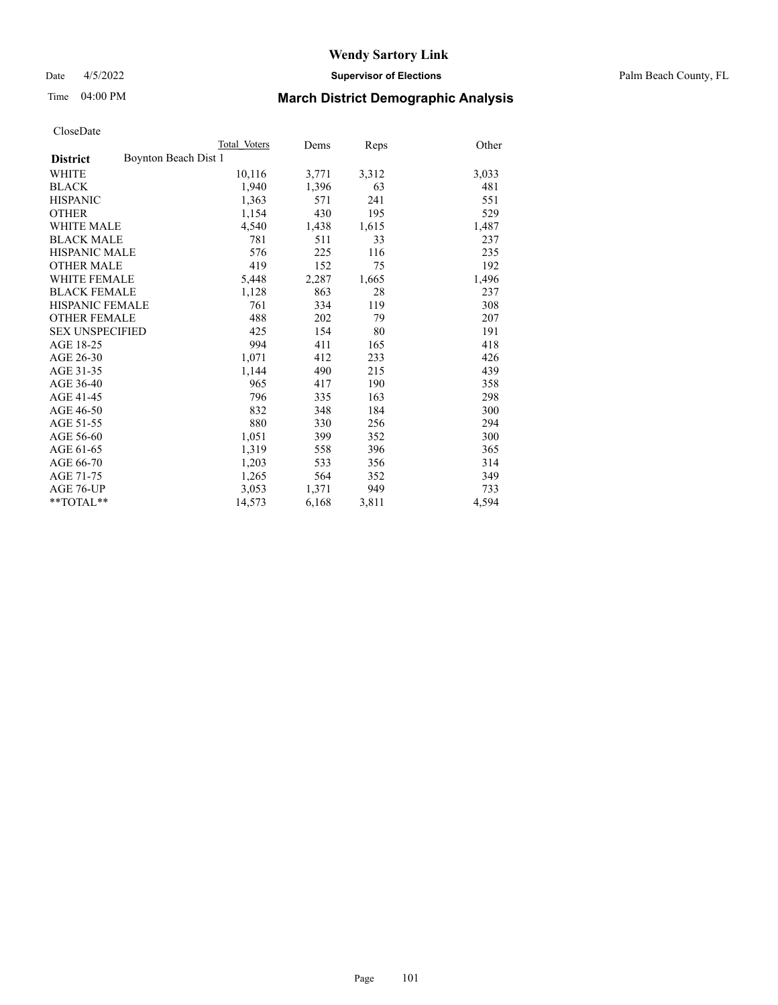Date 4/5/2022 **Supervisor of Elections** Palm Beach County, FL

### Time 04:00 PM **March District Demographic Analysis**

|                                         | Total Voters | Dems  | Reps  | Other |
|-----------------------------------------|--------------|-------|-------|-------|
| Boynton Beach Dist 1<br><b>District</b> |              |       |       |       |
| WHITE                                   | 10,116       | 3,771 | 3,312 | 3,033 |
| <b>BLACK</b>                            | 1,940        | 1,396 | 63    | 481   |
| <b>HISPANIC</b>                         | 1,363        | 571   | 241   | 551   |
| <b>OTHER</b>                            | 1,154        | 430   | 195   | 529   |
| <b>WHITE MALE</b>                       | 4,540        | 1,438 | 1,615 | 1,487 |
| <b>BLACK MALE</b>                       | 781          | 511   | 33    | 237   |
| HISPANIC MALE                           | 576          | 225   | 116   | 235   |
| <b>OTHER MALE</b>                       | 419          | 152   | 75    | 192   |
| WHITE FEMALE                            | 5,448        | 2,287 | 1,665 | 1,496 |
| <b>BLACK FEMALE</b>                     | 1,128        | 863   | 28    | 237   |
| HISPANIC FEMALE                         | 761          | 334   | 119   | 308   |
| <b>OTHER FEMALE</b>                     | 488          | 202   | 79    | 207   |
| <b>SEX UNSPECIFIED</b>                  | 425          | 154   | 80    | 191   |
| AGE 18-25                               | 994          | 411   | 165   | 418   |
| AGE 26-30                               | 1,071        | 412   | 233   | 426   |
| AGE 31-35                               | 1,144        | 490   | 215   | 439   |
| AGE 36-40                               | 965          | 417   | 190   | 358   |
| AGE 41-45                               | 796          | 335   | 163   | 298   |
| AGE 46-50                               | 832          | 348   | 184   | 300   |
| AGE 51-55                               | 880          | 330   | 256   | 294   |
| AGE 56-60                               | 1,051        | 399   | 352   | 300   |
| AGE 61-65                               | 1,319        | 558   | 396   | 365   |
| AGE 66-70                               | 1,203        | 533   | 356   | 314   |
| AGE 71-75                               | 1,265        | 564   | 352   | 349   |
| AGE 76-UP                               | 3,053        | 1,371 | 949   | 733   |
| **TOTAL**                               | 14,573       | 6,168 | 3,811 | 4,594 |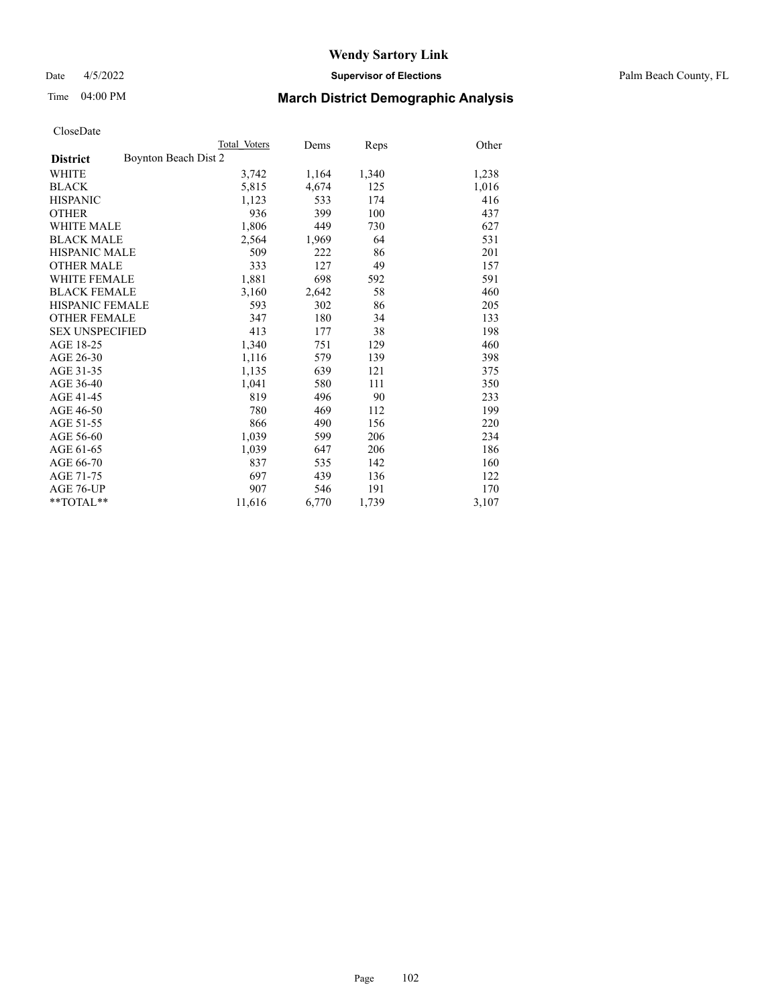Date 4/5/2022 **Supervisor of Elections** Palm Beach County, FL

### Time 04:00 PM **March District Demographic Analysis**

|                                         | Total Voters | Dems  | Reps  | Other |
|-----------------------------------------|--------------|-------|-------|-------|
| Boynton Beach Dist 2<br><b>District</b> |              |       |       |       |
| WHITE                                   | 3,742        | 1,164 | 1,340 | 1,238 |
| <b>BLACK</b>                            | 5,815        | 4,674 | 125   | 1,016 |
| <b>HISPANIC</b>                         | 1,123        | 533   | 174   | 416   |
| <b>OTHER</b>                            | 936          | 399   | 100   | 437   |
| <b>WHITE MALE</b>                       | 1,806        | 449   | 730   | 627   |
| <b>BLACK MALE</b>                       | 2,564        | 1,969 | 64    | 531   |
| <b>HISPANIC MALE</b>                    | 509          | 222   | 86    | 201   |
| <b>OTHER MALE</b>                       | 333          | 127   | 49    | 157   |
| <b>WHITE FEMALE</b>                     | 1,881        | 698   | 592   | 591   |
| <b>BLACK FEMALE</b>                     | 3,160        | 2,642 | 58    | 460   |
| <b>HISPANIC FEMALE</b>                  | 593          | 302   | 86    | 205   |
| <b>OTHER FEMALE</b>                     | 347          | 180   | 34    | 133   |
| <b>SEX UNSPECIFIED</b>                  | 413          | 177   | 38    | 198   |
| AGE 18-25                               | 1,340        | 751   | 129   | 460   |
| AGE 26-30                               | 1,116        | 579   | 139   | 398   |
| AGE 31-35                               | 1,135        | 639   | 121   | 375   |
| AGE 36-40                               | 1,041        | 580   | 111   | 350   |
| AGE 41-45                               | 819          | 496   | 90    | 233   |
| AGE 46-50                               | 780          | 469   | 112   | 199   |
| AGE 51-55                               | 866          | 490   | 156   | 220   |
| AGE 56-60                               | 1,039        | 599   | 206   | 234   |
| AGE 61-65                               | 1,039        | 647   | 206   | 186   |
| AGE 66-70                               | 837          | 535   | 142   | 160   |
| AGE 71-75                               | 697          | 439   | 136   | 122   |
| AGE 76-UP                               | 907          | 546   | 191   | 170   |
| $*$ $TOTAL**$                           | 11,616       | 6,770 | 1,739 | 3,107 |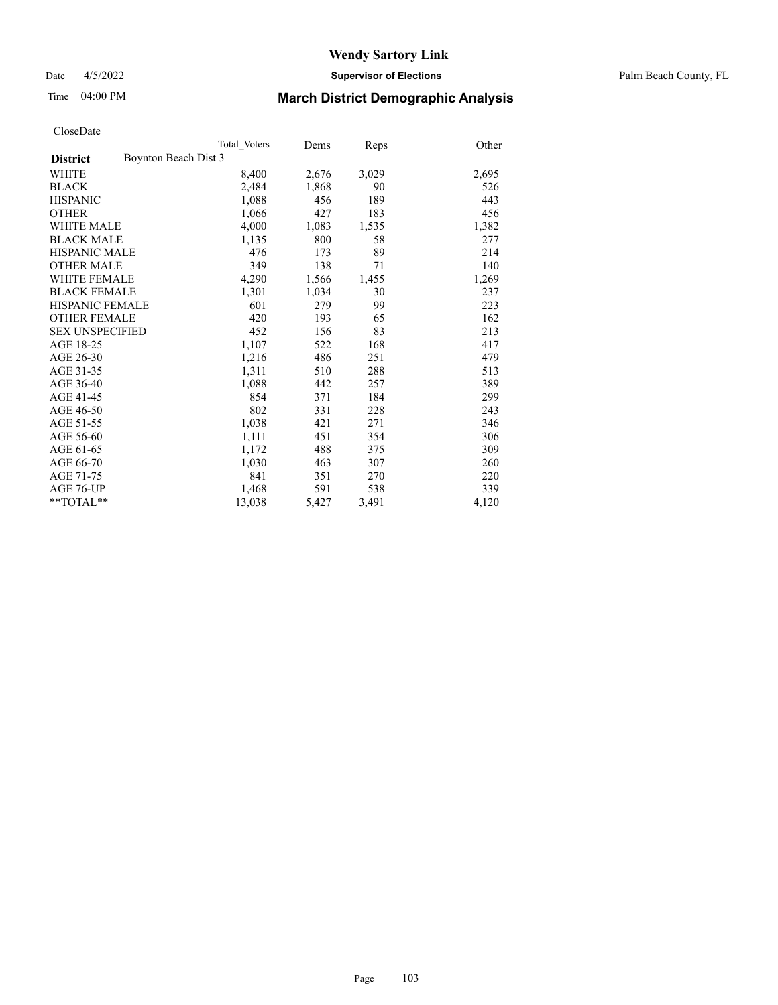Date 4/5/2022 **Supervisor of Elections** Palm Beach County, FL

### Time 04:00 PM **March District Demographic Analysis**

|                                         | Total Voters | Dems  | Reps  | Other |
|-----------------------------------------|--------------|-------|-------|-------|
| Boynton Beach Dist 3<br><b>District</b> |              |       |       |       |
| WHITE                                   | 8,400        | 2,676 | 3,029 | 2,695 |
| <b>BLACK</b>                            | 2,484        | 1,868 | 90    | 526   |
| <b>HISPANIC</b>                         | 1,088        | 456   | 189   | 443   |
| <b>OTHER</b>                            | 1,066        | 427   | 183   | 456   |
| <b>WHITE MALE</b>                       | 4,000        | 1,083 | 1,535 | 1,382 |
| <b>BLACK MALE</b>                       | 1,135        | 800   | 58    | 277   |
| <b>HISPANIC MALE</b>                    | 476          | 173   | 89    | 214   |
| <b>OTHER MALE</b>                       | 349          | 138   | 71    | 140   |
| <b>WHITE FEMALE</b>                     | 4,290        | 1,566 | 1,455 | 1,269 |
| <b>BLACK FEMALE</b>                     | 1,301        | 1,034 | 30    | 237   |
| <b>HISPANIC FEMALE</b>                  | 601          | 279   | 99    | 223   |
| <b>OTHER FEMALE</b>                     | 420          | 193   | 65    | 162   |
| <b>SEX UNSPECIFIED</b>                  | 452          | 156   | 83    | 213   |
| AGE 18-25                               | 1,107        | 522   | 168   | 417   |
| AGE 26-30                               | 1,216        | 486   | 251   | 479   |
| AGE 31-35                               | 1,311        | 510   | 288   | 513   |
| AGE 36-40                               | 1,088        | 442   | 257   | 389   |
| AGE 41-45                               | 854          | 371   | 184   | 299   |
| AGE 46-50                               | 802          | 331   | 228   | 243   |
| AGE 51-55                               | 1,038        | 421   | 271   | 346   |
| AGE 56-60                               | 1,111        | 451   | 354   | 306   |
| AGE 61-65                               | 1,172        | 488   | 375   | 309   |
| AGE 66-70                               | 1,030        | 463   | 307   | 260   |
| AGE 71-75                               | 841          | 351   | 270   | 220   |
| AGE 76-UP                               | 1,468        | 591   | 538   | 339   |
| $*$ $TOTAL**$                           | 13,038       | 5,427 | 3,491 | 4,120 |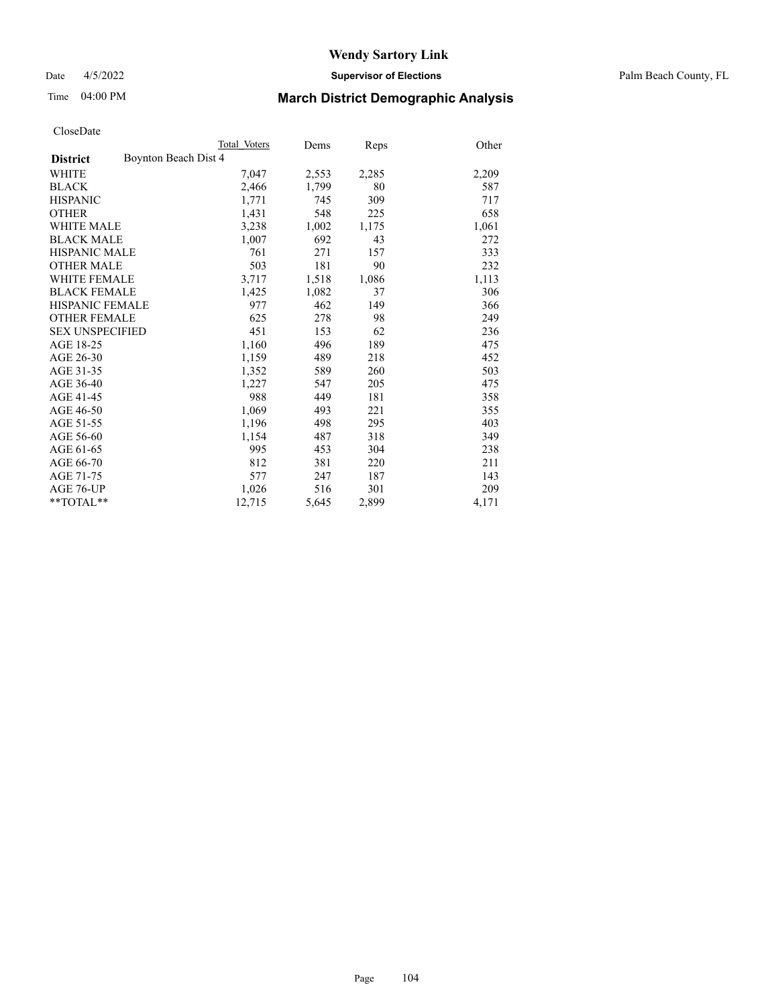Date 4/5/2022 **Supervisor of Elections** Palm Beach County, FL

### Time 04:00 PM **March District Demographic Analysis**

|                                         | Total Voters | Dems  | Reps  | Other |
|-----------------------------------------|--------------|-------|-------|-------|
| Boynton Beach Dist 4<br><b>District</b> |              |       |       |       |
| WHITE                                   | 7,047        | 2,553 | 2,285 | 2,209 |
| <b>BLACK</b>                            | 2,466        | 1,799 | 80    | 587   |
| <b>HISPANIC</b>                         | 1,771        | 745   | 309   | 717   |
| <b>OTHER</b>                            | 1,431        | 548   | 225   | 658   |
| <b>WHITE MALE</b>                       | 3,238        | 1,002 | 1,175 | 1,061 |
| <b>BLACK MALE</b>                       | 1,007        | 692   | 43    | 272   |
| <b>HISPANIC MALE</b>                    | 761          | 271   | 157   | 333   |
| <b>OTHER MALE</b>                       | 503          | 181   | 90    | 232   |
| WHITE FEMALE                            | 3,717        | 1,518 | 1,086 | 1,113 |
| <b>BLACK FEMALE</b>                     | 1,425        | 1,082 | 37    | 306   |
| <b>HISPANIC FEMALE</b>                  | 977          | 462   | 149   | 366   |
| <b>OTHER FEMALE</b>                     | 625          | 278   | 98    | 249   |
| <b>SEX UNSPECIFIED</b>                  | 451          | 153   | 62    | 236   |
| AGE 18-25                               | 1,160        | 496   | 189   | 475   |
| AGE 26-30                               | 1,159        | 489   | 218   | 452   |
| AGE 31-35                               | 1,352        | 589   | 260   | 503   |
| AGE 36-40                               | 1,227        | 547   | 205   | 475   |
| AGE 41-45                               | 988          | 449   | 181   | 358   |
| AGE 46-50                               | 1,069        | 493   | 221   | 355   |
| AGE 51-55                               | 1,196        | 498   | 295   | 403   |
| AGE 56-60                               | 1,154        | 487   | 318   | 349   |
| AGE 61-65                               | 995          | 453   | 304   | 238   |
| AGE 66-70                               | 812          | 381   | 220   | 211   |
| AGE 71-75                               | 577          | 247   | 187   | 143   |
| AGE 76-UP                               | 1,026        | 516   | 301   | 209   |
| **TOTAL**                               | 12,715       | 5,645 | 2,899 | 4,171 |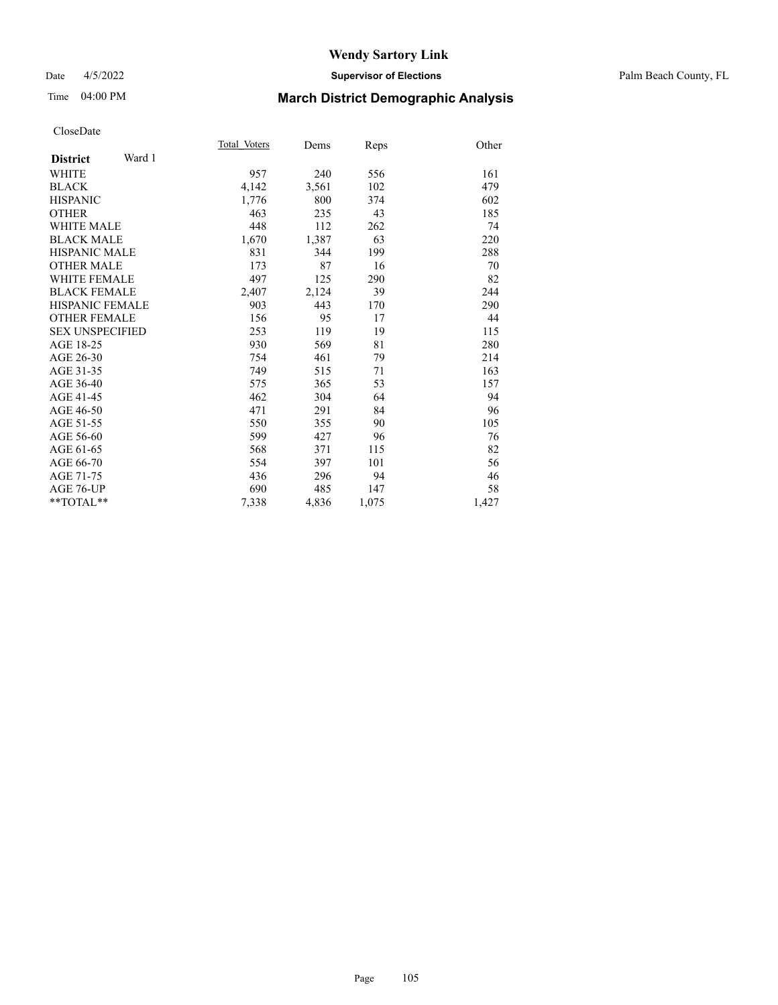### Time 04:00 PM **March District Demographic Analysis**

|                           | Total Voters | Dems  | Reps  | Other |
|---------------------------|--------------|-------|-------|-------|
| Ward 1<br><b>District</b> |              |       |       |       |
| WHITE                     | 957          | 240   | 556   | 161   |
| <b>BLACK</b>              | 4,142        | 3,561 | 102   | 479   |
| <b>HISPANIC</b>           | 1,776        | 800   | 374   | 602   |
| <b>OTHER</b>              | 463          | 235   | 43    | 185   |
| <b>WHITE MALE</b>         | 448          | 112   | 262   | 74    |
| <b>BLACK MALE</b>         | 1,670        | 1,387 | 63    | 220   |
| <b>HISPANIC MALE</b>      | 831          | 344   | 199   | 288   |
| <b>OTHER MALE</b>         | 173          | 87    | 16    | 70    |
| <b>WHITE FEMALE</b>       | 497          | 125   | 290   | 82    |
| <b>BLACK FEMALE</b>       | 2,407        | 2,124 | 39    | 244   |
| HISPANIC FEMALE           | 903          | 443   | 170   | 290   |
| <b>OTHER FEMALE</b>       | 156          | 95    | 17    | 44    |
| <b>SEX UNSPECIFIED</b>    | 253          | 119   | 19    | 115   |
| AGE 18-25                 | 930          | 569   | 81    | 280   |
| AGE 26-30                 | 754          | 461   | 79    | 214   |
| AGE 31-35                 | 749          | 515   | 71    | 163   |
| AGE 36-40                 | 575          | 365   | 53    | 157   |
| AGE 41-45                 | 462          | 304   | 64    | 94    |
| AGE 46-50                 | 471          | 291   | 84    | 96    |
| AGE 51-55                 | 550          | 355   | 90    | 105   |
| AGE 56-60                 | 599          | 427   | 96    | 76    |
| AGE 61-65                 | 568          | 371   | 115   | 82    |
| AGE 66-70                 | 554          | 397   | 101   | 56    |
| AGE 71-75                 | 436          | 296   | 94    | 46    |
| AGE 76-UP                 | 690          | 485   | 147   | 58    |
| $*$ $TOTAL**$             | 7,338        | 4,836 | 1,075 | 1,427 |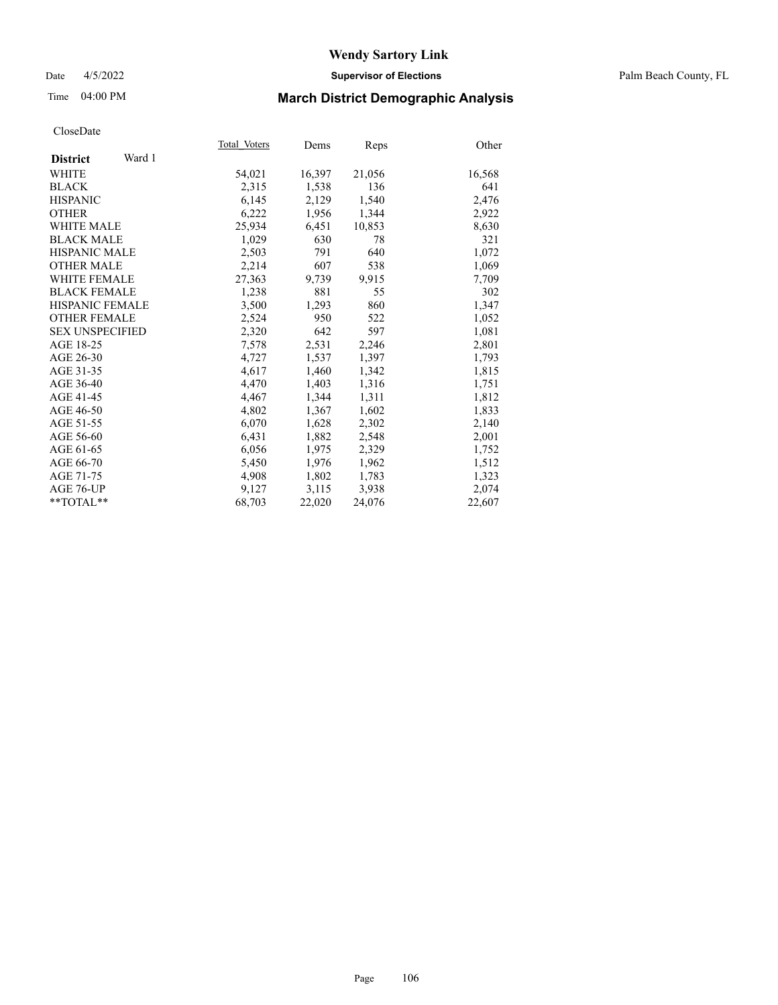### Date 4/5/2022 **Supervisor of Elections** Palm Beach County, FL

### Time 04:00 PM **March District Demographic Analysis**

|                           | Total Voters | Dems   | <b>Reps</b> | Other  |
|---------------------------|--------------|--------|-------------|--------|
| Ward 1<br><b>District</b> |              |        |             |        |
| WHITE                     | 54,021       | 16,397 | 21,056      | 16,568 |
| <b>BLACK</b>              | 2,315        | 1,538  | 136         | 641    |
| <b>HISPANIC</b>           | 6,145        | 2,129  | 1,540       | 2,476  |
| <b>OTHER</b>              | 6,222        | 1,956  | 1,344       | 2,922  |
| <b>WHITE MALE</b>         | 25,934       | 6,451  | 10,853      | 8,630  |
| <b>BLACK MALE</b>         | 1,029        | 630    | 78          | 321    |
| <b>HISPANIC MALE</b>      | 2,503        | 791    | 640         | 1,072  |
| <b>OTHER MALE</b>         | 2,214        | 607    | 538         | 1,069  |
| <b>WHITE FEMALE</b>       | 27,363       | 9,739  | 9,915       | 7,709  |
| <b>BLACK FEMALE</b>       | 1,238        | 881    | 55          | 302    |
| <b>HISPANIC FEMALE</b>    | 3,500        | 1,293  | 860         | 1,347  |
| <b>OTHER FEMALE</b>       | 2,524        | 950    | 522         | 1,052  |
| <b>SEX UNSPECIFIED</b>    | 2,320        | 642    | 597         | 1,081  |
| AGE 18-25                 | 7,578        | 2,531  | 2,246       | 2,801  |
| AGE 26-30                 | 4,727        | 1,537  | 1,397       | 1,793  |
| AGE 31-35                 | 4,617        | 1,460  | 1,342       | 1,815  |
| AGE 36-40                 | 4,470        | 1,403  | 1,316       | 1,751  |
| AGE 41-45                 | 4,467        | 1,344  | 1,311       | 1,812  |
| AGE 46-50                 | 4,802        | 1,367  | 1,602       | 1,833  |
| AGE 51-55                 | 6,070        | 1,628  | 2,302       | 2,140  |
| AGE 56-60                 | 6,431        | 1,882  | 2,548       | 2,001  |
| AGE 61-65                 | 6,056        | 1,975  | 2,329       | 1,752  |
| AGE 66-70                 | 5,450        | 1,976  | 1,962       | 1,512  |
| AGE 71-75                 | 4,908        | 1,802  | 1,783       | 1,323  |
| AGE 76-UP                 | 9,127        | 3,115  | 3,938       | 2,074  |
| $*$ TOTAL $*$             | 68,703       | 22,020 | 24,076      | 22,607 |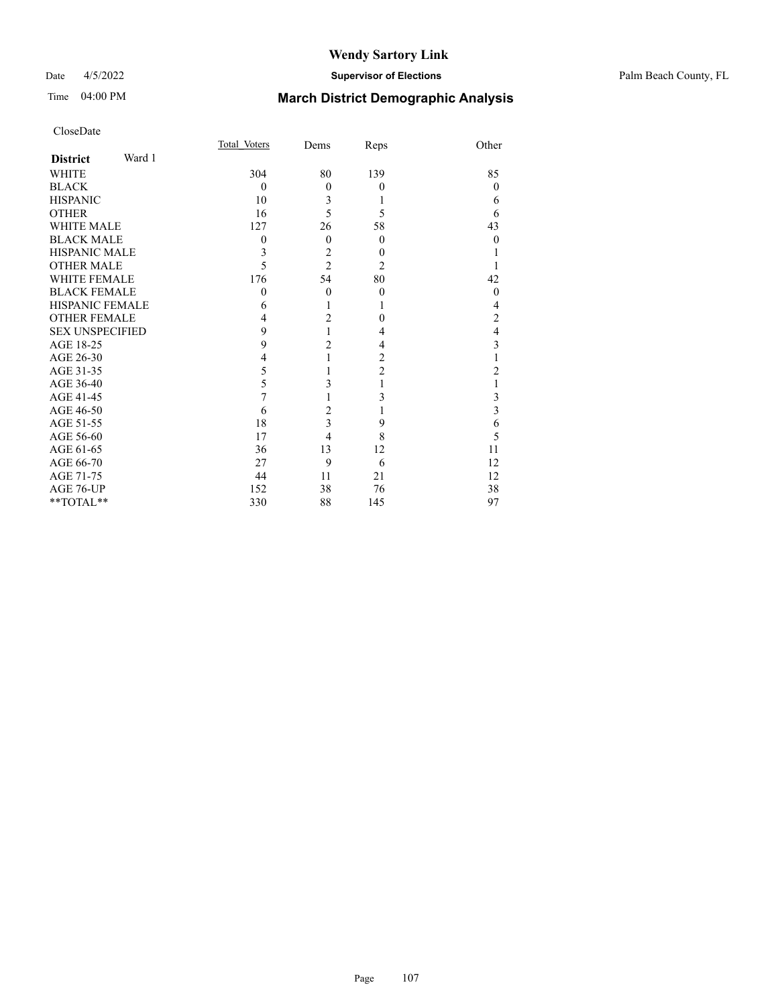#### Date 4/5/2022 **Supervisor of Elections** Palm Beach County, FL

### Time 04:00 PM **March District Demographic Analysis**

|                           | Total Voters     | Dems                    | Reps           | Other            |
|---------------------------|------------------|-------------------------|----------------|------------------|
| Ward 1<br><b>District</b> |                  |                         |                |                  |
| WHITE                     | 304              | 80                      | 139            | 85               |
| <b>BLACK</b>              | $\theta$         | $\mathbf{0}$            | $\mathbf{0}$   | $\theta$         |
| <b>HISPANIC</b>           | 10               | 3                       |                | 6                |
| <b>OTHER</b>              | 16               | 5                       | 5              | 6                |
| <b>WHITE MALE</b>         | 127              | 26                      | 58             | 43               |
| <b>BLACK MALE</b>         | $\boldsymbol{0}$ | $\theta$                | $\mathbf{0}$   | $\boldsymbol{0}$ |
| <b>HISPANIC MALE</b>      | 3                | $\overline{c}$          | 0              |                  |
| <b>OTHER MALE</b>         | 5                | $\overline{c}$          | $\overline{2}$ |                  |
| <b>WHITE FEMALE</b>       | 176              | 54                      | 80             | 42               |
| <b>BLACK FEMALE</b>       | $\overline{0}$   | $\theta$                | $\mathbf{0}$   | $\theta$         |
| <b>HISPANIC FEMALE</b>    | 6                | 1                       |                | 4                |
| <b>OTHER FEMALE</b>       | 4                | $\overline{2}$          | $\theta$       | $\overline{c}$   |
| <b>SEX UNSPECIFIED</b>    | 9                | 1                       | 4              | 4                |
| AGE 18-25                 | 9                | $\overline{2}$          | 4              | 3                |
| AGE 26-30                 | 4                | 1                       | $\overline{2}$ |                  |
| AGE 31-35                 | 5                | 1                       | $\overline{2}$ | 2                |
| AGE 36-40                 | 5                | 3                       | 1              |                  |
| AGE 41-45                 | 7                | 1                       | 3              | 3                |
| AGE 46-50                 | 6                | $\overline{c}$          | 1              | 3                |
| AGE 51-55                 | 18               | $\overline{\mathbf{3}}$ | 9              | 6                |
| AGE 56-60                 | 17               | 4                       | 8              | 5                |
| AGE 61-65                 | 36               | 13                      | 12             | 11               |
| AGE 66-70                 | 27               | 9                       | 6              | 12               |
| AGE 71-75                 | 44               | 11                      | 21             | 12               |
| AGE 76-UP                 | 152              | 38                      | 76             | 38               |
| **TOTAL**                 | 330              | 88                      | 145            | 97               |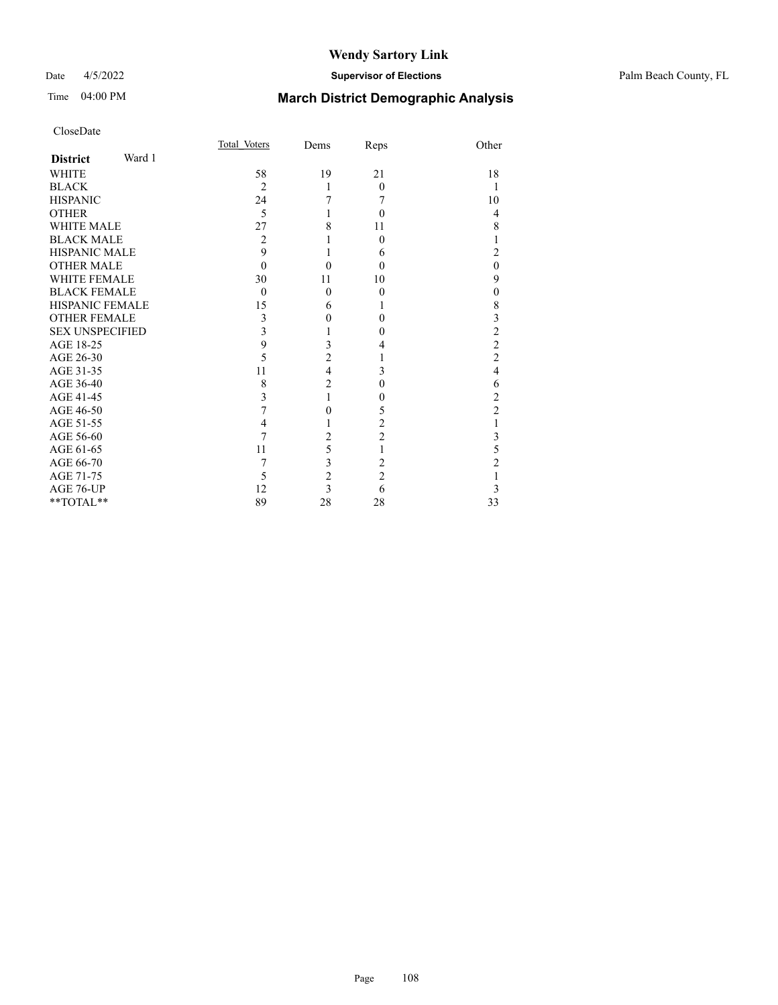### Date 4/5/2022 **Supervisor of Elections** Palm Beach County, FL

| CloseDate |
|-----------|
|-----------|

|                        |        | Total Voters   | Dems           | Reps           | Other                   |
|------------------------|--------|----------------|----------------|----------------|-------------------------|
| <b>District</b>        | Ward 1 |                |                |                |                         |
| <b>WHITE</b>           |        | 58             | 19             | 21             | 18                      |
| <b>BLACK</b>           |        | $\overline{2}$ | 1              | $\Omega$       | -1                      |
| <b>HISPANIC</b>        |        | 24             | 7              | 7              | 10                      |
| <b>OTHER</b>           |        | 5              | 1              | $\theta$       | 4                       |
| <b>WHITE MALE</b>      |        | 27             | 8              | 11             | 8                       |
| <b>BLACK MALE</b>      |        | 2              |                | $\Omega$       | 1                       |
| <b>HISPANIC MALE</b>   |        | 9              | 1              | 6              | $\overline{2}$          |
| <b>OTHER MALE</b>      |        | $\Omega$       | $\theta$       | $\Omega$       | $\mathbf{0}$            |
| <b>WHITE FEMALE</b>    |        | 30             | 11             | 10             | 9                       |
| <b>BLACK FEMALE</b>    |        | $\Omega$       | $\mathbf{0}$   | $\theta$       | $\mathbf{0}$            |
| <b>HISPANIC FEMALE</b> |        | 15             | 6              | 1              | $\,$ $\,$               |
| <b>OTHER FEMALE</b>    |        | 3              | 0              | $\Omega$       | $\overline{\mathbf{3}}$ |
| <b>SEX UNSPECIFIED</b> |        | 3              | 1              | $\theta$       | $\overline{c}$          |
| AGE 18-25              |        | 9              | 3              | 4              | $\overline{c}$          |
| AGE 26-30              |        | 5              | $\overline{c}$ | 1              | $\overline{c}$          |
| AGE 31-35              |        | 11             | $\overline{4}$ | 3              | $\overline{4}$          |
| AGE 36-40              |        | 8              | $\overline{c}$ | $\theta$       | 6                       |
| AGE 41-45              |        | 3              | 1              | 0              | $\overline{c}$          |
| AGE 46-50              |        | 7              | 0              | 5              | $\overline{c}$          |
| AGE 51-55              |        | 4              |                | 2              | 1                       |
| AGE 56-60              |        |                | $\overline{2}$ | $\overline{2}$ | $\mathfrak{Z}$          |
| AGE 61-65              |        | 11             | 5              | 1              | 5                       |
| AGE 66-70              |        | 7              | 3              | 2              | $\overline{c}$          |
| AGE 71-75              |        | 5              | $\overline{c}$ | $\overline{2}$ | 1                       |
| AGE 76-UP              |        | 12             | $\overline{3}$ | 6              | 3                       |
| **TOTAL**              |        | 89             | 28             | 28             | 33                      |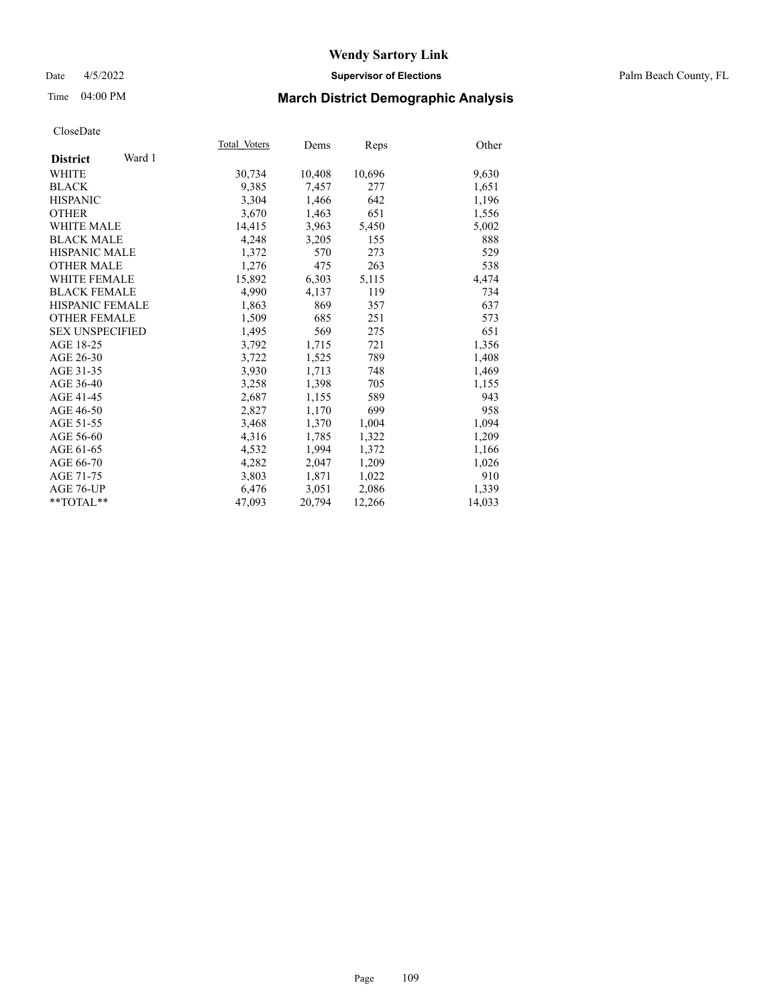## Date 4/5/2022 **Supervisor of Elections** Palm Beach County, FL

## Time 04:00 PM **March District Demographic Analysis**

|                           | Total Voters | Dems   | <b>Reps</b> | Other  |
|---------------------------|--------------|--------|-------------|--------|
| Ward 1<br><b>District</b> |              |        |             |        |
| WHITE                     | 30,734       | 10,408 | 10,696      | 9,630  |
| <b>BLACK</b>              | 9,385        | 7,457  | 277         | 1,651  |
| <b>HISPANIC</b>           | 3,304        | 1.466  | 642         | 1,196  |
| <b>OTHER</b>              | 3,670        | 1,463  | 651         | 1,556  |
| <b>WHITE MALE</b>         | 14,415       | 3,963  | 5,450       | 5,002  |
| <b>BLACK MALE</b>         | 4,248        | 3,205  | 155         | 888    |
| <b>HISPANIC MALE</b>      | 1,372        | 570    | 273         | 529    |
| <b>OTHER MALE</b>         | 1,276        | 475    | 263         | 538    |
| WHITE FEMALE              | 15,892       | 6,303  | 5,115       | 4,474  |
| <b>BLACK FEMALE</b>       | 4,990        | 4,137  | 119         | 734    |
| <b>HISPANIC FEMALE</b>    | 1,863        | 869    | 357         | 637    |
| <b>OTHER FEMALE</b>       | 1,509        | 685    | 251         | 573    |
| <b>SEX UNSPECIFIED</b>    | 1,495        | 569    | 275         | 651    |
| AGE 18-25                 | 3,792        | 1,715  | 721         | 1,356  |
| AGE 26-30                 | 3,722        | 1,525  | 789         | 1,408  |
| AGE 31-35                 | 3,930        | 1,713  | 748         | 1,469  |
| AGE 36-40                 | 3,258        | 1,398  | 705         | 1,155  |
| AGE 41-45                 | 2,687        | 1,155  | 589         | 943    |
| AGE 46-50                 | 2,827        | 1,170  | 699         | 958    |
| AGE 51-55                 | 3,468        | 1,370  | 1,004       | 1,094  |
| AGE 56-60                 | 4,316        | 1,785  | 1,322       | 1,209  |
| AGE 61-65                 | 4,532        | 1,994  | 1,372       | 1,166  |
| AGE 66-70                 | 4,282        | 2,047  | 1,209       | 1,026  |
| AGE 71-75                 | 3,803        | 1,871  | 1,022       | 910    |
| AGE 76-UP                 | 6,476        | 3,051  | 2,086       | 1,339  |
| $*$ TOTAL $*$             | 47,093       | 20,794 | 12,266      | 14,033 |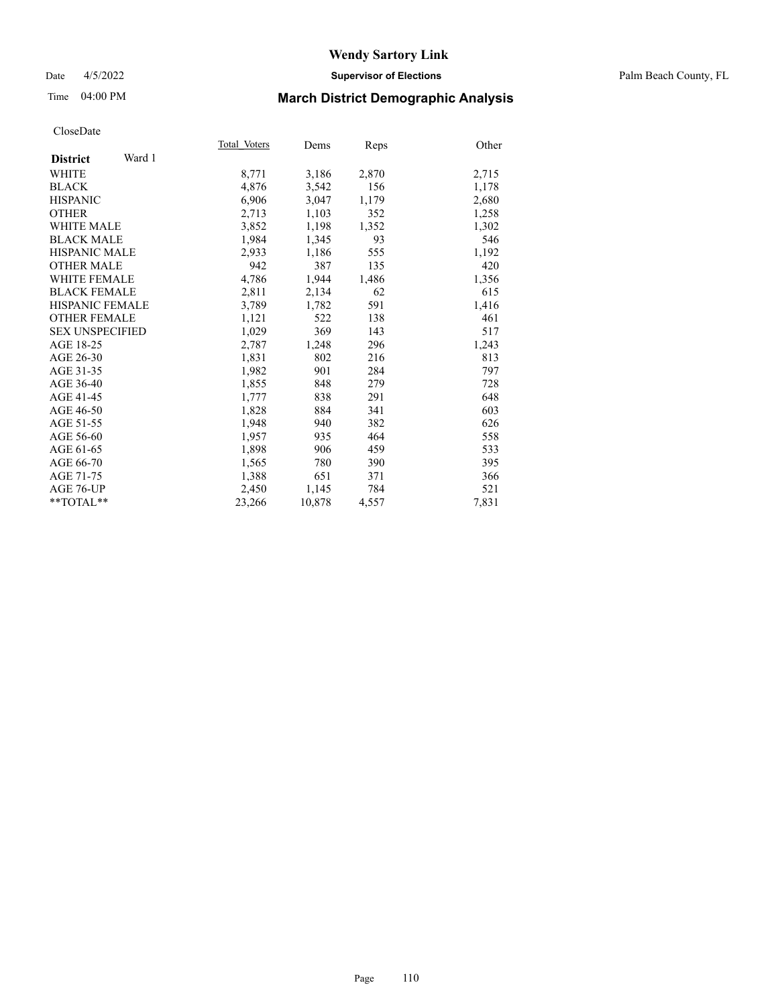### Date 4/5/2022 **Supervisor of Elections** Palm Beach County, FL

## Time 04:00 PM **March District Demographic Analysis**

|                           | Total Voters | Dems   | Reps  | Other |
|---------------------------|--------------|--------|-------|-------|
| Ward 1<br><b>District</b> |              |        |       |       |
| <b>WHITE</b>              | 8,771        | 3,186  | 2,870 | 2,715 |
| <b>BLACK</b>              | 4,876        | 3,542  | 156   | 1,178 |
| <b>HISPANIC</b>           | 6,906        | 3,047  | 1,179 | 2,680 |
| <b>OTHER</b>              | 2,713        | 1,103  | 352   | 1,258 |
| <b>WHITE MALE</b>         | 3,852        | 1,198  | 1,352 | 1,302 |
| <b>BLACK MALE</b>         | 1,984        | 1,345  | 93    | 546   |
| <b>HISPANIC MALE</b>      | 2,933        | 1,186  | 555   | 1,192 |
| <b>OTHER MALE</b>         | 942          | 387    | 135   | 420   |
| <b>WHITE FEMALE</b>       | 4,786        | 1,944  | 1,486 | 1,356 |
| <b>BLACK FEMALE</b>       | 2,811        | 2,134  | 62    | 615   |
| <b>HISPANIC FEMALE</b>    | 3,789        | 1,782  | 591   | 1,416 |
| <b>OTHER FEMALE</b>       | 1,121        | 522    | 138   | 461   |
| <b>SEX UNSPECIFIED</b>    | 1,029        | 369    | 143   | 517   |
| AGE 18-25                 | 2,787        | 1,248  | 296   | 1,243 |
| AGE 26-30                 | 1,831        | 802    | 216   | 813   |
| AGE 31-35                 | 1,982        | 901    | 284   | 797   |
| AGE 36-40                 | 1,855        | 848    | 279   | 728   |
| AGE 41-45                 | 1,777        | 838    | 291   | 648   |
| AGE 46-50                 | 1,828        | 884    | 341   | 603   |
| AGE 51-55                 | 1,948        | 940    | 382   | 626   |
| AGE 56-60                 | 1,957        | 935    | 464   | 558   |
| AGE 61-65                 | 1,898        | 906    | 459   | 533   |
| AGE 66-70                 | 1,565        | 780    | 390   | 395   |
| AGE 71-75                 | 1,388        | 651    | 371   | 366   |
| AGE 76-UP                 | 2,450        | 1,145  | 784   | 521   |
| $*$ TOTAL $*$             | 23,266       | 10,878 | 4,557 | 7,831 |
|                           |              |        |       |       |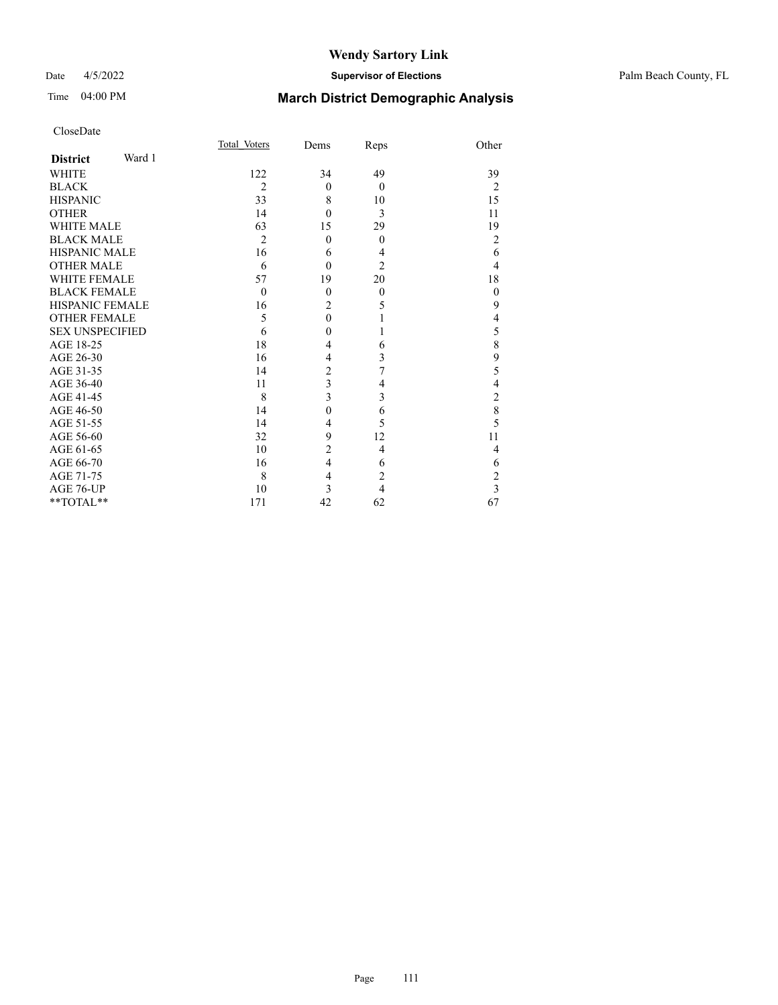## Date 4/5/2022 **Supervisor of Elections** Palm Beach County, FL

# Time 04:00 PM **March District Demographic Analysis**

| CloseDate |
|-----------|
|-----------|

|                        |        | Total Voters   | Dems                    | Reps           | Other          |
|------------------------|--------|----------------|-------------------------|----------------|----------------|
| <b>District</b>        | Ward 1 |                |                         |                |                |
| <b>WHITE</b>           |        | 122            | 34                      | 49             | 39             |
| <b>BLACK</b>           |        | $\overline{2}$ | $\theta$                | $\theta$       | $\overline{2}$ |
| <b>HISPANIC</b>        |        | 33             | 8                       | 10             | 15             |
| <b>OTHER</b>           |        | 14             | $\theta$                | 3              | 11             |
| <b>WHITE MALE</b>      |        | 63             | 15                      | 29             | 19             |
| <b>BLACK MALE</b>      |        | $\overline{2}$ | $\theta$                | $\overline{0}$ | $\overline{2}$ |
| <b>HISPANIC MALE</b>   |        | 16             | 6                       | 4              | 6              |
| <b>OTHER MALE</b>      |        | 6              | $\theta$                | $\overline{2}$ | 4              |
| <b>WHITE FEMALE</b>    |        | 57             | 19                      | 20             | 18             |
| <b>BLACK FEMALE</b>    |        | $\theta$       | $\theta$                | $\theta$       | $\theta$       |
| <b>HISPANIC FEMALE</b> |        | 16             | $\overline{c}$          | 5              | 9              |
| <b>OTHER FEMALE</b>    |        | 5              | $\mathbf{0}$            |                | $\overline{4}$ |
| <b>SEX UNSPECIFIED</b> |        | 6              | $\mathbf{0}$            | 1              | 5              |
| AGE 18-25              |        | 18             | 4                       | 6              | 8              |
| AGE 26-30              |        | 16             | $\overline{4}$          | 3              | 9              |
| AGE 31-35              |        | 14             | $\overline{c}$          | 7              | 5              |
| AGE 36-40              |        | 11             | $\overline{\mathbf{3}}$ | 4              | $\overline{4}$ |
| AGE 41-45              |        | 8              | 3                       | 3              | $\overline{c}$ |
| AGE 46-50              |        | 14             | $\theta$                | 6              | 8              |
| AGE 51-55              |        | 14             | 4                       | 5              | 5              |
| AGE 56-60              |        | 32             | 9                       | 12             | 11             |
| AGE 61-65              |        | 10             | $\overline{c}$          | $\overline{4}$ | 4              |
| AGE 66-70              |        | 16             | $\overline{4}$          | 6              | 6              |
| AGE 71-75              |        | 8              | $\overline{4}$          | $\overline{2}$ | $\overline{c}$ |
| AGE 76-UP              |        | 10             | 3                       | 4              | $\overline{3}$ |
| **TOTAL**              |        | 171            | 42                      | 62             | 67             |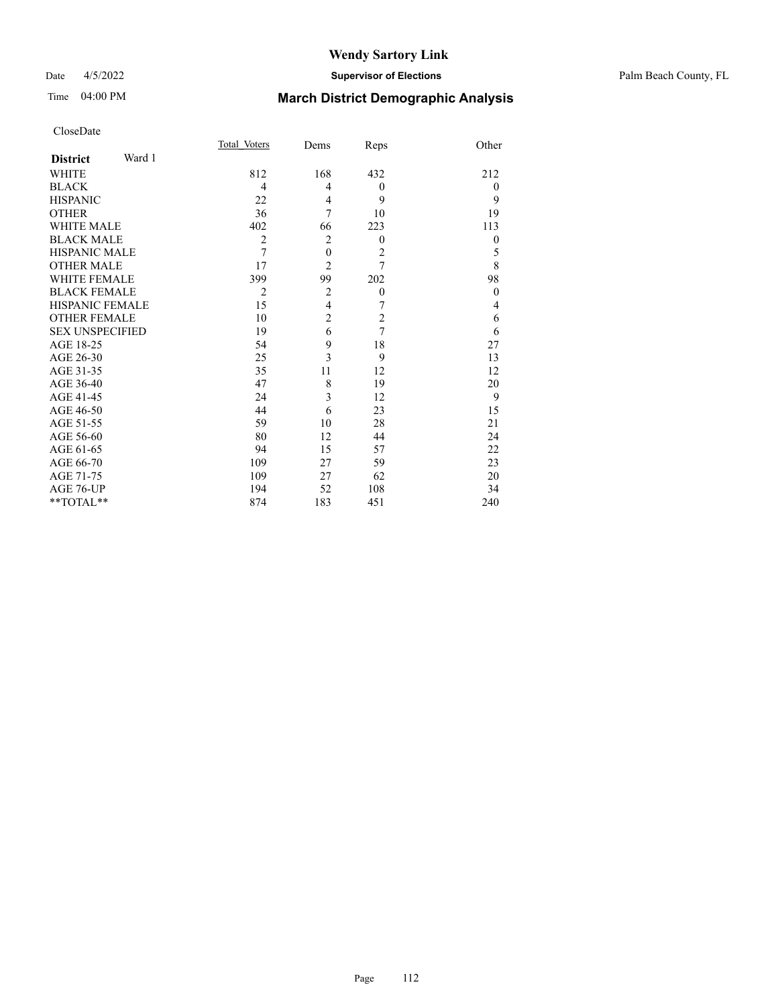### Date 4/5/2022 **Supervisor of Elections** Palm Beach County, FL

# Time 04:00 PM **March District Demographic Analysis**

|                           | Total Voters   | Dems             | Reps             | Other          |
|---------------------------|----------------|------------------|------------------|----------------|
| Ward 1<br><b>District</b> |                |                  |                  |                |
| WHITE                     | 812            | 168              | 432              | 212            |
| <b>BLACK</b>              | 4              | 4                | $\theta$         | $\overline{0}$ |
| <b>HISPANIC</b>           | 22             | 4                | 9                | 9              |
| <b>OTHER</b>              | 36             | 7                | 10               | 19             |
| <b>WHITE MALE</b>         | 402            | 66               | 223              | 113            |
| <b>BLACK MALE</b>         | $\overline{2}$ | $\overline{2}$   | $\theta$         | $\theta$       |
| <b>HISPANIC MALE</b>      | 7              | $\boldsymbol{0}$ | $\overline{2}$   | 5              |
| <b>OTHER MALE</b>         | 17             | $\overline{2}$   | 7                | 8              |
| <b>WHITE FEMALE</b>       | 399            | 99               | 202              | 98             |
| <b>BLACK FEMALE</b>       | $\overline{2}$ | $\overline{2}$   | $\boldsymbol{0}$ | $\theta$       |
| <b>HISPANIC FEMALE</b>    | 15             | $\overline{4}$   | 7                | 4              |
| <b>OTHER FEMALE</b>       | 10             | $\overline{c}$   | $\mathfrak{2}$   | 6              |
| <b>SEX UNSPECIFIED</b>    | 19             | 6                | 7                | 6              |
| AGE 18-25                 | 54             | 9                | 18               | 27             |
| AGE 26-30                 | 25             | 3                | 9                | 13             |
| AGE 31-35                 | 35             | 11               | 12               | 12             |
| AGE 36-40                 | 47             | 8                | 19               | 20             |
| AGE 41-45                 | 24             | 3                | 12               | 9              |
| AGE 46-50                 | 44             | 6                | 23               | 15             |
| AGE 51-55                 | 59             | 10               | 28               | 21             |
| AGE 56-60                 | 80             | 12               | 44               | 24             |
| AGE 61-65                 | 94             | 15               | 57               | 22             |
| AGE 66-70                 | 109            | 27               | 59               | 23             |
| AGE 71-75                 | 109            | 27               | 62               | 20             |
| AGE 76-UP                 | 194            | 52               | 108              | 34             |
| **TOTAL**                 | 874            | 183              | 451              | 240            |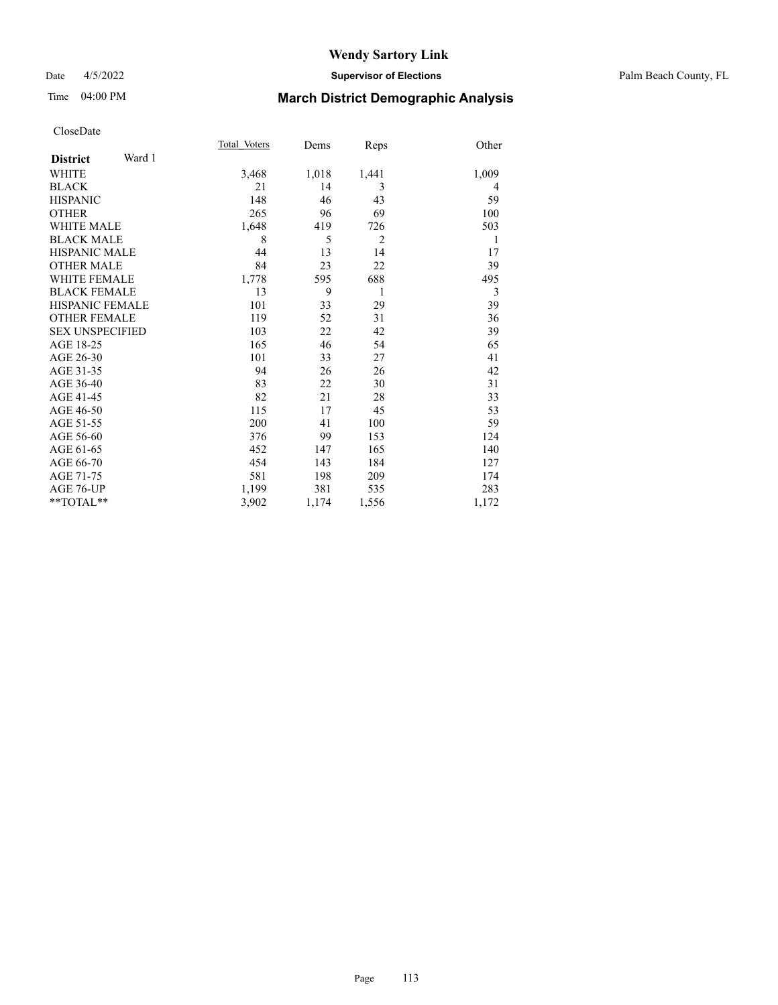### Date 4/5/2022 **Supervisor of Elections** Palm Beach County, FL

# Time 04:00 PM **March District Demographic Analysis**

|                           | Total Voters | Dems  | Reps           | Other |
|---------------------------|--------------|-------|----------------|-------|
| Ward 1<br><b>District</b> |              |       |                |       |
| <b>WHITE</b>              | 3,468        | 1,018 | 1,441          | 1,009 |
| <b>BLACK</b>              | 21           | 14    | 3              | 4     |
| <b>HISPANIC</b>           | 148          | 46    | 43             | 59    |
| <b>OTHER</b>              | 265          | 96    | 69             | 100   |
| <b>WHITE MALE</b>         | 1,648        | 419   | 726            | 503   |
| <b>BLACK MALE</b>         | 8            | 5     | $\overline{2}$ | 1     |
| <b>HISPANIC MALE</b>      | 44           | 13    | 14             | 17    |
| <b>OTHER MALE</b>         | 84           | 23    | 22             | 39    |
| <b>WHITE FEMALE</b>       | 1,778        | 595   | 688            | 495   |
| <b>BLACK FEMALE</b>       | 13           | 9     | 1              | 3     |
| <b>HISPANIC FEMALE</b>    | 101          | 33    | 29             | 39    |
| <b>OTHER FEMALE</b>       | 119          | 52    | 31             | 36    |
| <b>SEX UNSPECIFIED</b>    | 103          | 22    | 42             | 39    |
| AGE 18-25                 | 165          | 46    | 54             | 65    |
| AGE 26-30                 | 101          | 33    | 27             | 41    |
| AGE 31-35                 | 94           | 26    | 26             | 42    |
| AGE 36-40                 | 83           | 22    | 30             | 31    |
| AGE 41-45                 | 82           | 21    | 28             | 33    |
| AGE 46-50                 | 115          | 17    | 45             | 53    |
| AGE 51-55                 | 200          | 41    | 100            | 59    |
| AGE 56-60                 | 376          | 99    | 153            | 124   |
| AGE 61-65                 | 452          | 147   | 165            | 140   |
| AGE 66-70                 | 454          | 143   | 184            | 127   |
| AGE 71-75                 | 581          | 198   | 209            | 174   |
| AGE 76-UP                 | 1,199        | 381   | 535            | 283   |
| $*$ $TOTAL**$             | 3,902        | 1,174 | 1,556          | 1,172 |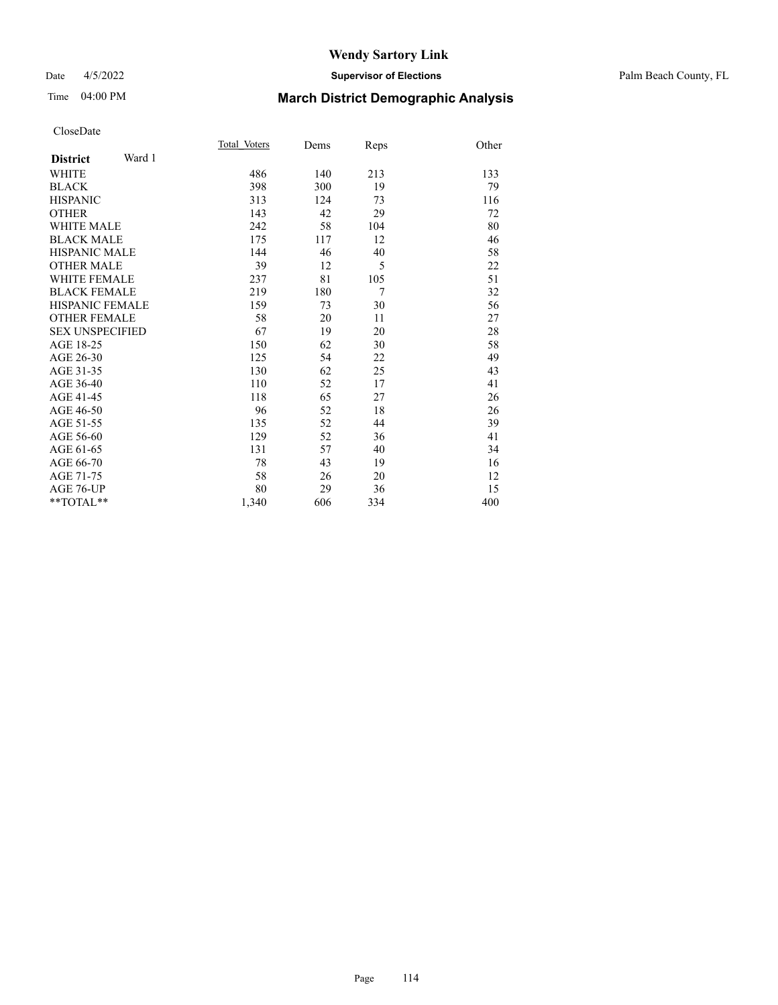### Date 4/5/2022 **Supervisor of Elections** Palm Beach County, FL

# Time 04:00 PM **March District Demographic Analysis**

|                           | Total Voters | Dems | Reps | Other |
|---------------------------|--------------|------|------|-------|
| Ward 1<br><b>District</b> |              |      |      |       |
| <b>WHITE</b>              | 486          | 140  | 213  | 133   |
| <b>BLACK</b>              | 398          | 300  | 19   | 79    |
| <b>HISPANIC</b>           | 313          | 124  | 73   | 116   |
| <b>OTHER</b>              | 143          | 42   | 29   | 72    |
| <b>WHITE MALE</b>         | 242          | 58   | 104  | 80    |
| <b>BLACK MALE</b>         | 175          | 117  | 12   | 46    |
| <b>HISPANIC MALE</b>      | 144          | 46   | 40   | 58    |
| <b>OTHER MALE</b>         | 39           | 12   | 5    | 22    |
| <b>WHITE FEMALE</b>       | 237          | 81   | 105  | 51    |
| <b>BLACK FEMALE</b>       | 219          | 180  | 7    | 32    |
| <b>HISPANIC FEMALE</b>    | 159          | 73   | 30   | 56    |
| <b>OTHER FEMALE</b>       | 58           | 20   | 11   | 27    |
| <b>SEX UNSPECIFIED</b>    | 67           | 19   | 20   | 28    |
| AGE 18-25                 | 150          | 62   | 30   | 58    |
| AGE 26-30                 | 125          | 54   | 22   | 49    |
| AGE 31-35                 | 130          | 62   | 25   | 43    |
| AGE 36-40                 | 110          | 52   | 17   | 41    |
| AGE 41-45                 | 118          | 65   | 27   | 26    |
| AGE 46-50                 | 96           | 52   | 18   | 26    |
| AGE 51-55                 | 135          | 52   | 44   | 39    |
| AGE 56-60                 | 129          | 52   | 36   | 41    |
| AGE 61-65                 | 131          | 57   | 40   | 34    |
| AGE 66-70                 | 78           | 43   | 19   | 16    |
| AGE 71-75                 | 58           | 26   | 20   | 12    |
| <b>AGE 76-UP</b>          | 80           | 29   | 36   | 15    |
| $*$ $TOTAL**$             | 1,340        | 606  | 334  | 400   |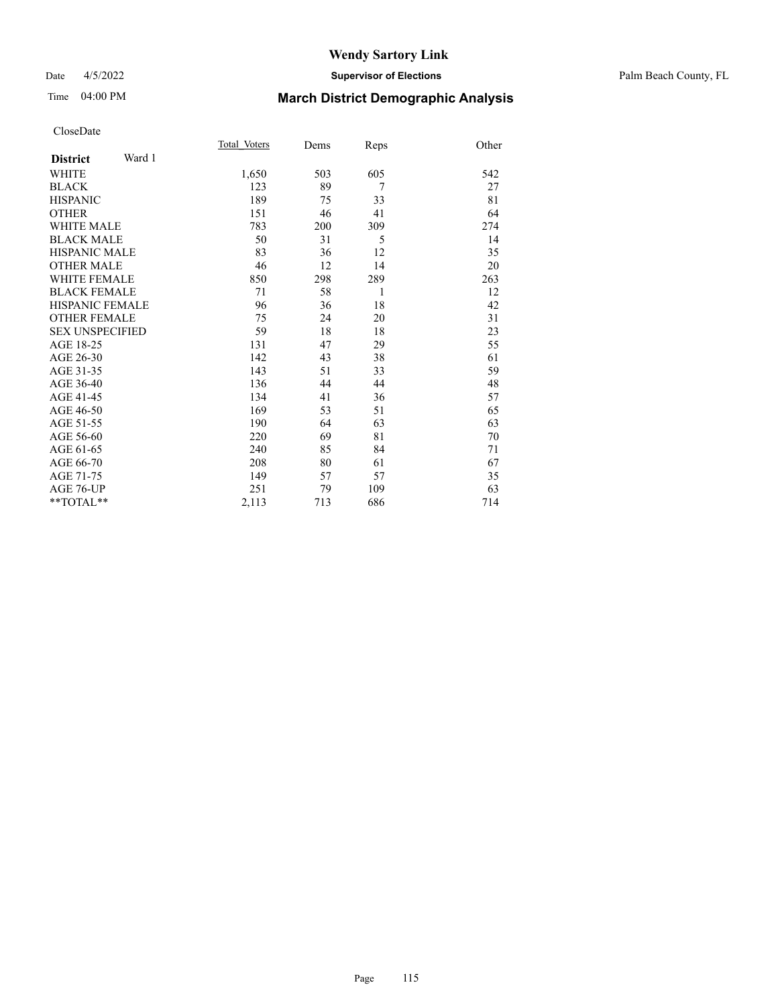### Date 4/5/2022 **Supervisor of Elections** Palm Beach County, FL

# Time 04:00 PM **March District Demographic Analysis**

|                        |        | Total Voters | Dems | Reps           | Other |
|------------------------|--------|--------------|------|----------------|-------|
| <b>District</b>        | Ward 1 |              |      |                |       |
| <b>WHITE</b>           |        | 1,650        | 503  | 605            | 542   |
| <b>BLACK</b>           |        | 123          | 89   | $\overline{7}$ | 27    |
| <b>HISPANIC</b>        |        | 189          | 75   | 33             | 81    |
| <b>OTHER</b>           |        | 151          | 46   | 41             | 64    |
| <b>WHITE MALE</b>      |        | 783          | 200  | 309            | 274   |
| <b>BLACK MALE</b>      |        | 50           | 31   | 5              | 14    |
| <b>HISPANIC MALE</b>   |        | 83           | 36   | 12             | 35    |
| <b>OTHER MALE</b>      |        | 46           | 12   | 14             | 20    |
| <b>WHITE FEMALE</b>    |        | 850          | 298  | 289            | 263   |
| <b>BLACK FEMALE</b>    |        | 71           | 58   | 1              | 12    |
| HISPANIC FEMALE        |        | 96           | 36   | 18             | 42    |
| <b>OTHER FEMALE</b>    |        | 75           | 24   | 20             | 31    |
| <b>SEX UNSPECIFIED</b> |        | 59           | 18   | 18             | 23    |
| AGE 18-25              |        | 131          | 47   | 29             | 55    |
| AGE 26-30              |        | 142          | 43   | 38             | 61    |
| AGE 31-35              |        | 143          | 51   | 33             | 59    |
| AGE 36-40              |        | 136          | 44   | 44             | 48    |
| AGE 41-45              |        | 134          | 41   | 36             | 57    |
| AGE 46-50              |        | 169          | 53   | 51             | 65    |
| AGE 51-55              |        | 190          | 64   | 63             | 63    |
| AGE 56-60              |        | 220          | 69   | 81             | 70    |
| AGE 61-65              |        | 240          | 85   | 84             | 71    |
| AGE 66-70              |        | 208          | 80   | 61             | 67    |
| AGE 71-75              |        | 149          | 57   | 57             | 35    |
| AGE 76-UP              |        | 251          | 79   | 109            | 63    |
| $*$ $TOTAL**$          |        | 2,113        | 713  | 686            | 714   |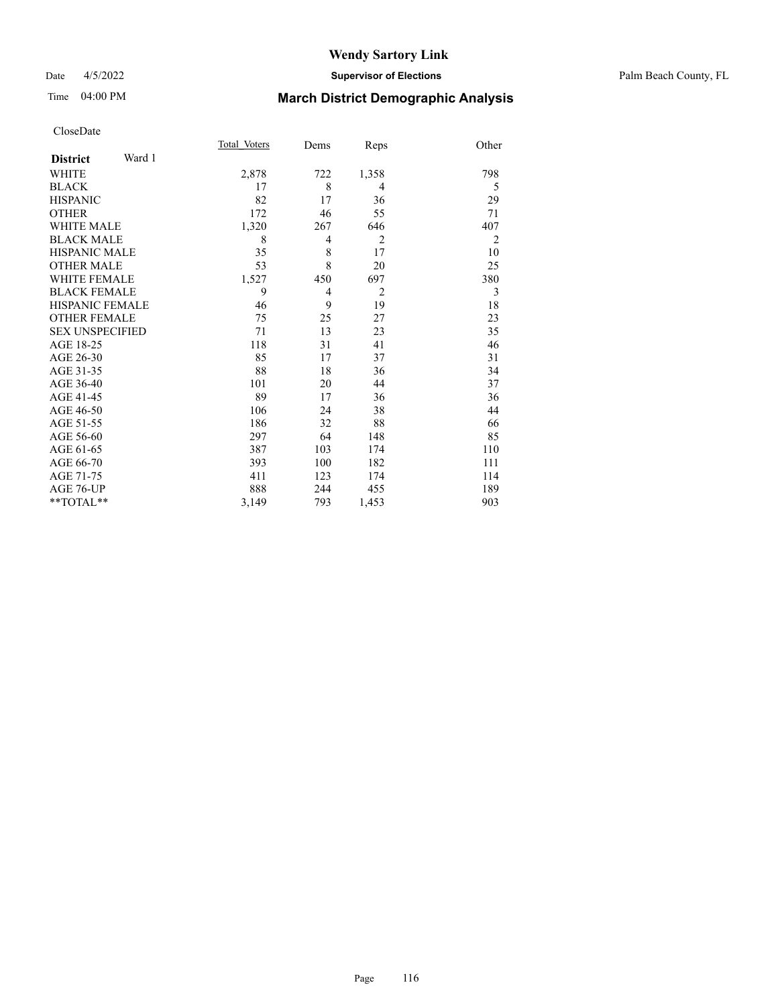### Date 4/5/2022 **Supervisor of Elections** Palm Beach County, FL

# Time 04:00 PM **March District Demographic Analysis**

|                        |        | Total Voters | Dems           | Reps           | Other          |
|------------------------|--------|--------------|----------------|----------------|----------------|
| <b>District</b>        | Ward 1 |              |                |                |                |
| WHITE                  |        | 2,878        | 722            | 1,358          | 798            |
| <b>BLACK</b>           |        | 17           | 8              | $\overline{4}$ | 5              |
| <b>HISPANIC</b>        |        | 82           | 17             | 36             | 29             |
| <b>OTHER</b>           |        | 172          | 46             | 55             | 71             |
| <b>WHITE MALE</b>      |        | 1,320        | 267            | 646            | 407            |
| <b>BLACK MALE</b>      |        | 8            | $\overline{4}$ | $\overline{2}$ | $\overline{2}$ |
| <b>HISPANIC MALE</b>   |        | 35           | 8              | 17             | 10             |
| <b>OTHER MALE</b>      |        | 53           | 8              | 20             | 25             |
| <b>WHITE FEMALE</b>    |        | 1,527        | 450            | 697            | 380            |
| <b>BLACK FEMALE</b>    |        | 9            | $\overline{4}$ | 2              | 3              |
| <b>HISPANIC FEMALE</b> |        | 46           | 9              | 19             | 18             |
| <b>OTHER FEMALE</b>    |        | 75           | 25             | 27             | 23             |
| <b>SEX UNSPECIFIED</b> |        | 71           | 13             | 23             | 35             |
| AGE 18-25              |        | 118          | 31             | 41             | 46             |
| AGE 26-30              |        | 85           | 17             | 37             | 31             |
| AGE 31-35              |        | 88           | 18             | 36             | 34             |
| AGE 36-40              |        | 101          | 20             | 44             | 37             |
| AGE 41-45              |        | 89           | 17             | 36             | 36             |
| AGE 46-50              |        | 106          | 24             | 38             | 44             |
| AGE 51-55              |        | 186          | 32             | 88             | 66             |
| AGE 56-60              |        | 297          | 64             | 148            | 85             |
| AGE 61-65              |        | 387          | 103            | 174            | 110            |
| AGE 66-70              |        | 393          | 100            | 182            | 111            |
| AGE 71-75              |        | 411          | 123            | 174            | 114            |
| AGE 76-UP              |        | 888          | 244            | 455            | 189            |
| $*$ $TOTAL**$          |        | 3,149        | 793            | 1,453          | 903            |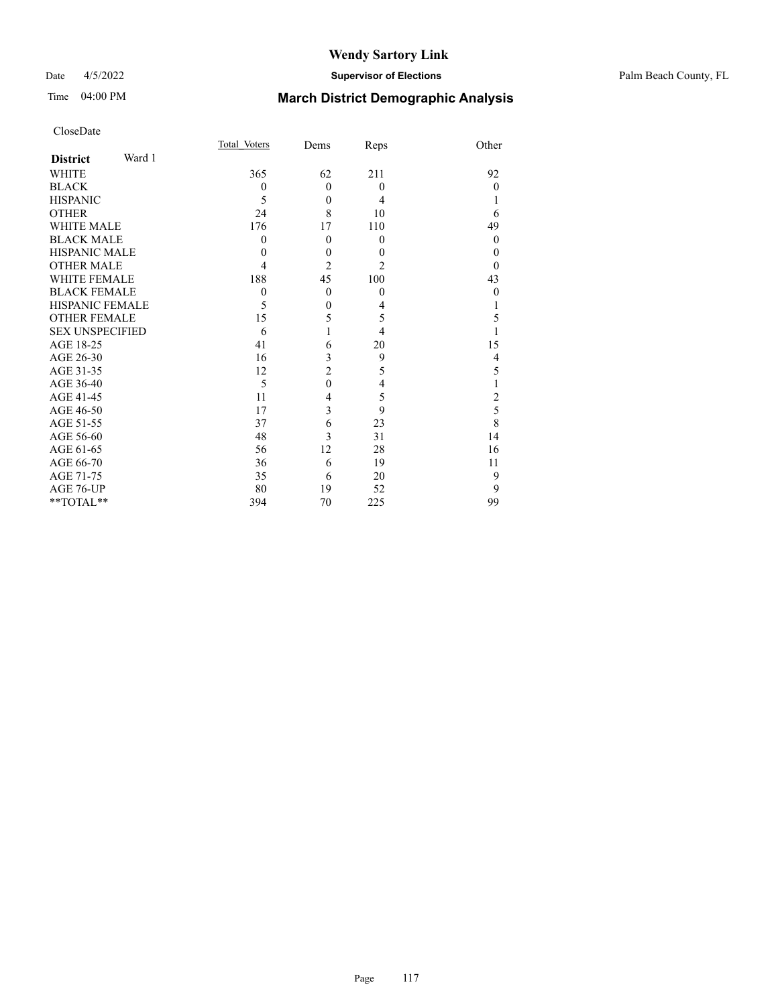## Date 4/5/2022 **Supervisor of Elections** Palm Beach County, FL

# Time 04:00 PM **March District Demographic Analysis**

| CloseDate |  |
|-----------|--|
|-----------|--|

|                           | Total Voters     | Dems           | Reps             | Other          |
|---------------------------|------------------|----------------|------------------|----------------|
| Ward 1<br><b>District</b> |                  |                |                  |                |
| <b>WHITE</b>              | 365              | 62             | 211              | 92             |
| <b>BLACK</b>              | $\mathbf{0}$     | $\mathbf{0}$   | $\boldsymbol{0}$ | $\theta$       |
| <b>HISPANIC</b>           | 5                | $\theta$       | 4                |                |
| <b>OTHER</b>              | 24               | 8              | 10               | 6              |
| <b>WHITE MALE</b>         | 176              | 17             | 110              | 49             |
| <b>BLACK MALE</b>         | $\boldsymbol{0}$ | $\theta$       | $\theta$         | $\theta$       |
| <b>HISPANIC MALE</b>      | 0                | $\theta$       | $\theta$         | $\theta$       |
| <b>OTHER MALE</b>         | 4                | $\overline{c}$ | 2                | $\theta$       |
| <b>WHITE FEMALE</b>       | 188              | 45             | 100              | 43             |
| <b>BLACK FEMALE</b>       | $\boldsymbol{0}$ | $\theta$       | $\theta$         | $\theta$       |
| HISPANIC FEMALE           | 5                | $\theta$       | 4                |                |
| <b>OTHER FEMALE</b>       | 15               | 5              | 5                | 5              |
| <b>SEX UNSPECIFIED</b>    | 6                |                | $\overline{4}$   |                |
| AGE 18-25                 | 41               | 6              | 20               | 15             |
| AGE 26-30                 | 16               | 3              | 9                | 4              |
| AGE 31-35                 | 12               | $\overline{2}$ | 5                | 5              |
| AGE 36-40                 | 5                | $\overline{0}$ | $\overline{4}$   |                |
| <b>AGE 41-45</b>          | 11               | 4              | 5                | $\overline{c}$ |
| AGE 46-50                 | 17               | 3              | 9                | 5              |
| AGE 51-55                 | 37               | 6              | 23               | 8              |
| AGE 56-60                 | 48               | 3              | 31               | 14             |
| AGE 61-65                 | 56               | 12             | 28               | 16             |
| AGE 66-70                 | 36               | 6              | 19               | 11             |
| AGE 71-75                 | 35               | 6              | 20               | 9              |
| AGE 76-UP                 | 80               | 19             | 52               | 9              |
| **TOTAL**                 | 394              | 70             | 225              | 99             |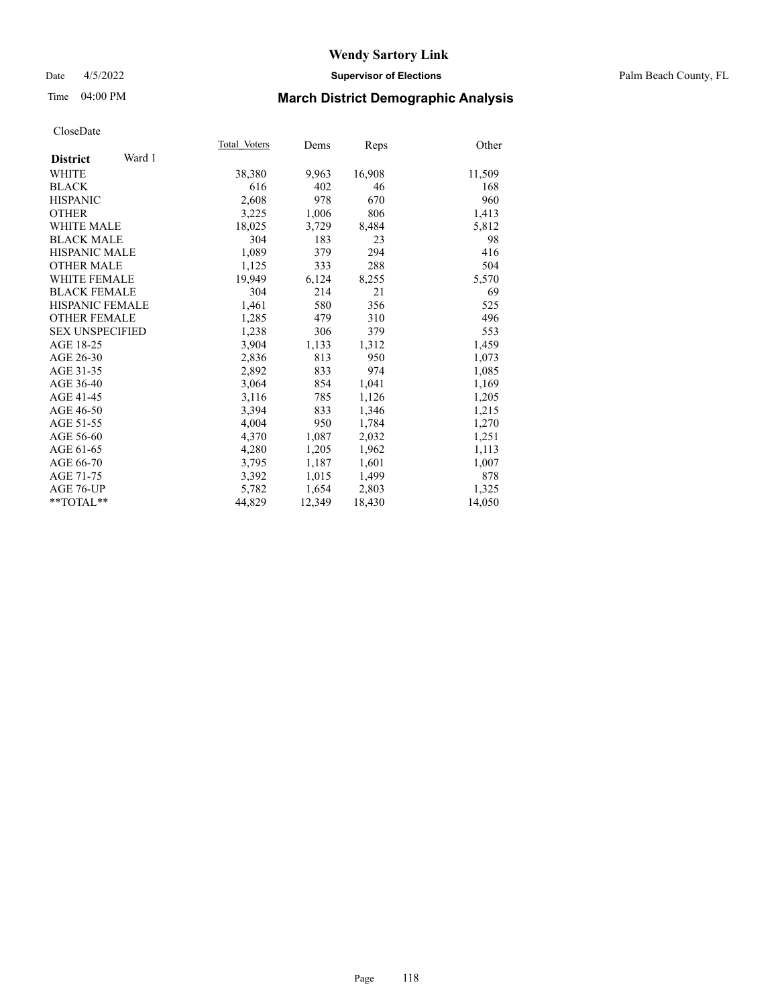## Date 4/5/2022 **Supervisor of Elections** Palm Beach County, FL

## Time 04:00 PM **March District Demographic Analysis**

|                           | Total Voters | Dems   | Reps   | Other  |
|---------------------------|--------------|--------|--------|--------|
| Ward 1<br><b>District</b> |              |        |        |        |
| WHITE                     | 38,380       | 9,963  | 16,908 | 11,509 |
| <b>BLACK</b>              | 616          | 402    | 46     | 168    |
| <b>HISPANIC</b>           | 2,608        | 978    | 670    | 960    |
| <b>OTHER</b>              | 3,225        | 1,006  | 806    | 1,413  |
| <b>WHITE MALE</b>         | 18,025       | 3,729  | 8,484  | 5,812  |
| <b>BLACK MALE</b>         | 304          | 183    | 23     | 98     |
| <b>HISPANIC MALE</b>      | 1,089        | 379    | 294    | 416    |
| <b>OTHER MALE</b>         | 1,125        | 333    | 288    | 504    |
| <b>WHITE FEMALE</b>       | 19,949       | 6,124  | 8,255  | 5,570  |
| <b>BLACK FEMALE</b>       | 304          | 214    | 21     | 69     |
| <b>HISPANIC FEMALE</b>    | 1,461        | 580    | 356    | 525    |
| <b>OTHER FEMALE</b>       | 1,285        | 479    | 310    | 496    |
| <b>SEX UNSPECIFIED</b>    | 1,238        | 306    | 379    | 553    |
| AGE 18-25                 | 3,904        | 1,133  | 1,312  | 1,459  |
| AGE 26-30                 | 2,836        | 813    | 950    | 1,073  |
| AGE 31-35                 | 2,892        | 833    | 974    | 1,085  |
| AGE 36-40                 | 3,064        | 854    | 1,041  | 1,169  |
| AGE 41-45                 | 3,116        | 785    | 1,126  | 1,205  |
| AGE 46-50                 | 3,394        | 833    | 1,346  | 1,215  |
| AGE 51-55                 | 4,004        | 950    | 1,784  | 1,270  |
| AGE 56-60                 | 4,370        | 1,087  | 2,032  | 1,251  |
| AGE 61-65                 | 4,280        | 1,205  | 1,962  | 1,113  |
| AGE 66-70                 | 3,795        | 1,187  | 1,601  | 1,007  |
| AGE 71-75                 | 3,392        | 1,015  | 1,499  | 878    |
| AGE 76-UP                 | 5,782        | 1,654  | 2,803  | 1,325  |
| $*$ $TOTAL**$             | 44,829       | 12,349 | 18,430 | 14,050 |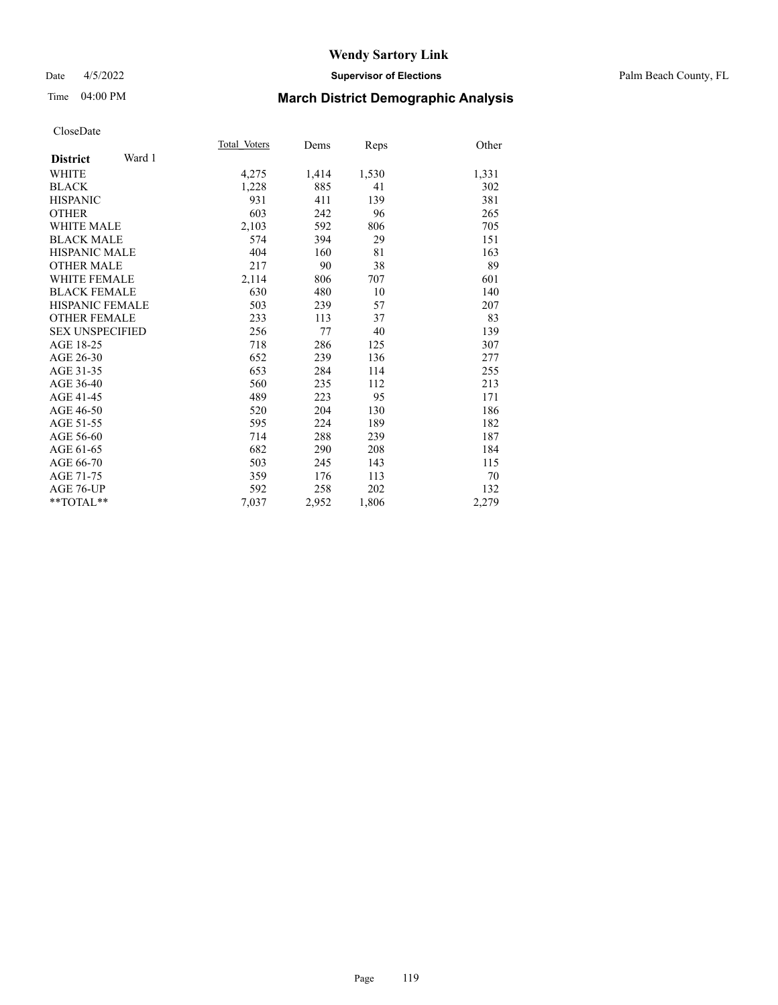### Date 4/5/2022 **Supervisor of Elections** Palm Beach County, FL

# Time 04:00 PM **March District Demographic Analysis**

|                           | Total Voters | Dems  | Reps  | Other |
|---------------------------|--------------|-------|-------|-------|
| Ward 1<br><b>District</b> |              |       |       |       |
| <b>WHITE</b>              | 4,275        | 1,414 | 1,530 | 1,331 |
| <b>BLACK</b>              | 1,228        | 885   | 41    | 302   |
| <b>HISPANIC</b>           | 931          | 411   | 139   | 381   |
| <b>OTHER</b>              | 603          | 242   | 96    | 265   |
| WHITE MALE                | 2,103        | 592   | 806   | 705   |
| <b>BLACK MALE</b>         | 574          | 394   | 29    | 151   |
| <b>HISPANIC MALE</b>      | 404          | 160   | 81    | 163   |
| <b>OTHER MALE</b>         | 217          | 90    | 38    | 89    |
| <b>WHITE FEMALE</b>       | 2,114        | 806   | 707   | 601   |
| <b>BLACK FEMALE</b>       | 630          | 480   | 10    | 140   |
| <b>HISPANIC FEMALE</b>    | 503          | 239   | 57    | 207   |
| <b>OTHER FEMALE</b>       | 233          | 113   | 37    | 83    |
| <b>SEX UNSPECIFIED</b>    | 256          | 77    | 40    | 139   |
| AGE 18-25                 | 718          | 286   | 125   | 307   |
| AGE 26-30                 | 652          | 239   | 136   | 277   |
| AGE 31-35                 | 653          | 284   | 114   | 255   |
| AGE 36-40                 | 560          | 235   | 112   | 213   |
| AGE 41-45                 | 489          | 223   | 95    | 171   |
| AGE 46-50                 | 520          | 204   | 130   | 186   |
| AGE 51-55                 | 595          | 224   | 189   | 182   |
| AGE 56-60                 | 714          | 288   | 239   | 187   |
| AGE 61-65                 | 682          | 290   | 208   | 184   |
| AGE 66-70                 | 503          | 245   | 143   | 115   |
| AGE 71-75                 | 359          | 176   | 113   | 70    |
| AGE 76-UP                 | 592          | 258   | 202   | 132   |
| $*$ $TOTAL**$             | 7,037        | 2,952 | 1,806 | 2,279 |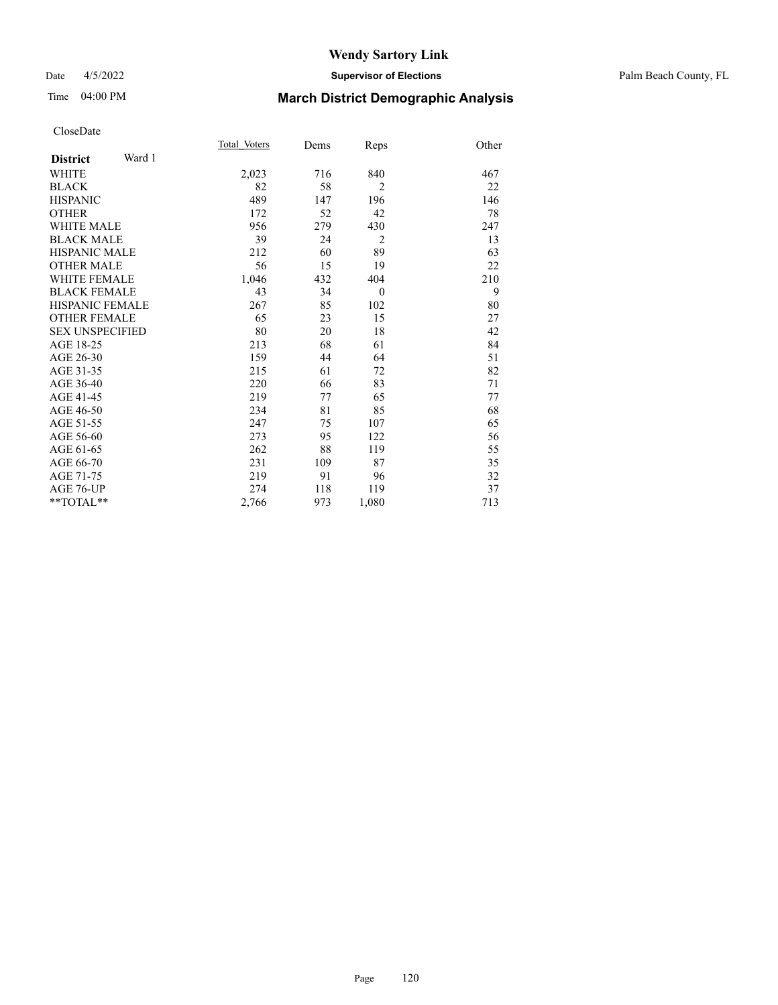### Date 4/5/2022 **Supervisor of Elections** Palm Beach County, FL

# Time 04:00 PM **March District Demographic Analysis**

|                           | Total Voters | Dems | Reps           | Other |
|---------------------------|--------------|------|----------------|-------|
| Ward 1<br><b>District</b> |              |      |                |       |
| <b>WHITE</b>              | 2,023        | 716  | 840            | 467   |
| <b>BLACK</b>              | 82           | 58   | 2              | 22    |
| <b>HISPANIC</b>           | 489          | 147  | 196            | 146   |
| <b>OTHER</b>              | 172          | 52   | 42             | 78    |
| <b>WHITE MALE</b>         | 956          | 279  | 430            | 247   |
| <b>BLACK MALE</b>         | 39           | 24   | $\overline{2}$ | 13    |
| <b>HISPANIC MALE</b>      | 212          | 60   | 89             | 63    |
| <b>OTHER MALE</b>         | 56           | 15   | 19             | 22    |
| <b>WHITE FEMALE</b>       | 1,046        | 432  | 404            | 210   |
| <b>BLACK FEMALE</b>       | 43           | 34   | $\theta$       | 9     |
| HISPANIC FEMALE           | 267          | 85   | 102            | 80    |
| <b>OTHER FEMALE</b>       | 65           | 23   | 15             | 27    |
| <b>SEX UNSPECIFIED</b>    | 80           | 20   | 18             | 42    |
| AGE 18-25                 | 213          | 68   | 61             | 84    |
| AGE 26-30                 | 159          | 44   | 64             | 51    |
| AGE 31-35                 | 215          | 61   | 72             | 82    |
| AGE 36-40                 | 220          | 66   | 83             | 71    |
| AGE 41-45                 | 219          | 77   | 65             | 77    |
| AGE 46-50                 | 234          | 81   | 85             | 68    |
| AGE 51-55                 | 247          | 75   | 107            | 65    |
| AGE 56-60                 | 273          | 95   | 122            | 56    |
| AGE 61-65                 | 262          | 88   | 119            | 55    |
| AGE 66-70                 | 231          | 109  | 87             | 35    |
| AGE 71-75                 | 219          | 91   | 96             | 32    |
| AGE 76-UP                 | 274          | 118  | 119            | 37    |
| $*$ $TOTAL**$             | 2,766        | 973  | 1,080          | 713   |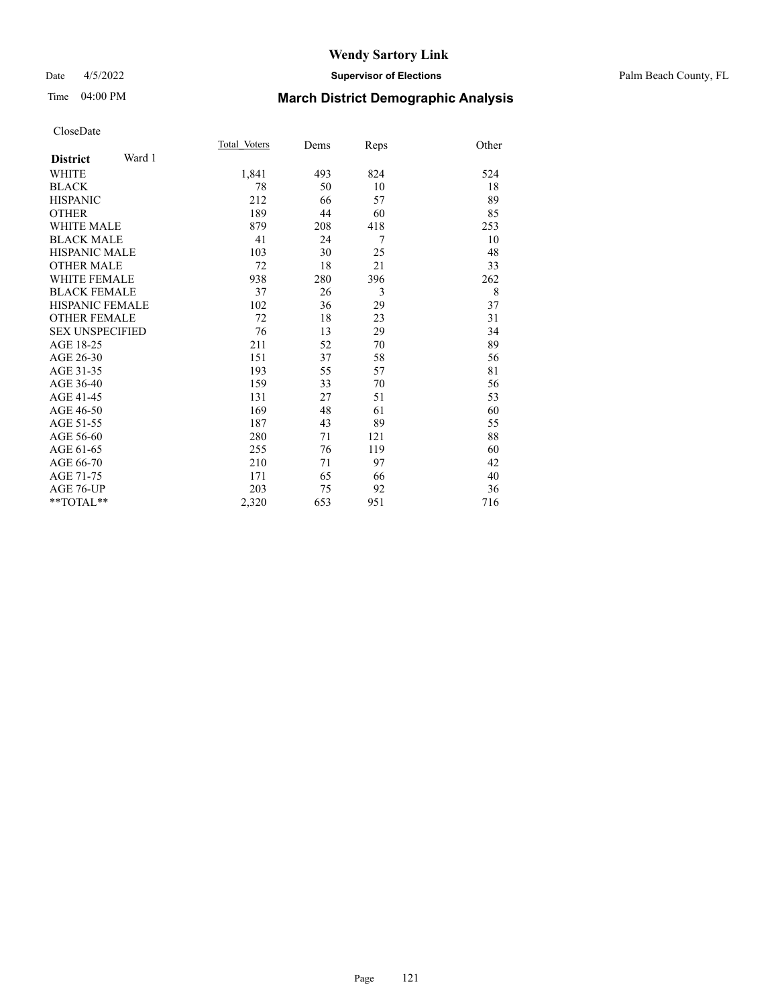### Date 4/5/2022 **Supervisor of Elections** Palm Beach County, FL

# Time 04:00 PM **March District Demographic Analysis**

| Total Voters | Dems | Reps | Other |
|--------------|------|------|-------|
|              |      |      |       |
| 1,841        | 493  | 824  | 524   |
| 78           | 50   | 10   | 18    |
| 212          | 66   | 57   | 89    |
| 189          | 44   | 60   | 85    |
| 879          | 208  | 418  | 253   |
| 41           | 24   | 7    | 10    |
| 103          | 30   | 25   | 48    |
| 72           | 18   | 21   | 33    |
| 938          | 280  | 396  | 262   |
| 37           | 26   | 3    | 8     |
| 102          | 36   | 29   | 37    |
| 72           | 18   | 23   | 31    |
| 76           | 13   | 29   | 34    |
| 211          | 52   | 70   | 89    |
| 151          | 37   | 58   | 56    |
| 193          | 55   | 57   | 81    |
| 159          | 33   | 70   | 56    |
| 131          | 27   | 51   | 53    |
| 169          | 48   | 61   | 60    |
| 187          | 43   | 89   | 55    |
| 280          | 71   | 121  | 88    |
| 255          | 76   | 119  | 60    |
| 210          | 71   | 97   | 42    |
| 171          | 65   | 66   | 40    |
| 203          | 75   | 92   | 36    |
| 2,320        | 653  | 951  | 716   |
|              |      |      |       |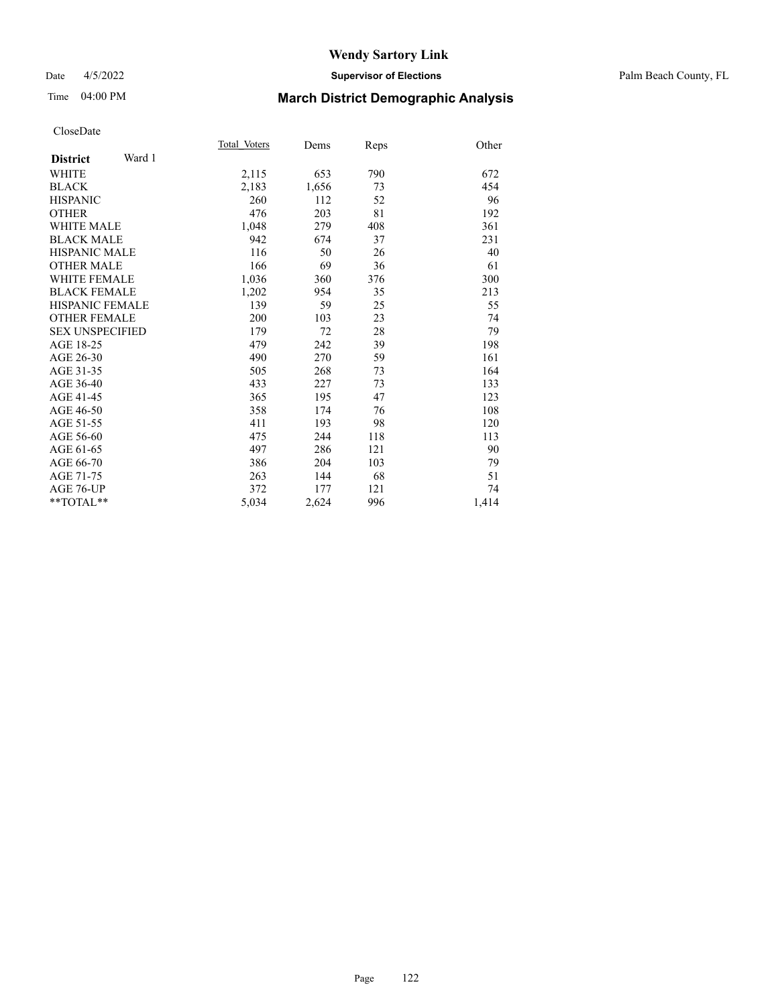### Date 4/5/2022 **Supervisor of Elections** Palm Beach County, FL

# Time 04:00 PM **March District Demographic Analysis**

|                           | Total Voters | Dems  | Reps | Other |
|---------------------------|--------------|-------|------|-------|
| Ward 1<br><b>District</b> |              |       |      |       |
| <b>WHITE</b>              | 2,115        | 653   | 790  | 672   |
| <b>BLACK</b>              | 2,183        | 1,656 | 73   | 454   |
| <b>HISPANIC</b>           | 260          | 112   | 52   | 96    |
| <b>OTHER</b>              | 476          | 203   | 81   | 192   |
| <b>WHITE MALE</b>         | 1,048        | 279   | 408  | 361   |
| <b>BLACK MALE</b>         | 942          | 674   | 37   | 231   |
| <b>HISPANIC MALE</b>      | 116          | 50    | 26   | 40    |
| <b>OTHER MALE</b>         | 166          | 69    | 36   | 61    |
| <b>WHITE FEMALE</b>       | 1,036        | 360   | 376  | 300   |
| <b>BLACK FEMALE</b>       | 1,202        | 954   | 35   | 213   |
| <b>HISPANIC FEMALE</b>    | 139          | 59    | 25   | 55    |
| <b>OTHER FEMALE</b>       | 200          | 103   | 23   | 74    |
| <b>SEX UNSPECIFIED</b>    | 179          | 72    | 28   | 79    |
| AGE 18-25                 | 479          | 242   | 39   | 198   |
| AGE 26-30                 | 490          | 270   | 59   | 161   |
| AGE 31-35                 | 505          | 268   | 73   | 164   |
| AGE 36-40                 | 433          | 227   | 73   | 133   |
| AGE 41-45                 | 365          | 195   | 47   | 123   |
| AGE 46-50                 | 358          | 174   | 76   | 108   |
| AGE 51-55                 | 411          | 193   | 98   | 120   |
| AGE 56-60                 | 475          | 244   | 118  | 113   |
| AGE 61-65                 | 497          | 286   | 121  | 90    |
| AGE 66-70                 | 386          | 204   | 103  | 79    |
| AGE 71-75                 | 263          | 144   | 68   | 51    |
| AGE 76-UP                 | 372          | 177   | 121  | 74    |
| $*$ $TOTAL**$             | 5,034        | 2,624 | 996  | 1,414 |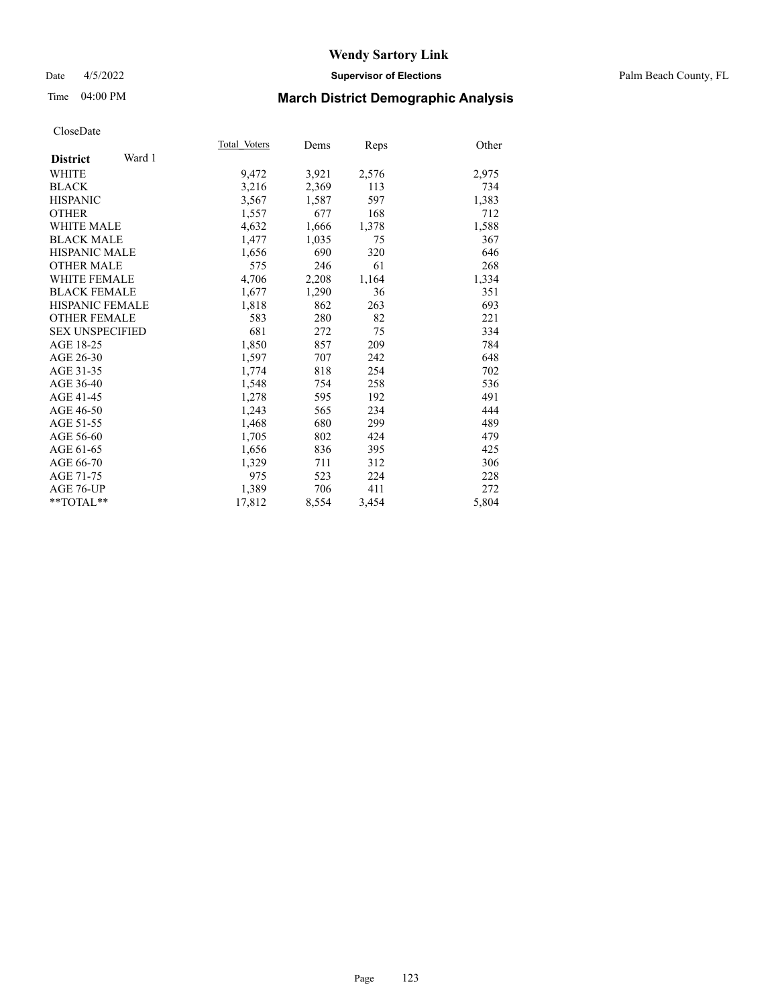### Date 4/5/2022 **Supervisor of Elections** Palm Beach County, FL

# Time 04:00 PM **March District Demographic Analysis**

| Total Voters | Dems  | Reps  | Other |
|--------------|-------|-------|-------|
|              |       |       |       |
| 9,472        | 3,921 | 2,576 | 2,975 |
| 3,216        | 2,369 | 113   | 734   |
| 3,567        | 1,587 | 597   | 1,383 |
| 1,557        | 677   | 168   | 712   |
| 4,632        | 1,666 | 1,378 | 1,588 |
| 1,477        | 1,035 | 75    | 367   |
| 1,656        | 690   | 320   | 646   |
| 575          | 246   | 61    | 268   |
| 4,706        | 2,208 | 1,164 | 1,334 |
| 1,677        | 1,290 | 36    | 351   |
| 1,818        | 862   | 263   | 693   |
| 583          | 280   | 82    | 221   |
| 681          | 272   | 75    | 334   |
| 1,850        | 857   | 209   | 784   |
| 1,597        | 707   | 242   | 648   |
| 1,774        | 818   | 254   | 702   |
| 1,548        | 754   | 258   | 536   |
| 1,278        | 595   | 192   | 491   |
| 1,243        | 565   | 234   | 444   |
| 1,468        | 680   | 299   | 489   |
| 1,705        | 802   | 424   | 479   |
| 1,656        | 836   | 395   | 425   |
| 1,329        | 711   | 312   | 306   |
| 975          | 523   | 224   | 228   |
| 1,389        | 706   | 411   | 272   |
| 17,812       | 8,554 | 3,454 | 5,804 |
|              |       |       |       |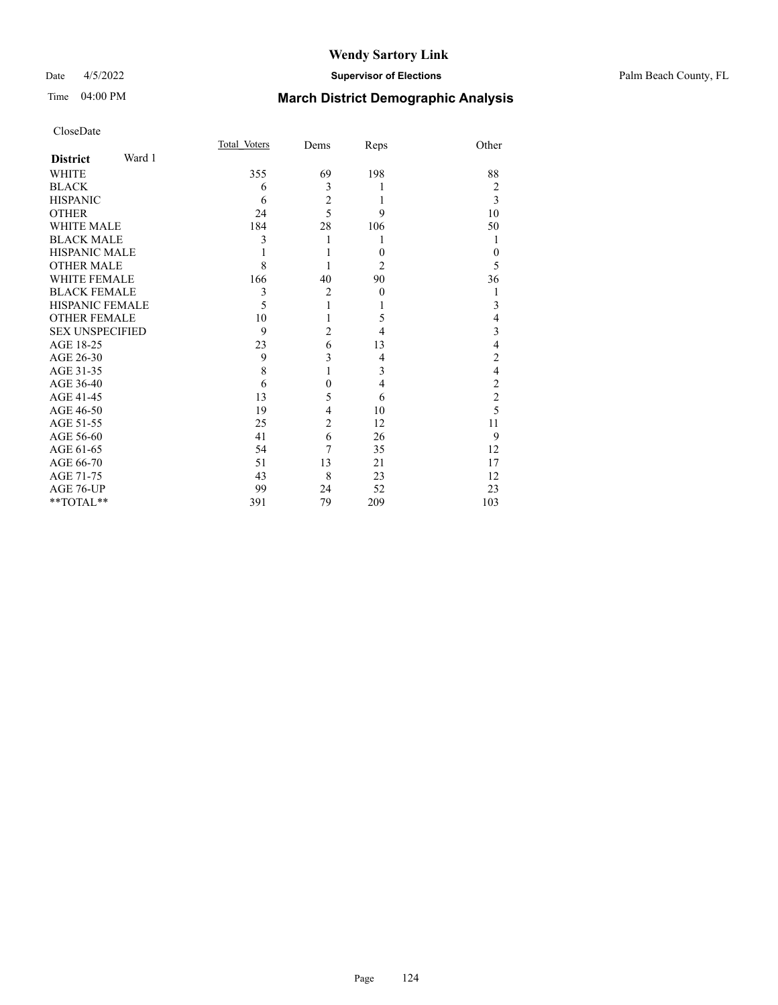## Date 4/5/2022 **Supervisor of Elections** Palm Beach County, FL

# Time 04:00 PM **March District Demographic Analysis**

|                        |        | Total Voters | Dems           | Reps           | Other          |
|------------------------|--------|--------------|----------------|----------------|----------------|
| <b>District</b>        | Ward 1 |              |                |                |                |
| WHITE                  |        | 355          | 69             | 198            | 88             |
| <b>BLACK</b>           |        | 6            | 3              |                | 2              |
| <b>HISPANIC</b>        |        | 6            | $\overline{c}$ | 1              | 3              |
| <b>OTHER</b>           |        | 24           | $\overline{5}$ | 9              | 10             |
| <b>WHITE MALE</b>      |        | 184          | 28             | 106            | 50             |
| <b>BLACK MALE</b>      |        | 3            | 1              | 1              | 1              |
| HISPANIC MALE          |        |              |                | $\theta$       | $\theta$       |
| <b>OTHER MALE</b>      |        | 8            |                | $\overline{2}$ | 5              |
| <b>WHITE FEMALE</b>    |        | 166          | 40             | 90             | 36             |
| <b>BLACK FEMALE</b>    |        | 3            | $\overline{2}$ | $\mathbf{0}$   | 1              |
| HISPANIC FEMALE        |        | 5            | 1              |                | 3              |
| <b>OTHER FEMALE</b>    |        | 10           | 1              | 5              | 4              |
| <b>SEX UNSPECIFIED</b> |        | 9            | $\overline{c}$ | 4              | 3              |
| AGE 18-25              |        | 23           | 6              | 13             | $\overline{4}$ |
| AGE 26-30              |        | 9            | 3              | 4              | $\overline{2}$ |
| AGE 31-35              |        | 8            | $\mathbf{1}$   | 3              | $\overline{4}$ |
| AGE 36-40              |        | 6            | $\theta$       | 4              | $\overline{2}$ |
| AGE 41-45              |        | 13           | 5              | 6              | $\overline{c}$ |
| AGE 46-50              |        | 19           | $\overline{4}$ | 10             | 5              |
| AGE 51-55              |        | 25           | $\overline{2}$ | 12             | 11             |
| AGE 56-60              |        | 41           | 6              | 26             | 9              |
| AGE 61-65              |        | 54           | $\tau$         | 35             | 12             |
| AGE 66-70              |        | 51           | 13             | 21             | 17             |
| AGE 71-75              |        | 43           | 8              | 23             | 12             |
| AGE 76-UP              |        | 99           | 24             | 52             | 23             |
| **TOTAL**              |        | 391          | 79             | 209            | 103            |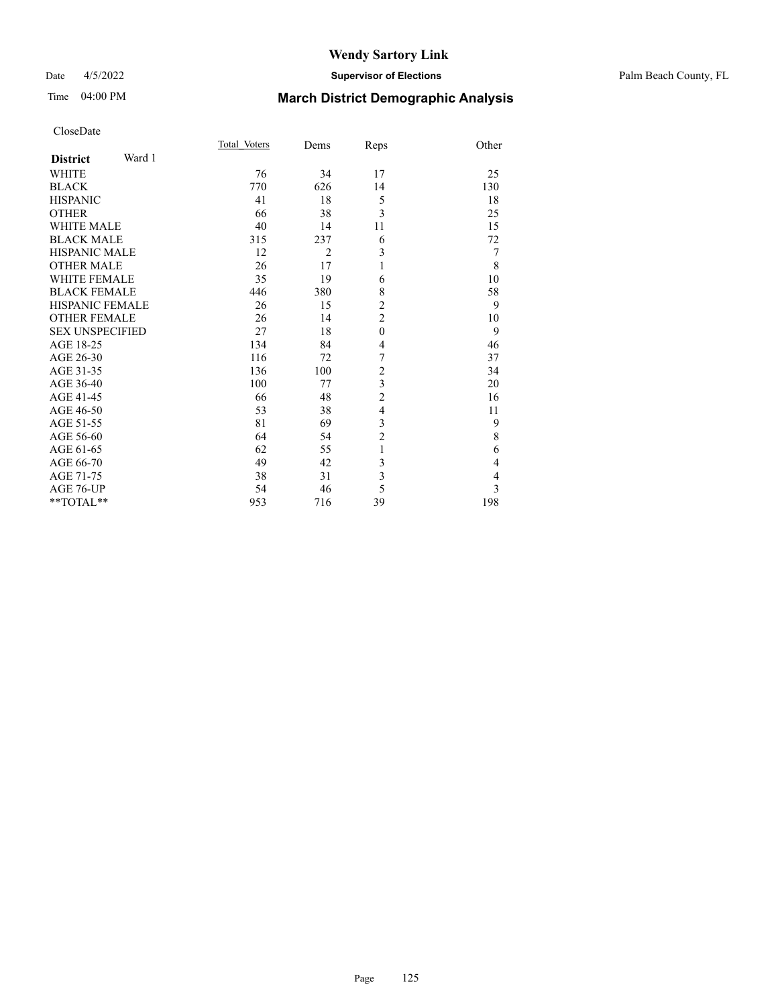### Date 4/5/2022 **Supervisor of Elections** Palm Beach County, FL

# Time 04:00 PM **March District Demographic Analysis**

|                           | Total Voters | Dems           | Reps                    | Other          |
|---------------------------|--------------|----------------|-------------------------|----------------|
| Ward 1<br><b>District</b> |              |                |                         |                |
| <b>WHITE</b>              | 76           | 34             | 17                      | 25             |
| <b>BLACK</b>              | 770          | 626            | 14                      | 130            |
| <b>HISPANIC</b>           | 41           | 18             | 5                       | 18             |
| <b>OTHER</b>              | 66           | 38             | 3                       | 25             |
| <b>WHITE MALE</b>         | 40           | 14             | 11                      | 15             |
| <b>BLACK MALE</b>         | 315          | 237            | 6                       | 72             |
| <b>HISPANIC MALE</b>      | 12           | $\overline{2}$ | 3                       | 7              |
| <b>OTHER MALE</b>         | 26           | 17             | 1                       | 8              |
| <b>WHITE FEMALE</b>       | 35           | 19             | 6                       | 10             |
| <b>BLACK FEMALE</b>       | 446          | 380            | 8                       | 58             |
| <b>HISPANIC FEMALE</b>    | 26           | 15             | 2                       | 9              |
| <b>OTHER FEMALE</b>       | 26           | 14             | $\overline{2}$          | 10             |
| <b>SEX UNSPECIFIED</b>    | 27           | 18             | $\theta$                | 9              |
| AGE 18-25                 | 134          | 84             | 4                       | 46             |
| AGE 26-30                 | 116          | 72             | 7                       | 37             |
| AGE 31-35                 | 136          | 100            | $\overline{c}$          | 34             |
| AGE 36-40                 | 100          | 77             | 3                       | 20             |
| AGE 41-45                 | 66           | 48             | $\overline{c}$          | 16             |
| AGE 46-50                 | 53           | 38             | $\overline{\mathbf{4}}$ | 11             |
| AGE 51-55                 | 81           | 69             | 3                       | 9              |
| AGE 56-60                 | 64           | 54             | $\overline{2}$          | 8              |
| AGE 61-65                 | 62           | 55             | 1                       | 6              |
| AGE 66-70                 | 49           | 42             | 3                       | 4              |
| AGE 71-75                 | 38           | 31             | 3                       | $\overline{4}$ |
| AGE 76-UP                 | 54           | 46             | 5                       | 3              |
| **TOTAL**                 | 953          | 716            | 39                      | 198            |
|                           |              |                |                         |                |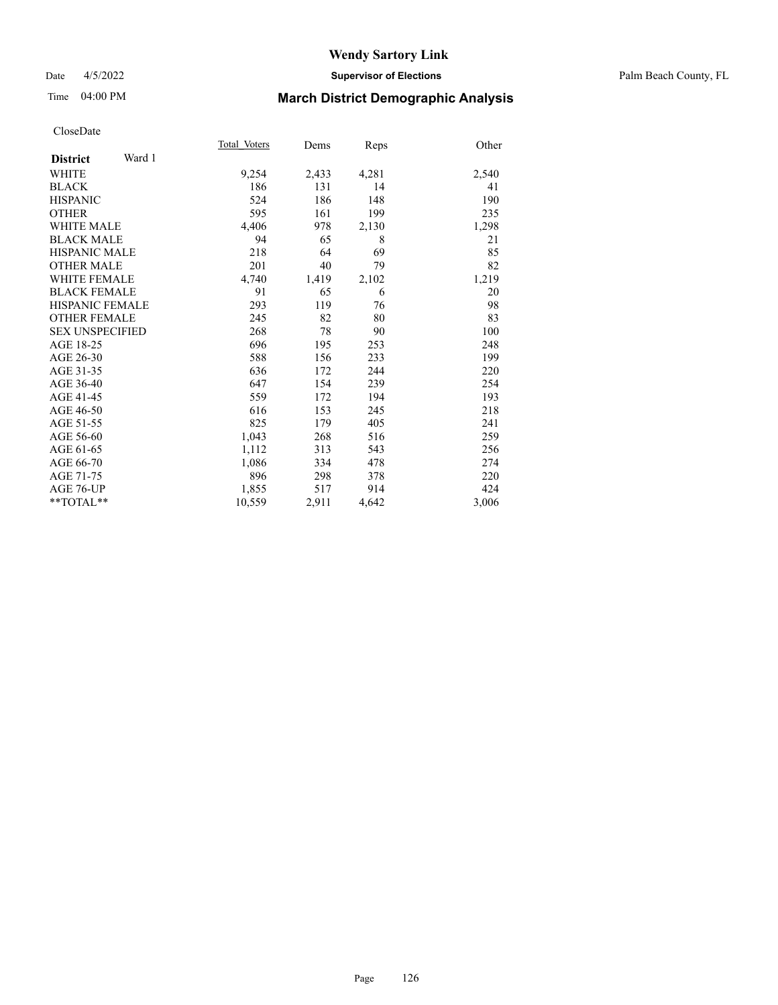### Date 4/5/2022 **Supervisor of Elections** Palm Beach County, FL

# Time 04:00 PM **March District Demographic Analysis**

|                           | Total Voters | Dems  | Reps  | Other |
|---------------------------|--------------|-------|-------|-------|
| Ward 1<br><b>District</b> |              |       |       |       |
| WHITE                     | 9,254        | 2,433 | 4,281 | 2,540 |
| <b>BLACK</b>              | 186          | 131   | 14    | 41    |
| <b>HISPANIC</b>           | 524          | 186   | 148   | 190   |
| <b>OTHER</b>              | 595          | 161   | 199   | 235   |
| <b>WHITE MALE</b>         | 4,406        | 978   | 2,130 | 1,298 |
| <b>BLACK MALE</b>         | 94           | 65    | 8     | 21    |
| <b>HISPANIC MALE</b>      | 218          | 64    | 69    | 85    |
| <b>OTHER MALE</b>         | 201          | 40    | 79    | 82    |
| <b>WHITE FEMALE</b>       | 4,740        | 1,419 | 2,102 | 1,219 |
| <b>BLACK FEMALE</b>       | 91           | 65    | 6     | 20    |
| <b>HISPANIC FEMALE</b>    | 293          | 119   | 76    | 98    |
| <b>OTHER FEMALE</b>       | 245          | 82    | 80    | 83    |
| <b>SEX UNSPECIFIED</b>    | 268          | 78    | 90    | 100   |
| AGE 18-25                 | 696          | 195   | 253   | 248   |
| AGE 26-30                 | 588          | 156   | 233   | 199   |
| AGE 31-35                 | 636          | 172   | 244   | 220   |
| AGE 36-40                 | 647          | 154   | 239   | 254   |
| AGE 41-45                 | 559          | 172   | 194   | 193   |
| AGE 46-50                 | 616          | 153   | 245   | 218   |
| AGE 51-55                 | 825          | 179   | 405   | 241   |
| AGE 56-60                 | 1,043        | 268   | 516   | 259   |
| AGE 61-65                 | 1,112        | 313   | 543   | 256   |
| AGE 66-70                 | 1,086        | 334   | 478   | 274   |
| AGE 71-75                 | 896          | 298   | 378   | 220   |
| <b>AGE 76-UP</b>          | 1,855        | 517   | 914   | 424   |
| $*$ $TOTAL**$             | 10,559       | 2,911 | 4,642 | 3,006 |
|                           |              |       |       |       |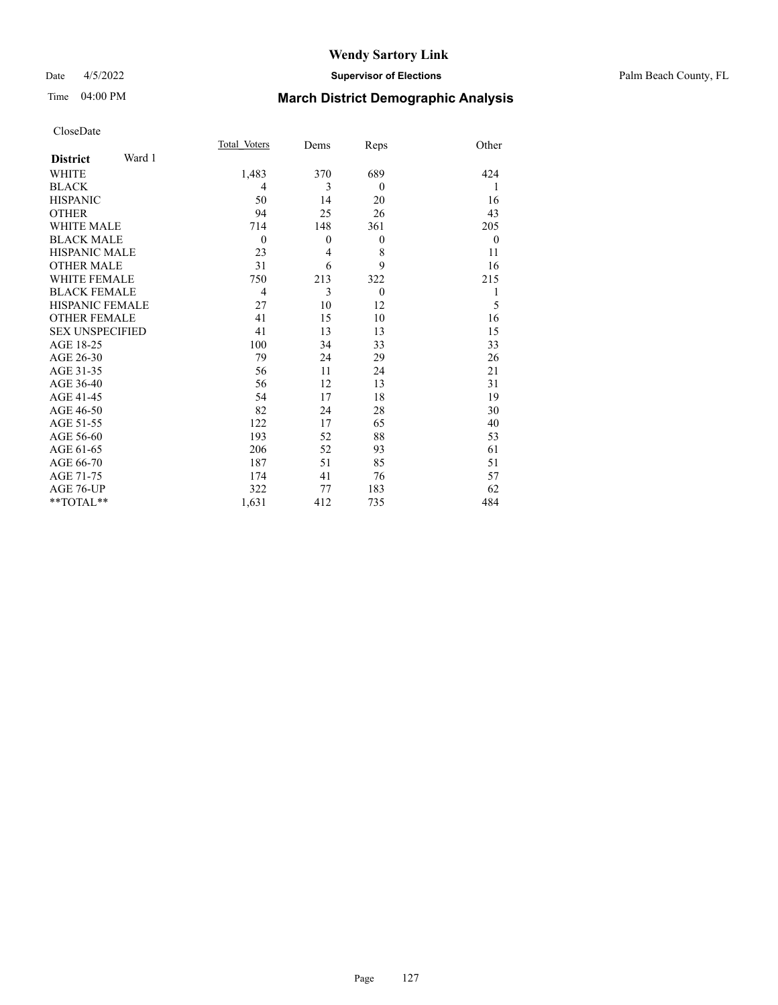### Date 4/5/2022 **Supervisor of Elections** Palm Beach County, FL

## Time 04:00 PM **March District Demographic Analysis**

|                           | Total Voters   | Dems           | Reps     | Other    |
|---------------------------|----------------|----------------|----------|----------|
| Ward 1<br><b>District</b> |                |                |          |          |
| <b>WHITE</b>              | 1,483          | 370            | 689      | 424      |
| <b>BLACK</b>              | $\overline{4}$ | 3              | $\theta$ | 1        |
| <b>HISPANIC</b>           | 50             | 14             | 20       | 16       |
| <b>OTHER</b>              | 94             | 25             | 26       | 43       |
| <b>WHITE MALE</b>         | 714            | 148            | 361      | 205      |
| <b>BLACK MALE</b>         | $\theta$       | $\theta$       | $\theta$ | $\theta$ |
| <b>HISPANIC MALE</b>      | 23             | $\overline{4}$ | 8        | 11       |
| <b>OTHER MALE</b>         | 31             | 6              | 9        | 16       |
| <b>WHITE FEMALE</b>       | 750            | 213            | 322      | 215      |
| <b>BLACK FEMALE</b>       | $\overline{4}$ | 3              | $\theta$ | 1        |
| <b>HISPANIC FEMALE</b>    | 27             | 10             | 12       | 5        |
| <b>OTHER FEMALE</b>       | 41             | 15             | 10       | 16       |
| <b>SEX UNSPECIFIED</b>    | 41             | 13             | 13       | 15       |
| AGE 18-25                 | 100            | 34             | 33       | 33       |
| AGE 26-30                 | 79             | 24             | 29       | 26       |
| AGE 31-35                 | 56             | 11             | 24       | 21       |
| AGE 36-40                 | 56             | 12             | 13       | 31       |
| AGE 41-45                 | 54             | 17             | 18       | 19       |
| AGE 46-50                 | 82             | 24             | 28       | 30       |
| AGE 51-55                 | 122            | 17             | 65       | 40       |
| AGE 56-60                 | 193            | 52             | 88       | 53       |
| AGE 61-65                 | 206            | 52             | 93       | 61       |
| AGE 66-70                 | 187            | 51             | 85       | 51       |
| AGE 71-75                 | 174            | 41             | 76       | 57       |
| AGE 76-UP                 | 322            | 77             | 183      | 62       |
| **TOTAL**                 | 1,631          | 412            | 735      | 484      |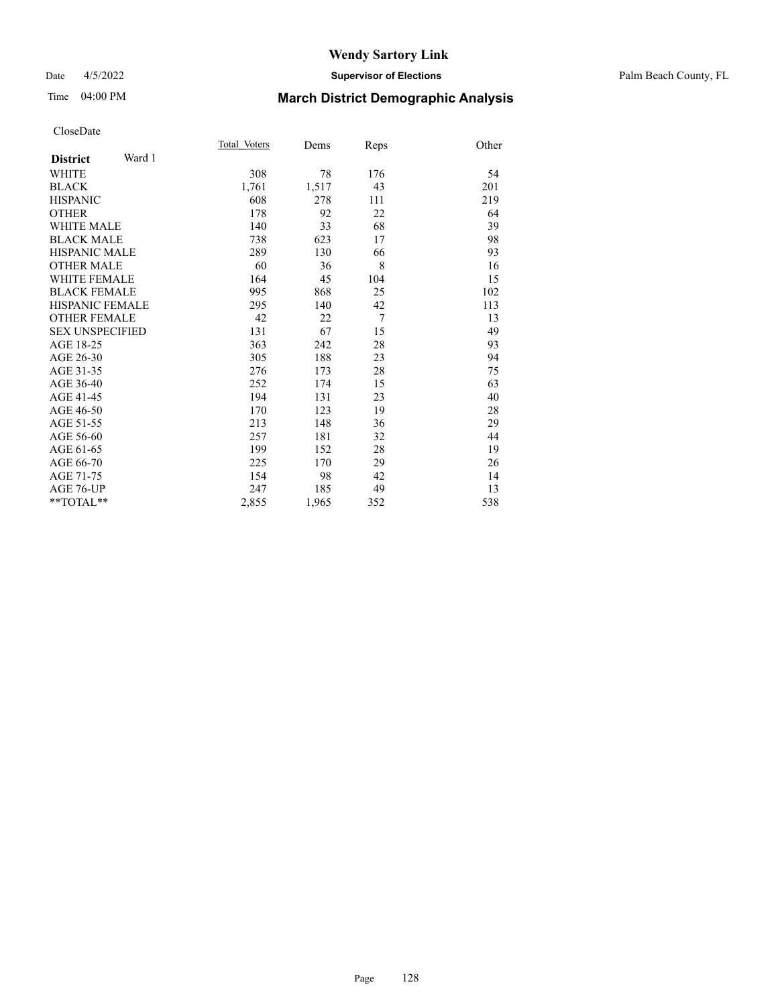### Date 4/5/2022 **Supervisor of Elections** Palm Beach County, FL

# Time 04:00 PM **March District Demographic Analysis**

|                           | Total Voters | Dems  | Reps | Other |
|---------------------------|--------------|-------|------|-------|
| Ward 1<br><b>District</b> |              |       |      |       |
| <b>WHITE</b>              | 308          | 78    | 176  | 54    |
| <b>BLACK</b>              | 1,761        | 1,517 | 43   | 201   |
| <b>HISPANIC</b>           | 608          | 278   | 111  | 219   |
| <b>OTHER</b>              | 178          | 92    | 22   | 64    |
| <b>WHITE MALE</b>         | 140          | 33    | 68   | 39    |
| <b>BLACK MALE</b>         | 738          | 623   | 17   | 98    |
| <b>HISPANIC MALE</b>      | 289          | 130   | 66   | 93    |
| <b>OTHER MALE</b>         | 60           | 36    | 8    | 16    |
| <b>WHITE FEMALE</b>       | 164          | 45    | 104  | 15    |
| <b>BLACK FEMALE</b>       | 995          | 868   | 25   | 102   |
| <b>HISPANIC FEMALE</b>    | 295          | 140   | 42   | 113   |
| <b>OTHER FEMALE</b>       | 42           | 22    | 7    | 13    |
| <b>SEX UNSPECIFIED</b>    | 131          | 67    | 15   | 49    |
| AGE 18-25                 | 363          | 242   | 28   | 93    |
| AGE 26-30                 | 305          | 188   | 23   | 94    |
| AGE 31-35                 | 276          | 173   | 28   | 75    |
| AGE 36-40                 | 252          | 174   | 15   | 63    |
| AGE 41-45                 | 194          | 131   | 23   | 40    |
| AGE 46-50                 | 170          | 123   | 19   | 28    |
| AGE 51-55                 | 213          | 148   | 36   | 29    |
| AGE 56-60                 | 257          | 181   | 32   | 44    |
| AGE 61-65                 | 199          | 152   | 28   | 19    |
| AGE 66-70                 | 225          | 170   | 29   | 26    |
| AGE 71-75                 | 154          | 98    | 42   | 14    |
| AGE 76-UP                 | 247          | 185   | 49   | 13    |
| $*$ $TOTAL**$             | 2,855        | 1,965 | 352  | 538   |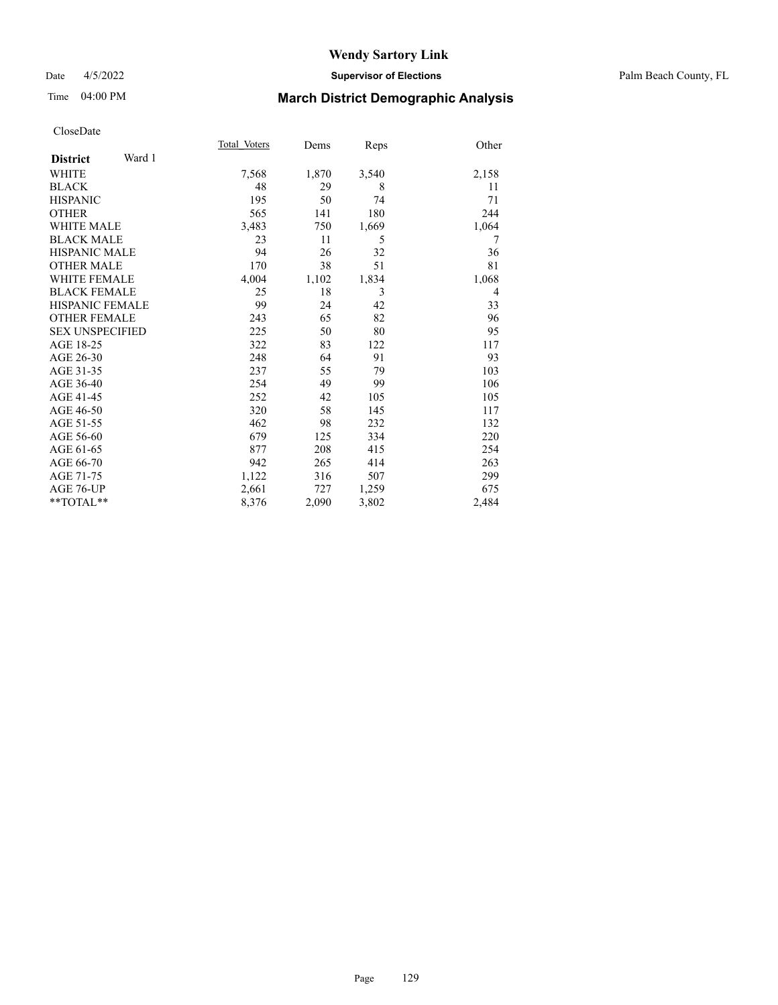### Date 4/5/2022 **Supervisor of Elections** Palm Beach County, FL

# Time 04:00 PM **March District Demographic Analysis**

|                           | Total Voters | Dems  | Reps  | Other |
|---------------------------|--------------|-------|-------|-------|
| Ward 1<br><b>District</b> |              |       |       |       |
| <b>WHITE</b>              | 7,568        | 1,870 | 3,540 | 2,158 |
| <b>BLACK</b>              | 48           | 29    | 8     | 11    |
| <b>HISPANIC</b>           | 195          | 50    | 74    | 71    |
| <b>OTHER</b>              | 565          | 141   | 180   | 244   |
| WHITE MALE                | 3,483        | 750   | 1,669 | 1,064 |
| <b>BLACK MALE</b>         | 23           | 11    | 5     | 7     |
| <b>HISPANIC MALE</b>      | 94           | 26    | 32    | 36    |
| <b>OTHER MALE</b>         | 170          | 38    | 51    | 81    |
| WHITE FEMALE              | 4,004        | 1,102 | 1,834 | 1,068 |
| <b>BLACK FEMALE</b>       | 25           | 18    | 3     | 4     |
| <b>HISPANIC FEMALE</b>    | 99           | 24    | 42    | 33    |
| <b>OTHER FEMALE</b>       | 243          | 65    | 82    | 96    |
| <b>SEX UNSPECIFIED</b>    | 225          | 50    | 80    | 95    |
| AGE 18-25                 | 322          | 83    | 122   | 117   |
| AGE 26-30                 | 248          | 64    | 91    | 93    |
| AGE 31-35                 | 237          | 55    | 79    | 103   |
| AGE 36-40                 | 254          | 49    | 99    | 106   |
| AGE 41-45                 | 252          | 42    | 105   | 105   |
| AGE 46-50                 | 320          | 58    | 145   | 117   |
| AGE 51-55                 | 462          | 98    | 232   | 132   |
| AGE 56-60                 | 679          | 125   | 334   | 220   |
| AGE 61-65                 | 877          | 208   | 415   | 254   |
| AGE 66-70                 | 942          | 265   | 414   | 263   |
| AGE 71-75                 | 1,122        | 316   | 507   | 299   |
| AGE 76-UP                 | 2,661        | 727   | 1,259 | 675   |
| $*$ $TOTAL**$             | 8,376        | 2,090 | 3,802 | 2,484 |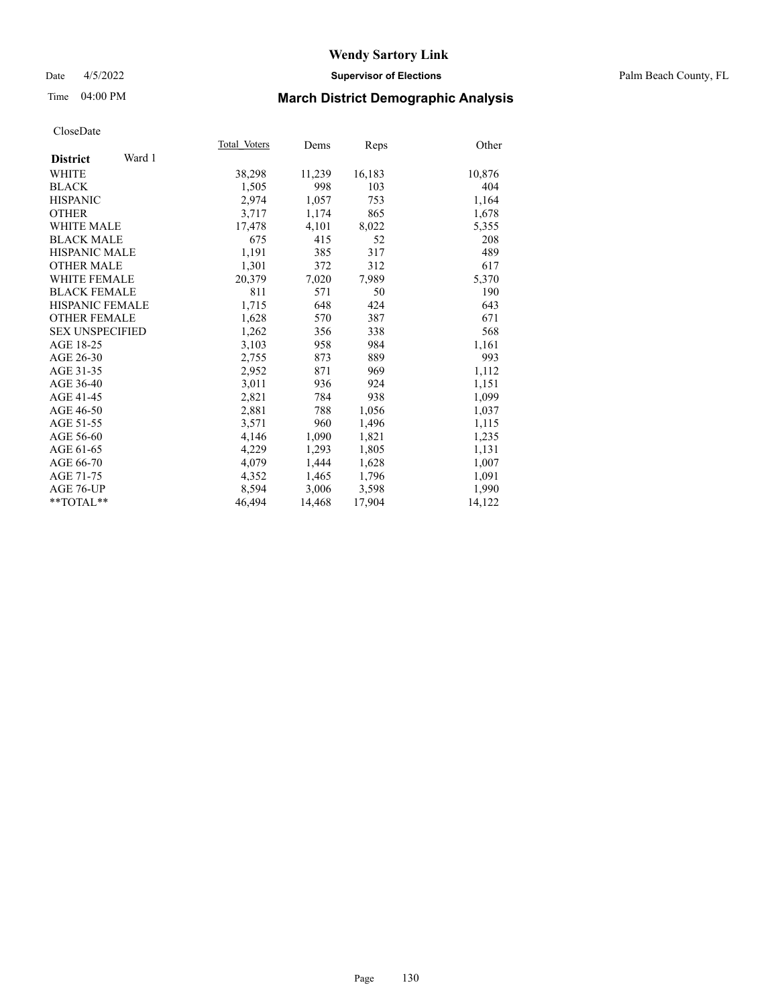## Date 4/5/2022 **Supervisor of Elections** Palm Beach County, FL

## Time 04:00 PM **March District Demographic Analysis**

|                           | Total Voters | Dems   | <b>Reps</b> | Other  |
|---------------------------|--------------|--------|-------------|--------|
| Ward 1<br><b>District</b> |              |        |             |        |
| WHITE                     | 38,298       | 11,239 | 16,183      | 10,876 |
| <b>BLACK</b>              | 1,505        | 998    | 103         | 404    |
| <b>HISPANIC</b>           | 2,974        | 1,057  | 753         | 1,164  |
| <b>OTHER</b>              | 3,717        | 1,174  | 865         | 1,678  |
| <b>WHITE MALE</b>         | 17,478       | 4,101  | 8,022       | 5,355  |
| <b>BLACK MALE</b>         | 675          | 415    | 52          | 208    |
| <b>HISPANIC MALE</b>      | 1,191        | 385    | 317         | 489    |
| <b>OTHER MALE</b>         | 1,301        | 372    | 312         | 617    |
| <b>WHITE FEMALE</b>       | 20,379       | 7,020  | 7,989       | 5,370  |
| <b>BLACK FEMALE</b>       | 811          | 571    | 50          | 190    |
| <b>HISPANIC FEMALE</b>    | 1,715        | 648    | 424         | 643    |
| <b>OTHER FEMALE</b>       | 1,628        | 570    | 387         | 671    |
| <b>SEX UNSPECIFIED</b>    | 1,262        | 356    | 338         | 568    |
| AGE 18-25                 | 3,103        | 958    | 984         | 1,161  |
| AGE 26-30                 | 2,755        | 873    | 889         | 993    |
| AGE 31-35                 | 2,952        | 871    | 969         | 1,112  |
| AGE 36-40                 | 3,011        | 936    | 924         | 1,151  |
| AGE 41-45                 | 2,821        | 784    | 938         | 1,099  |
| AGE 46-50                 | 2,881        | 788    | 1,056       | 1,037  |
| AGE 51-55                 | 3,571        | 960    | 1,496       | 1,115  |
| AGE 56-60                 | 4,146        | 1,090  | 1,821       | 1,235  |
| AGE 61-65                 | 4,229        | 1,293  | 1,805       | 1,131  |
| AGE 66-70                 | 4,079        | 1,444  | 1,628       | 1,007  |
| AGE 71-75                 | 4,352        | 1,465  | 1,796       | 1,091  |
| AGE 76-UP                 | 8,594        | 3,006  | 3,598       | 1,990  |
| $*$ $TOTAL**$             | 46,494       | 14,468 | 17,904      | 14,122 |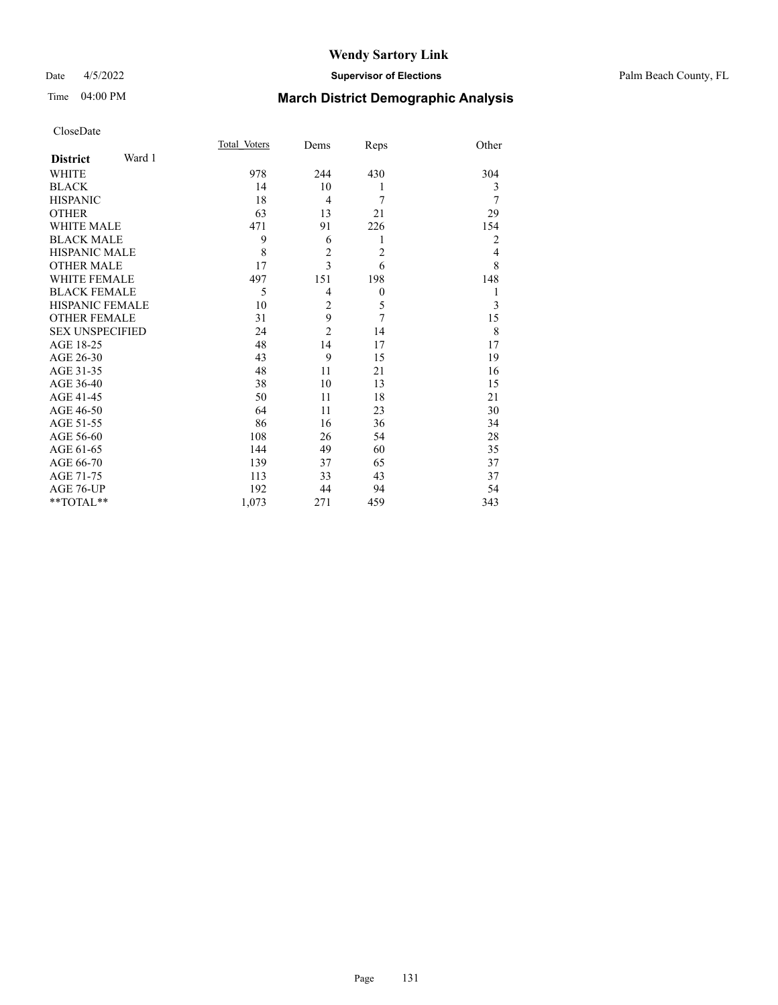### Date 4/5/2022 **Supervisor of Elections** Palm Beach County, FL

# Time 04:00 PM **March District Demographic Analysis**

|                           | Total Voters | Dems           | Reps           | Other          |
|---------------------------|--------------|----------------|----------------|----------------|
| Ward 1<br><b>District</b> |              |                |                |                |
| <b>WHITE</b>              | 978          | 244            | 430            | 304            |
| <b>BLACK</b>              | 14           | 10             | 1              | 3              |
| <b>HISPANIC</b>           | 18           | $\overline{4}$ | 7              | 7              |
| <b>OTHER</b>              | 63           | 13             | 21             | 29             |
| <b>WHITE MALE</b>         | 471          | 91             | 226            | 154            |
| <b>BLACK MALE</b>         | 9            | 6              | 1              | 2              |
| <b>HISPANIC MALE</b>      | 8            | $\overline{c}$ | $\overline{2}$ | $\overline{4}$ |
| <b>OTHER MALE</b>         | 17           | $\overline{3}$ | 6              | 8              |
| <b>WHITE FEMALE</b>       | 497          | 151            | 198            | 148            |
| <b>BLACK FEMALE</b>       | 5            | $\overline{4}$ | $\theta$       | 1              |
| <b>HISPANIC FEMALE</b>    | 10           | $\overline{c}$ | 5              | 3              |
| <b>OTHER FEMALE</b>       | 31           | 9              | 7              | 15             |
| <b>SEX UNSPECIFIED</b>    | 24           | $\overline{2}$ | 14             | 8              |
| AGE 18-25                 | 48           | 14             | 17             | 17             |
| AGE 26-30                 | 43           | 9              | 15             | 19             |
| AGE 31-35                 | 48           | 11             | 21             | 16             |
| AGE 36-40                 | 38           | 10             | 13             | 15             |
| AGE 41-45                 | 50           | 11             | 18             | 21             |
| AGE 46-50                 | 64           | 11             | 23             | 30             |
| AGE 51-55                 | 86           | 16             | 36             | 34             |
| AGE 56-60                 | 108          | 26             | 54             | 28             |
| AGE 61-65                 | 144          | 49             | 60             | 35             |
| AGE 66-70                 | 139          | 37             | 65             | 37             |
| AGE 71-75                 | 113          | 33             | 43             | 37             |
| AGE 76-UP                 | 192          | 44             | 94             | 54             |
| **TOTAL**                 | 1,073        | 271            | 459            | 343            |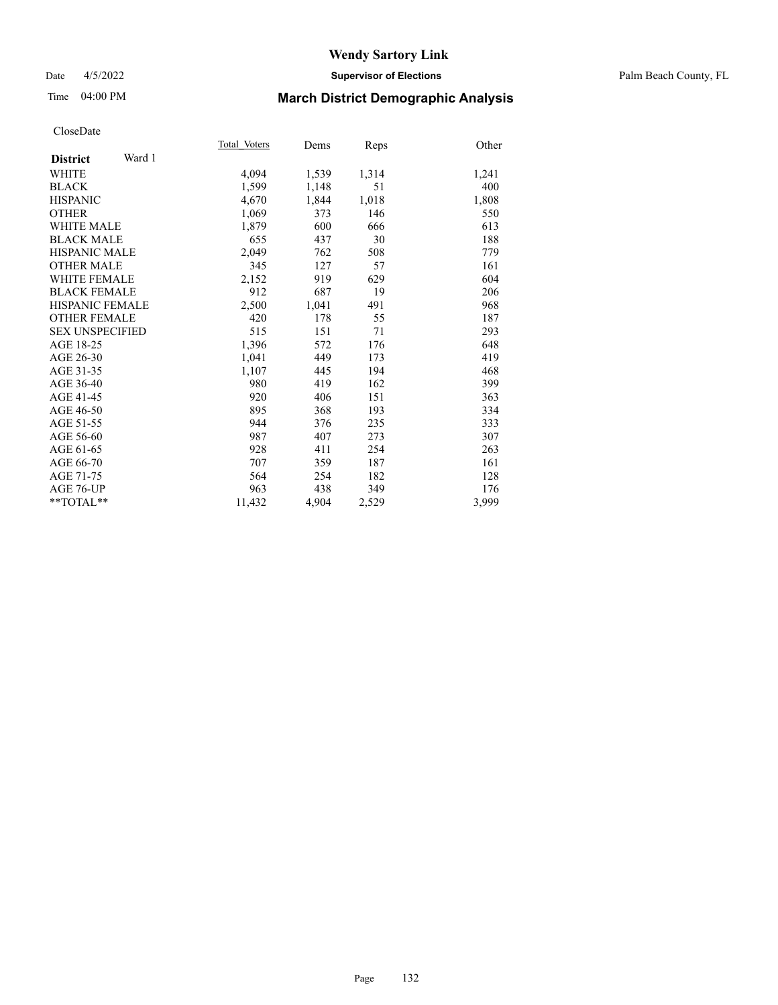### Date 4/5/2022 **Supervisor of Elections** Palm Beach County, FL

# Time 04:00 PM **March District Demographic Analysis**

|                           | Total Voters | Dems  | Reps  | Other |
|---------------------------|--------------|-------|-------|-------|
| Ward 1<br><b>District</b> |              |       |       |       |
| <b>WHITE</b>              | 4,094        | 1,539 | 1,314 | 1,241 |
| <b>BLACK</b>              | 1,599        | 1,148 | 51    | 400   |
| <b>HISPANIC</b>           | 4,670        | 1,844 | 1,018 | 1,808 |
| <b>OTHER</b>              | 1,069        | 373   | 146   | 550   |
| <b>WHITE MALE</b>         | 1,879        | 600   | 666   | 613   |
| <b>BLACK MALE</b>         | 655          | 437   | 30    | 188   |
| <b>HISPANIC MALE</b>      | 2,049        | 762   | 508   | 779   |
| <b>OTHER MALE</b>         | 345          | 127   | 57    | 161   |
| <b>WHITE FEMALE</b>       | 2,152        | 919   | 629   | 604   |
| <b>BLACK FEMALE</b>       | 912          | 687   | 19    | 206   |
| <b>HISPANIC FEMALE</b>    | 2,500        | 1,041 | 491   | 968   |
| <b>OTHER FEMALE</b>       | 420          | 178   | 55    | 187   |
| <b>SEX UNSPECIFIED</b>    | 515          | 151   | 71    | 293   |
| AGE 18-25                 | 1,396        | 572   | 176   | 648   |
| AGE 26-30                 | 1,041        | 449   | 173   | 419   |
| AGE 31-35                 | 1,107        | 445   | 194   | 468   |
| AGE 36-40                 | 980          | 419   | 162   | 399   |
| AGE 41-45                 | 920          | 406   | 151   | 363   |
| AGE 46-50                 | 895          | 368   | 193   | 334   |
| AGE 51-55                 | 944          | 376   | 235   | 333   |
| AGE 56-60                 | 987          | 407   | 273   | 307   |
| AGE 61-65                 | 928          | 411   | 254   | 263   |
| AGE 66-70                 | 707          | 359   | 187   | 161   |
| AGE 71-75                 | 564          | 254   | 182   | 128   |
| AGE 76-UP                 | 963          | 438   | 349   | 176   |
| $*$ $TOTAL**$             | 11,432       | 4,904 | 2,529 | 3,999 |
|                           |              |       |       |       |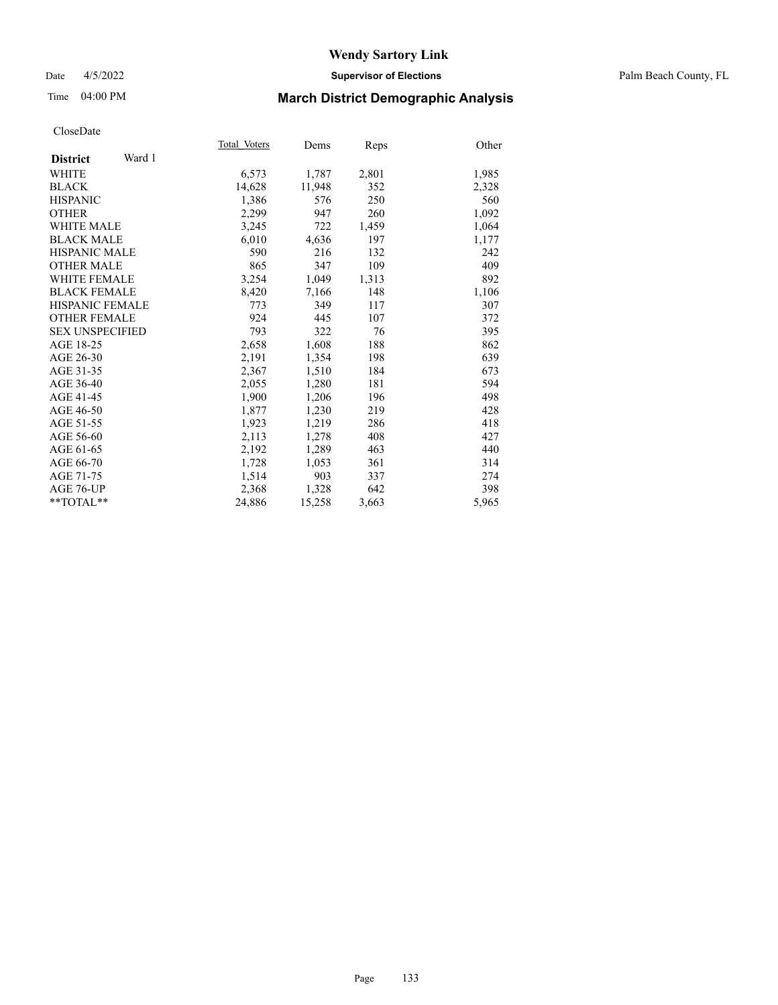## Date 4/5/2022 **Supervisor of Elections** Palm Beach County, FL

# Time 04:00 PM **March District Demographic Analysis**

|                           | Total Voters | Dems   | Reps  | Other |
|---------------------------|--------------|--------|-------|-------|
| Ward 1<br><b>District</b> |              |        |       |       |
| WHITE                     | 6,573        | 1,787  | 2,801 | 1,985 |
| <b>BLACK</b>              | 14,628       | 11,948 | 352   | 2,328 |
| <b>HISPANIC</b>           | 1.386        | 576    | 250   | 560   |
| <b>OTHER</b>              | 2,299        | 947    | 260   | 1,092 |
| <b>WHITE MALE</b>         | 3,245        | 722    | 1,459 | 1,064 |
| <b>BLACK MALE</b>         | 6,010        | 4,636  | 197   | 1,177 |
| <b>HISPANIC MALE</b>      | 590          | 216    | 132   | 242   |
| <b>OTHER MALE</b>         | 865          | 347    | 109   | 409   |
| <b>WHITE FEMALE</b>       | 3,254        | 1,049  | 1,313 | 892   |
| <b>BLACK FEMALE</b>       | 8,420        | 7,166  | 148   | 1,106 |
| <b>HISPANIC FEMALE</b>    | 773          | 349    | 117   | 307   |
| <b>OTHER FEMALE</b>       | 924          | 445    | 107   | 372   |
| <b>SEX UNSPECIFIED</b>    | 793          | 322    | 76    | 395   |
| AGE 18-25                 | 2,658        | 1,608  | 188   | 862   |
| AGE 26-30                 | 2,191        | 1,354  | 198   | 639   |
| AGE 31-35                 | 2,367        | 1,510  | 184   | 673   |
| AGE 36-40                 | 2,055        | 1,280  | 181   | 594   |
| AGE 41-45                 | 1,900        | 1,206  | 196   | 498   |
| AGE 46-50                 | 1,877        | 1,230  | 219   | 428   |
| AGE 51-55                 | 1,923        | 1,219  | 286   | 418   |
| AGE 56-60                 | 2,113        | 1,278  | 408   | 427   |
| AGE 61-65                 | 2,192        | 1,289  | 463   | 440   |
| AGE 66-70                 | 1,728        | 1,053  | 361   | 314   |
| AGE 71-75                 | 1,514        | 903    | 337   | 274   |
| AGE 76-UP                 | 2,368        | 1,328  | 642   | 398   |
| $*$ TOTAL $*$             | 24,886       | 15,258 | 3,663 | 5,965 |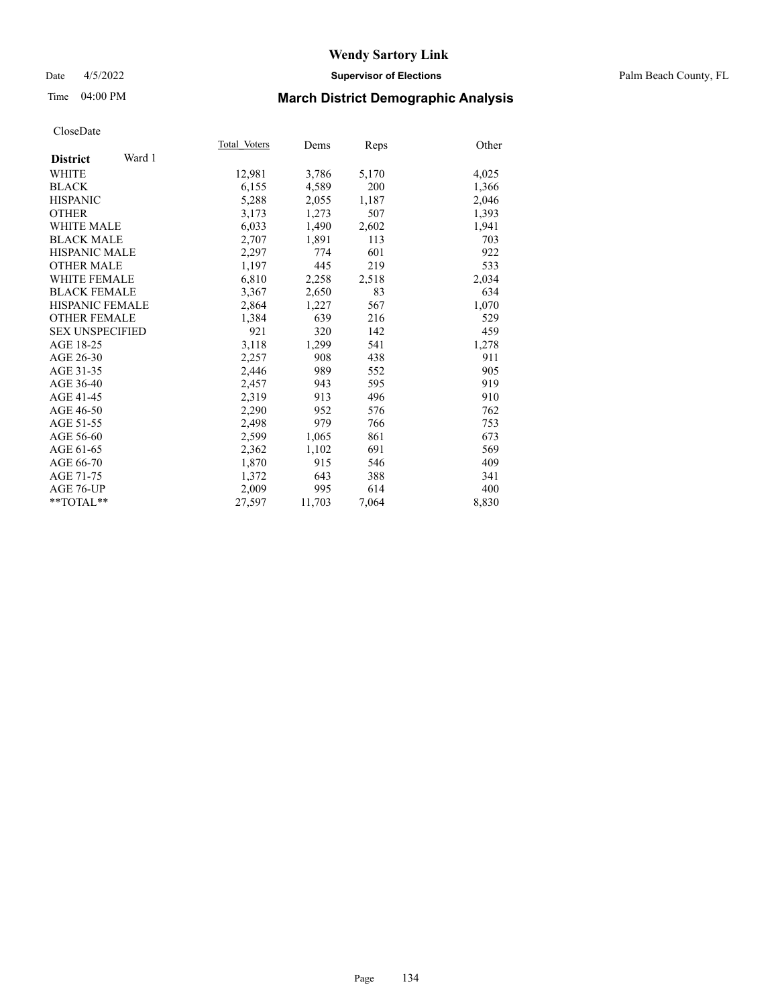### Date 4/5/2022 **Supervisor of Elections** Palm Beach County, FL

## Time 04:00 PM **March District Demographic Analysis**

|                           | Total Voters | Dems   | Reps  | Other |
|---------------------------|--------------|--------|-------|-------|
| Ward 1<br><b>District</b> |              |        |       |       |
| WHITE                     | 12,981       | 3,786  | 5,170 | 4,025 |
| <b>BLACK</b>              | 6,155        | 4,589  | 200   | 1,366 |
| <b>HISPANIC</b>           | 5,288        | 2,055  | 1,187 | 2,046 |
| <b>OTHER</b>              | 3,173        | 1,273  | 507   | 1,393 |
| <b>WHITE MALE</b>         | 6,033        | 1,490  | 2,602 | 1,941 |
| <b>BLACK MALE</b>         | 2,707        | 1,891  | 113   | 703   |
| <b>HISPANIC MALE</b>      | 2,297        | 774    | 601   | 922   |
| <b>OTHER MALE</b>         | 1,197        | 445    | 219   | 533   |
| <b>WHITE FEMALE</b>       | 6,810        | 2,258  | 2,518 | 2,034 |
| <b>BLACK FEMALE</b>       | 3,367        | 2,650  | 83    | 634   |
| <b>HISPANIC FEMALE</b>    | 2,864        | 1,227  | 567   | 1,070 |
| <b>OTHER FEMALE</b>       | 1,384        | 639    | 216   | 529   |
| <b>SEX UNSPECIFIED</b>    | 921          | 320    | 142   | 459   |
| AGE 18-25                 | 3,118        | 1,299  | 541   | 1,278 |
| AGE 26-30                 | 2,257        | 908    | 438   | 911   |
| AGE 31-35                 | 2,446        | 989    | 552   | 905   |
| AGE 36-40                 | 2,457        | 943    | 595   | 919   |
| AGE 41-45                 | 2,319        | 913    | 496   | 910   |
| AGE 46-50                 | 2,290        | 952    | 576   | 762   |
| AGE 51-55                 | 2,498        | 979    | 766   | 753   |
| AGE 56-60                 | 2,599        | 1,065  | 861   | 673   |
| AGE 61-65                 | 2,362        | 1,102  | 691   | 569   |
| AGE 66-70                 | 1,870        | 915    | 546   | 409   |
| AGE 71-75                 | 1,372        | 643    | 388   | 341   |
| AGE 76-UP                 | 2,009        | 995    | 614   | 400   |
| $*$ TOTAL $*$             | 27,597       | 11,703 | 7,064 | 8,830 |
|                           |              |        |       |       |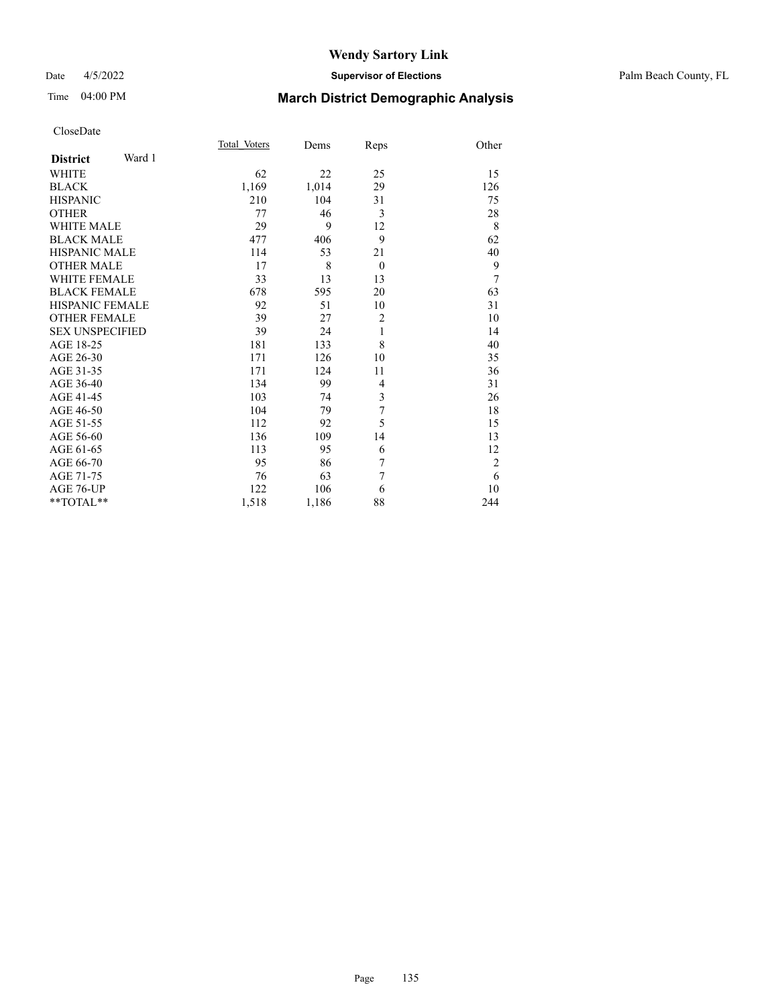### Date 4/5/2022 **Supervisor of Elections** Palm Beach County, FL

# Time 04:00 PM **March District Demographic Analysis**

|                           | Total Voters | Dems  | Reps           | Other          |
|---------------------------|--------------|-------|----------------|----------------|
| Ward 1<br><b>District</b> |              |       |                |                |
| <b>WHITE</b>              | 62           | 22    | 25             | 15             |
| <b>BLACK</b>              | 1,169        | 1,014 | 29             | 126            |
| <b>HISPANIC</b>           | 210          | 104   | 31             | 75             |
| <b>OTHER</b>              | 77           | 46    | 3              | 28             |
| <b>WHITE MALE</b>         | 29           | 9     | 12             | 8              |
| <b>BLACK MALE</b>         | 477          | 406   | 9              | 62             |
| <b>HISPANIC MALE</b>      | 114          | 53    | 21             | 40             |
| <b>OTHER MALE</b>         | 17           | 8     | $\theta$       | 9              |
| <b>WHITE FEMALE</b>       | 33           | 13    | 13             | 7              |
| <b>BLACK FEMALE</b>       | 678          | 595   | 20             | 63             |
| <b>HISPANIC FEMALE</b>    | 92           | 51    | 10             | 31             |
| <b>OTHER FEMALE</b>       | 39           | 27    | $\overline{2}$ | 10             |
| <b>SEX UNSPECIFIED</b>    | 39           | 24    | 1              | 14             |
| AGE 18-25                 | 181          | 133   | 8              | 40             |
| AGE 26-30                 | 171          | 126   | 10             | 35             |
| AGE 31-35                 | 171          | 124   | 11             | 36             |
| AGE 36-40                 | 134          | 99    | $\overline{4}$ | 31             |
| AGE 41-45                 | 103          | 74    | 3              | 26             |
| AGE 46-50                 | 104          | 79    | 7              | 18             |
| AGE 51-55                 | 112          | 92    | 5              | 15             |
| AGE 56-60                 | 136          | 109   | 14             | 13             |
| AGE 61-65                 | 113          | 95    | 6              | 12             |
| AGE 66-70                 | 95           | 86    | 7              | $\overline{2}$ |
| AGE 71-75                 | 76           | 63    | 7              | 6              |
| AGE 76-UP                 | 122          | 106   | 6              | 10             |
| **TOTAL**                 | 1,518        | 1,186 | 88             | 244            |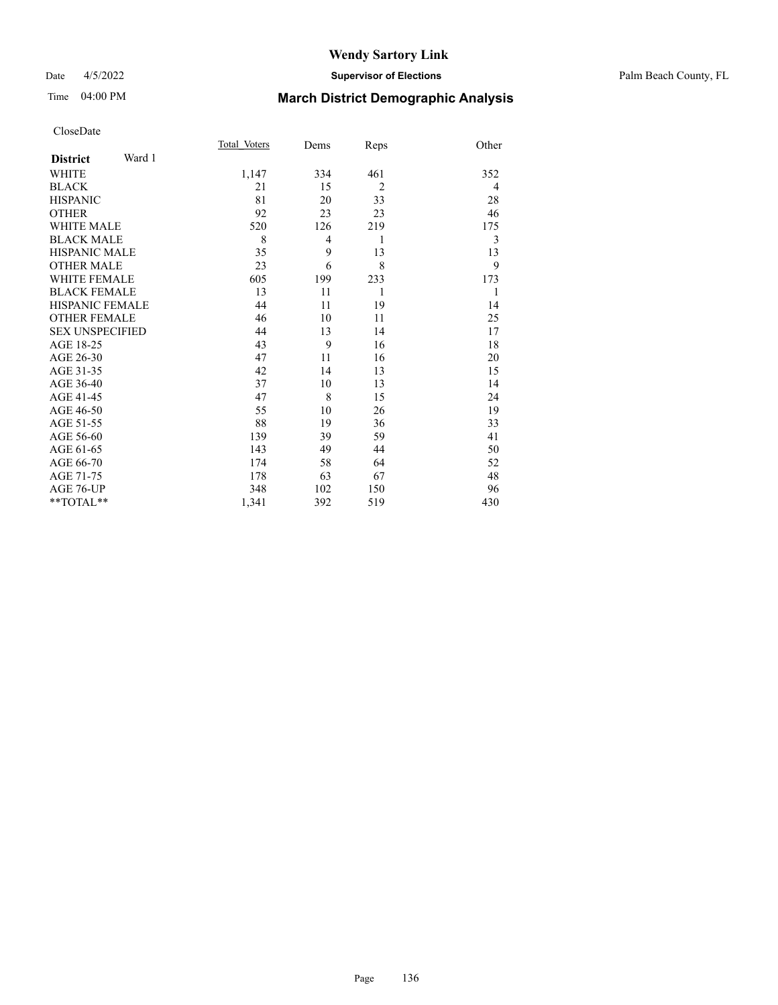### Date 4/5/2022 **Supervisor of Elections** Palm Beach County, FL

# Time 04:00 PM **March District Demographic Analysis**

|                        |        | Total Voters | Dems           | Reps           | Other |
|------------------------|--------|--------------|----------------|----------------|-------|
| <b>District</b>        | Ward 1 |              |                |                |       |
| <b>WHITE</b>           |        | 1,147        | 334            | 461            | 352   |
| <b>BLACK</b>           |        | 21           | 15             | $\overline{2}$ | 4     |
| <b>HISPANIC</b>        |        | 81           | 20             | 33             | 28    |
| <b>OTHER</b>           |        | 92           | 23             | 23             | 46    |
| <b>WHITE MALE</b>      |        | 520          | 126            | 219            | 175   |
| <b>BLACK MALE</b>      |        | 8            | $\overline{4}$ | 1              | 3     |
| <b>HISPANIC MALE</b>   |        | 35           | 9              | 13             | 13    |
| <b>OTHER MALE</b>      |        | 23           | 6              | 8              | 9     |
| <b>WHITE FEMALE</b>    |        | 605          | 199            | 233            | 173   |
| <b>BLACK FEMALE</b>    |        | 13           | 11             | 1              | 1     |
| <b>HISPANIC FEMALE</b> |        | 44           | 11             | 19             | 14    |
| <b>OTHER FEMALE</b>    |        | 46           | 10             | 11             | 25    |
| <b>SEX UNSPECIFIED</b> |        | 44           | 13             | 14             | 17    |
| AGE 18-25              |        | 43           | 9              | 16             | 18    |
| AGE 26-30              |        | 47           | 11             | 16             | 20    |
| AGE 31-35              |        | 42           | 14             | 13             | 15    |
| AGE 36-40              |        | 37           | 10             | 13             | 14    |
| AGE 41-45              |        | 47           | 8              | 15             | 24    |
| AGE 46-50              |        | 55           | 10             | 26             | 19    |
| AGE 51-55              |        | 88           | 19             | 36             | 33    |
| AGE 56-60              |        | 139          | 39             | 59             | 41    |
| AGE 61-65              |        | 143          | 49             | 44             | 50    |
| AGE 66-70              |        | 174          | 58             | 64             | 52    |
| AGE 71-75              |        | 178          | 63             | 67             | 48    |
| AGE 76-UP              |        | 348          | 102            | 150            | 96    |
| $*$ $TOTAL**$          |        | 1,341        | 392            | 519            | 430   |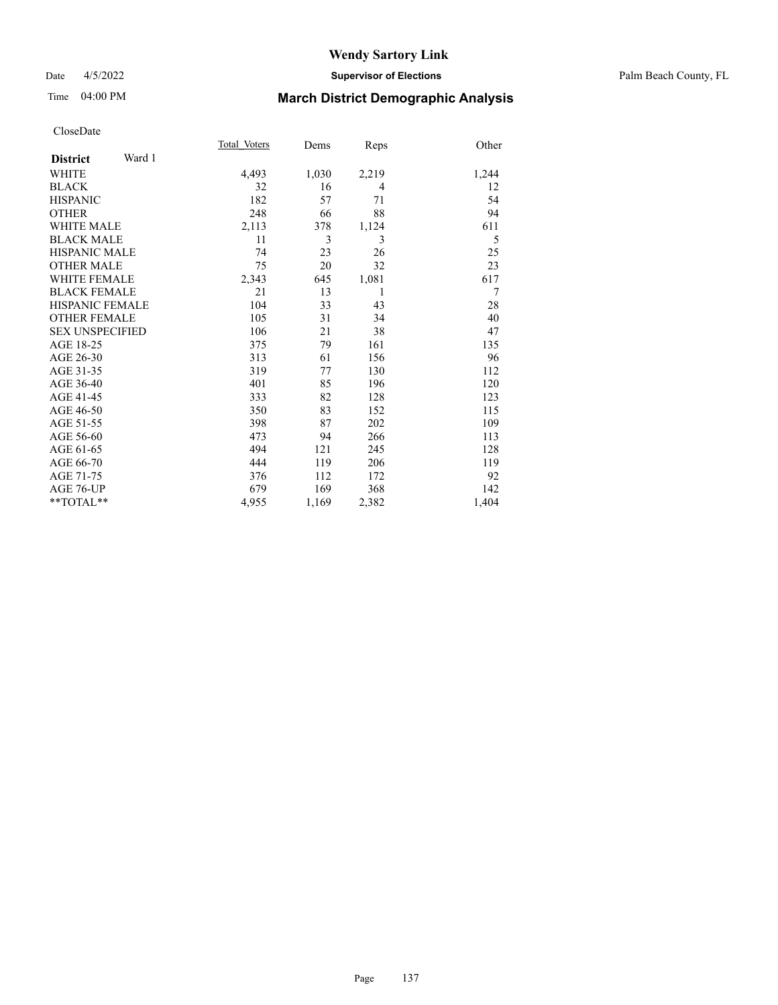### Date 4/5/2022 **Supervisor of Elections** Palm Beach County, FL

# Time 04:00 PM **March District Demographic Analysis**

| Total Voters | Dems  | Reps  | Other |
|--------------|-------|-------|-------|
|              |       |       |       |
| 4,493        | 1,030 | 2,219 | 1,244 |
| 32           | 16    | 4     | 12    |
| 182          | 57    | 71    | 54    |
| 248          | 66    | 88    | 94    |
| 2,113        | 378   | 1,124 | 611   |
| 11           | 3     | 3     | 5     |
| 74           | 23    | 26    | 25    |
| 75           | 20    | 32    | 23    |
| 2,343        | 645   | 1,081 | 617   |
| 21           | 13    | 1     | 7     |
| 104          | 33    | 43    | 28    |
| 105          | 31    | 34    | 40    |
| 106          | 21    | 38    | 47    |
| 375          | 79    | 161   | 135   |
| 313          | 61    | 156   | 96    |
| 319          | 77    | 130   | 112   |
| 401          | 85    | 196   | 120   |
| 333          | 82    | 128   | 123   |
| 350          | 83    | 152   | 115   |
| 398          | 87    | 202   | 109   |
| 473          | 94    | 266   | 113   |
| 494          | 121   | 245   | 128   |
| 444          | 119   | 206   | 119   |
| 376          | 112   | 172   | 92    |
| 679          | 169   | 368   | 142   |
| 4,955        | 1,169 | 2,382 | 1,404 |
|              |       |       |       |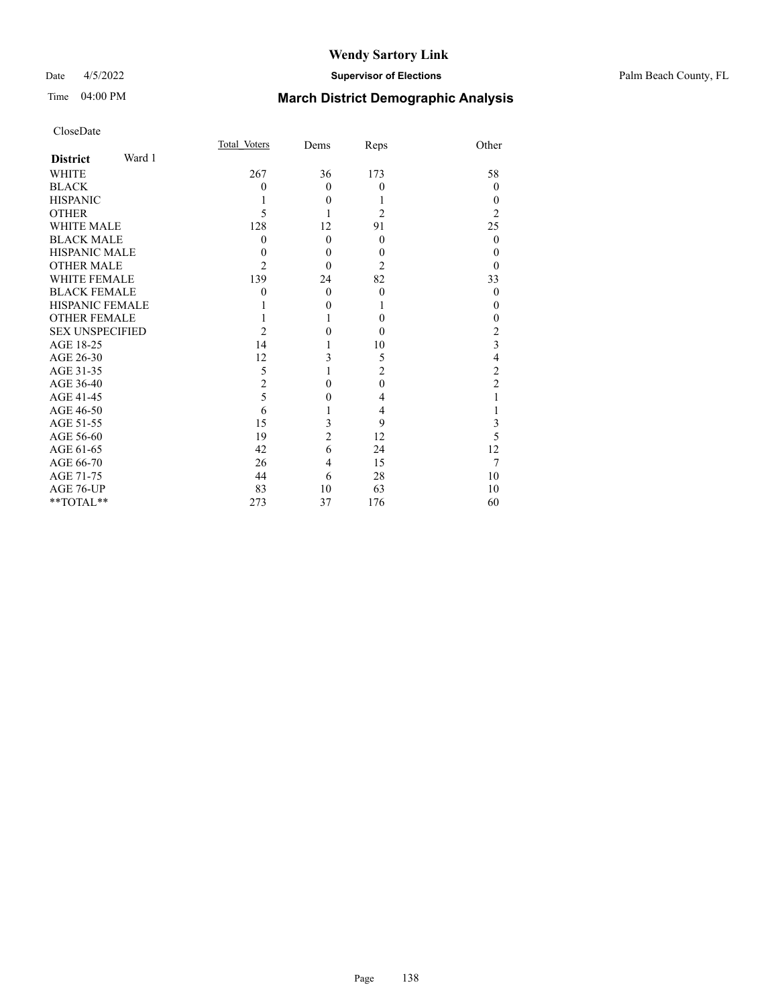## Date 4/5/2022 **Supervisor of Elections** Palm Beach County, FL

# Time 04:00 PM **March District Demographic Analysis**

| CloseDate |
|-----------|
|-----------|

|                        |        | Total Voters   | Dems           | Reps           | Other          |
|------------------------|--------|----------------|----------------|----------------|----------------|
| <b>District</b>        | Ward 1 |                |                |                |                |
| <b>WHITE</b>           |        | 267            | 36             | 173            | 58             |
| <b>BLACK</b>           |        | 0              | $\Omega$       | $\overline{0}$ | $\Omega$       |
| <b>HISPANIC</b>        |        |                | $\theta$       | 1              | $\Omega$       |
| <b>OTHER</b>           |        | 5              | 1              | $\overline{2}$ | $\overline{2}$ |
| <b>WHITE MALE</b>      |        | 128            | 12             | 91             | 25             |
| <b>BLACK MALE</b>      |        | $\theta$       | $\theta$       | $\theta$       | $\theta$       |
| <b>HISPANIC MALE</b>   |        | 0              | $\theta$       | $\theta$       | $\theta$       |
| <b>OTHER MALE</b>      |        | 2              | $\Omega$       | $\overline{2}$ | $\theta$       |
| <b>WHITE FEMALE</b>    |        | 139            | 24             | 82             | 33             |
| <b>BLACK FEMALE</b>    |        | 0              | $\theta$       | $\theta$       | $\theta$       |
| <b>HISPANIC FEMALE</b> |        |                | $\theta$       | 1              | $\Omega$       |
| <b>OTHER FEMALE</b>    |        |                | 1              | $\theta$       | $\theta$       |
| <b>SEX UNSPECIFIED</b> |        | 2              | $\theta$       | $\theta$       | $\overline{2}$ |
| AGE 18-25              |        | 14             | 1              | 10             | 3              |
| AGE 26-30              |        | 12             | 3              | 5              | $\overline{4}$ |
| AGE 31-35              |        | 5              |                | $\overline{c}$ | $\overline{c}$ |
| AGE 36-40              |        | $\overline{2}$ | $\theta$       | $\theta$       | $\overline{c}$ |
| AGE 41-45              |        | 5              | $\overline{0}$ | 4              | 1              |
| AGE 46-50              |        | 6              |                | 4              |                |
| AGE 51-55              |        | 15             | 3              | 9              | 3              |
| AGE 56-60              |        | 19             | $\overline{2}$ | 12             | 5              |
| AGE 61-65              |        | 42             | 6              | 24             | 12             |
| AGE 66-70              |        | 26             | 4              | 15             | 7              |
| AGE 71-75              |        | 44             | 6              | 28             | 10             |
| AGE 76-UP              |        | 83             | 10             | 63             | 10             |
| **TOTAL**              |        | 273            | 37             | 176            | 60             |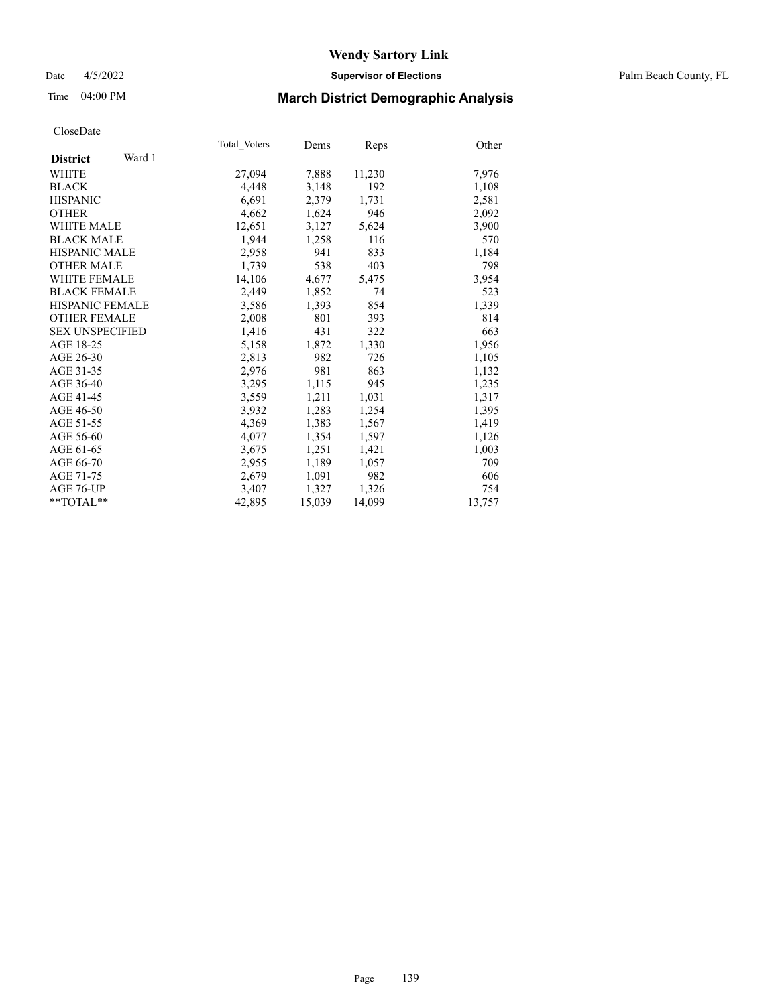### Date 4/5/2022 **Supervisor of Elections** Palm Beach County, FL

## Time 04:00 PM **March District Demographic Analysis**

|                           | Total Voters | Dems   | Reps   | Other  |
|---------------------------|--------------|--------|--------|--------|
| Ward 1<br><b>District</b> |              |        |        |        |
| WHITE                     | 27,094       | 7,888  | 11,230 | 7,976  |
| <b>BLACK</b>              | 4,448        | 3,148  | 192    | 1,108  |
| <b>HISPANIC</b>           | 6.691        | 2,379  | 1,731  | 2,581  |
| <b>OTHER</b>              | 4,662        | 1,624  | 946    | 2,092  |
| <b>WHITE MALE</b>         | 12,651       | 3,127  | 5,624  | 3,900  |
| <b>BLACK MALE</b>         | 1,944        | 1,258  | 116    | 570    |
| <b>HISPANIC MALE</b>      | 2,958        | 941    | 833    | 1,184  |
| <b>OTHER MALE</b>         | 1.739        | 538    | 403    | 798    |
| <b>WHITE FEMALE</b>       | 14,106       | 4,677  | 5,475  | 3,954  |
| <b>BLACK FEMALE</b>       | 2,449        | 1,852  | 74     | 523    |
| <b>HISPANIC FEMALE</b>    | 3,586        | 1,393  | 854    | 1,339  |
| <b>OTHER FEMALE</b>       | 2,008        | 801    | 393    | 814    |
| <b>SEX UNSPECIFIED</b>    | 1,416        | 431    | 322    | 663    |
| AGE 18-25                 | 5,158        | 1,872  | 1,330  | 1,956  |
| AGE 26-30                 | 2,813        | 982    | 726    | 1,105  |
| AGE 31-35                 | 2,976        | 981    | 863    | 1,132  |
| AGE 36-40                 | 3,295        | 1,115  | 945    | 1,235  |
| AGE 41-45                 | 3,559        | 1,211  | 1,031  | 1,317  |
| AGE 46-50                 | 3,932        | 1,283  | 1,254  | 1,395  |
| AGE 51-55                 | 4,369        | 1,383  | 1,567  | 1,419  |
| AGE 56-60                 | 4,077        | 1,354  | 1,597  | 1,126  |
| AGE 61-65                 | 3,675        | 1,251  | 1,421  | 1,003  |
| AGE 66-70                 | 2,955        | 1,189  | 1,057  | 709    |
| AGE 71-75                 | 2,679        | 1,091  | 982    | 606    |
| AGE 76-UP                 | 3,407        | 1,327  | 1,326  | 754    |
| $*$ TOTAL $*$             | 42,895       | 15,039 | 14,099 | 13,757 |
|                           |              |        |        |        |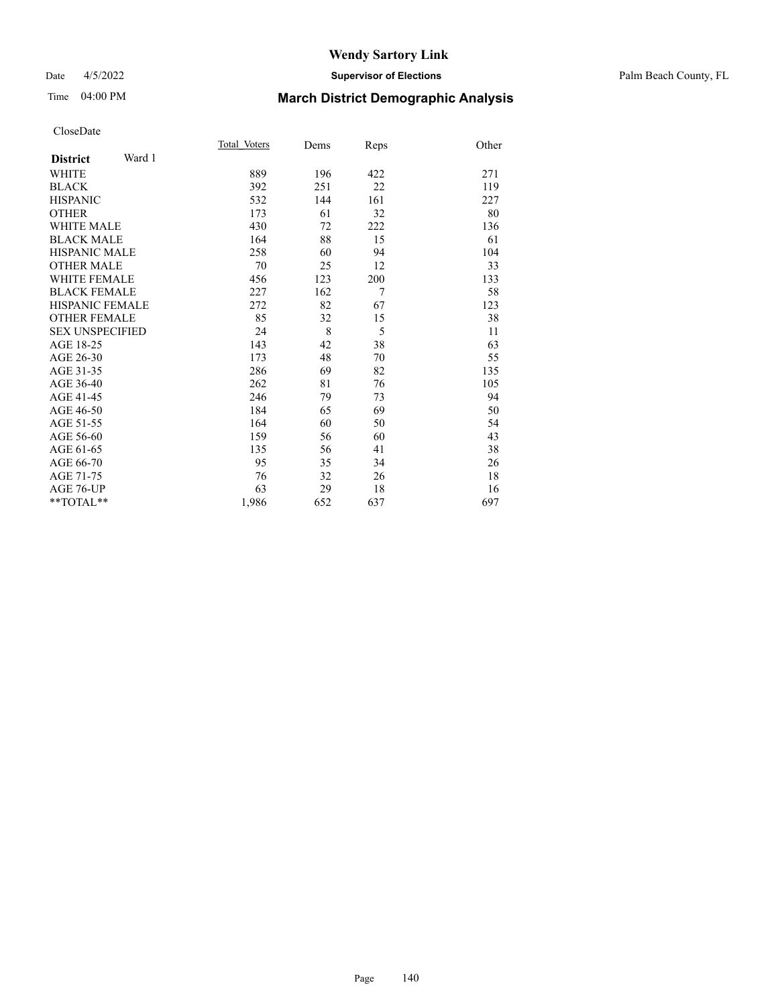### Date 4/5/2022 **Supervisor of Elections** Palm Beach County, FL

# Time 04:00 PM **March District Demographic Analysis**

|                           | Total Voters | Dems | Reps | Other |
|---------------------------|--------------|------|------|-------|
| Ward 1<br><b>District</b> |              |      |      |       |
| <b>WHITE</b>              | 889          | 196  | 422  | 271   |
| <b>BLACK</b>              | 392          | 251  | 22   | 119   |
| <b>HISPANIC</b>           | 532          | 144  | 161  | 227   |
| <b>OTHER</b>              | 173          | 61   | 32   | 80    |
| WHITE MALE                | 430          | 72   | 222  | 136   |
| <b>BLACK MALE</b>         | 164          | 88   | 15   | 61    |
| <b>HISPANIC MALE</b>      | 258          | 60   | 94   | 104   |
| <b>OTHER MALE</b>         | 70           | 25   | 12   | 33    |
| WHITE FEMALE              | 456          | 123  | 200  | 133   |
| <b>BLACK FEMALE</b>       | 227          | 162  | 7    | 58    |
| <b>HISPANIC FEMALE</b>    | 272          | 82   | 67   | 123   |
| <b>OTHER FEMALE</b>       | 85           | 32   | 15   | 38    |
| <b>SEX UNSPECIFIED</b>    | 24           | 8    | 5    | 11    |
| AGE 18-25                 | 143          | 42   | 38   | 63    |
| AGE 26-30                 | 173          | 48   | 70   | 55    |
| AGE 31-35                 | 286          | 69   | 82   | 135   |
| AGE 36-40                 | 262          | 81   | 76   | 105   |
| AGE 41-45                 | 246          | 79   | 73   | 94    |
| AGE 46-50                 | 184          | 65   | 69   | 50    |
| AGE 51-55                 | 164          | 60   | 50   | 54    |
| AGE 56-60                 | 159          | 56   | 60   | 43    |
| AGE 61-65                 | 135          | 56   | 41   | 38    |
| AGE 66-70                 | 95           | 35   | 34   | 26    |
| AGE 71-75                 | 76           | 32   | 26   | 18    |
| AGE 76-UP                 | 63           | 29   | 18   | 16    |
| $*$ $TOTAL**$             | 1,986        | 652  | 637  | 697   |